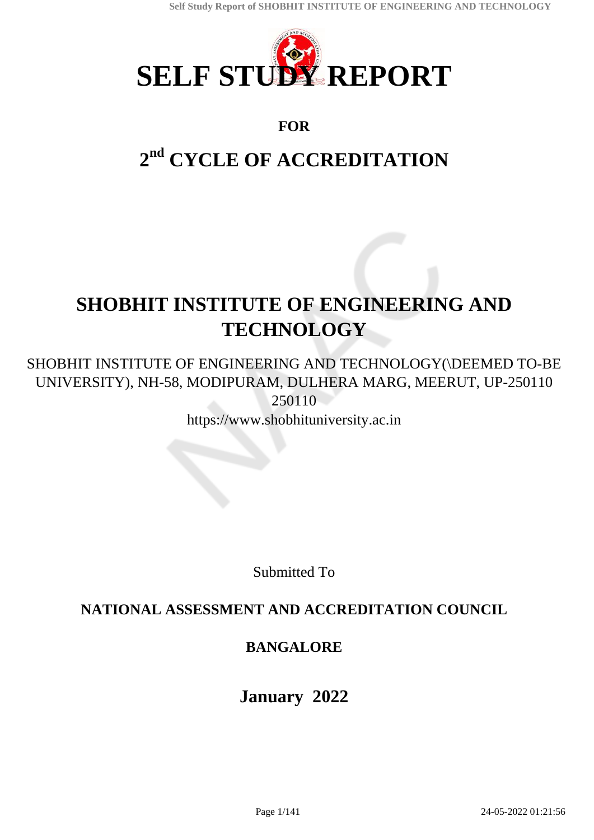

## **FOR**

# **2 nd CYCLE OF ACCREDITATION**

# **SHOBHIT INSTITUTE OF ENGINEERING AND TECHNOLOGY**

# SHOBHIT INSTITUTE OF ENGINEERING AND TECHNOLOGY(\DEEMED TO-BE UNIVERSITY), NH-58, MODIPURAM, DULHERA MARG, MEERUT, UP-250110 250110

https://www.shobhituniversity.ac.in

Submitted To

## **NATIONAL ASSESSMENT AND ACCREDITATION COUNCIL**

## **BANGALORE**

**January 2022**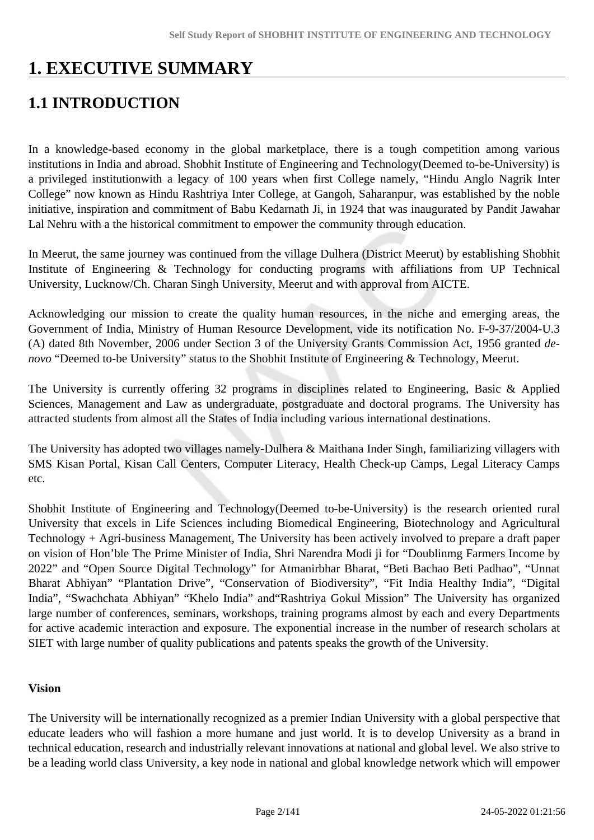# **1. EXECUTIVE SUMMARY**

## **1.1 INTRODUCTION**

In a knowledge-based economy in the global marketplace, there is a tough competition among various institutions in India and abroad. Shobhit Institute of Engineering and Technology(Deemed to-be-University) is a privileged institutionwith a legacy of 100 years when first College namely, "Hindu Anglo Nagrik Inter College" now known as Hindu Rashtriya Inter College, at Gangoh, Saharanpur, was established by the noble initiative, inspiration and commitment of Babu Kedarnath Ji, in 1924 that was inaugurated by Pandit Jawahar Lal Nehru with a the historical commitment to empower the community through education.

In Meerut, the same journey was continued from the village Dulhera (District Meerut) by establishing Shobhit Institute of Engineering & Technology for conducting programs with affiliations from UP Technical University, Lucknow/Ch. Charan Singh University, Meerut and with approval from AICTE.

Acknowledging our mission to create the quality human resources, in the niche and emerging areas, the Government of India, Ministry of Human Resource Development, vide its notification No. F-9-37/2004-U.3 (A) dated 8th November, 2006 under Section 3 of the University Grants Commission Act, 1956 granted *denovo* "Deemed to-be University" status to the Shobhit Institute of Engineering & Technology, Meerut.

The University is currently offering 32 programs in disciplines related to Engineering, Basic & Applied Sciences, Management and Law as undergraduate, postgraduate and doctoral programs. The University has attracted students from almost all the States of India including various international destinations.

The University has adopted two villages namely-Dulhera & Maithana Inder Singh, familiarizing villagers with SMS Kisan Portal, Kisan Call Centers, Computer Literacy, Health Check-up Camps, Legal Literacy Camps etc.

Shobhit Institute of Engineering and Technology(Deemed to-be-University) is the research oriented rural University that excels in Life Sciences including Biomedical Engineering, Biotechnology and Agricultural Technology + Agri-business Management, The University has been actively involved to prepare a draft paper on vision of Hon'ble The Prime Minister of India, Shri Narendra Modi ji for "Doublinmg Farmers Income by 2022" and "Open Source Digital Technology" for Atmanirbhar Bharat, "Beti Bachao Beti Padhao", "Unnat Bharat Abhiyan" "Plantation Drive", "Conservation of Biodiversity", "Fit India Healthy India", "Digital India", "Swachchata Abhiyan" "Khelo India" and"Rashtriya Gokul Mission" The University has organized large number of conferences, seminars, workshops, training programs almost by each and every Departments for active academic interaction and exposure. The exponential increase in the number of research scholars at SIET with large number of quality publications and patents speaks the growth of the University.

#### **Vision**

The University will be internationally recognized as a premier Indian University with a global perspective that educate leaders who will fashion a more humane and just world. It is to develop University as a brand in technical education, research and industrially relevant innovations at national and global level. We also strive to be a leading world class University, a key node in national and global knowledge network which will empower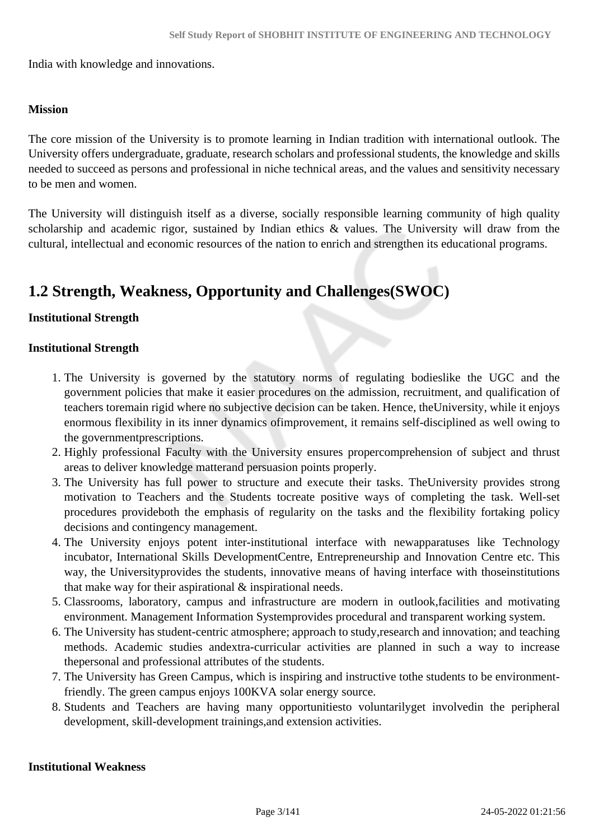India with knowledge and innovations.

#### **Mission**

The core mission of the University is to promote learning in Indian tradition with international outlook. The University offers undergraduate, graduate, research scholars and professional students, the knowledge and skills needed to succeed as persons and professional in niche technical areas, and the values and sensitivity necessary to be men and women.

The University will distinguish itself as a diverse, socially responsible learning community of high quality scholarship and academic rigor, sustained by Indian ethics & values. The University will draw from the cultural, intellectual and economic resources of the nation to enrich and strengthen its educational programs.

## **1.2 Strength, Weakness, Opportunity and Challenges(SWOC)**

#### **Institutional Strength**

#### **Institutional Strength**

- 1. The University is governed by the statutory norms of regulating bodieslike the UGC and the government policies that make it easier procedures on the admission, recruitment, and qualification of teachers toremain rigid where no subjective decision can be taken. Hence, theUniversity, while it enjoys enormous flexibility in its inner dynamics ofimprovement, it remains self-disciplined as well owing to the governmentprescriptions.
- 2. Highly professional Faculty with the University ensures propercomprehension of subject and thrust areas to deliver knowledge matterand persuasion points properly.
- 3. The University has full power to structure and execute their tasks. TheUniversity provides strong motivation to Teachers and the Students tocreate positive ways of completing the task. Well-set procedures provideboth the emphasis of regularity on the tasks and the flexibility fortaking policy decisions and contingency management.
- 4. The University enjoys potent inter-institutional interface with newapparatuses like Technology incubator, International Skills DevelopmentCentre, Entrepreneurship and Innovation Centre etc. This way, the Universityprovides the students, innovative means of having interface with thoseinstitutions that make way for their aspirational & inspirational needs.
- 5. Classrooms, laboratory, campus and infrastructure are modern in outlook,facilities and motivating environment. Management Information Systemprovides procedural and transparent working system.
- 6. The University has student-centric atmosphere; approach to study,research and innovation; and teaching methods. Academic studies andextra-curricular activities are planned in such a way to increase thepersonal and professional attributes of the students.
- 7. The University has Green Campus, which is inspiring and instructive tothe students to be environmentfriendly. The green campus enjoys 100KVA solar energy source.
- 8. Students and Teachers are having many opportunitiesto voluntarilyget involvedin the peripheral development, skill-development trainings,and extension activities.

#### **Institutional Weakness**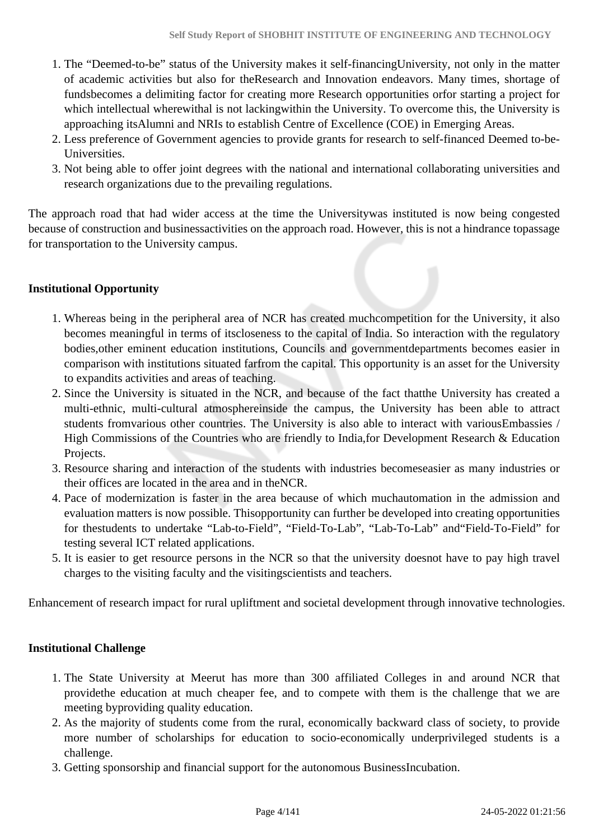- 1. The "Deemed-to-be" status of the University makes it self-financingUniversity, not only in the matter of academic activities but also for theResearch and Innovation endeavors. Many times, shortage of fundsbecomes a delimiting factor for creating more Research opportunities orfor starting a project for which intellectual wherewithal is not lackingwithin the University. To overcome this, the University is approaching itsAlumni and NRIs to establish Centre of Excellence (COE) in Emerging Areas.
- 2. Less preference of Government agencies to provide grants for research to self-financed Deemed to-be-Universities.
- 3. Not being able to offer joint degrees with the national and international collaborating universities and research organizations due to the prevailing regulations.

The approach road that had wider access at the time the Universitywas instituted is now being congested because of construction and businessactivities on the approach road. However, this is not a hindrance topassage for transportation to the University campus.

#### **Institutional Opportunity**

- 1. Whereas being in the peripheral area of NCR has created muchcompetition for the University, it also becomes meaningful in terms of itscloseness to the capital of India. So interaction with the regulatory bodies,other eminent education institutions, Councils and governmentdepartments becomes easier in comparison with institutions situated farfrom the capital. This opportunity is an asset for the University to expandits activities and areas of teaching.
- 2. Since the University is situated in the NCR, and because of the fact thatthe University has created a multi-ethnic, multi-cultural atmosphereinside the campus, the University has been able to attract students fromvarious other countries. The University is also able to interact with variousEmbassies / High Commissions of the Countries who are friendly to India, for Development Research & Education Projects.
- 3. Resource sharing and interaction of the students with industries becomeseasier as many industries or their offices are located in the area and in theNCR.
- 4. Pace of modernization is faster in the area because of which muchautomation in the admission and evaluation matters is now possible. Thisopportunity can further be developed into creating opportunities for thestudents to undertake "Lab-to-Field", "Field-To-Lab", "Lab-To-Lab" and"Field-To-Field" for testing several ICT related applications.
- 5. It is easier to get resource persons in the NCR so that the university doesnot have to pay high travel charges to the visiting faculty and the visitingscientists and teachers.

Enhancement of research impact for rural upliftment and societal development through innovative technologies.

#### **Institutional Challenge**

- 1. The State University at Meerut has more than 300 affiliated Colleges in and around NCR that providethe education at much cheaper fee, and to compete with them is the challenge that we are meeting byproviding quality education.
- 2. As the majority of students come from the rural, economically backward class of society, to provide more number of scholarships for education to socio-economically underprivileged students is a challenge.
- 3. Getting sponsorship and financial support for the autonomous BusinessIncubation.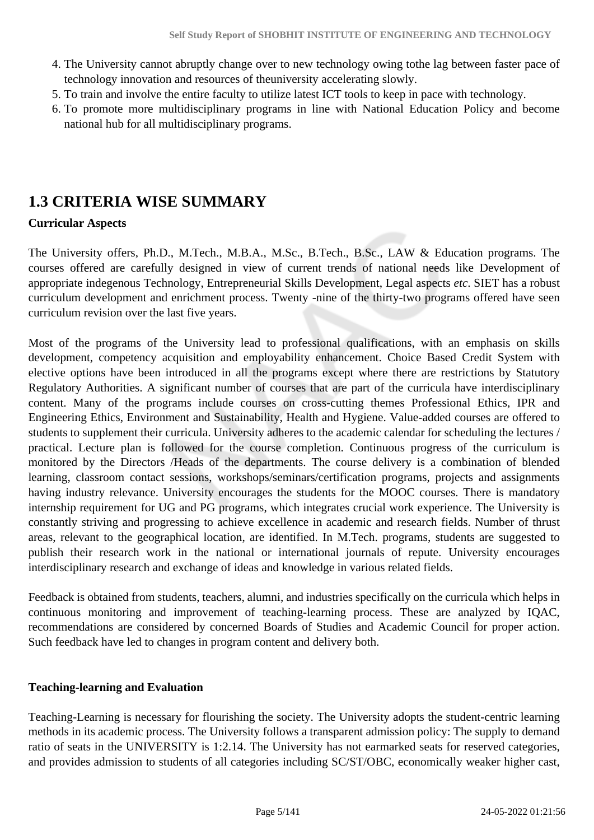- 4. The University cannot abruptly change over to new technology owing tothe lag between faster pace of technology innovation and resources of theuniversity accelerating slowly.
- 5. To train and involve the entire faculty to utilize latest ICT tools to keep in pace with technology.
- 6. To promote more multidisciplinary programs in line with National Education Policy and become national hub for all multidisciplinary programs.

## **1.3 CRITERIA WISE SUMMARY**

#### **Curricular Aspects**

The University offers, Ph.D., M.Tech., M.B.A., M.Sc., B.Tech., B.Sc., LAW & Education programs. The courses offered are carefully designed in view of current trends of national needs like Development of appropriate indegenous Technology, Entrepreneurial Skills Development, Legal aspects *etc*. SIET has a robust curriculum development and enrichment process. Twenty -nine of the thirty-two programs offered have seen curriculum revision over the last five years.

Most of the programs of the University lead to professional qualifications, with an emphasis on skills development, competency acquisition and employability enhancement. Choice Based Credit System with elective options have been introduced in all the programs except where there are restrictions by Statutory Regulatory Authorities. A significant number of courses that are part of the curricula have interdisciplinary content. Many of the programs include courses on cross-cutting themes Professional Ethics, IPR and Engineering Ethics, Environment and Sustainability, Health and Hygiene. Value-added courses are offered to students to supplement their curricula. University adheres to the academic calendar for scheduling the lectures / practical. Lecture plan is followed for the course completion. Continuous progress of the curriculum is monitored by the Directors /Heads of the departments. The course delivery is a combination of blended learning, classroom contact sessions, workshops/seminars/certification programs, projects and assignments having industry relevance. University encourages the students for the MOOC courses. There is mandatory internship requirement for UG and PG programs, which integrates crucial work experience. The University is constantly striving and progressing to achieve excellence in academic and research fields. Number of thrust areas, relevant to the geographical location, are identified. In M.Tech. programs, students are suggested to publish their research work in the national or international journals of repute. University encourages interdisciplinary research and exchange of ideas and knowledge in various related fields.

Feedback is obtained from students, teachers, alumni, and industries specifically on the curricula which helps in continuous monitoring and improvement of teaching-learning process. These are analyzed by IQAC, recommendations are considered by concerned Boards of Studies and Academic Council for proper action. Such feedback have led to changes in program content and delivery both.

#### **Teaching-learning and Evaluation**

Teaching-Learning is necessary for flourishing the society. The University adopts the student-centric learning methods in its academic process. The University follows a transparent admission policy: The supply to demand ratio of seats in the UNIVERSITY is 1:2.14. The University has not earmarked seats for reserved categories, and provides admission to students of all categories including SC/ST/OBC, economically weaker higher cast,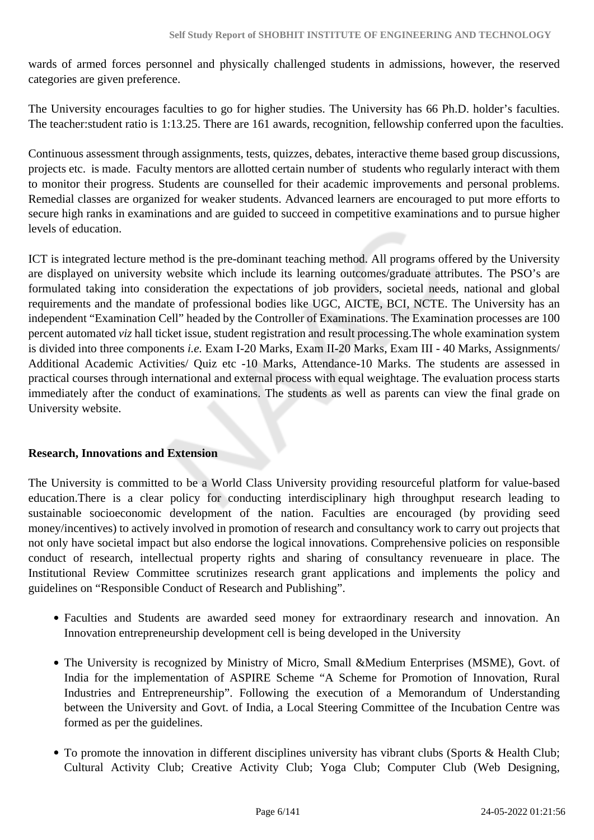wards of armed forces personnel and physically challenged students in admissions, however, the reserved categories are given preference.

The University encourages faculties to go for higher studies. The University has 66 Ph.D. holder's faculties. The teacher:student ratio is 1:13.25. There are 161 awards, recognition, fellowship conferred upon the faculties.

Continuous assessment through assignments, tests, quizzes, debates, interactive theme based group discussions, projects etc. is made. Faculty mentors are allotted certain number of students who regularly interact with them to monitor their progress. Students are counselled for their academic improvements and personal problems. Remedial classes are organized for weaker students. Advanced learners are encouraged to put more efforts to secure high ranks in examinations and are guided to succeed in competitive examinations and to pursue higher levels of education.

ICT is integrated lecture method is the pre-dominant teaching method. All programs offered by the University are displayed on university website which include its learning outcomes/graduate attributes. The PSO's are formulated taking into consideration the expectations of job providers, societal needs, national and global requirements and the mandate of professional bodies like UGC, AICTE, BCI, NCTE. The University has an independent "Examination Cell" headed by the Controller of Examinations. The Examination processes are 100 percent automated *viz* hall ticket issue, student registration and result processing.The whole examination system is divided into three components *i.e.* Exam I-20 Marks, Exam II-20 Marks, Exam III - 40 Marks, Assignments/ Additional Academic Activities/ Quiz etc -10 Marks, Attendance-10 Marks. The students are assessed in practical courses through international and external process with equal weightage. The evaluation process starts immediately after the conduct of examinations. The students as well as parents can view the final grade on University website.

#### **Research, Innovations and Extension**

The University is committed to be a World Class University providing resourceful platform for value-based education.There is a clear policy for conducting interdisciplinary high throughput research leading to sustainable socioeconomic development of the nation. Faculties are encouraged (by providing seed money/incentives) to actively involved in promotion of research and consultancy work to carry out projects that not only have societal impact but also endorse the logical innovations. Comprehensive policies on responsible conduct of research, intellectual property rights and sharing of consultancy revenueare in place. The Institutional Review Committee scrutinizes research grant applications and implements the policy and guidelines on "Responsible Conduct of Research and Publishing".

- Faculties and Students are awarded seed money for extraordinary research and innovation. An Innovation entrepreneurship development cell is being developed in the University
- The University is recognized by Ministry of Micro, Small &Medium Enterprises (MSME), Govt. of India for the implementation of ASPIRE Scheme "A Scheme for Promotion of Innovation, Rural Industries and Entrepreneurship". Following the execution of a Memorandum of Understanding between the University and Govt. of India, a Local Steering Committee of the Incubation Centre was formed as per the guidelines.
- To promote the innovation in different disciplines university has vibrant clubs (Sports & Health Club; Cultural Activity Club; Creative Activity Club; Yoga Club; Computer Club (Web Designing,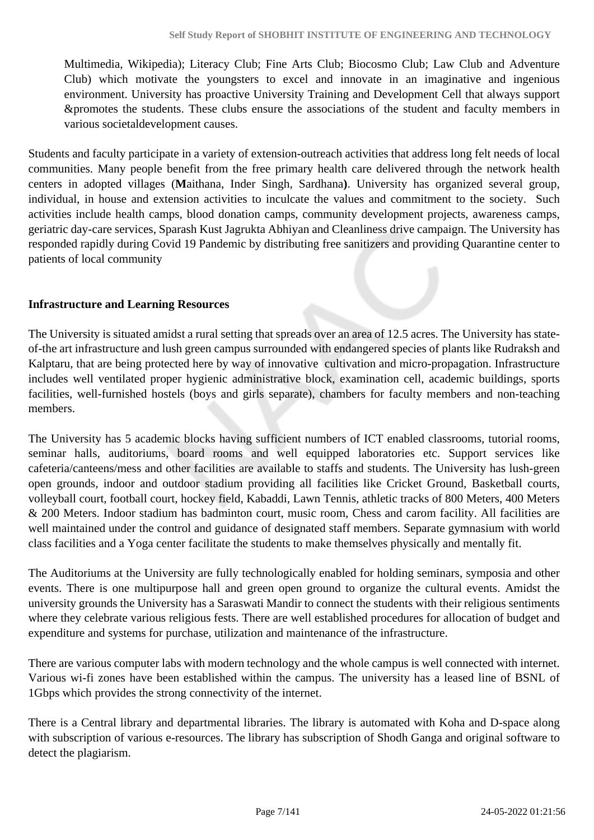Multimedia, Wikipedia); Literacy Club; Fine Arts Club; Biocosmo Club; Law Club and Adventure Club) which motivate the youngsters to excel and innovate in an imaginative and ingenious environment. University has proactive University Training and Development Cell that always support &promotes the students. These clubs ensure the associations of the student and faculty members in various societaldevelopment causes.

Students and faculty participate in a variety of extension-outreach activities that address long felt needs of local communities. Many people benefit from the free primary health care delivered through the network health centers in adopted villages (**M**aithana, Inder Singh, Sardhana**)**. University has organized several group, individual, in house and extension activities to inculcate the values and commitment to the society. Such activities include health camps, blood donation camps, community development projects, awareness camps, geriatric day-care services, Sparash Kust Jagrukta Abhiyan and Cleanliness drive campaign. The University has responded rapidly during Covid 19 Pandemic by distributing free sanitizers and providing Quarantine center to patients of local community

#### **Infrastructure and Learning Resources**

The University is situated amidst a rural setting that spreads over an area of 12.5 acres. The University has stateof-the art infrastructure and lush green campus surrounded with endangered species of plants like Rudraksh and Kalptaru, that are being protected here by way of innovative cultivation and micro-propagation. Infrastructure includes well ventilated proper hygienic administrative block, examination cell, academic buildings, sports facilities, well-furnished hostels (boys and girls separate), chambers for faculty members and non-teaching members.

The University has 5 academic blocks having sufficient numbers of ICT enabled classrooms, tutorial rooms, seminar halls, auditoriums, board rooms and well equipped laboratories etc. Support services like cafeteria/canteens/mess and other facilities are available to staffs and students. The University has lush-green open grounds, indoor and outdoor stadium providing all facilities like Cricket Ground, Basketball courts, volleyball court, football court, hockey field, Kabaddi, Lawn Tennis, athletic tracks of 800 Meters, 400 Meters & 200 Meters. Indoor stadium has badminton court, music room, Chess and carom facility. All facilities are well maintained under the control and guidance of designated staff members. Separate gymnasium with world class facilities and a Yoga center facilitate the students to make themselves physically and mentally fit.

The Auditoriums at the University are fully technologically enabled for holding seminars, symposia and other events. There is one multipurpose hall and green open ground to organize the cultural events. Amidst the university grounds the University has a Saraswati Mandir to connect the students with their religious sentiments where they celebrate various religious fests. There are well established procedures for allocation of budget and expenditure and systems for purchase, utilization and maintenance of the infrastructure.

There are various computer labs with modern technology and the whole campus is well connected with internet. Various wi-fi zones have been established within the campus. The university has a leased line of BSNL of 1Gbps which provides the strong connectivity of the internet.

There is a Central library and departmental libraries. The library is automated with Koha and D-space along with subscription of various e-resources. The library has subscription of Shodh Ganga and original software to detect the plagiarism.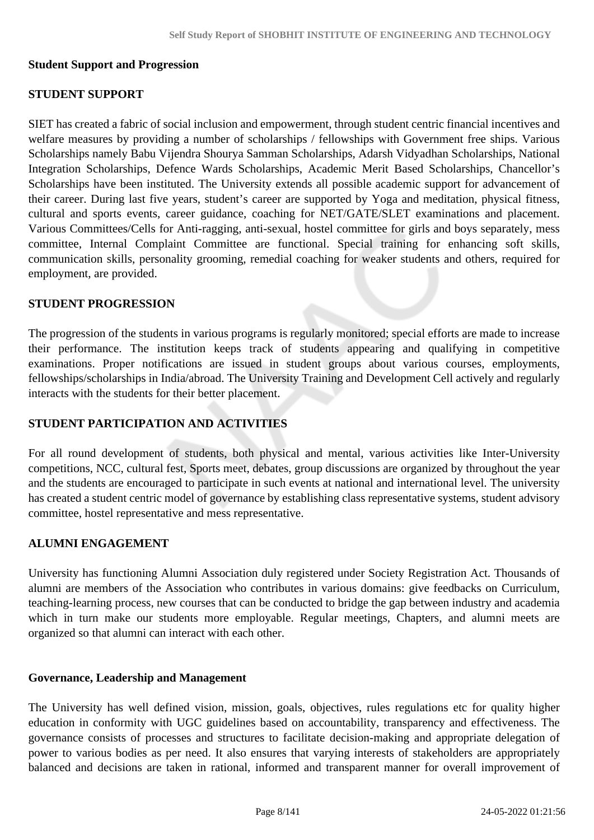#### **Student Support and Progression**

#### **STUDENT SUPPORT**

SIET has created a fabric of social inclusion and empowerment, through student centric financial incentives and welfare measures by providing a number of scholarships / fellowships with Government free ships. Various Scholarships namely Babu Vijendra Shourya Samman Scholarships, Adarsh Vidyadhan Scholarships, National Integration Scholarships, Defence Wards Scholarships, Academic Merit Based Scholarships, Chancellor's Scholarships have been instituted. The University extends all possible academic support for advancement of their career. During last five years, student's career are supported by Yoga and meditation, physical fitness, cultural and sports events, career guidance, coaching for NET/GATE/SLET examinations and placement. Various Committees/Cells for Anti-ragging, anti-sexual, hostel committee for girls and boys separately, mess committee, Internal Complaint Committee are functional. Special training for enhancing soft skills, communication skills, personality grooming, remedial coaching for weaker students and others, required for employment, are provided.

#### **STUDENT PROGRESSION**

The progression of the students in various programs is regularly monitored; special efforts are made to increase their performance. The institution keeps track of students appearing and qualifying in competitive examinations. Proper notifications are issued in student groups about various courses, employments, fellowships/scholarships in India/abroad. The University Training and Development Cell actively and regularly interacts with the students for their better placement.

#### **STUDENT PARTICIPATION AND ACTIVITIES**

For all round development of students, both physical and mental, various activities like Inter-University competitions, NCC, cultural fest, Sports meet, debates, group discussions are organized by throughout the year and the students are encouraged to participate in such events at national and international level. The university has created a student centric model of governance by establishing class representative systems, student advisory committee, hostel representative and mess representative.

#### **ALUMNI ENGAGEMENT**

University has functioning Alumni Association duly registered under Society Registration Act. Thousands of alumni are members of the Association who contributes in various domains: give feedbacks on Curriculum, teaching-learning process, new courses that can be conducted to bridge the gap between industry and academia which in turn make our students more employable. Regular meetings, Chapters, and alumni meets are organized so that alumni can interact with each other.

#### **Governance, Leadership and Management**

The University has well defined vision, mission, goals, objectives, rules regulations etc for quality higher education in conformity with UGC guidelines based on accountability, transparency and effectiveness. The governance consists of processes and structures to facilitate decision-making and appropriate delegation of power to various bodies as per need. It also ensures that varying interests of stakeholders are appropriately balanced and decisions are taken in rational, informed and transparent manner for overall improvement of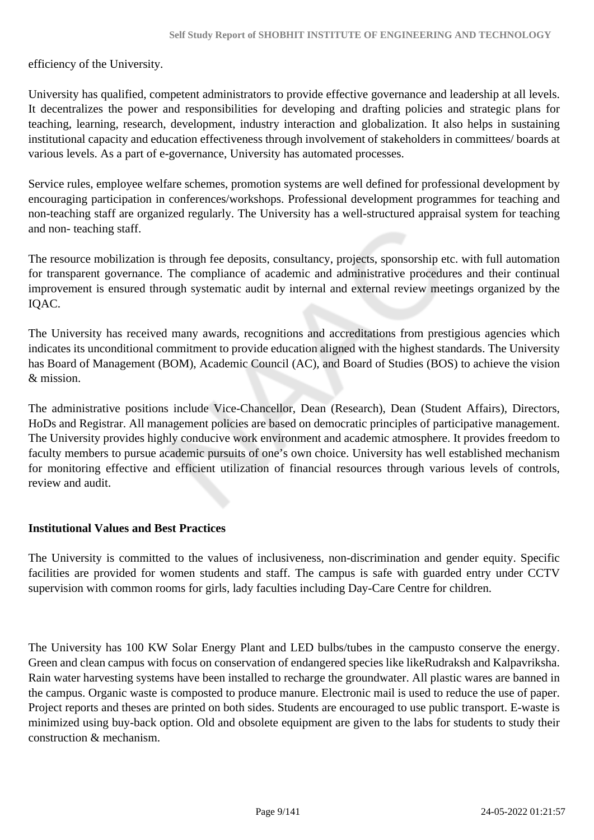efficiency of the University.

University has qualified, competent administrators to provide effective governance and leadership at all levels. It decentralizes the power and responsibilities for developing and drafting policies and strategic plans for teaching, learning, research, development, industry interaction and globalization. It also helps in sustaining institutional capacity and education effectiveness through involvement of stakeholders in committees/ boards at various levels. As a part of e-governance, University has automated processes.

Service rules, employee welfare schemes, promotion systems are well defined for professional development by encouraging participation in conferences/workshops. Professional development programmes for teaching and non-teaching staff are organized regularly. The University has a well-structured appraisal system for teaching and non- teaching staff.

The resource mobilization is through fee deposits, consultancy, projects, sponsorship etc. with full automation for transparent governance. The compliance of academic and administrative procedures and their continual improvement is ensured through systematic audit by internal and external review meetings organized by the IQAC.

The University has received many awards, recognitions and accreditations from prestigious agencies which indicates its unconditional commitment to provide education aligned with the highest standards. The University has Board of Management (BOM), Academic Council (AC), and Board of Studies (BOS) to achieve the vision & mission.

The administrative positions include Vice-Chancellor, Dean (Research), Dean (Student Affairs), Directors, HoDs and Registrar. All management policies are based on democratic principles of participative management. The University provides highly conducive work environment and academic atmosphere. It provides freedom to faculty members to pursue academic pursuits of one's own choice. University has well established mechanism for monitoring effective and efficient utilization of financial resources through various levels of controls, review and audit.

#### **Institutional Values and Best Practices**

The University is committed to the values of inclusiveness, non-discrimination and gender equity. Specific facilities are provided for women students and staff. The campus is safe with guarded entry under CCTV supervision with common rooms for girls, lady faculties including Day-Care Centre for children.

The University has 100 KW Solar Energy Plant and LED bulbs/tubes in the campusto conserve the energy. Green and clean campus with focus on conservation of endangered species like likeRudraksh and Kalpavriksha. Rain water harvesting systems have been installed to recharge the groundwater. All plastic wares are banned in the campus. Organic waste is composted to produce manure. Electronic mail is used to reduce the use of paper. Project reports and theses are printed on both sides. Students are encouraged to use public transport. E-waste is minimized using buy-back option. Old and obsolete equipment are given to the labs for students to study their construction & mechanism.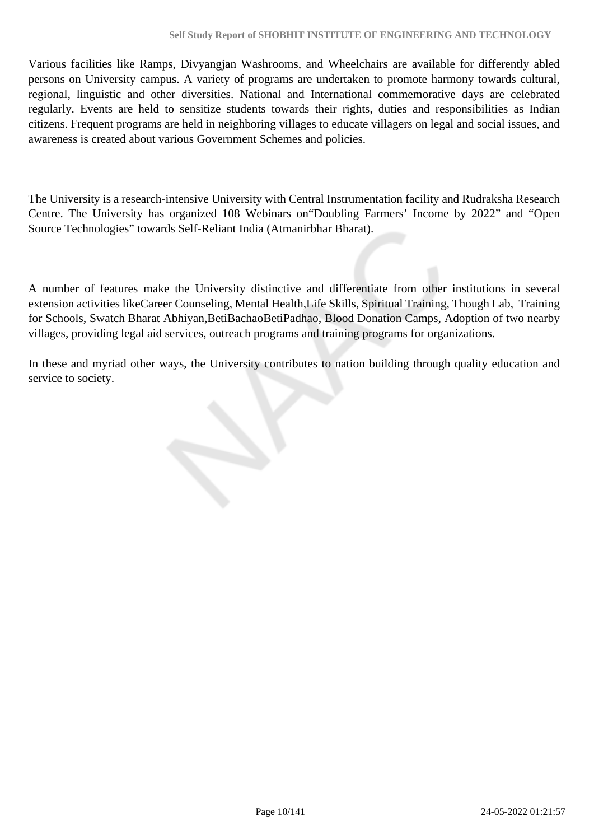Various facilities like Ramps, Divyangjan Washrooms, and Wheelchairs are available for differently abled persons on University campus. A variety of programs are undertaken to promote harmony towards cultural, regional, linguistic and other diversities. National and International commemorative days are celebrated regularly. Events are held to sensitize students towards their rights, duties and responsibilities as Indian citizens. Frequent programs are held in neighboring villages to educate villagers on legal and social issues, and awareness is created about various Government Schemes and policies.

The University is a research-intensive University with Central Instrumentation facility and Rudraksha Research Centre. The University has organized 108 Webinars on"Doubling Farmers' Income by 2022" and "Open Source Technologies" towards Self-Reliant India (Atmanirbhar Bharat).

A number of features make the University distinctive and differentiate from other institutions in several extension activities likeCareer Counseling, Mental Health,Life Skills, Spiritual Training, Though Lab, Training for Schools, Swatch Bharat Abhiyan,BetiBachaoBetiPadhao, Blood Donation Camps, Adoption of two nearby villages, providing legal aid services, outreach programs and training programs for organizations.

In these and myriad other ways, the University contributes to nation building through quality education and service to society.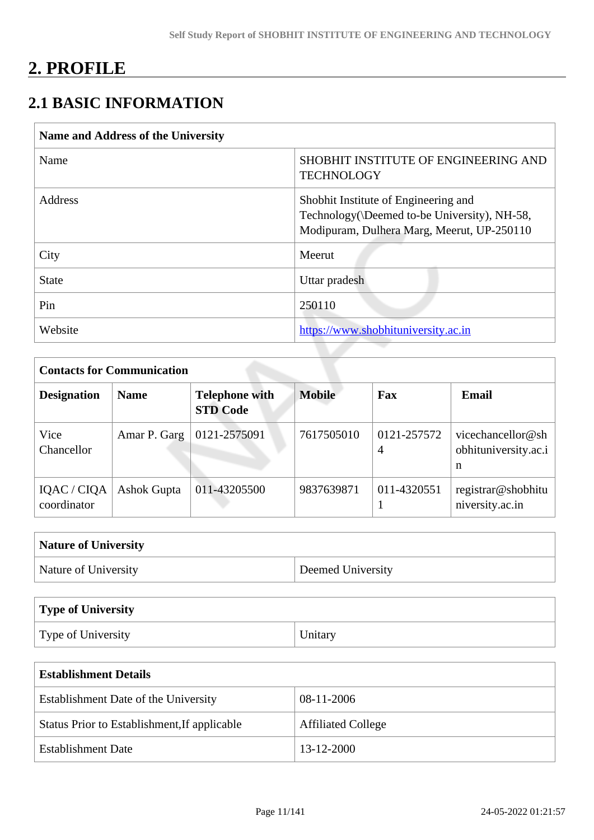# **2. PROFILE**

## **2.1 BASIC INFORMATION**

| <b>Name and Address of the University</b> |                                                                                                                                    |  |  |  |  |
|-------------------------------------------|------------------------------------------------------------------------------------------------------------------------------------|--|--|--|--|
| Name                                      | SHOBHIT INSTITUTE OF ENGINEERING AND<br><b>TECHNOLOGY</b>                                                                          |  |  |  |  |
| <b>Address</b>                            | Shobhit Institute of Engineering and<br>Technology(\Deemed to-be University), NH-58,<br>Modipuram, Dulhera Marg, Meerut, UP-250110 |  |  |  |  |
| City                                      | Meerut                                                                                                                             |  |  |  |  |
| <b>State</b>                              | Uttar pradesh                                                                                                                      |  |  |  |  |
| Pin                                       | 250110                                                                                                                             |  |  |  |  |
| Website                                   | https://www.shobhituniversity.ac.in                                                                                                |  |  |  |  |

| <b>Contacts for Communication</b> |                    |                                          |               |                  |                                                |  |  |  |
|-----------------------------------|--------------------|------------------------------------------|---------------|------------------|------------------------------------------------|--|--|--|
| <b>Designation</b>                | <b>Name</b>        | <b>Telephone with</b><br><b>STD Code</b> | <b>Mobile</b> | Fax              | Email                                          |  |  |  |
| Vice<br>Chancellor                | Amar P. Garg       | 0121-2575091                             | 7617505010    | 0121-257572<br>4 | vicechancellor@sh<br>obhituniversity.ac.i<br>n |  |  |  |
| IQAC / CIQA<br>coordinator        | <b>Ashok Gupta</b> | 011-43205500                             | 9837639871    | 011-4320551      | registrar@shobhitu<br>niversity.ac.in          |  |  |  |

| <b>Nature of University</b> |                   |
|-----------------------------|-------------------|
| Nature of University        | Deemed University |

| Type of University |         |
|--------------------|---------|
| Type of University | Unitary |

| <b>Establishment Details</b>                 |                           |  |  |  |  |
|----------------------------------------------|---------------------------|--|--|--|--|
| Establishment Date of the University         | 08-11-2006                |  |  |  |  |
| Status Prior to Establishment, If applicable | <b>Affiliated College</b> |  |  |  |  |
| <b>Establishment Date</b>                    | 13-12-2000                |  |  |  |  |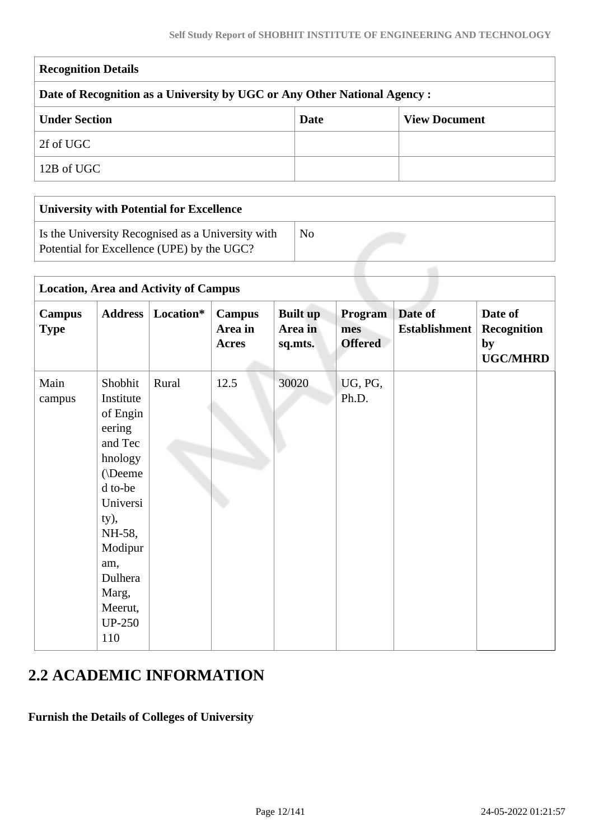| <b>Recognition Details</b>                                                |  |  |  |  |  |  |  |
|---------------------------------------------------------------------------|--|--|--|--|--|--|--|
| Date of Recognition as a University by UGC or Any Other National Agency : |  |  |  |  |  |  |  |
| <b>Under Section</b><br><b>Date</b><br><b>View Document</b>               |  |  |  |  |  |  |  |
| 2f of UGC                                                                 |  |  |  |  |  |  |  |
| 12B of UGC                                                                |  |  |  |  |  |  |  |
|                                                                           |  |  |  |  |  |  |  |

| University with Potential for Excellence                                                        |     |
|-------------------------------------------------------------------------------------------------|-----|
| Is the University Recognised as a University with<br>Potential for Excellence (UPE) by the UGC? | No. |

|                              | <b>Location, Area and Activity of Campus</b>                                                                                                                                                     |           |                                          |                                       |                                  |                                 |                                                 |  |  |
|------------------------------|--------------------------------------------------------------------------------------------------------------------------------------------------------------------------------------------------|-----------|------------------------------------------|---------------------------------------|----------------------------------|---------------------------------|-------------------------------------------------|--|--|
| <b>Campus</b><br><b>Type</b> | <b>Address</b>                                                                                                                                                                                   | Location* | <b>Campus</b><br>Area in<br><b>Acres</b> | <b>Built up</b><br>Area in<br>sq.mts. | Program<br>mes<br><b>Offered</b> | Date of<br><b>Establishment</b> | Date of<br>Recognition<br>by<br><b>UGC/MHRD</b> |  |  |
| Main<br>campus               | Shobhit<br>Institute<br>of Engin<br>eering<br>and Tec<br>hnology<br>$(\Delta)$<br>d to-be<br>Universi<br>ty),<br>NH-58,<br>Modipur<br>am,<br>Dulhera<br>Marg,<br>Meerut,<br><b>UP-250</b><br>110 | Rural     | 12.5                                     | 30020                                 | UG, PG,<br>Ph.D.                 |                                 |                                                 |  |  |

## **2.2 ACADEMIC INFORMATION**

**Furnish the Details of Colleges of University**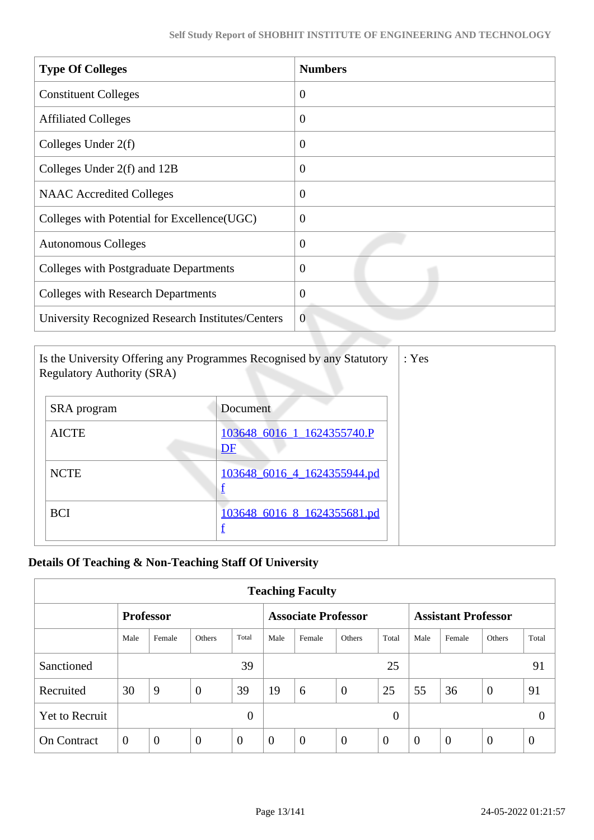| <b>Type Of Colleges</b>                           | <b>Numbers</b> |
|---------------------------------------------------|----------------|
| <b>Constituent Colleges</b>                       | $\theta$       |
| <b>Affiliated Colleges</b>                        | $\overline{0}$ |
| Colleges Under $2(f)$                             | $\overline{0}$ |
| Colleges Under 2(f) and 12B                       | $\overline{0}$ |
| <b>NAAC</b> Accredited Colleges                   | $\overline{0}$ |
| Colleges with Potential for Excellence (UGC)      | $\overline{0}$ |
| <b>Autonomous Colleges</b>                        | $\overline{0}$ |
| <b>Colleges with Postgraduate Departments</b>     | $\overline{0}$ |
| <b>Colleges with Research Departments</b>         | $\overline{0}$ |
| University Recognized Research Institutes/Centers | $\overline{0}$ |

| <b>Regulatory Authority (SRA)</b> | Is the University Offering any Programmes Recognised by any Statutory | : Yes |
|-----------------------------------|-----------------------------------------------------------------------|-------|
| SRA program                       | Document                                                              |       |
| <b>AICTE</b>                      | 103648 6016 1 1624355740.P<br>DF                                      |       |
| <b>NCTE</b>                       | 103648 6016 4 1624355944.pd                                           |       |
| <b>BCI</b>                        | 103648 6016 8 1624355681.pd                                           |       |

### **Details Of Teaching & Non-Teaching Staff Of University**

| <b>Teaching Faculty</b> |                |                |                  |                            |                |                |                |                            |          |                |                  |                |
|-------------------------|----------------|----------------|------------------|----------------------------|----------------|----------------|----------------|----------------------------|----------|----------------|------------------|----------------|
|                         | Professor      |                |                  | <b>Associate Professor</b> |                |                |                | <b>Assistant Professor</b> |          |                |                  |                |
|                         | Male           | Female         | Others           | Total                      | Male           | Female         | Others         | Total                      | Male     | Female         | Others           | Total          |
| Sanctioned              |                |                |                  | 39                         |                |                |                | 25                         |          |                |                  | 91             |
| Recruited               | 30             | 9              | $\boldsymbol{0}$ | 39                         | 19             | 6              | $\overline{0}$ | 25                         | 55       | 36             | $\boldsymbol{0}$ | 91             |
| <b>Yet to Recruit</b>   |                |                |                  | $\overline{0}$             |                |                |                | $\overline{0}$             |          |                |                  |                |
| <b>On Contract</b>      | $\overline{0}$ | $\overline{0}$ | $\boldsymbol{0}$ | $\theta$                   | $\overline{0}$ | $\overline{0}$ | $\theta$       | $\overline{0}$             | $\theta$ | $\overline{0}$ | $\overline{0}$   | $\overline{0}$ |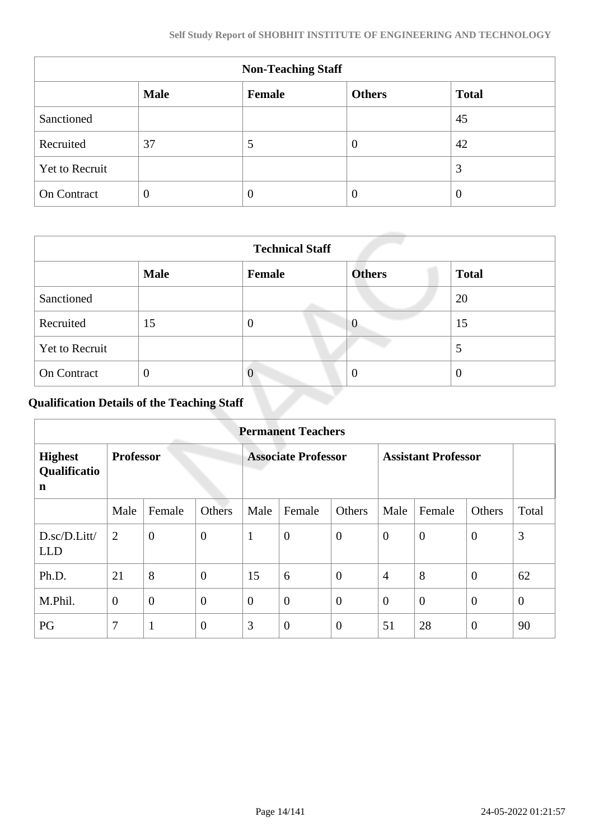| <b>Non-Teaching Staff</b>                              |                |   |                  |                  |  |  |  |
|--------------------------------------------------------|----------------|---|------------------|------------------|--|--|--|
| <b>Male</b><br><b>Others</b><br><b>Total</b><br>Female |                |   |                  |                  |  |  |  |
| Sanctioned                                             |                |   |                  | 45               |  |  |  |
| Recruited                                              | 37             | 5 | $\boldsymbol{0}$ | 42               |  |  |  |
| Yet to Recruit                                         |                |   |                  | 3                |  |  |  |
| <b>On Contract</b>                                     | $\overline{0}$ | O | $\boldsymbol{0}$ | $\boldsymbol{0}$ |  |  |  |

| <b>Technical Staff</b> |                |               |                |              |  |  |  |
|------------------------|----------------|---------------|----------------|--------------|--|--|--|
|                        | <b>Male</b>    | <b>Female</b> | <b>Others</b>  | <b>Total</b> |  |  |  |
| Sanctioned             |                |               |                | 20           |  |  |  |
| Recruited              | 15             | O             | $\overline{0}$ | 15           |  |  |  |
| <b>Yet to Recruit</b>  |                |               |                | 5            |  |  |  |
| On Contract            | $\overline{0}$ | $\theta$      | $\theta$       | O            |  |  |  |

## **Qualification Details of the Teaching Staff**

| <b>Permanent Teachers</b>           |                  |                |                            |                |                            |                  |                |                  |                |          |
|-------------------------------------|------------------|----------------|----------------------------|----------------|----------------------------|------------------|----------------|------------------|----------------|----------|
| <b>Highest</b><br>Qualificatio<br>n | <b>Professor</b> |                | <b>Associate Professor</b> |                | <b>Assistant Professor</b> |                  |                |                  |                |          |
|                                     | Male             | Female         | Others                     | Male           | Female                     | Others           | Male           | Female           | Others         | Total    |
| D.sc/D.Litt/<br><b>LLD</b>          | $\overline{2}$   | $\overline{0}$ | $\overline{0}$             | $\mathbf{1}$   | $\boldsymbol{0}$           | $\boldsymbol{0}$ | $\overline{0}$ | $\boldsymbol{0}$ | $\theta$       | 3        |
| Ph.D.                               | 21               | 8              | $\overline{0}$             | 15             | 6                          | $\overline{0}$   | $\overline{4}$ | 8                | $\overline{0}$ | 62       |
| M.Phil.                             | $\theta$         | $\overline{0}$ | $\overline{0}$             | $\overline{0}$ | $\overline{0}$             | $\overline{0}$   | $\overline{0}$ | $\overline{0}$   | $\overline{0}$ | $\theta$ |
| PG                                  | 7                | $\mathbf{1}$   | $\overline{0}$             | 3              | $\boldsymbol{0}$           | $\overline{0}$   | 51             | 28               | $\overline{0}$ | 90       |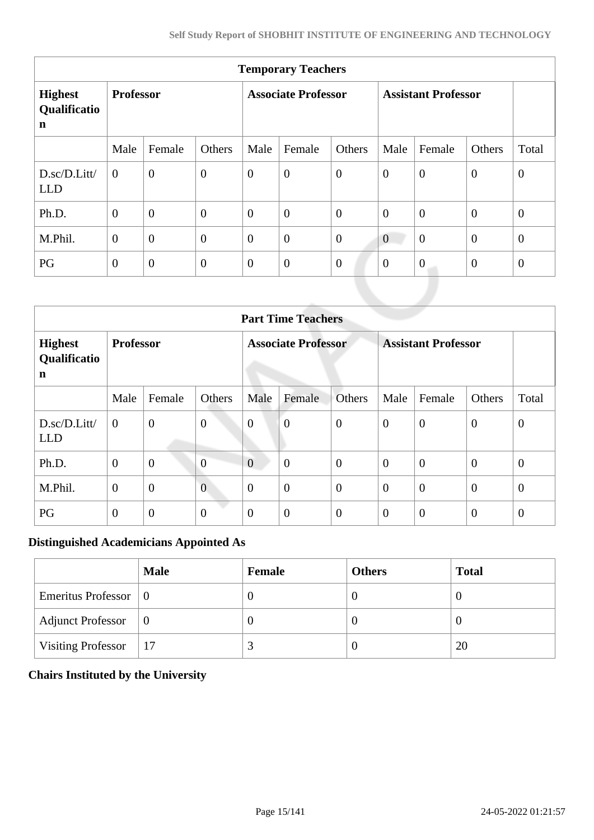| <b>Temporary Teachers</b>                     |                  |                |                            |                  |                            |                |                  |                |                  |                  |
|-----------------------------------------------|------------------|----------------|----------------------------|------------------|----------------------------|----------------|------------------|----------------|------------------|------------------|
| <b>Highest</b><br>Qualificatio<br>$\mathbf n$ | <b>Professor</b> |                | <b>Associate Professor</b> |                  | <b>Assistant Professor</b> |                |                  |                |                  |                  |
|                                               | Male             | Female         | Others                     | Male             | Female                     | Others         | Male             | Female         | Others           | Total            |
| D.sc/D.Litt/<br><b>LLD</b>                    | $\mathbf{0}$     | $\overline{0}$ | $\boldsymbol{0}$           | $\boldsymbol{0}$ | $\boldsymbol{0}$           | $\overline{0}$ | $\boldsymbol{0}$ | $\overline{0}$ | $\mathbf{0}$     | $\boldsymbol{0}$ |
| Ph.D.                                         | $\overline{0}$   | $\overline{0}$ | $\boldsymbol{0}$           | $\overline{0}$   | $\boldsymbol{0}$           | $\overline{0}$ | $\overline{0}$   | $\overline{0}$ | $\mathbf{0}$     | $\overline{0}$   |
| M.Phil.                                       | $\theta$         | $\overline{0}$ | $\overline{0}$             | $\overline{0}$   | $\overline{0}$             | $\overline{0}$ | $\overline{0}$   | $\overline{0}$ | $\mathbf{0}$     | $\mathbf{0}$     |
| PG                                            | $\overline{0}$   | $\overline{0}$ | $\boldsymbol{0}$           | $\overline{0}$   | $\boldsymbol{0}$           | $\overline{0}$ | $\boldsymbol{0}$ | $\overline{0}$ | $\boldsymbol{0}$ | $\mathbf{0}$     |
|                                               |                  |                |                            |                  |                            |                |                  |                |                  |                  |

|                                     | <b>Part Time Teachers</b> |                |                            |                  |                            |                  |                |                |                |                  |
|-------------------------------------|---------------------------|----------------|----------------------------|------------------|----------------------------|------------------|----------------|----------------|----------------|------------------|
| <b>Highest</b><br>Qualificatio<br>n | <b>Professor</b>          |                | <b>Associate Professor</b> |                  | <b>Assistant Professor</b> |                  |                |                |                |                  |
|                                     | Male                      | Female         | Others                     | Male             | Female                     | Others           | Male           | Female         | Others         | Total            |
| D.sc/D.Litt/<br><b>LLD</b>          | $\mathbf{0}$              | $\mathbf{0}$   | $\boldsymbol{0}$           | $\boldsymbol{0}$ | $\overline{0}$             | $\boldsymbol{0}$ | $\overline{0}$ | $\overline{0}$ | $\overline{0}$ | $\boldsymbol{0}$ |
| Ph.D.                               | $\theta$                  | $\overline{0}$ | $\overline{0}$             | $\overline{0}$   | $\overline{0}$             | $\overline{0}$   | $\theta$       | $\overline{0}$ | $\overline{0}$ | $\theta$         |
| M.Phil.                             | $\theta$                  | $\overline{0}$ | $\overline{0}$             | $\overline{0}$   | $\overline{0}$             | $\overline{0}$   | $\overline{0}$ | $\overline{0}$ | $\overline{0}$ | $\theta$         |
| PG                                  | $\mathbf{0}$              | $\overline{0}$ | $\boldsymbol{0}$           | $\overline{0}$   | $\boldsymbol{0}$           | $\overline{0}$   | $\overline{0}$ | $\overline{0}$ | $\theta$       | $\theta$         |

## **Distinguished Academicians Appointed As**

|                                      | <b>Male</b> | Female | <b>Others</b> | <b>Total</b> |
|--------------------------------------|-------------|--------|---------------|--------------|
| Emeritus Professor $\vert 0 \rangle$ |             |        | U             | U            |
| <b>Adjunct Professor</b>             | $\vert 0$   |        | U             | U            |
| Visiting Professor                   | $\vert$ 17  |        | U             | 20           |

## **Chairs Instituted by the University**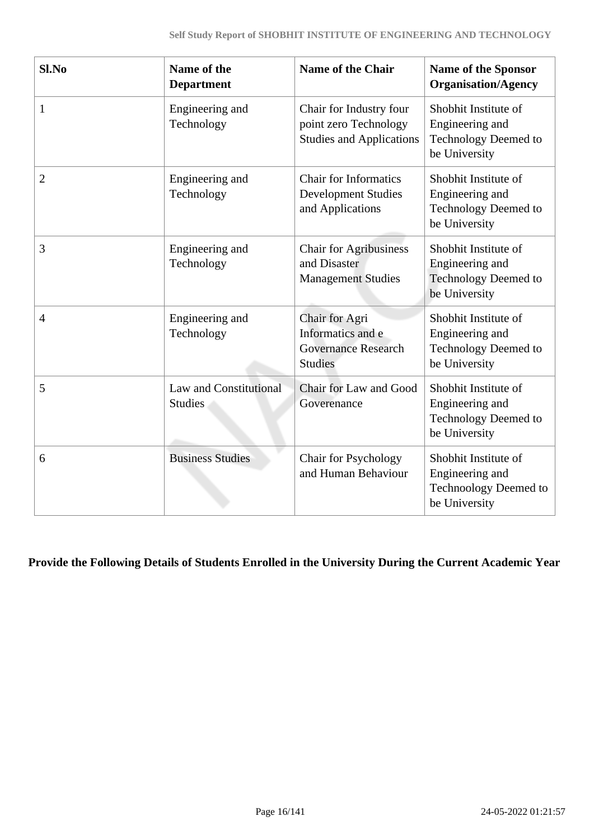| Sl.No          | Name of the<br><b>Department</b>                | <b>Name of the Chair</b>                                                            | <b>Name of the Sponsor</b><br><b>Organisation/Agency</b>                                 |
|----------------|-------------------------------------------------|-------------------------------------------------------------------------------------|------------------------------------------------------------------------------------------|
| $\mathbf{1}$   | Engineering and<br>Technology                   | Chair for Industry four<br>point zero Technology<br><b>Studies and Applications</b> | Shobhit Institute of<br>Engineering and<br><b>Technology Deemed to</b><br>be University  |
| 2              | Engineering and<br>Technology                   | <b>Chair for Informatics</b><br><b>Development Studies</b><br>and Applications      | Shobhit Institute of<br>Engineering and<br><b>Technology Deemed to</b><br>be University  |
| 3              | Engineering and<br>Technology                   | <b>Chair for Agribusiness</b><br>and Disaster<br><b>Management Studies</b>          | Shobhit Institute of<br>Engineering and<br><b>Technology Deemed to</b><br>be University  |
| $\overline{4}$ | Engineering and<br>Technology                   | Chair for Agri<br>Informatics and e<br><b>Governance Research</b><br><b>Studies</b> | Shobhit Institute of<br>Engineering and<br><b>Technology Deemed to</b><br>be University  |
| 5              | <b>Law and Constitutional</b><br><b>Studies</b> | Chair for Law and Good<br>Goverenance                                               | Shobhit Institute of<br>Engineering and<br><b>Technology Deemed to</b><br>be University  |
| 6              | <b>Business Studies</b>                         | <b>Chair for Psychology</b><br>and Human Behaviour                                  | Shobhit Institute of<br>Engineering and<br><b>Technoology Deemed to</b><br>be University |

**Provide the Following Details of Students Enrolled in the University During the Current Academic Year**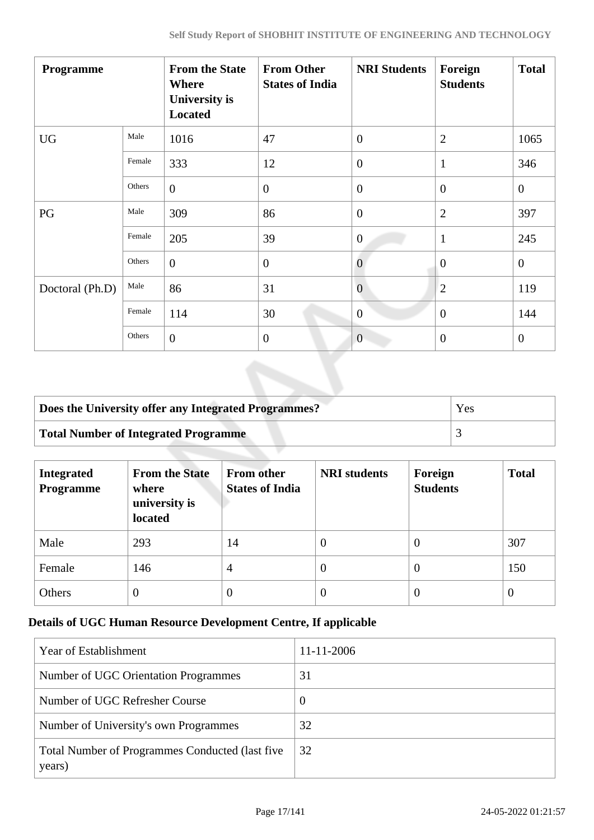| <b>Programme</b> |        | <b>From the State</b><br><b>Where</b><br><b>University is</b><br><b>Located</b> | <b>From Other</b><br><b>States of India</b> | <b>NRI Students</b> | Foreign<br><b>Students</b> | <b>Total</b>     |
|------------------|--------|---------------------------------------------------------------------------------|---------------------------------------------|---------------------|----------------------------|------------------|
| <b>UG</b>        | Male   | 1016                                                                            | 47                                          | $\overline{0}$      | $\overline{2}$             | 1065             |
|                  | Female | 333                                                                             | 12                                          | $\overline{0}$      | $\mathbf{1}$               | 346              |
|                  | Others | $\theta$                                                                        | $\mathbf{0}$                                | $\overline{0}$      | $\overline{0}$             | $\boldsymbol{0}$ |
| PG               | Male   | 309                                                                             | 86                                          | $\overline{0}$      | $\overline{2}$             | 397              |
|                  | Female | 205                                                                             | 39                                          | $\overline{0}$      | $\mathbf{1}$               | 245              |
|                  | Others | $\overline{0}$                                                                  | $\overline{0}$                              | $\overline{0}$      | $\boldsymbol{0}$           | $\boldsymbol{0}$ |
| Doctoral (Ph.D)  | Male   | 86                                                                              | 31                                          | $\overline{0}$      | $\overline{2}$             | 119              |
|                  | Female | 114                                                                             | 30                                          | $\theta$            | $\overline{0}$             | 144              |
|                  | Others | $\overline{0}$                                                                  | $\overline{0}$                              | $\theta$            | $\boldsymbol{0}$           | $\boldsymbol{0}$ |

| Does the University offer any Integrated Programmes? | Yes |
|------------------------------------------------------|-----|
| Total Number of Integrated Programme                 |     |

| <b>Integrated</b><br>Programme | <b>From the State</b><br>where<br>university is<br>located | <b>From other</b><br><b>States of India</b> | <b>NRI</b> students | Foreign<br><b>Students</b> | <b>Total</b>     |
|--------------------------------|------------------------------------------------------------|---------------------------------------------|---------------------|----------------------------|------------------|
| Male                           | 293                                                        | 14                                          | -0                  | $\theta$                   | 307              |
| Female                         | 146                                                        | $\overline{4}$                              | 0                   | $\theta$                   | 150              |
| Others                         | 0                                                          | $\overline{0}$                              | $\theta$            | $\theta$                   | $\boldsymbol{0}$ |

## **Details of UGC Human Resource Development Centre, If applicable**

| Year of Establishment                                     | 11-11-2006     |
|-----------------------------------------------------------|----------------|
| Number of UGC Orientation Programmes                      | 31             |
| Number of UGC Refresher Course                            | $\overline{0}$ |
| Number of University's own Programmes                     | 32             |
| Total Number of Programmes Conducted (last five<br>years) | 32             |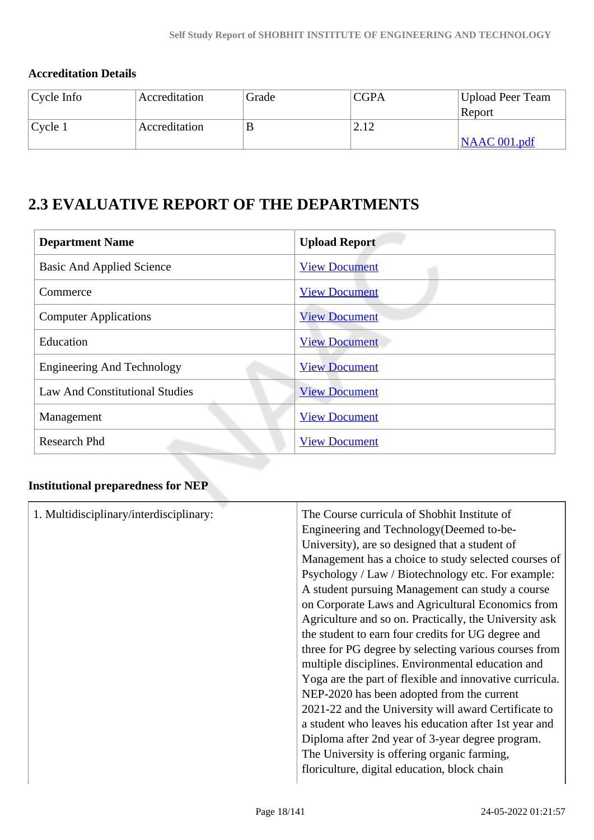#### **Accreditation Details**

| $C$ ycle Info | Accreditation | Grade | CGPA           | Upload Peer Team |
|---------------|---------------|-------|----------------|------------------|
|               |               |       |                | Report           |
| Cycle 1       | Accreditation |       | າ 1າ<br>2. I 2 |                  |
|               |               |       |                | NAAC 001.pdf     |

## **2.3 EVALUATIVE REPORT OF THE DEPARTMENTS**

| <b>Department Name</b>                | <b>Upload Report</b> |
|---------------------------------------|----------------------|
| <b>Basic And Applied Science</b>      | <b>View Document</b> |
| Commerce                              | <b>View Document</b> |
| <b>Computer Applications</b>          | <b>View Document</b> |
| Education                             | <b>View Document</b> |
| <b>Engineering And Technology</b>     | <b>View Document</b> |
| <b>Law And Constitutional Studies</b> | <b>View Document</b> |
| Management                            | <b>View Document</b> |
| <b>Research Phd</b>                   | <b>View Document</b> |

### **Institutional preparedness for NEP**

| 1. Multidisciplinary/interdisciplinary: | The Course curricula of Shobhit Institute of            |
|-----------------------------------------|---------------------------------------------------------|
|                                         | Engineering and Technology (Deemed to-be-               |
|                                         | University), are so designed that a student of          |
|                                         | Management has a choice to study selected courses of    |
|                                         | Psychology / Law / Biotechnology etc. For example:      |
|                                         | A student pursuing Management can study a course        |
|                                         | on Corporate Laws and Agricultural Economics from       |
|                                         | Agriculture and so on. Practically, the University ask  |
|                                         | the student to earn four credits for UG degree and      |
|                                         | three for PG degree by selecting various courses from   |
|                                         | multiple disciplines. Environmental education and       |
|                                         | Yoga are the part of flexible and innovative curricula. |
|                                         | NEP-2020 has been adopted from the current              |
|                                         | 2021-22 and the University will award Certificate to    |
|                                         | a student who leaves his education after 1st year and   |
|                                         | Diploma after 2nd year of 3-year degree program.        |
|                                         | The University is offering organic farming,             |
|                                         | floriculture, digital education, block chain            |
|                                         |                                                         |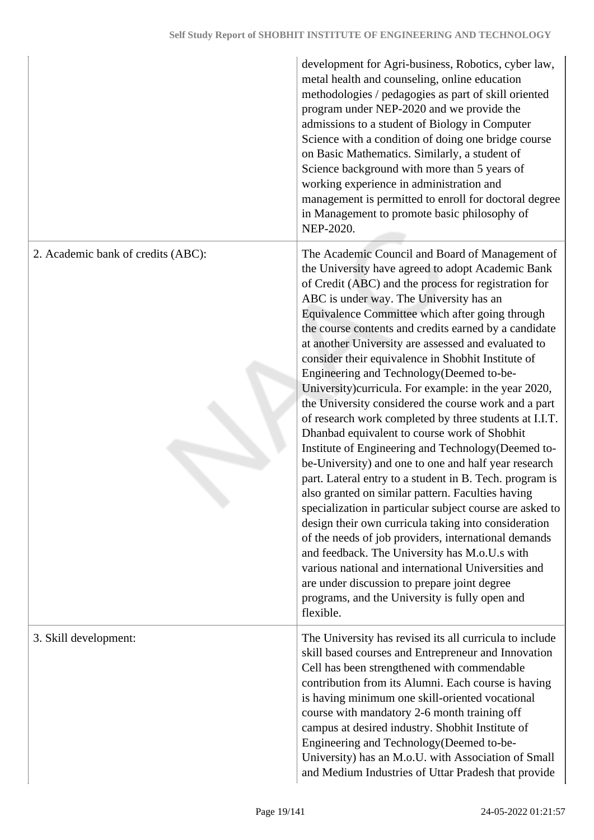|                                    | development for Agri-business, Robotics, cyber law,<br>metal health and counseling, online education<br>methodologies / pedagogies as part of skill oriented<br>program under NEP-2020 and we provide the<br>admissions to a student of Biology in Computer<br>Science with a condition of doing one bridge course<br>on Basic Mathematics. Similarly, a student of<br>Science background with more than 5 years of<br>working experience in administration and<br>management is permitted to enroll for doctoral degree<br>in Management to promote basic philosophy of<br>NEP-2020.                                                                                                                                                                                                                                                                                                                                                                                                                                                                                                                                                                                                                                                                                                                                                    |
|------------------------------------|------------------------------------------------------------------------------------------------------------------------------------------------------------------------------------------------------------------------------------------------------------------------------------------------------------------------------------------------------------------------------------------------------------------------------------------------------------------------------------------------------------------------------------------------------------------------------------------------------------------------------------------------------------------------------------------------------------------------------------------------------------------------------------------------------------------------------------------------------------------------------------------------------------------------------------------------------------------------------------------------------------------------------------------------------------------------------------------------------------------------------------------------------------------------------------------------------------------------------------------------------------------------------------------------------------------------------------------|
| 2. Academic bank of credits (ABC): | The Academic Council and Board of Management of<br>the University have agreed to adopt Academic Bank<br>of Credit (ABC) and the process for registration for<br>ABC is under way. The University has an<br>Equivalence Committee which after going through<br>the course contents and credits earned by a candidate<br>at another University are assessed and evaluated to<br>consider their equivalence in Shobhit Institute of<br>Engineering and Technology(Deemed to-be-<br>University) curricula. For example: in the year 2020,<br>the University considered the course work and a part<br>of research work completed by three students at I.I.T.<br>Dhanbad equivalent to course work of Shobhit<br>Institute of Engineering and Technology(Deemed to-<br>be-University) and one to one and half year research<br>part. Lateral entry to a student in B. Tech. program is<br>also granted on similar pattern. Faculties having<br>specialization in particular subject course are asked to<br>design their own curricula taking into consideration<br>of the needs of job providers, international demands<br>and feedback. The University has M.o.U.s with<br>various national and international Universities and<br>are under discussion to prepare joint degree<br>programs, and the University is fully open and<br>flexible. |
| 3. Skill development:              | The University has revised its all curricula to include<br>skill based courses and Entrepreneur and Innovation<br>Cell has been strengthened with commendable<br>contribution from its Alumni. Each course is having<br>is having minimum one skill-oriented vocational<br>course with mandatory 2-6 month training off<br>campus at desired industry. Shobhit Institute of<br>Engineering and Technology (Deemed to-be-<br>University) has an M.o.U. with Association of Small<br>and Medium Industries of Uttar Pradesh that provide                                                                                                                                                                                                                                                                                                                                                                                                                                                                                                                                                                                                                                                                                                                                                                                                   |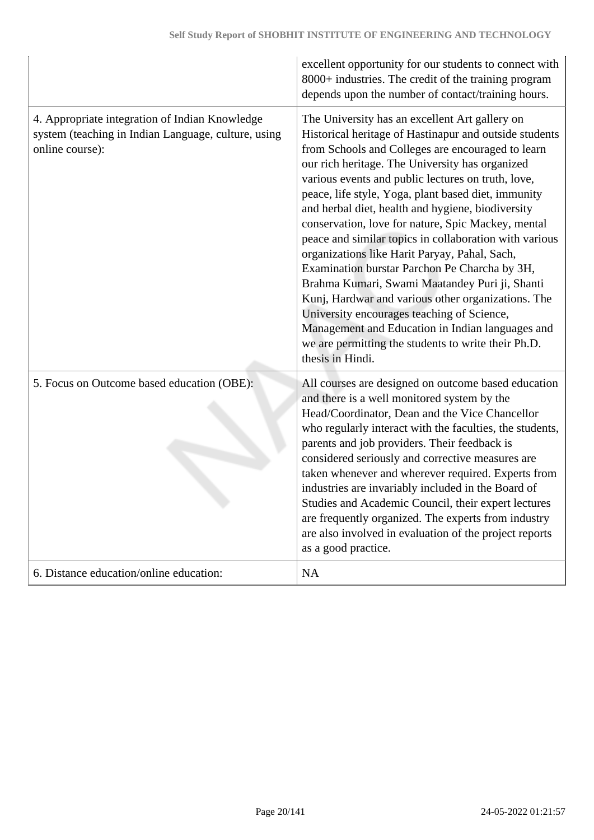|                                                                                                                          | excellent opportunity for our students to connect with<br>8000+ industries. The credit of the training program<br>depends upon the number of contact/training hours.                                                                                                                                                                                                                                                                                                                                                                                                                                                                                                                                                                                                                                                                                                                      |
|--------------------------------------------------------------------------------------------------------------------------|-------------------------------------------------------------------------------------------------------------------------------------------------------------------------------------------------------------------------------------------------------------------------------------------------------------------------------------------------------------------------------------------------------------------------------------------------------------------------------------------------------------------------------------------------------------------------------------------------------------------------------------------------------------------------------------------------------------------------------------------------------------------------------------------------------------------------------------------------------------------------------------------|
| 4. Appropriate integration of Indian Knowledge<br>system (teaching in Indian Language, culture, using<br>online course): | The University has an excellent Art gallery on<br>Historical heritage of Hastinapur and outside students<br>from Schools and Colleges are encouraged to learn<br>our rich heritage. The University has organized<br>various events and public lectures on truth, love,<br>peace, life style, Yoga, plant based diet, immunity<br>and herbal diet, health and hygiene, biodiversity<br>conservation, love for nature, Spic Mackey, mental<br>peace and similar topics in collaboration with various<br>organizations like Harit Paryay, Pahal, Sach,<br>Examination burstar Parchon Pe Charcha by 3H,<br>Brahma Kumari, Swami Maatandey Puri ji, Shanti<br>Kunj, Hardwar and various other organizations. The<br>University encourages teaching of Science,<br>Management and Education in Indian languages and<br>we are permitting the students to write their Ph.D.<br>thesis in Hindi. |
| 5. Focus on Outcome based education (OBE):                                                                               | All courses are designed on outcome based education<br>and there is a well monitored system by the<br>Head/Coordinator, Dean and the Vice Chancellor<br>who regularly interact with the faculties, the students,<br>parents and job providers. Their feedback is<br>considered seriously and corrective measures are<br>taken whenever and wherever required. Experts from<br>industries are invariably included in the Board of<br>Studies and Academic Council, their expert lectures<br>are frequently organized. The experts from industry<br>are also involved in evaluation of the project reports<br>as a good practice.                                                                                                                                                                                                                                                           |
| 6. Distance education/online education:                                                                                  | <b>NA</b>                                                                                                                                                                                                                                                                                                                                                                                                                                                                                                                                                                                                                                                                                                                                                                                                                                                                                 |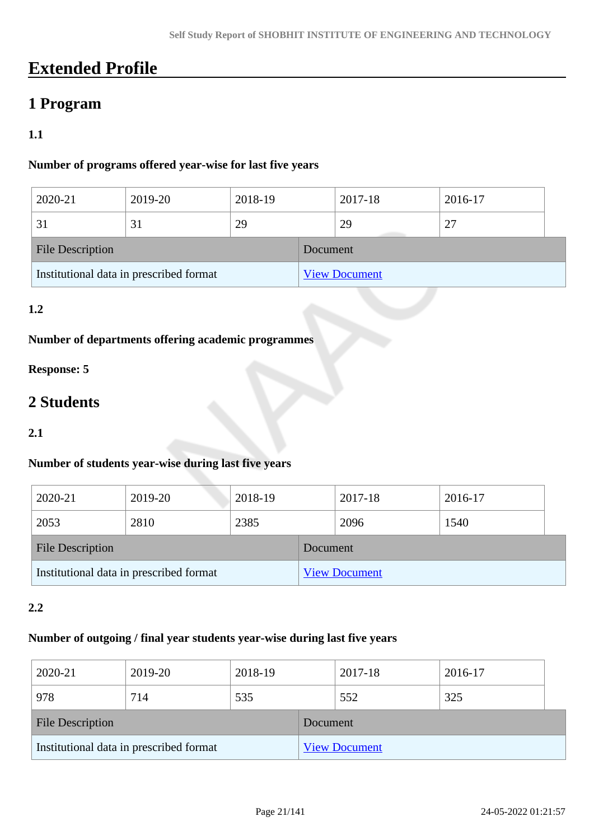# **Extended Profile**

## **1 Program**

### **1.1**

#### **Number of programs offered year-wise for last five years**

| 2020-21                                 | 2019-20 | 2018-19 |                      | 2017-18 | 2016-17 |  |
|-----------------------------------------|---------|---------|----------------------|---------|---------|--|
| 31                                      | 31      | 29      |                      | 29      | 27      |  |
| <b>File Description</b>                 |         |         | Document             |         |         |  |
| Institutional data in prescribed format |         |         | <b>View Document</b> |         |         |  |

#### **1.2**

### **Number of departments offering academic programmes**

#### **Response: 5**

## **2 Students**

#### **2.1**

#### **Number of students year-wise during last five years**

| 2020-21                                 | 2019-20 | 2018-19 |                      | 2017-18 | 2016-17 |  |
|-----------------------------------------|---------|---------|----------------------|---------|---------|--|
| 2053                                    | 2810    | 2385    |                      | 2096    | 1540    |  |
| File Description                        |         |         | Document             |         |         |  |
| Institutional data in prescribed format |         |         | <b>View Document</b> |         |         |  |

#### **2.2**

#### **Number of outgoing / final year students year-wise during last five years**

| 2020-21                                 | 2019-20 | 2018-19              |          | 2017-18 | 2016-17 |
|-----------------------------------------|---------|----------------------|----------|---------|---------|
| 978                                     | 714     | 535                  |          | 552     | 325     |
| <b>File Description</b>                 |         |                      | Document |         |         |
| Institutional data in prescribed format |         | <b>View Document</b> |          |         |         |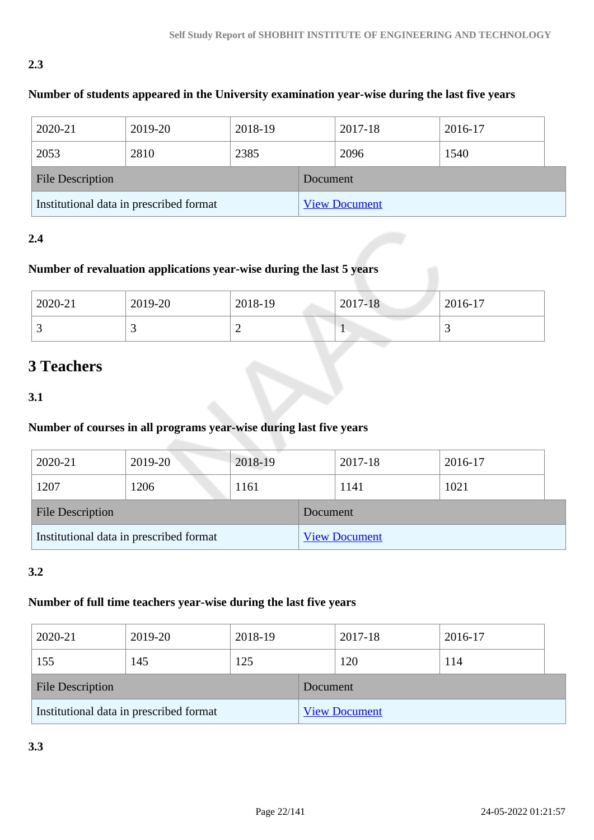### **2.3**

### **Number of students appeared in the University examination year-wise during the last five years**

| 2020-21                                 | 2019-20 | 2018-19              |          | 2017-18 |  | 2016-17 |  |
|-----------------------------------------|---------|----------------------|----------|---------|--|---------|--|
| 2053                                    | 2810    | 2385                 |          | 2096    |  | 1540    |  |
| <b>File Description</b>                 |         |                      | Document |         |  |         |  |
| Institutional data in prescribed format |         | <b>View Document</b> |          |         |  |         |  |

#### **2.4**

### **Number of revaluation applications year-wise during the last 5 years**

| 2020-21 | 2019-20 | 2018-19 | 2017-18 | 2016-17  |
|---------|---------|---------|---------|----------|
| ັ       |         | ∽       |         | <b>~</b> |

## **3 Teachers**

#### **3.1**

## **Number of courses in all programs year-wise during last five years**

| 2020-21                                 | 2019-20 | 2018-19              |          | 2017-18 | 2016-17 |
|-----------------------------------------|---------|----------------------|----------|---------|---------|
| 1207                                    | 1206    | 1161                 |          | 1141    | 1021    |
| <b>File Description</b>                 |         |                      | Document |         |         |
| Institutional data in prescribed format |         | <b>View Document</b> |          |         |         |

#### **3.2**

#### **Number of full time teachers year-wise during the last five years**

| 2020-21                                 | 2019-20 | 2018-19              |          | 2017-18 | 2016-17 |
|-----------------------------------------|---------|----------------------|----------|---------|---------|
| 155                                     | 145     | 125                  |          | 120     | 114     |
| <b>File Description</b>                 |         |                      | Document |         |         |
| Institutional data in prescribed format |         | <b>View Document</b> |          |         |         |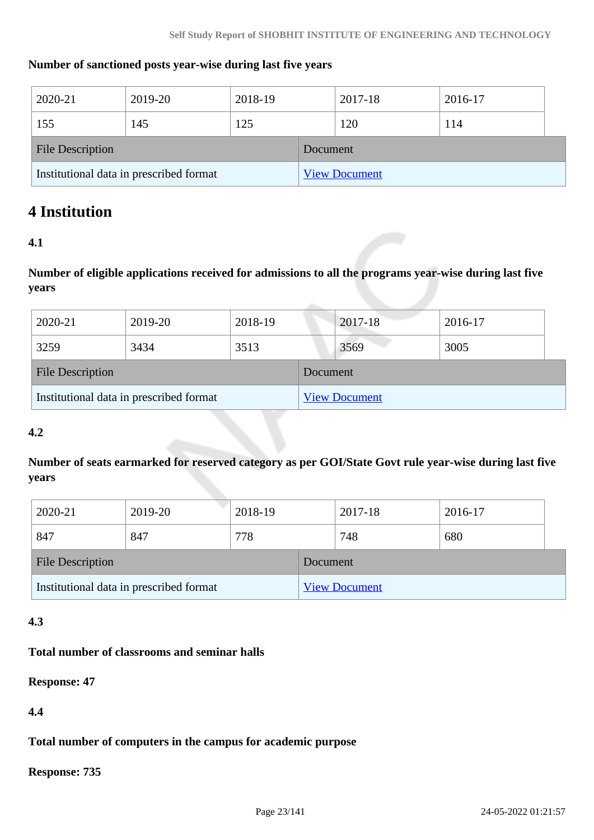#### **Number of sanctioned posts year-wise during last five years**

| 2020-21                                 | 2019-20 | 2018-19              |          | 2017-18 | 2016-17 |  |
|-----------------------------------------|---------|----------------------|----------|---------|---------|--|
| 155                                     | 145     | 125                  |          | 120     | 114     |  |
| <b>File Description</b>                 |         |                      | Document |         |         |  |
| Institutional data in prescribed format |         | <b>View Document</b> |          |         |         |  |

## **4 Institution**

#### **4.1**

**Number of eligible applications received for admissions to all the programs year-wise during last five years**

| 2020-21                                 | 2019-20 | 2018-19 |                      | 2017-18 | 2016-17 |  |
|-----------------------------------------|---------|---------|----------------------|---------|---------|--|
| 3259                                    | 3434    | 3513    |                      | 3569    | 3005    |  |
| <b>File Description</b>                 |         |         | Document             |         |         |  |
| Institutional data in prescribed format |         |         | <b>View Document</b> |         |         |  |

#### **4.2**

**Number of seats earmarked for reserved category as per GOI/State Govt rule year-wise during last five years**

| 2020-21                                 | 2019-20 | 2018-19  |                      | 2017-18 | 2016-17 |  |
|-----------------------------------------|---------|----------|----------------------|---------|---------|--|
| 847                                     | 847     | 778      |                      | 748     | 680     |  |
| <b>File Description</b>                 |         | Document |                      |         |         |  |
| Institutional data in prescribed format |         |          | <b>View Document</b> |         |         |  |

#### **4.3**

#### **Total number of classrooms and seminar halls**

**Response: 47**

**4.4**

#### **Total number of computers in the campus for academic purpose**

**Response: 735**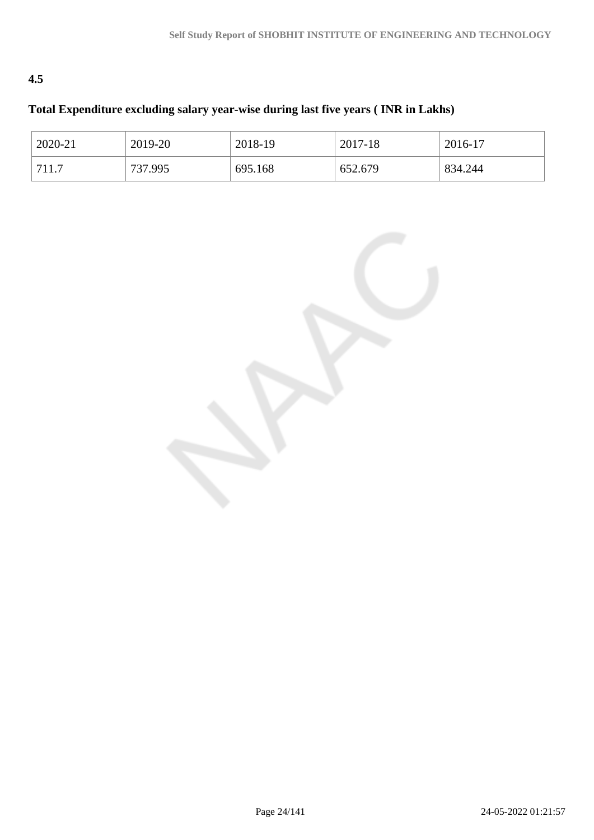### **4.5**

## **Total Expenditure excluding salary year-wise during last five years ( INR in Lakhs)**

| 2020-21 | 2019-20 | 2018-19 | 2017-18 | 2016-17 |
|---------|---------|---------|---------|---------|
| 711.7   | 737.995 | 695.168 | 652.679 | 834.244 |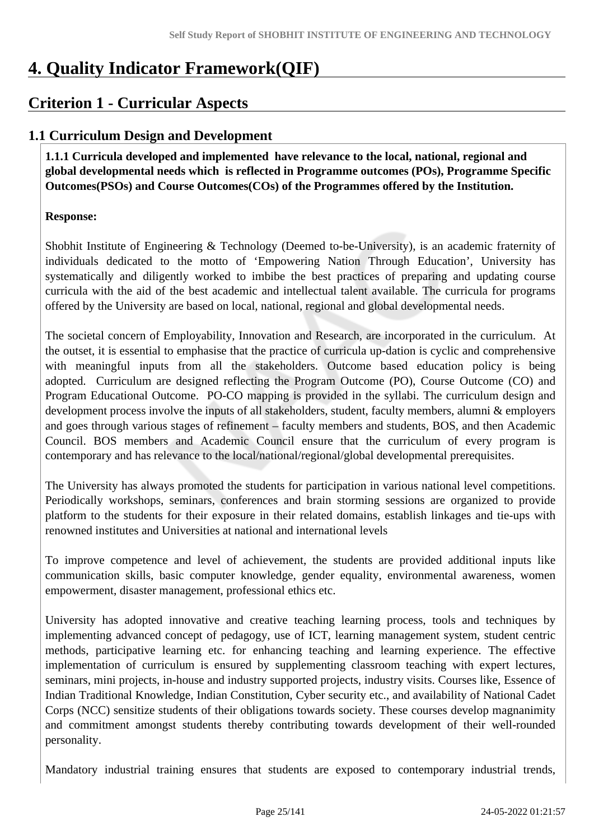# **4. Quality Indicator Framework(QIF)**

## **Criterion 1 - Curricular Aspects**

## **1.1 Curriculum Design and Development**

 **1.1.1 Curricula developed and implemented have relevance to the local, national, regional and global developmental needs which is reflected in Programme outcomes (POs), Programme Specific Outcomes(PSOs) and Course Outcomes(COs) of the Programmes offered by the Institution.**

### **Response:**

Shobhit Institute of Engineering & Technology (Deemed to-be-University), is an academic fraternity of individuals dedicated to the motto of 'Empowering Nation Through Education', University has systematically and diligently worked to imbibe the best practices of preparing and updating course curricula with the aid of the best academic and intellectual talent available. The curricula for programs offered by the University are based on local, national, regional and global developmental needs.

The societal concern of Employability, Innovation and Research, are incorporated in the curriculum. At the outset, it is essential to emphasise that the practice of curricula up-dation is cyclic and comprehensive with meaningful inputs from all the stakeholders. Outcome based education policy is being adopted. Curriculum are designed reflecting the Program Outcome (PO), Course Outcome (CO) and Program Educational Outcome. PO-CO mapping is provided in the syllabi. The curriculum design and development process involve the inputs of all stakeholders, student, faculty members, alumni & employers and goes through various stages of refinement – faculty members and students, BOS, and then Academic Council. BOS members and Academic Council ensure that the curriculum of every program is contemporary and has relevance to the local/national/regional/global developmental prerequisites.

The University has always promoted the students for participation in various national level competitions. Periodically workshops, seminars, conferences and brain storming sessions are organized to provide platform to the students for their exposure in their related domains, establish linkages and tie-ups with renowned institutes and Universities at national and international levels

To improve competence and level of achievement, the students are provided additional inputs like communication skills, basic computer knowledge, gender equality, environmental awareness, women empowerment, disaster management, professional ethics etc.

University has adopted innovative and creative teaching learning process, tools and techniques by implementing advanced concept of pedagogy, use of ICT, learning management system, student centric methods, participative learning etc. for enhancing teaching and learning experience. The effective implementation of curriculum is ensured by supplementing classroom teaching with expert lectures, seminars, mini projects, in-house and industry supported projects, industry visits. Courses like, Essence of Indian Traditional Knowledge, Indian Constitution, Cyber security etc., and availability of National Cadet Corps (NCC) sensitize students of their obligations towards society. These courses develop magnanimity and commitment amongst students thereby contributing towards development of their well-rounded personality.

Mandatory industrial training ensures that students are exposed to contemporary industrial trends,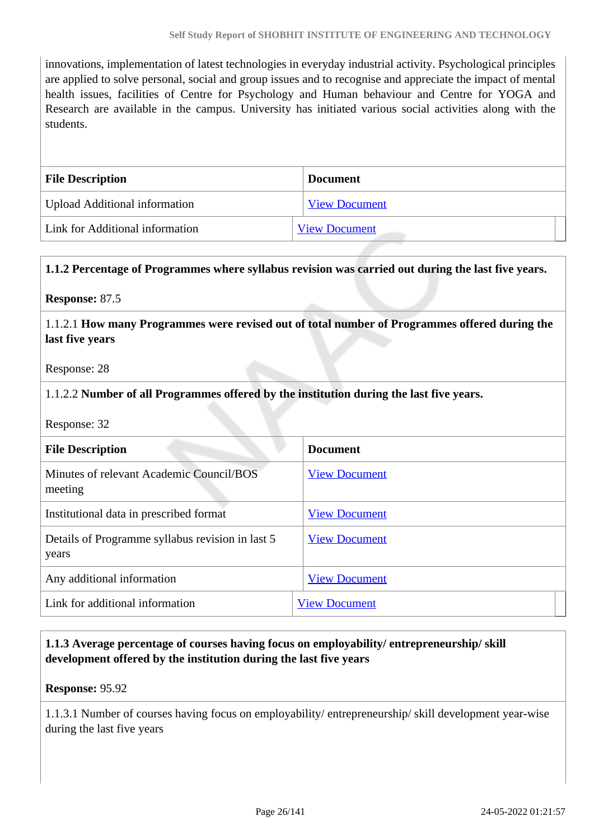innovations, implementation of latest technologies in everyday industrial activity. Psychological principles are applied to solve personal, social and group issues and to recognise and appreciate the impact of mental health issues, facilities of Centre for Psychology and Human behaviour and Centre for YOGA and Research are available in the campus. University has initiated various social activities along with the students.

| <b>File Description</b>              | <b>Document</b>      |
|--------------------------------------|----------------------|
| <b>Upload Additional information</b> | <b>View Document</b> |
| Link for Additional information      | <b>View Document</b> |

#### **1.1.2 Percentage of Programmes where syllabus revision was carried out during the last five years.**

#### **Response:** 87.5

1.1.2.1 **How many Programmes were revised out of total number of Programmes offered during the last five years**

Response: 28

#### 1.1.2.2 **Number of all Programmes offered by the institution during the last five years.**

Response: 32

| <b>File Description</b>                                   | <b>Document</b>      |
|-----------------------------------------------------------|----------------------|
| Minutes of relevant Academic Council/BOS<br>meeting       | <b>View Document</b> |
| Institutional data in prescribed format                   | <b>View Document</b> |
| Details of Programme syllabus revision in last 5<br>years | <b>View Document</b> |
| Any additional information                                | <b>View Document</b> |
| Link for additional information                           | <b>View Document</b> |

#### **1.1.3 Average percentage of courses having focus on employability/ entrepreneurship/ skill development offered by the institution during the last five years**

#### **Response:** 95.92

1.1.3.1 Number of courses having focus on employability/ entrepreneurship/ skill development year-wise during the last five years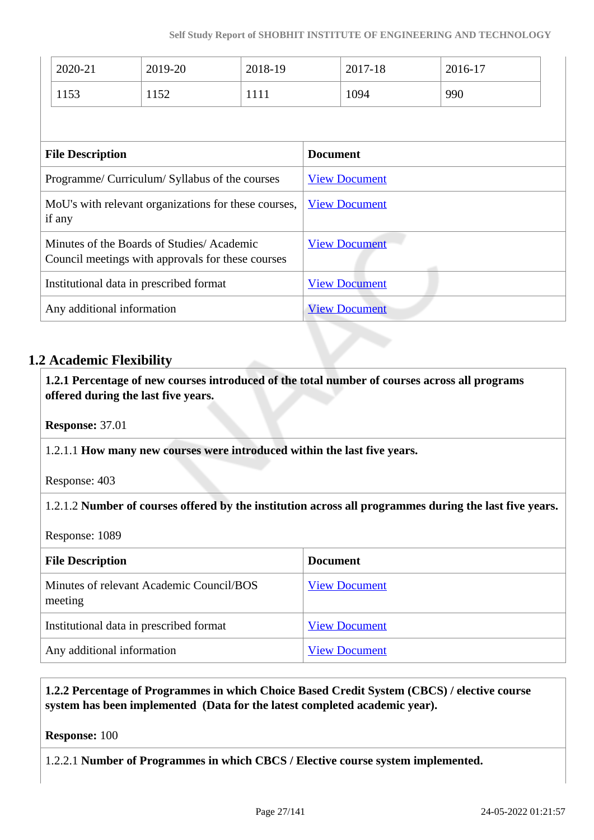| 2020-21                                                                                        | 2019-20 | 2018-19              |                      | 2017-18              | 2016-17 |  |
|------------------------------------------------------------------------------------------------|---------|----------------------|----------------------|----------------------|---------|--|
| 1153                                                                                           | 1152    | 1111                 |                      | 1094                 | 990     |  |
|                                                                                                |         |                      |                      |                      |         |  |
| <b>File Description</b>                                                                        |         |                      | <b>Document</b>      |                      |         |  |
|                                                                                                |         |                      |                      |                      |         |  |
| Programme/ Curriculum/ Syllabus of the courses                                                 |         |                      | <b>View Document</b> |                      |         |  |
| MoU's with relevant organizations for these courses,<br>if any                                 |         |                      | <b>View Document</b> |                      |         |  |
| Minutes of the Boards of Studies/Academic<br>Council meetings with approvals for these courses |         | <b>View Document</b> |                      |                      |         |  |
| Institutional data in prescribed format                                                        |         |                      | <b>View Document</b> |                      |         |  |
| Any additional information                                                                     |         |                      |                      | <b>View Document</b> |         |  |

### **1.2 Academic Flexibility**

 **1.2.1 Percentage of new courses introduced of the total number of courses across all programs offered during the last five years.**

**Response:** 37.01

1.2.1.1 **How many new courses were introduced within the last five years.**

Response: 403

#### 1.2.1.2 **Number of courses offered by the institution across all programmes during the last five years.**

Response: 1089

| <b>File Description</b>                             | <b>Document</b>      |
|-----------------------------------------------------|----------------------|
| Minutes of relevant Academic Council/BOS<br>meeting | <b>View Document</b> |
| Institutional data in prescribed format             | <b>View Document</b> |
| Any additional information                          | <b>View Document</b> |

#### **1.2.2 Percentage of Programmes in which Choice Based Credit System (CBCS) / elective course system has been implemented (Data for the latest completed academic year).**

**Response:** 100

1.2.2.1 **Number of Programmes in which CBCS / Elective course system implemented.**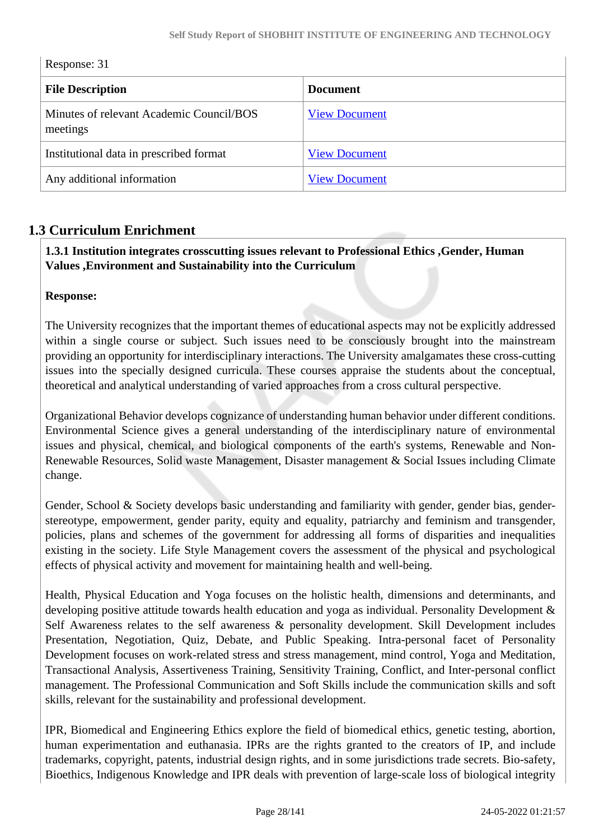Response: 31

| <b>File Description</b>                              | <b>Document</b>      |
|------------------------------------------------------|----------------------|
| Minutes of relevant Academic Council/BOS<br>meetings | <b>View Document</b> |
| Institutional data in prescribed format              | <b>View Document</b> |
| Any additional information                           | <b>View Document</b> |

### **1.3 Curriculum Enrichment**

#### **1.3.1 Institution integrates crosscutting issues relevant to Professional Ethics ,Gender, Human Values ,Environment and Sustainability into the Curriculum**

#### **Response:**

The University recognizes that the important themes of educational aspects may not be explicitly addressed within a single course or subject. Such issues need to be consciously brought into the mainstream providing an opportunity for interdisciplinary interactions. The University amalgamates these cross-cutting issues into the specially designed curricula. These courses appraise the students about the conceptual, theoretical and analytical understanding of varied approaches from a cross cultural perspective.

Organizational Behavior develops cognizance of understanding human behavior under different conditions. Environmental Science gives a general understanding of the interdisciplinary nature of environmental issues and physical, chemical, and biological components of the earth's systems, Renewable and Non-Renewable Resources, Solid waste Management, Disaster management & Social Issues including Climate change.

Gender, School & Society develops basic understanding and familiarity with gender, gender bias, genderstereotype, empowerment, gender parity, equity and equality, patriarchy and feminism and transgender, policies, plans and schemes of the government for addressing all forms of disparities and inequalities existing in the society. Life Style Management covers the assessment of the physical and psychological effects of physical activity and movement for maintaining health and well-being.

Health, Physical Education and Yoga focuses on the holistic health, dimensions and determinants, and developing positive attitude towards health education and yoga as individual. Personality Development & Self Awareness relates to the self awareness & personality development. Skill Development includes Presentation, Negotiation, Quiz, Debate, and Public Speaking. Intra-personal facet of Personality Development focuses on work-related stress and stress management, mind control, Yoga and Meditation, Transactional Analysis, Assertiveness Training, Sensitivity Training, Conflict, and Inter-personal conflict management. The Professional Communication and Soft Skills include the communication skills and soft skills, relevant for the sustainability and professional development.

IPR, Biomedical and Engineering Ethics explore the field of biomedical ethics, genetic testing, abortion, human experimentation and euthanasia. IPRs are the rights granted to the creators of IP, and include trademarks, copyright, patents, industrial design rights, and in some jurisdictions trade secrets. Bio-safety, Bioethics, Indigenous Knowledge and IPR deals with prevention of large-scale loss of biological integrity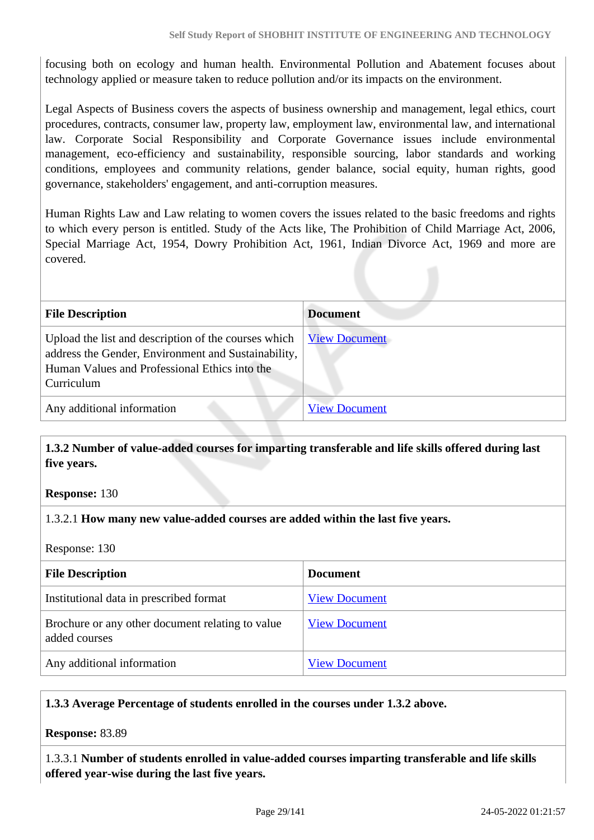focusing both on ecology and human health. Environmental Pollution and Abatement focuses about technology applied or measure taken to reduce pollution and/or its impacts on the environment.

Legal Aspects of Business covers the aspects of business ownership and management, legal ethics, court procedures, contracts, consumer law, property law, employment law, environmental law, and international law. Corporate Social Responsibility and Corporate Governance issues include environmental management, eco-efficiency and sustainability, responsible sourcing, labor standards and working conditions, employees and community relations, gender balance, social equity, human rights, good governance, stakeholders' engagement, and anti-corruption measures.

Human Rights Law and Law relating to women covers the issues related to the basic freedoms and rights to which every person is entitled. Study of the Acts like, The Prohibition of Child Marriage Act, 2006, Special Marriage Act, 1954, Dowry Prohibition Act, 1961, Indian Divorce Act, 1969 and more are covered.

| <b>File Description</b>                                                                                                                                                    | <b>Document</b>      |
|----------------------------------------------------------------------------------------------------------------------------------------------------------------------------|----------------------|
| Upload the list and description of the courses which<br>address the Gender, Environment and Sustainability,<br>Human Values and Professional Ethics into the<br>Curriculum | <b>View Document</b> |
| Any additional information                                                                                                                                                 | <b>View Document</b> |

 **1.3.2 Number of value-added courses for imparting transferable and life skills offered during last five years.**

**Response:** 130

1.3.2.1 **How many new value-added courses are added within the last five years.**

Response: 130

| <b>File Description</b>                                           | <b>Document</b>      |
|-------------------------------------------------------------------|----------------------|
| Institutional data in prescribed format                           | <b>View Document</b> |
| Brochure or any other document relating to value<br>added courses | <b>View Document</b> |
| Any additional information                                        | <b>View Document</b> |

#### **1.3.3 Average Percentage of students enrolled in the courses under 1.3.2 above.**

#### **Response:** 83.89

1.3.3.1 **Number of students enrolled in value-added courses imparting transferable and life skills offered year-wise during the last five years.**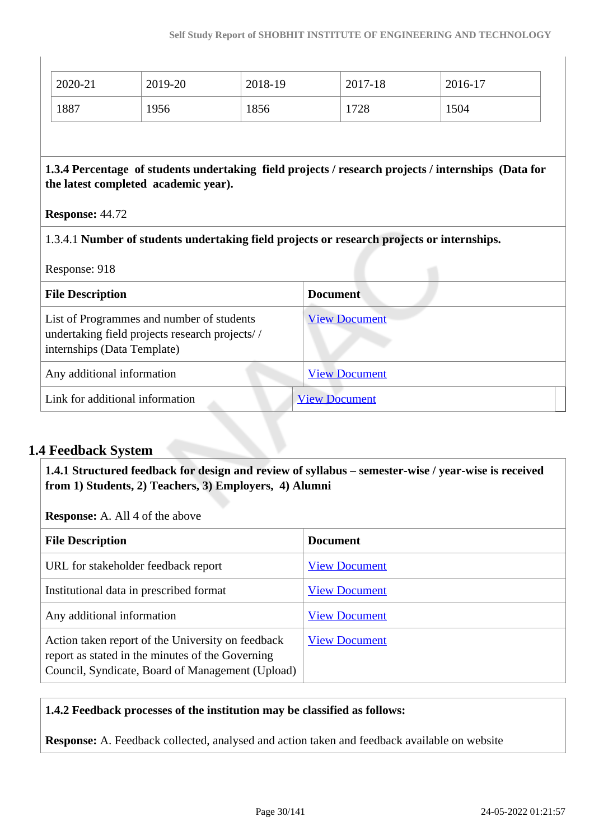| 2020-21                     | 2019-20                                        | 2018-19 | 2017-18                                                                                    | 2016-17                                                                                             |
|-----------------------------|------------------------------------------------|---------|--------------------------------------------------------------------------------------------|-----------------------------------------------------------------------------------------------------|
| 1887                        | 1956                                           | 1856    | 1728                                                                                       | 1504                                                                                                |
|                             |                                                |         |                                                                                            |                                                                                                     |
|                             |                                                |         |                                                                                            | 1.3.4 Percentage of students undertaking field projects / research projects / internships (Data for |
|                             | the latest completed academic year).           |         |                                                                                            |                                                                                                     |
| Response: 44.72             |                                                |         |                                                                                            |                                                                                                     |
|                             |                                                |         |                                                                                            |                                                                                                     |
|                             |                                                |         | 1.3.4.1 Number of students undertaking field projects or research projects or internships. |                                                                                                     |
| Response: 918               |                                                |         |                                                                                            |                                                                                                     |
| <b>File Description</b>     |                                                |         | <b>Document</b>                                                                            |                                                                                                     |
|                             | List of Programmes and number of students      |         | <b>View Document</b>                                                                       |                                                                                                     |
|                             | undertaking field projects research projects// |         |                                                                                            |                                                                                                     |
| internships (Data Template) |                                                |         |                                                                                            |                                                                                                     |
| Any additional information  |                                                |         | <b>View Document</b>                                                                       |                                                                                                     |
|                             |                                                |         |                                                                                            |                                                                                                     |

### **1.4 Feedback System**

 **1.4.1 Structured feedback for design and review of syllabus – semester-wise / year-wise is received from 1) Students, 2) Teachers, 3) Employers, 4) Alumni**

**Response:** A. All 4 of the above

| <b>File Description</b>                                                                                                                                   | <b>Document</b>      |
|-----------------------------------------------------------------------------------------------------------------------------------------------------------|----------------------|
| URL for stakeholder feedback report                                                                                                                       | <b>View Document</b> |
| Institutional data in prescribed format                                                                                                                   | <b>View Document</b> |
| Any additional information                                                                                                                                | <b>View Document</b> |
| Action taken report of the University on feedback<br>report as stated in the minutes of the Governing<br>Council, Syndicate, Board of Management (Upload) | <b>View Document</b> |

#### **1.4.2 Feedback processes of the institution may be classified as follows:**

**Response:** A. Feedback collected, analysed and action taken and feedback available on website

 $\overline{\phantom{a}}$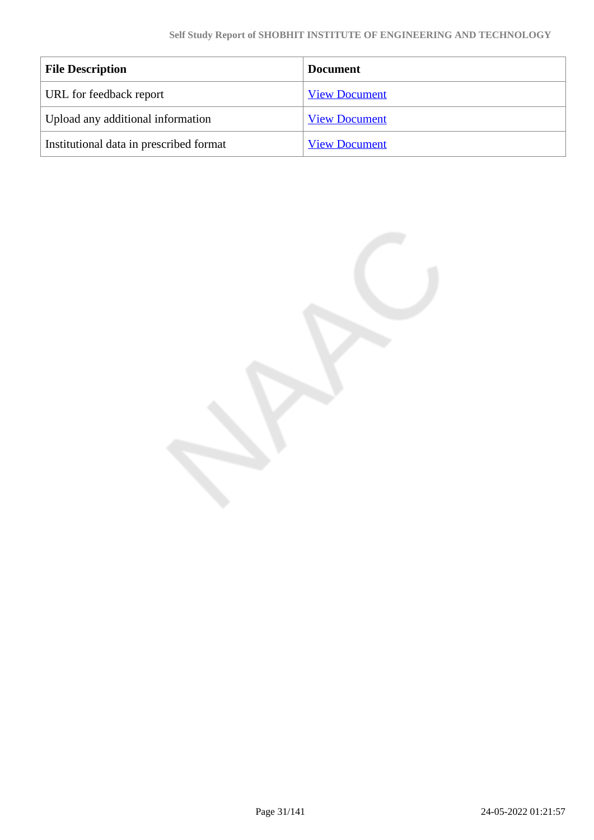| <b>File Description</b>                 | <b>Document</b>      |
|-----------------------------------------|----------------------|
| URL for feedback report                 | <b>View Document</b> |
| Upload any additional information       | <b>View Document</b> |
| Institutional data in prescribed format | <b>View Document</b> |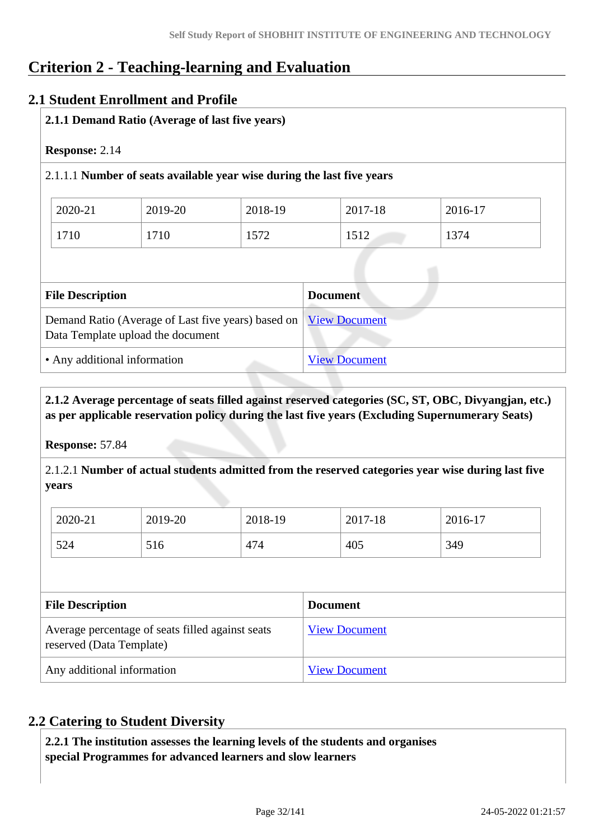## **Criterion 2 - Teaching-learning and Evaluation**

### **2.1 Student Enrollment and Profile**

#### **2.1.1 Demand Ratio (Average of last five years)**

#### **Response:** 2.14

#### 2.1.1.1 **Number of seats available year wise during the last five years**

| 2020-21 | 2019-20 | 2018-19     | 2017-18 | 2016-17 |
|---------|---------|-------------|---------|---------|
| 1710    | 1710    | 570<br>1J/L | 1512    | 1374    |

| <b>File Description</b>                                                                                      | <b>Document</b>      |
|--------------------------------------------------------------------------------------------------------------|----------------------|
| Demand Ratio (Average of Last five years) based on <u>View Document</u><br>Data Template upload the document |                      |
| • Any additional information                                                                                 | <b>View Document</b> |

#### **2.1.2 Average percentage of seats filled against reserved categories (SC, ST, OBC, Divyangjan, etc.) as per applicable reservation policy during the last five years (Excluding Supernumerary Seats)**

**Response:** 57.84

2.1.2.1 **Number of actual students admitted from the reserved categories year wise during last five years**

| 2020-21 | 2019-20 | 2018-19 | 2017-18 | 2016-17 |
|---------|---------|---------|---------|---------|
| 524     | 516     | 474     | 405     | 349     |

| <b>File Description</b>                                                      | <b>Document</b>      |
|------------------------------------------------------------------------------|----------------------|
| Average percentage of seats filled against seats<br>reserved (Data Template) | <b>View Document</b> |
| Any additional information                                                   | <b>View Document</b> |

### **2.2 Catering to Student Diversity**

 **2.2.1 The institution assesses the learning levels of the students and organises special Programmes for advanced learners and slow learners**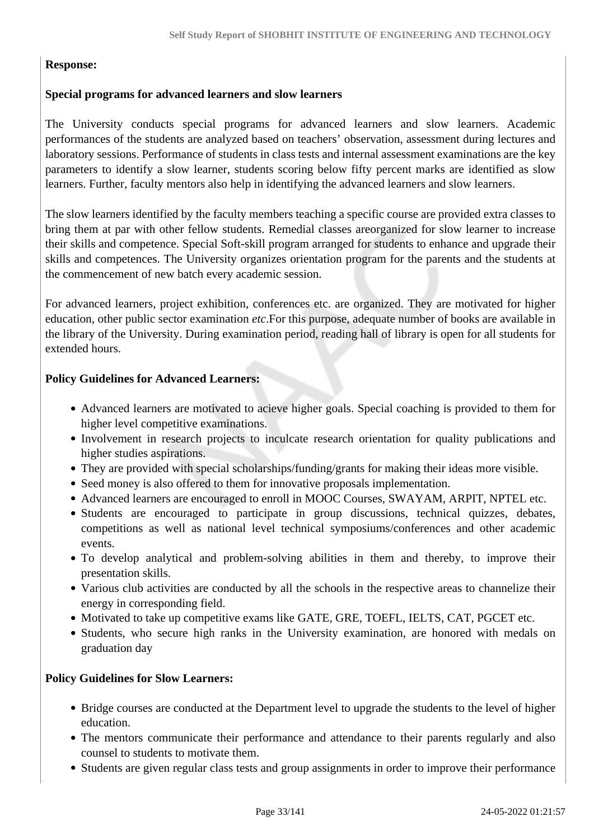#### **Response:**

#### **Special programs for advanced learners and slow learners**

The University conducts special programs for advanced learners and slow learners. Academic performances of the students are analyzed based on teachers' observation, assessment during lectures and laboratory sessions. Performance of students in class tests and internal assessment examinations are the key parameters to identify a slow learner, students scoring below fifty percent marks are identified as slow learners. Further, faculty mentors also help in identifying the advanced learners and slow learners.

The slow learners identified by the faculty members teaching a specific course are provided extra classes to bring them at par with other fellow students. Remedial classes areorganized for slow learner to increase their skills and competence. Special Soft-skill program arranged for students to enhance and upgrade their skills and competences. The University organizes orientation program for the parents and the students at the commencement of new batch every academic session.

For advanced learners, project exhibition, conferences etc. are organized. They are motivated for higher education, other public sector examination *etc*.For this purpose, adequate number of books are available in the library of the University. During examination period, reading hall of library is open for all students for extended hours.

#### **Policy Guidelines for Advanced Learners:**

- Advanced learners are motivated to acieve higher goals. Special coaching is provided to them for higher level competitive examinations.
- Involvement in research projects to inculcate research orientation for quality publications and higher studies aspirations.
- They are provided with special scholarships/funding/grants for making their ideas more visible.
- Seed money is also offered to them for innovative proposals implementation.
- Advanced learners are encouraged to enroll in MOOC Courses, SWAYAM, ARPIT, NPTEL etc.
- Students are encouraged to participate in group discussions, technical quizzes, debates, competitions as well as national level technical symposiums/conferences and other academic events.
- To develop analytical and problem-solving abilities in them and thereby, to improve their presentation skills.
- Various club activities are conducted by all the schools in the respective areas to channelize their energy in corresponding field.
- Motivated to take up competitive exams like GATE, GRE, TOEFL, IELTS, CAT, PGCET etc.
- Students, who secure high ranks in the University examination, are honored with medals on graduation day

#### **Policy Guidelines for Slow Learners:**

- Bridge courses are conducted at the Department level to upgrade the students to the level of higher education.
- The mentors communicate their performance and attendance to their parents regularly and also counsel to students to motivate them.
- Students are given regular class tests and group assignments in order to improve their performance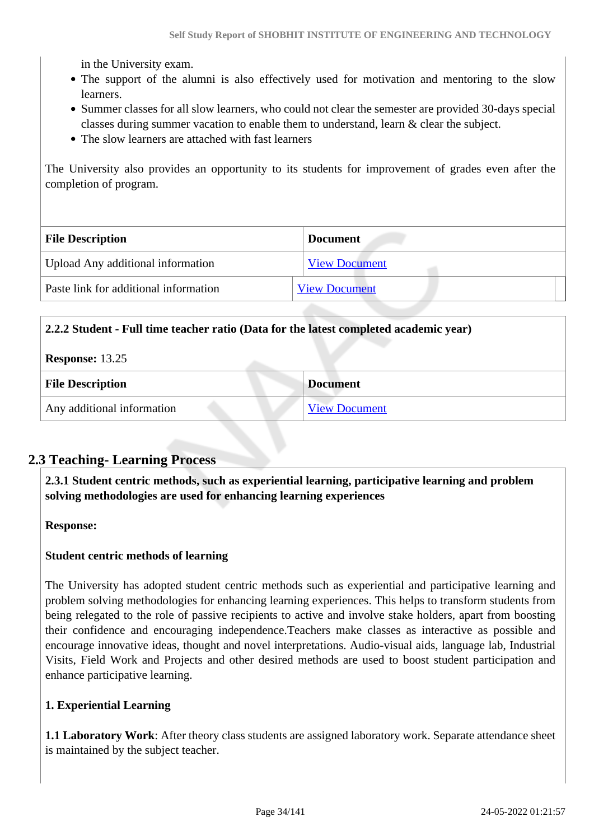in the University exam.

- The support of the alumni is also effectively used for motivation and mentoring to the slow learners.
- Summer classes for all slow learners, who could not clear the semester are provided 30-days special classes during summer vacation to enable them to understand, learn & clear the subject.
- The slow learners are attached with fast learners

The University also provides an opportunity to its students for improvement of grades even after the completion of program.

| <b>File Description</b>                  | <b>Document</b>      |
|------------------------------------------|----------------------|
| <b>Upload Any additional information</b> | <b>View Document</b> |
| Paste link for additional information    | <b>View Document</b> |

#### **2.2.2 Student - Full time teacher ratio (Data for the latest completed academic year)**

| <b>Response: 13.25</b>     |                      |
|----------------------------|----------------------|
| <b>File Description</b>    | <b>Document</b>      |
| Any additional information | <b>View Document</b> |

#### **2.3 Teaching- Learning Process**

 **2.3.1 Student centric methods, such as experiential learning, participative learning and problem solving methodologies are used for enhancing learning experiences**

**Response:** 

#### **Student centric methods of learning**

The University has adopted student centric methods such as experiential and participative learning and problem solving methodologies for enhancing learning experiences. This helps to transform students from being relegated to the role of passive recipients to active and involve stake holders, apart from boosting their confidence and encouraging independence.Teachers make classes as interactive as possible and encourage innovative ideas, thought and novel interpretations. Audio-visual aids, language lab, Industrial Visits, Field Work and Projects and other desired methods are used to boost student participation and enhance participative learning.

#### **1. Experiential Learning**

**1.1 Laboratory Work**: After theory class students are assigned laboratory work. Separate attendance sheet is maintained by the subject teacher.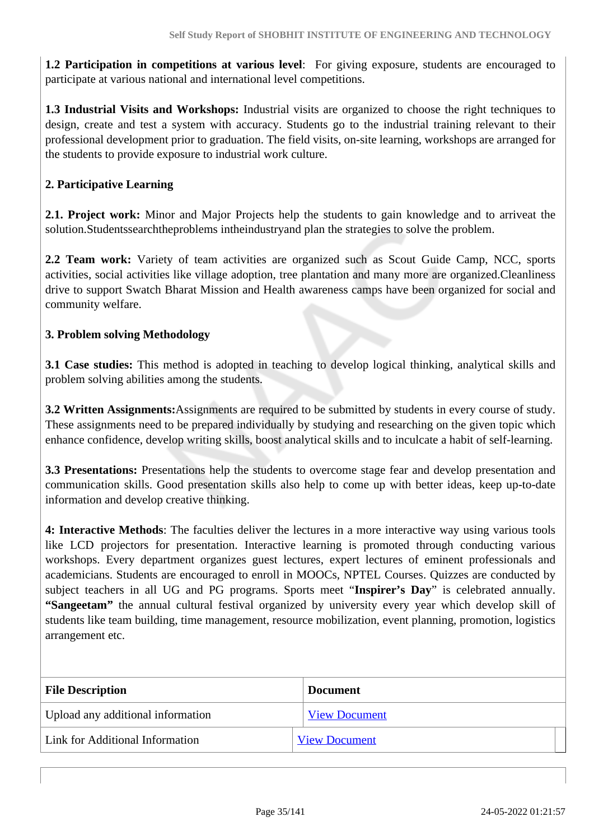**1.2 Participation in competitions at various level**: For giving exposure, students are encouraged to participate at various national and international level competitions.

**1.3 Industrial Visits and Workshops:** Industrial visits are organized to choose the right techniques to design, create and test a system with accuracy. Students go to the industrial training relevant to their professional development prior to graduation. The field visits, on-site learning, workshops are arranged for the students to provide exposure to industrial work culture.

#### **2. Participative Learning**

**2.1. Project work:** Minor and Major Projects help the students to gain knowledge and to arriveat the solution.Studentssearchtheproblems intheindustryand plan the strategies to solve the problem.

**2.2 Team work:** Variety of team activities are organized such as Scout Guide Camp, NCC, sports activities, social activities like village adoption, tree plantation and many more are organized.Cleanliness drive to support Swatch Bharat Mission and Health awareness camps have been organized for social and community welfare.

#### **3. Problem solving Methodology**

**3.1 Case studies:** This method is adopted in teaching to develop logical thinking, analytical skills and problem solving abilities among the students.

**3.2 Written Assignments:**Assignments are required to be submitted by students in every course of study. These assignments need to be prepared individually by studying and researching on the given topic which enhance confidence, develop writing skills, boost analytical skills and to inculcate a habit of self-learning.

**3.3 Presentations:** Presentations help the students to overcome stage fear and develop presentation and communication skills. Good presentation skills also help to come up with better ideas, keep up-to-date information and develop creative thinking.

**4: Interactive Methods**: The faculties deliver the lectures in a more interactive way using various tools like LCD projectors for presentation. Interactive learning is promoted through conducting various workshops. Every department organizes guest lectures, expert lectures of eminent professionals and academicians. Students are encouraged to enroll in MOOCs, NPTEL Courses. Quizzes are conducted by subject teachers in all UG and PG programs. Sports meet "**Inspirer's Day**" is celebrated annually. **"Sangeetam"** the annual cultural festival organized by university every year which develop skill of students like team building, time management, resource mobilization, event planning, promotion, logistics arrangement etc.

| <b>File Description</b>           | <b>Document</b>      |
|-----------------------------------|----------------------|
| Upload any additional information | <b>View Document</b> |
| Link for Additional Information   | <b>View Document</b> |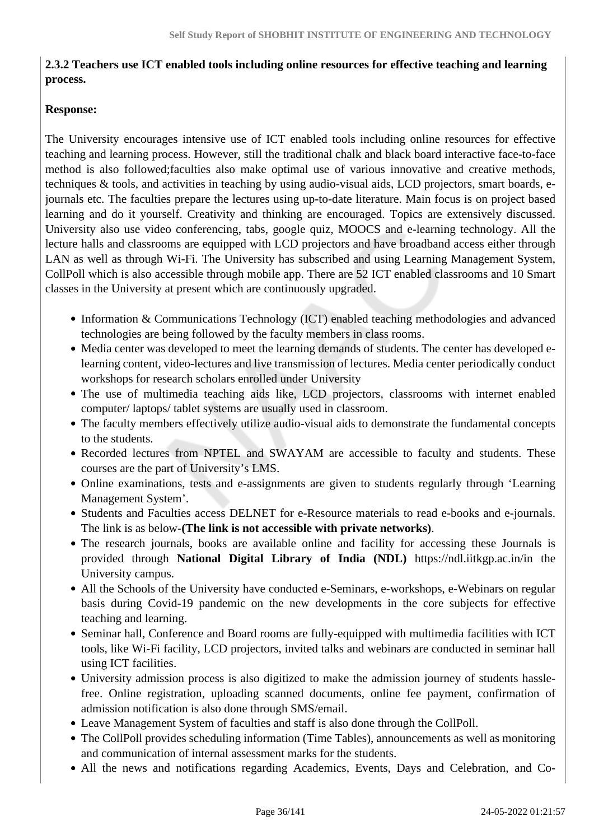#### **2.3.2 Teachers use ICT enabled tools including online resources for effective teaching and learning process.**

### **Response:**

The University encourages intensive use of ICT enabled tools including online resources for effective teaching and learning process. However, still the traditional chalk and black board interactive face-to-face method is also followed;faculties also make optimal use of various innovative and creative methods, techniques & tools, and activities in teaching by using audio-visual aids, LCD projectors, smart boards, ejournals etc. The faculties prepare the lectures using up-to-date literature. Main focus is on project based learning and do it yourself. Creativity and thinking are encouraged. Topics are extensively discussed. University also use video conferencing, tabs, google quiz, MOOCS and e-learning technology. All the lecture halls and classrooms are equipped with LCD projectors and have broadband access either through LAN as well as through Wi-Fi. The University has subscribed and using Learning Management System, CollPoll which is also accessible through mobile app. There are 52 ICT enabled classrooms and 10 Smart classes in the University at present which are continuously upgraded.

- Information & Communications Technology (ICT) enabled teaching methodologies and advanced technologies are being followed by the faculty members in class rooms.
- Media center was developed to meet the learning demands of students. The center has developed elearning content, video-lectures and live transmission of lectures. Media center periodically conduct workshops for research scholars enrolled under University
- The use of multimedia teaching aids like, LCD projectors, classrooms with internet enabled computer/ laptops/ tablet systems are usually used in classroom.
- The faculty members effectively utilize audio-visual aids to demonstrate the fundamental concepts to the students.
- Recorded lectures from NPTEL and SWAYAM are accessible to faculty and students. These courses are the part of University's LMS.
- Online examinations, tests and e-assignments are given to students regularly through 'Learning Management System'.
- Students and Faculties access DELNET for e-Resource materials to read e-books and e-journals. The link is as below-**(The link is not accessible with private networks)**.
- The research journals, books are available online and facility for accessing these Journals is provided through **National Digital Library of India (NDL)** https://ndl.iitkgp.ac.in/in the University campus.
- All the Schools of the University have conducted e-Seminars, e-workshops, e-Webinars on regular basis during Covid-19 pandemic on the new developments in the core subjects for effective teaching and learning.
- Seminar hall, Conference and Board rooms are fully-equipped with multimedia facilities with ICT tools, like Wi-Fi facility, LCD projectors, invited talks and webinars are conducted in seminar hall using ICT facilities.
- University admission process is also digitized to make the admission journey of students hasslefree. Online registration, uploading scanned documents, online fee payment, confirmation of admission notification is also done through SMS/email.
- Leave Management System of faculties and staff is also done through the CollPoll.
- The CollPoll provides scheduling information (Time Tables), announcements as well as monitoring and communication of internal assessment marks for the students.
- All the news and notifications regarding Academics, Events, Days and Celebration, and Co-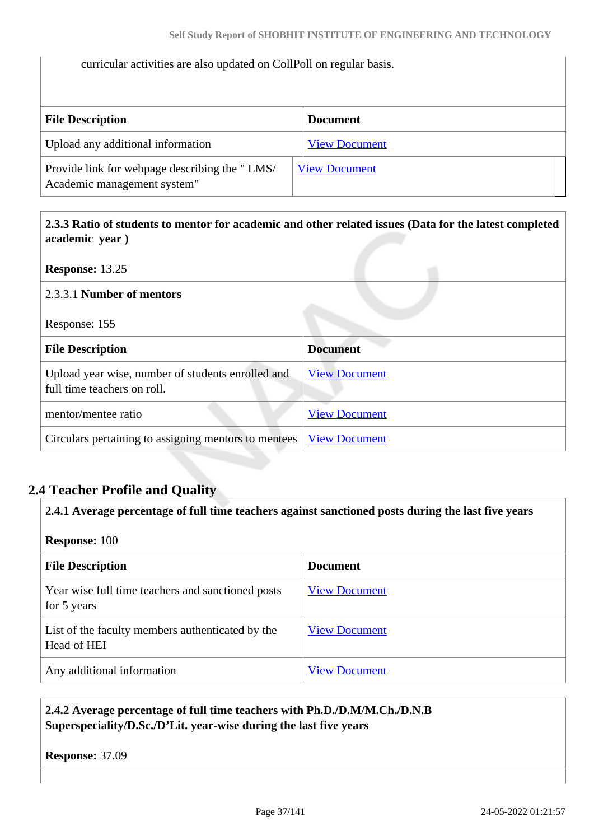curricular activities are also updated on CollPoll on regular basis.

| <b>File Description</b>                                                      | <b>Document</b>      |
|------------------------------------------------------------------------------|----------------------|
| Upload any additional information                                            | <b>View Document</b> |
| Provide link for webpage describing the "LMS/<br>Academic management system" | <b>View Document</b> |

 **2.3.3 Ratio of students to mentor for academic and other related issues (Data for the latest completed academic year )**

**Response:** 13.25

### 2.3.3.1 **Number of mentors**

Response: 155

| <b>File Description</b>                                                          | <b>Document</b>      |
|----------------------------------------------------------------------------------|----------------------|
| Upload year wise, number of students enrolled and<br>full time teachers on roll. | <b>View Document</b> |
| mentor/mentee ratio                                                              | <b>View Document</b> |
| Circulars pertaining to assigning mentors to mentees                             | <b>View Document</b> |

## **2.4 Teacher Profile and Quality**

### **2.4.1 Average percentage of full time teachers against sanctioned posts during the last five years**

**Response:** 100

| <b>File Description</b>                                          | <b>Document</b>      |
|------------------------------------------------------------------|----------------------|
| Year wise full time teachers and sanctioned posts<br>for 5 years | <b>View Document</b> |
| List of the faculty members authenticated by the<br>Head of HEI  | <b>View Document</b> |
| Any additional information                                       | <b>View Document</b> |

## **2.4.2 Average percentage of full time teachers with Ph.D./D.M/M.Ch./D.N.B Superspeciality/D.Sc./D'Lit. year-wise during the last five years**

**Response:** 37.09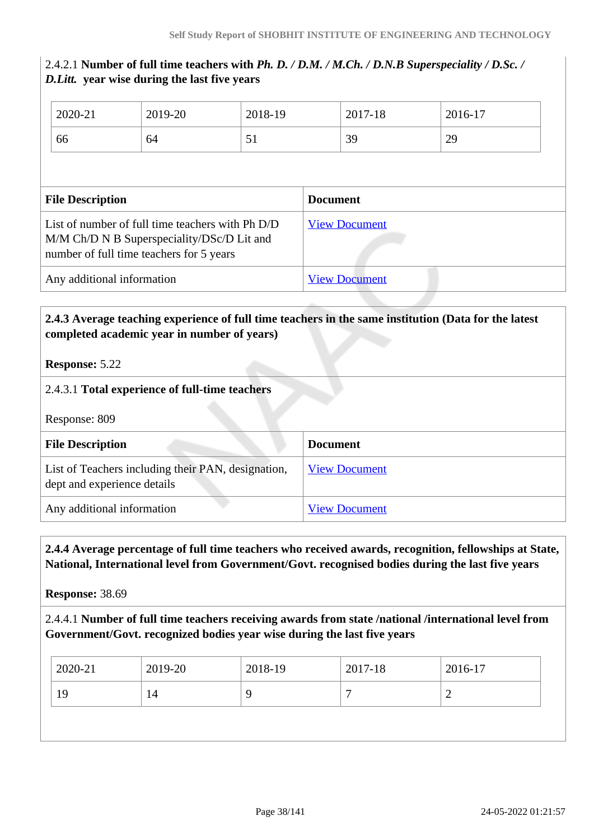## 2.4.2.1 **Number of full time teachers with** *Ph. D. / D.M. / M.Ch. / D.N.B Superspeciality / D.Sc. / D.Litt.* **year wise during the last five years**

|                                                                                                                                            | 2020-21                    | 2019-20         | 2018-19              |  | 2017-18              |    | 2016-17 |
|--------------------------------------------------------------------------------------------------------------------------------------------|----------------------------|-----------------|----------------------|--|----------------------|----|---------|
|                                                                                                                                            | 66                         | 64              | 51                   |  | 39                   | 29 |         |
|                                                                                                                                            |                            |                 |                      |  |                      |    |         |
| <b>File Description</b>                                                                                                                    |                            | <b>Document</b> |                      |  |                      |    |         |
| List of number of full time teachers with Ph D/D<br>M/M Ch/D N B Superspeciality/DSc/D Lit and<br>number of full time teachers for 5 years |                            |                 | <b>View Document</b> |  |                      |    |         |
|                                                                                                                                            | Any additional information |                 |                      |  | <b>View Document</b> |    |         |

## **2.4.3 Average teaching experience of full time teachers in the same institution (Data for the latest completed academic year in number of years)**

#### **Response:** 5.22

#### 2.4.3.1 **Total experience of full-time teachers**

Response: 809

| <b>File Description</b>                                                           | <b>Document</b>      |
|-----------------------------------------------------------------------------------|----------------------|
| List of Teachers including their PAN, designation,<br>dept and experience details | <b>View Document</b> |
| Any additional information                                                        | <b>View Document</b> |

### **2.4.4 Average percentage of full time teachers who received awards, recognition, fellowships at State, National, International level from Government/Govt. recognised bodies during the last five years**

**Response:** 38.69

2.4.4.1 **Number of full time teachers receiving awards from state /national /international level from Government/Govt. recognized bodies year wise during the last five years** 

|               | 2020-21<br>2019-20<br>2018-19<br>2017-18 | 2016-17 |
|---------------|------------------------------------------|---------|
| 19<br>Q<br>14 |                                          |         |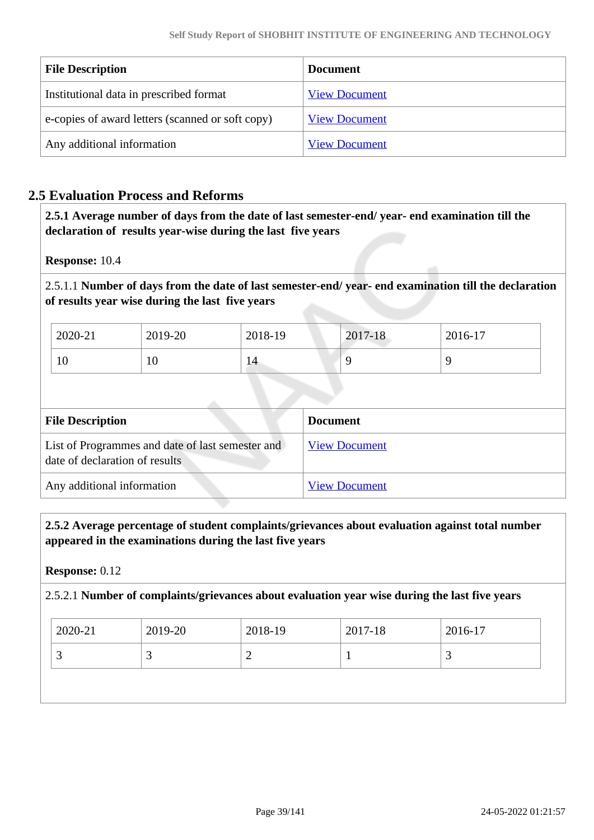| <b>File Description</b>                          | <b>Document</b>      |
|--------------------------------------------------|----------------------|
| Institutional data in prescribed format          | <b>View Document</b> |
| e-copies of award letters (scanned or soft copy) | <b>View Document</b> |
| Any additional information                       | <b>View Document</b> |

## **2.5 Evaluation Process and Reforms**

 **2.5.1 Average number of days from the date of last semester-end/ year- end examination till the declaration of results year-wise during the last five years**

**Response:** 10.4

2.5.1.1 **Number of days from the date of last semester-end/ year- end examination till the declaration of results year wise during the last five years** 

| 2020-21 | 2019-20 | 2018-19 | 2017-18 | 2016-17 |
|---------|---------|---------|---------|---------|
| 10      | 10      | TТ      |         |         |

| <b>File Description</b>                                                            | <b>Document</b>      |
|------------------------------------------------------------------------------------|----------------------|
| List of Programmes and date of last semester and<br>date of declaration of results | <b>View Document</b> |
| Any additional information                                                         | <b>View Document</b> |

 **2.5.2 Average percentage of student complaints/grievances about evaluation against total number appeared in the examinations during the last five years**

**Response:** 0.12

### 2.5.2.1 **Number of complaints/grievances about evaluation year wise during the last five years**

| 2020-21 | 2019-20 | 2018-19 | 2017-18 | 2016-17 |
|---------|---------|---------|---------|---------|
|         |         |         |         | ت       |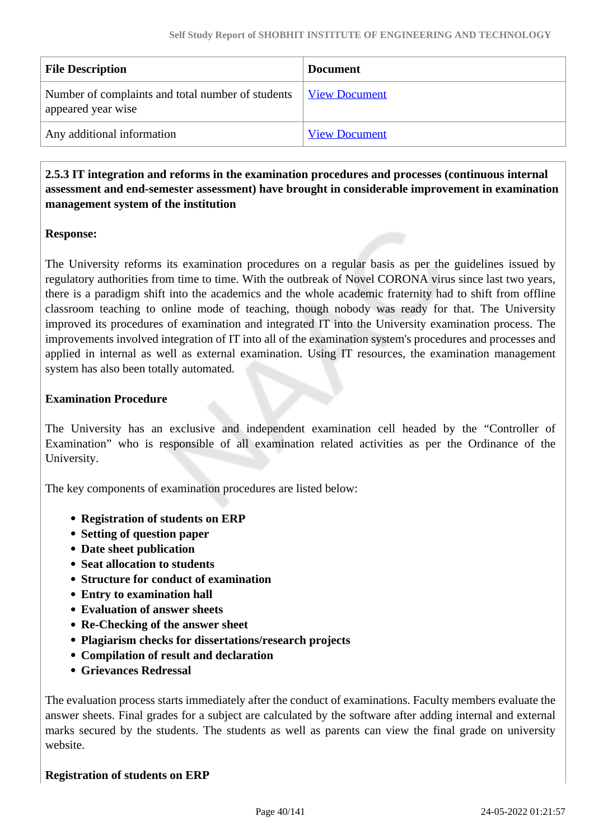| <b>File Description</b>                                                 | <b>Document</b>      |
|-------------------------------------------------------------------------|----------------------|
| Number of complaints and total number of students<br>appeared year wise | <b>View Document</b> |
| Any additional information                                              | <b>View Document</b> |

## **2.5.3 IT integration and reforms in the examination procedures and processes (continuous internal assessment and end-semester assessment) have brought in considerable improvement in examination management system of the institution**

## **Response:**

The University reforms its examination procedures on a regular basis as per the guidelines issued by regulatory authorities from time to time. With the outbreak of Novel CORONA virus since last two years, there is a paradigm shift into the academics and the whole academic fraternity had to shift from offline classroom teaching to online mode of teaching, though nobody was ready for that. The University improved its procedures of examination and integrated IT into the University examination process. The improvements involved integration of IT into all of the examination system's procedures and processes and applied in internal as well as external examination. Using IT resources, the examination management system has also been totally automated.

## **Examination Procedure**

The University has an exclusive and independent examination cell headed by the "Controller of Examination" who is responsible of all examination related activities as per the Ordinance of the University.

The key components of examination procedures are listed below:

- **Registration of students on ERP**
- **Setting of question paper**
- **Date sheet publication**
- **Seat allocation to students**
- **Structure for conduct of examination**
- **Entry to examination hall**
- **Evaluation of answer sheets**
- **Re-Checking of the answer sheet**
- **Plagiarism checks for dissertations/research projects**
- **Compilation of result and declaration**
- **Grievances Redressal**

The evaluation process starts immediately after the conduct of examinations. Faculty members evaluate the answer sheets. Final grades for a subject are calculated by the software after adding internal and external marks secured by the students. The students as well as parents can view the final grade on university website.

### **Registration of students on ERP**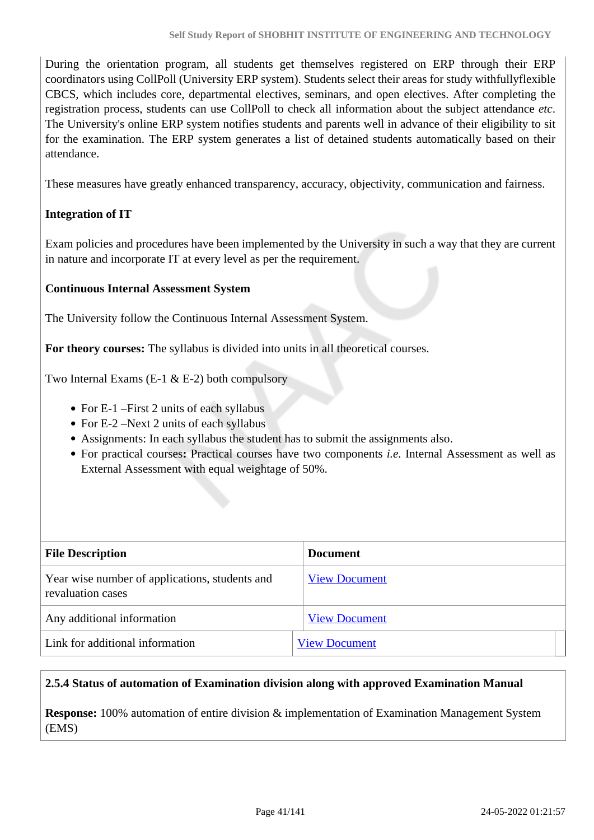During the orientation program, all students get themselves registered on ERP through their ERP coordinators using CollPoll (University ERP system). Students select their areas for study withfullyflexible CBCS, which includes core, departmental electives, seminars, and open electives. After completing the registration process, students can use CollPoll to check all information about the subject attendance *etc*. The University's online ERP system notifies students and parents well in advance of their eligibility to sit for the examination. The ERP system generates a list of detained students automatically based on their attendance.

These measures have greatly enhanced transparency, accuracy, objectivity, communication and fairness.

## **Integration of IT**

Exam policies and procedures have been implemented by the University in such a way that they are current in nature and incorporate IT at every level as per the requirement.

## **Continuous Internal Assessment System**

The University follow the Continuous Internal Assessment System.

**For theory courses:** The syllabus is divided into units in all theoretical courses.

Two Internal Exams  $(E-1 \& E-2)$  both compulsory

- For E-1 First 2 units of each syllabus
- For E-2 –Next 2 units of each syllabus
- Assignments: In each syllabus the student has to submit the assignments also.
- For practical courses**:** Practical courses have two components *i.e.* Internal Assessment as well as External Assessment with equal weightage of 50%.

| <b>File Description</b>                                             | <b>Document</b>      |
|---------------------------------------------------------------------|----------------------|
| Year wise number of applications, students and<br>revaluation cases | <b>View Document</b> |
| Any additional information                                          | <b>View Document</b> |
| Link for additional information                                     | <b>View Document</b> |

## **2.5.4 Status of automation of Examination division along with approved Examination Manual**

**Response:** 100% automation of entire division & implementation of Examination Management System (EMS)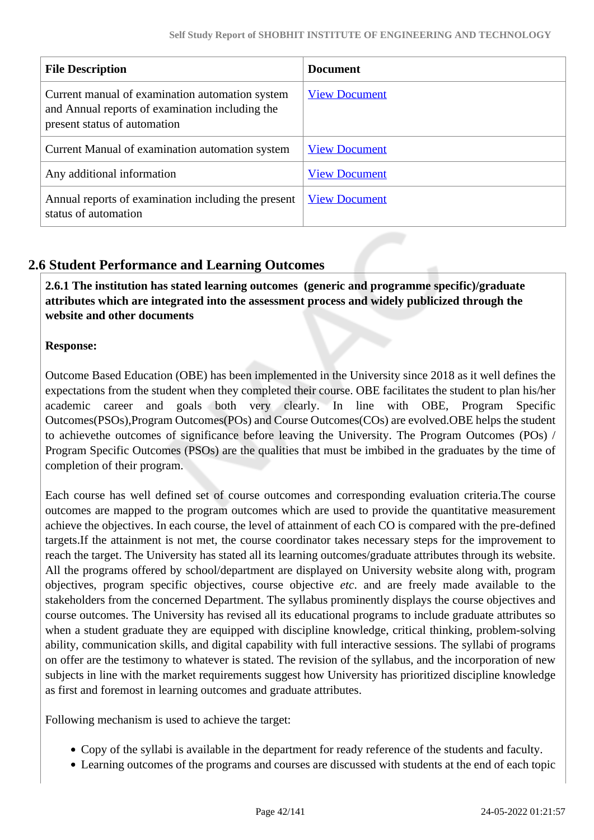| <b>File Description</b>                                                                                                            | <b>Document</b>      |
|------------------------------------------------------------------------------------------------------------------------------------|----------------------|
| Current manual of examination automation system<br>and Annual reports of examination including the<br>present status of automation | <b>View Document</b> |
| Current Manual of examination automation system                                                                                    | <b>View Document</b> |
| Any additional information                                                                                                         | <b>View Document</b> |
| Annual reports of examination including the present<br>status of automation                                                        | <b>View Document</b> |

## **2.6 Student Performance and Learning Outcomes**

 **2.6.1 The institution has stated learning outcomes (generic and programme specific)/graduate attributes which are integrated into the assessment process and widely publicized through the website and other documents**

## **Response:**

Outcome Based Education (OBE) has been implemented in the University since 2018 as it well defines the expectations from the student when they completed their course. OBE facilitates the student to plan his/her academic career and goals both very clearly. In line with OBE, Program Specific Outcomes(PSOs),Program Outcomes(POs) and Course Outcomes(COs) are evolved.OBE helps the student to achievethe outcomes of significance before leaving the University. The Program Outcomes (POs) / Program Specific Outcomes (PSOs) are the qualities that must be imbibed in the graduates by the time of completion of their program.

Each course has well defined set of course outcomes and corresponding evaluation criteria.The course outcomes are mapped to the program outcomes which are used to provide the quantitative measurement achieve the objectives. In each course, the level of attainment of each CO is compared with the pre-defined targets.If the attainment is not met, the course coordinator takes necessary steps for the improvement to reach the target. The University has stated all its learning outcomes/graduate attributes through its website. All the programs offered by school/department are displayed on University website along with, program objectives, program specific objectives, course objective *etc*. and are freely made available to the stakeholders from the concerned Department. The syllabus prominently displays the course objectives and course outcomes. The University has revised all its educational programs to include graduate attributes so when a student graduate they are equipped with discipline knowledge, critical thinking, problem-solving ability, communication skills, and digital capability with full interactive sessions. The syllabi of programs on offer are the testimony to whatever is stated. The revision of the syllabus, and the incorporation of new subjects in line with the market requirements suggest how University has prioritized discipline knowledge as first and foremost in learning outcomes and graduate attributes.

Following mechanism is used to achieve the target:

- Copy of the syllabi is available in the department for ready reference of the students and faculty.
- Learning outcomes of the programs and courses are discussed with students at the end of each topic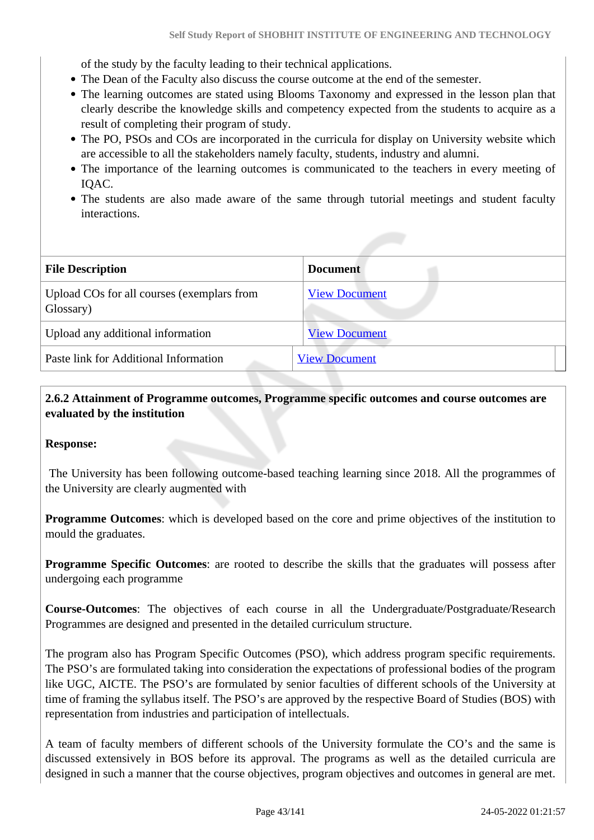of the study by the faculty leading to their technical applications.

- The Dean of the Faculty also discuss the course outcome at the end of the semester.
- The learning outcomes are stated using Blooms Taxonomy and expressed in the lesson plan that clearly describe the knowledge skills and competency expected from the students to acquire as a result of completing their program of study.
- The PO, PSOs and COs are incorporated in the curricula for display on University website which are accessible to all the stakeholders namely faculty, students, industry and alumni.
- The importance of the learning outcomes is communicated to the teachers in every meeting of IQAC.
- The students are also made aware of the same through tutorial meetings and student faculty interactions.

| <b>File Description</b>                                 | <b>Document</b>      |
|---------------------------------------------------------|----------------------|
| Upload COs for all courses (exemplars from<br>Glossary) | <b>View Document</b> |
| Upload any additional information                       | <b>View Document</b> |
| Paste link for Additional Information                   | <b>View Document</b> |

## **2.6.2 Attainment of Programme outcomes, Programme specific outcomes and course outcomes are evaluated by the institution**

### **Response:**

The University has been following outcome-based teaching learning since 2018. All the programmes of the University are clearly augmented with

**Programme Outcomes**: which is developed based on the core and prime objectives of the institution to mould the graduates.

**Programme Specific Outcomes**: are rooted to describe the skills that the graduates will possess after undergoing each programme

**Course-Outcomes**: The objectives of each course in all the Undergraduate/Postgraduate/Research Programmes are designed and presented in the detailed curriculum structure.

The program also has Program Specific Outcomes (PSO), which address program specific requirements. The PSO's are formulated taking into consideration the expectations of professional bodies of the program like UGC, AICTE. The PSO's are formulated by senior faculties of different schools of the University at time of framing the syllabus itself. The PSO's are approved by the respective Board of Studies (BOS) with representation from industries and participation of intellectuals.

A team of faculty members of different schools of the University formulate the CO's and the same is discussed extensively in BOS before its approval. The programs as well as the detailed curricula are designed in such a manner that the course objectives, program objectives and outcomes in general are met.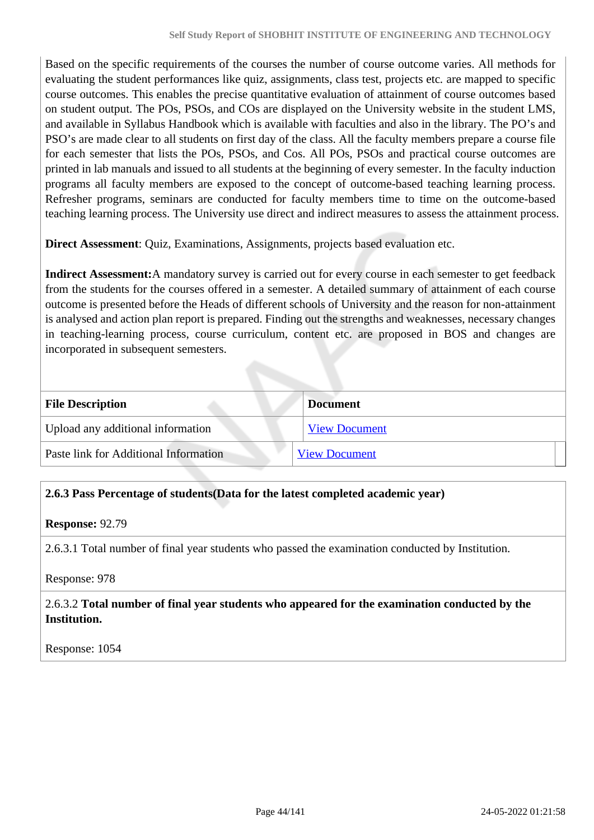Based on the specific requirements of the courses the number of course outcome varies. All methods for evaluating the student performances like quiz, assignments, class test, projects etc*.* are mapped to specific course outcomes. This enables the precise quantitative evaluation of attainment of course outcomes based on student output. The POs, PSOs, and COs are displayed on the University website in the student LMS, and available in Syllabus Handbook which is available with faculties and also in the library. The PO's and PSO's are made clear to all students on first day of the class. All the faculty members prepare a course file for each semester that lists the POs, PSOs, and Cos. All POs, PSOs and practical course outcomes are printed in lab manuals and issued to all students at the beginning of every semester. In the faculty induction programs all faculty members are exposed to the concept of outcome-based teaching learning process. Refresher programs, seminars are conducted for faculty members time to time on the outcome-based teaching learning process. The University use direct and indirect measures to assess the attainment process.

**Direct Assessment**: Quiz, Examinations, Assignments, projects based evaluation etc.

**Indirect Assessment:**A mandatory survey is carried out for every course in each semester to get feedback from the students for the courses offered in a semester. A detailed summary of attainment of each course outcome is presented before the Heads of different schools of University and the reason for non-attainment is analysed and action plan report is prepared. Finding out the strengths and weaknesses, necessary changes in teaching-learning process, course curriculum, content etc. are proposed in BOS and changes are incorporated in subsequent semesters.

| <b>File Description</b>               | <b>Document</b>      |
|---------------------------------------|----------------------|
| Upload any additional information     | <b>View Document</b> |
| Paste link for Additional Information | <b>View Document</b> |

## **2.6.3 Pass Percentage of students(Data for the latest completed academic year)**

## **Response:** 92.79

2.6.3.1 Total number of final year students who passed the examination conducted by Institution.

### Response: 978

## 2.6.3.2 **Total number of final year students who appeared for the examination conducted by the Institution.**

Response: 1054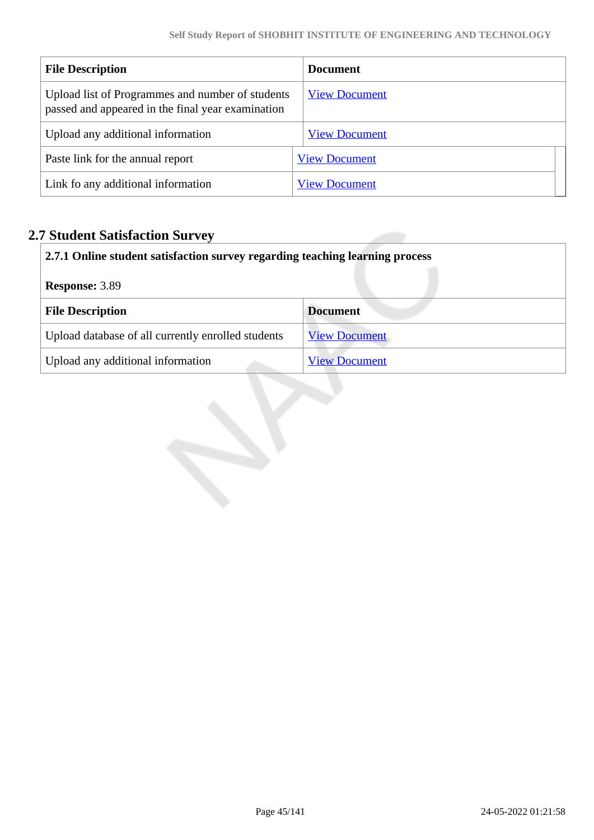| <b>File Description</b>                                                                               | <b>Document</b>      |
|-------------------------------------------------------------------------------------------------------|----------------------|
| Upload list of Programmes and number of students<br>passed and appeared in the final year examination | <b>View Document</b> |
| Upload any additional information                                                                     | <b>View Document</b> |
| Paste link for the annual report                                                                      | <b>View Document</b> |
| Link fo any additional information                                                                    | <b>View Document</b> |

# **2.7 Student Satisfaction Survey**

| 2.7.1 Online student satisfaction survey regarding teaching learning process |                      |
|------------------------------------------------------------------------------|----------------------|
| <b>Response: 3.89</b>                                                        |                      |
| <b>File Description</b>                                                      | <b>Document</b>      |
| Upload database of all currently enrolled students                           | <b>View Document</b> |
| Upload any additional information                                            | <b>View Document</b> |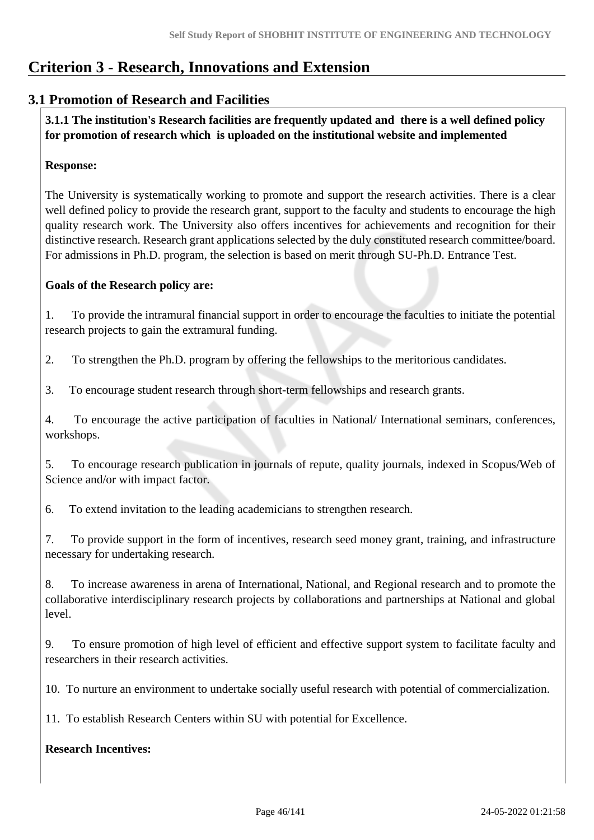# **Criterion 3 - Research, Innovations and Extension**

## **3.1 Promotion of Research and Facilities**

 **3.1.1 The institution's Research facilities are frequently updated and there is a well defined policy for promotion of research which is uploaded on the institutional website and implemented**

## **Response:**

The University is systematically working to promote and support the research activities. There is a clear well defined policy to provide the research grant, support to the faculty and students to encourage the high quality research work. The University also offers incentives for achievements and recognition for their distinctive research. Research grant applications selected by the duly constituted research committee/board. For admissions in Ph.D. program, the selection is based on merit through SU-Ph.D. Entrance Test.

## **Goals of the Research policy are:**

1. To provide the intramural financial support in order to encourage the faculties to initiate the potential research projects to gain the extramural funding.

2. To strengthen the Ph.D. program by offering the fellowships to the meritorious candidates.

3. To encourage student research through short-term fellowships and research grants.

4. To encourage the active participation of faculties in National/ International seminars, conferences, workshops.

5. To encourage research publication in journals of repute, quality journals, indexed in Scopus/Web of Science and/or with impact factor.

6. To extend invitation to the leading academicians to strengthen research.

7. To provide support in the form of incentives, research seed money grant, training, and infrastructure necessary for undertaking research.

8. To increase awareness in arena of International, National, and Regional research and to promote the collaborative interdisciplinary research projects by collaborations and partnerships at National and global level.

9. To ensure promotion of high level of efficient and effective support system to facilitate faculty and researchers in their research activities.

10. To nurture an environment to undertake socially useful research with potential of commercialization.

11. To establish Research Centers within SU with potential for Excellence.

### **Research Incentives:**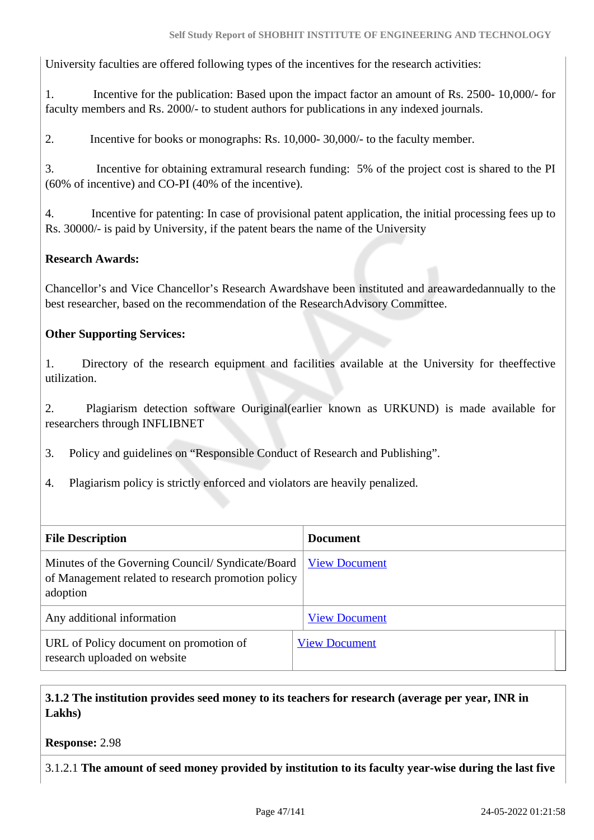University faculties are offered following types of the incentives for the research activities:

1. Incentive for the publication: Based upon the impact factor an amount of Rs. 2500- 10,000/- for faculty members and Rs. 2000/- to student authors for publications in any indexed journals.

2. Incentive for books or monographs: Rs. 10,000- 30,000/- to the faculty member.

3. Incentive for obtaining extramural research funding: 5% of the project cost is shared to the PI (60% of incentive) and CO-PI (40% of the incentive).

4. Incentive for patenting: In case of provisional patent application, the initial processing fees up to Rs. 30000/- is paid by University, if the patent bears the name of the University

#### **Research Awards:**

Chancellor's and Vice Chancellor's Research Awardshave been instituted and areawardedannually to the best researcher, based on the recommendation of the ResearchAdvisory Committee.

#### **Other Supporting Services:**

1. Directory of the research equipment and facilities available at the University for theeffective utilization.

2. Plagiarism detection software Ouriginal(earlier known as URKUND) is made available for researchers through INFLIBNET

3. Policy and guidelines on "Responsible Conduct of Research and Publishing".

4. Plagiarism policy is strictly enforced and violators are heavily penalized.

| <b>File Description</b>                                                                                             | <b>Document</b>      |
|---------------------------------------------------------------------------------------------------------------------|----------------------|
| Minutes of the Governing Council/ Syndicate/Board<br>of Management related to research promotion policy<br>adoption | <b>View Document</b> |
| Any additional information                                                                                          | <b>View Document</b> |
| URL of Policy document on promotion of<br>research uploaded on website                                              | <b>View Document</b> |

## **3.1.2 The institution provides seed money to its teachers for research (average per year, INR in Lakhs)**

**Response:** 2.98

3.1.2.1 **The amount of seed money provided by institution to its faculty year-wise during the last five**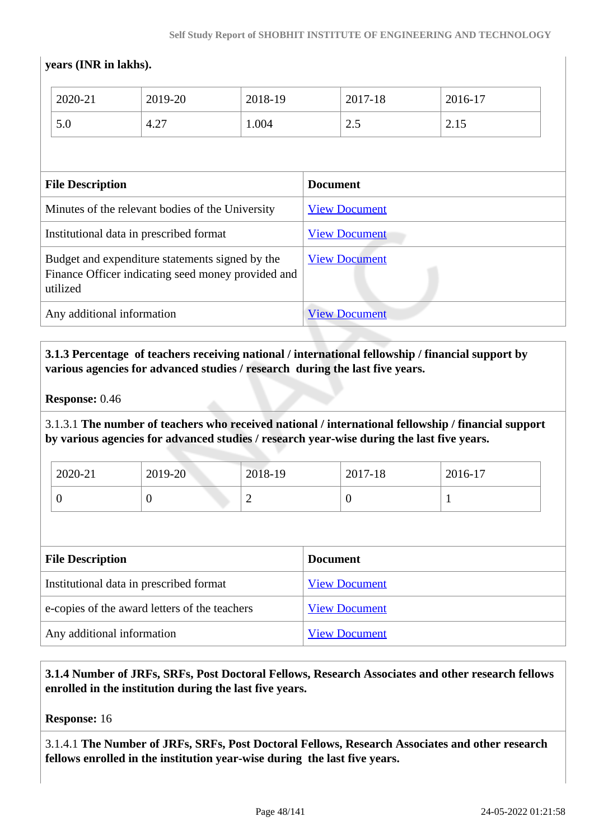## **years (INR in lakhs).**

|                                                                                                                   | 2020-21 | 2019-20              | 2018-19 |                      | 2017-18 | 2016-17 |  |
|-------------------------------------------------------------------------------------------------------------------|---------|----------------------|---------|----------------------|---------|---------|--|
|                                                                                                                   | 5.0     | 4.27                 | 1.004   |                      | 2.5     | 2.15    |  |
|                                                                                                                   |         |                      |         |                      |         |         |  |
|                                                                                                                   |         |                      |         |                      |         |         |  |
| <b>File Description</b>                                                                                           |         | <b>Document</b>      |         |                      |         |         |  |
| Minutes of the relevant bodies of the University                                                                  |         | <b>View Document</b> |         |                      |         |         |  |
| Institutional data in prescribed format                                                                           |         | <b>View Document</b> |         |                      |         |         |  |
| Budget and expenditure statements signed by the<br>Finance Officer indicating seed money provided and<br>utilized |         | <b>View Document</b> |         |                      |         |         |  |
| Any additional information                                                                                        |         |                      |         | <b>View Document</b> |         |         |  |

## **3.1.3 Percentage of teachers receiving national / international fellowship / financial support by various agencies for advanced studies / research during the last five years.**

### **Response:** 0.46

3.1.3.1 **The number of teachers who received national / international fellowship / financial support by various agencies for advanced studies / research year-wise during the last five years.**

| 2020-21 | 2019-20 | 2018-19 | 2017-18 | 2016-17 |
|---------|---------|---------|---------|---------|
|         |         | -       | ν       |         |

| <b>File Description</b>                       | <b>Document</b>      |
|-----------------------------------------------|----------------------|
| Institutional data in prescribed format       | <b>View Document</b> |
| e-copies of the award letters of the teachers | <b>View Document</b> |
| Any additional information                    | <b>View Document</b> |

 **3.1.4 Number of JRFs, SRFs, Post Doctoral Fellows, Research Associates and other research fellows enrolled in the institution during the last five years.**

**Response:** 16

3.1.4.1 **The Number of JRFs, SRFs, Post Doctoral Fellows, Research Associates and other research fellows enrolled in the institution year-wise during the last five years.**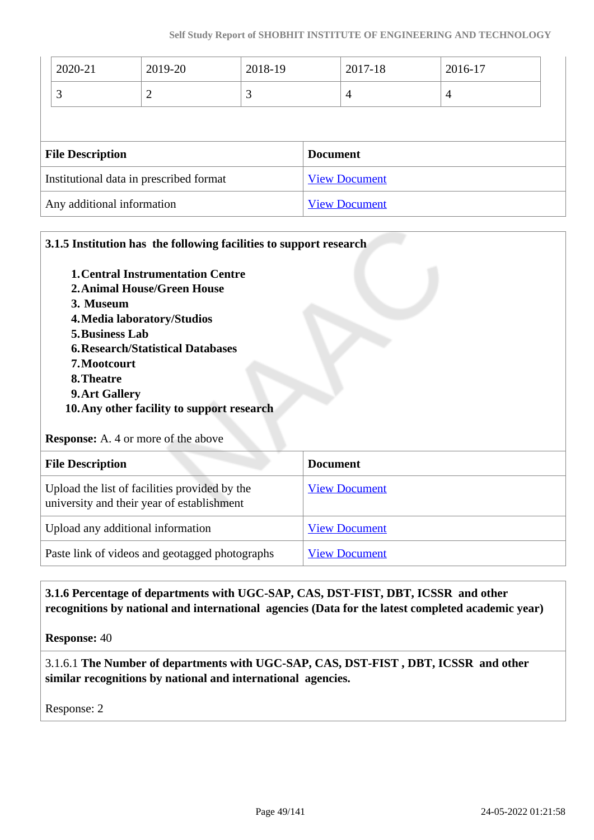| 2020-21                                 | 2019-20 | 2018-19 | 2017-18              | 2016-17 |  |
|-----------------------------------------|---------|---------|----------------------|---------|--|
| 3                                       | 2       | 3       | 4                    | 4       |  |
|                                         |         |         |                      |         |  |
| <b>File Description</b>                 |         |         | <b>Document</b>      |         |  |
| Institutional data in prescribed format |         |         |                      |         |  |
|                                         |         |         | <b>View Document</b> |         |  |

| 3.1.5 Institution has the following facilities to support research<br><b>1. Central Instrumentation Centre</b><br><b>2. Animal House/Green House</b><br>3. Museum<br>4. Media laboratory/Studios<br><b>5. Business Lab</b><br><b>6. Research/Statistical Databases</b><br>7. Mootcourt<br>8. Theatre<br>9. Art Gallery<br>10. Any other facility to support research |                      |
|----------------------------------------------------------------------------------------------------------------------------------------------------------------------------------------------------------------------------------------------------------------------------------------------------------------------------------------------------------------------|----------------------|
| <b>Response:</b> A. 4 or more of the above                                                                                                                                                                                                                                                                                                                           |                      |
| <b>File Description</b>                                                                                                                                                                                                                                                                                                                                              | <b>Document</b>      |
| Upload the list of facilities provided by the<br>university and their year of establishment                                                                                                                                                                                                                                                                          | <b>View Document</b> |
| Upload any additional information                                                                                                                                                                                                                                                                                                                                    | <b>View Document</b> |
| Paste link of videos and geotagged photographs                                                                                                                                                                                                                                                                                                                       | <b>View Document</b> |

 **3.1.6 Percentage of departments with UGC-SAP, CAS, DST-FIST, DBT, ICSSR and other recognitions by national and international agencies (Data for the latest completed academic year)**

**Response:** 40

3.1.6.1 **The Number of departments with UGC-SAP, CAS, DST-FIST , DBT, ICSSR and other similar recognitions by national and international agencies.**

Response: 2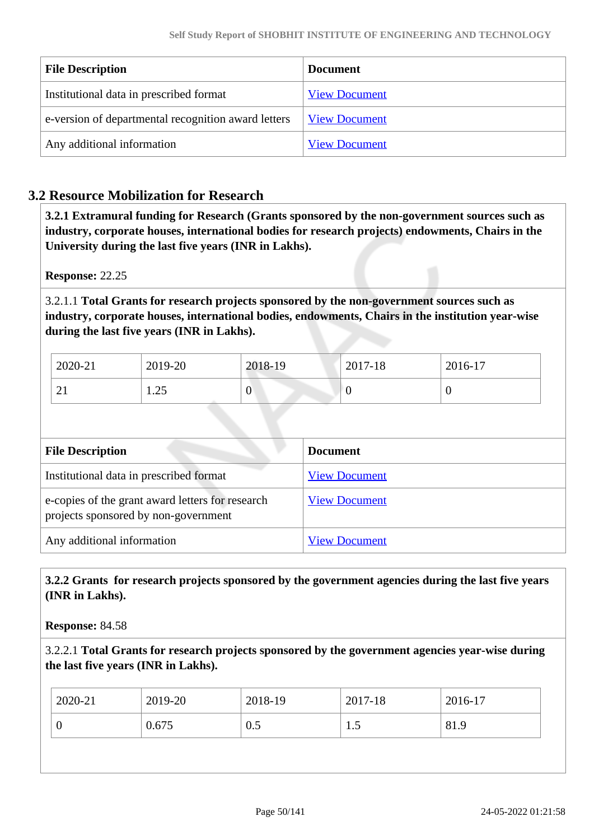| <b>File Description</b>                             | <b>Document</b>      |
|-----------------------------------------------------|----------------------|
| Institutional data in prescribed format             | <b>View Document</b> |
| e-version of departmental recognition award letters | <b>View Document</b> |
| Any additional information                          | <b>View Document</b> |

## **3.2 Resource Mobilization for Research**

 **3.2.1 Extramural funding for Research (Grants sponsored by the non-government sources such as industry, corporate houses, international bodies for research projects) endowments, Chairs in the University during the last five years (INR in Lakhs).**

**Response:** 22.25

3.2.1.1 **Total Grants for research projects sponsored by the non-government sources such as industry, corporate houses, international bodies, endowments, Chairs in the institution year-wise during the last five years (INR in Lakhs).**

| 2020-21  | 2019-20                | 2018-19 | 2017-18 | 2016-17 |
|----------|------------------------|---------|---------|---------|
| $\sim$ 1 | $\cap \subset$<br>ن∠.⊾ | v       |         | ν       |

| <b>File Description</b>                                                                  | <b>Document</b>      |
|------------------------------------------------------------------------------------------|----------------------|
| Institutional data in prescribed format                                                  | <b>View Document</b> |
| e-copies of the grant award letters for research<br>projects sponsored by non-government | <b>View Document</b> |
| Any additional information                                                               | <b>View Document</b> |

 **3.2.2 Grants for research projects sponsored by the government agencies during the last five years (INR in Lakhs).**

**Response:** 84.58

3.2.2.1 **Total Grants for research projects sponsored by the government agencies year-wise during the last five years (INR in Lakhs).**

| $2020 - 21$<br>2019-20 | 2018-19 | 2017-18 | 2016-17 |  |
|------------------------|---------|---------|---------|--|
| 0.675<br>ν             | 0.5     | 1.J     | 81.9    |  |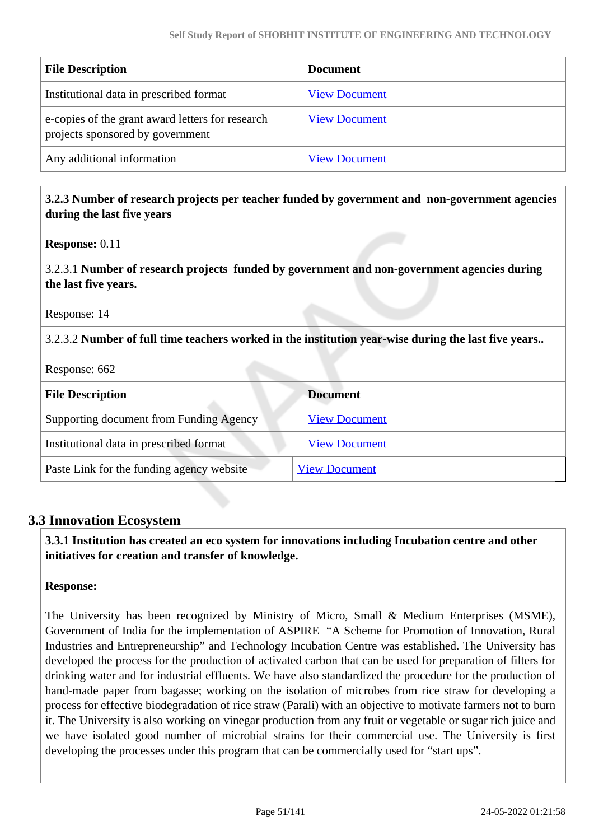| <b>File Description</b>                                                              | <b>Document</b>      |
|--------------------------------------------------------------------------------------|----------------------|
| Institutional data in prescribed format                                              | <b>View Document</b> |
| e-copies of the grant award letters for research<br>projects sponsored by government | <b>View Document</b> |
| Any additional information                                                           | <b>View Document</b> |

### **3.2.3 Number of research projects per teacher funded by government and non-government agencies during the last five years**

#### **Response:** 0.11

3.2.3.1 **Number of research projects funded by government and non-government agencies during the last five years.**

Response: 14

3.2.3.2 **Number of full time teachers worked in the institution year-wise during the last five years..**

Response: 662

| <b>File Description</b>                   | <b>Document</b>      |
|-------------------------------------------|----------------------|
| Supporting document from Funding Agency   | <b>View Document</b> |
| Institutional data in prescribed format   | <b>View Document</b> |
| Paste Link for the funding agency website | <b>View Document</b> |

## **3.3 Innovation Ecosystem**

 **3.3.1 Institution has created an eco system for innovations including Incubation centre and other initiatives for creation and transfer of knowledge.**

### **Response:**

The University has been recognized by Ministry of Micro, Small & Medium Enterprises (MSME), Government of India for the implementation of ASPIRE "A Scheme for Promotion of Innovation, Rural Industries and Entrepreneurship" and Technology Incubation Centre was established. The University has developed the process for the production of activated carbon that can be used for preparation of filters for drinking water and for industrial effluents. We have also standardized the procedure for the production of hand-made paper from bagasse; working on the isolation of microbes from rice straw for developing a process for effective biodegradation of rice straw (Parali) with an objective to motivate farmers not to burn it. The University is also working on vinegar production from any fruit or vegetable or sugar rich juice and we have isolated good number of microbial strains for their commercial use. The University is first developing the processes under this program that can be commercially used for "start ups".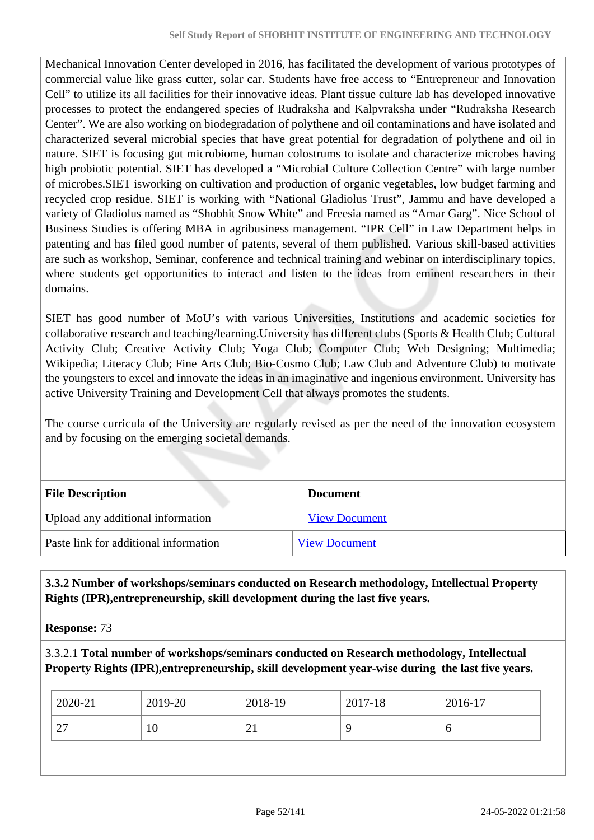Mechanical Innovation Center developed in 2016, has facilitated the development of various prototypes of commercial value like grass cutter, solar car. Students have free access to "Entrepreneur and Innovation Cell" to utilize its all facilities for their innovative ideas. Plant tissue culture lab has developed innovative processes to protect the endangered species of Rudraksha and Kalpvraksha under "Rudraksha Research Center". We are also working on biodegradation of polythene and oil contaminations and have isolated and characterized several microbial species that have great potential for degradation of polythene and oil in nature. SIET is focusing gut microbiome, human colostrums to isolate and characterize microbes having high probiotic potential. SIET has developed a "Microbial Culture Collection Centre" with large number of microbes.SIET isworking on cultivation and production of organic vegetables, low budget farming and recycled crop residue. SIET is working with "National Gladiolus Trust", Jammu and have developed a variety of Gladiolus named as "Shobhit Snow White" and Freesia named as "Amar Garg". Nice School of Business Studies is offering MBA in agribusiness management. "IPR Cell" in Law Department helps in patenting and has filed good number of patents, several of them published. Various skill-based activities are such as workshop, Seminar, conference and technical training and webinar on interdisciplinary topics, where students get opportunities to interact and listen to the ideas from eminent researchers in their domains.

SIET has good number of MoU's with various Universities, Institutions and academic societies for collaborative research and teaching/learning.University has different clubs (Sports & Health Club; Cultural Activity Club; Creative Activity Club; Yoga Club; Computer Club; Web Designing; Multimedia; Wikipedia; Literacy Club; Fine Arts Club; Bio-Cosmo Club; Law Club and Adventure Club) to motivate the youngsters to excel and innovate the ideas in an imaginative and ingenious environment. University has active University Training and Development Cell that always promotes the students.

The course curricula of the University are regularly revised as per the need of the innovation ecosystem and by focusing on the emerging societal demands.

| <b>File Description</b>               | <b>Document</b>      |
|---------------------------------------|----------------------|
| Upload any additional information     | <b>View Document</b> |
| Paste link for additional information | <b>View Document</b> |

 **3.3.2 Number of workshops/seminars conducted on Research methodology, Intellectual Property Rights (IPR),entrepreneurship, skill development during the last five years.**

**Response:** 73

3.3.2.1 **Total number of workshops/seminars conducted on Research methodology, Intellectual Property Rights (IPR),entrepreneurship, skill development year-wise during the last five years.**

| 2020-21       | 2019-20 | 2018-19        | 2017-18 | 2016-17 |
|---------------|---------|----------------|---------|---------|
| $\sim$<br>ا ت | ΙV      | $\overline{a}$ | C       | υ       |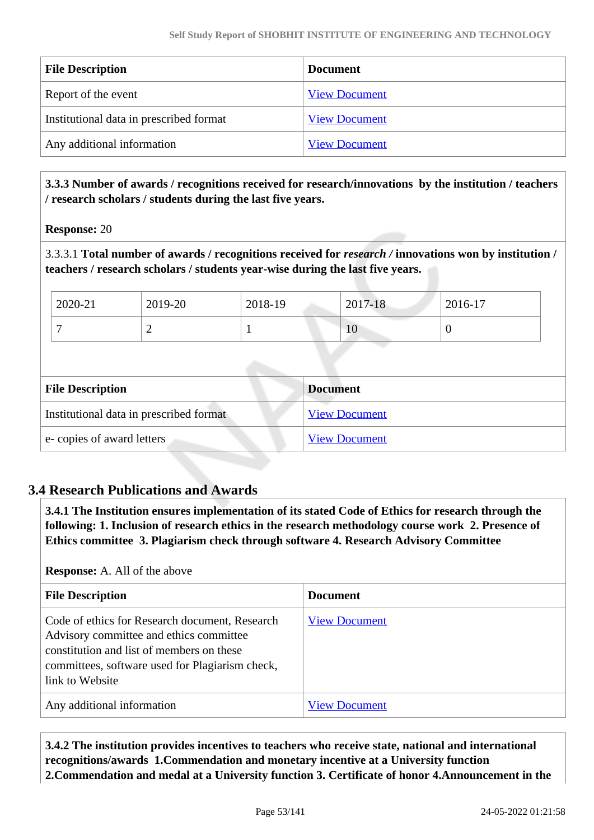| <b>File Description</b>                 | <b>Document</b>      |
|-----------------------------------------|----------------------|
| Report of the event                     | <b>View Document</b> |
| Institutional data in prescribed format | <b>View Document</b> |
| Any additional information              | <b>View Document</b> |
|                                         |                      |

 **3.3.3 Number of awards / recognitions received for research/innovations by the institution / teachers / research scholars / students during the last five years.**

### **Response:** 20

3.3.3.1 **Total number of awards / recognitions received for** *research /* **innovations won by institution / teachers / research scholars / students year-wise during the last five years.**

| 2020-21 | 2019-20 | 2018-19 | $2017 - 18$ | 2016-17 |
|---------|---------|---------|-------------|---------|
|         | -       |         | 10          |         |

| <b>File Description</b>                 | <b>Document</b>      |
|-----------------------------------------|----------------------|
| Institutional data in prescribed format | <b>View Document</b> |
| e-copies of award letters               | <b>View Document</b> |

## **3.4 Research Publications and Awards**

 **3.4.1 The Institution ensures implementation of its stated Code of Ethics for research through the following: 1. Inclusion of research ethics in the research methodology course work 2. Presence of Ethics committee 3. Plagiarism check through software 4. Research Advisory Committee**

**Response:** A. All of the above

| <b>File Description</b>                                                                                                                                                                                      | <b>Document</b>      |
|--------------------------------------------------------------------------------------------------------------------------------------------------------------------------------------------------------------|----------------------|
| Code of ethics for Research document, Research<br>Advisory committee and ethics committee<br>constitution and list of members on these<br>committees, software used for Plagiarism check,<br>link to Website | <b>View Document</b> |
| Any additional information                                                                                                                                                                                   | <b>View Document</b> |

 **3.4.2 The institution provides incentives to teachers who receive state, national and international recognitions/awards 1.Commendation and monetary incentive at a University function 2.Commendation and medal at a University function 3. Certificate of honor 4.Announcement in the**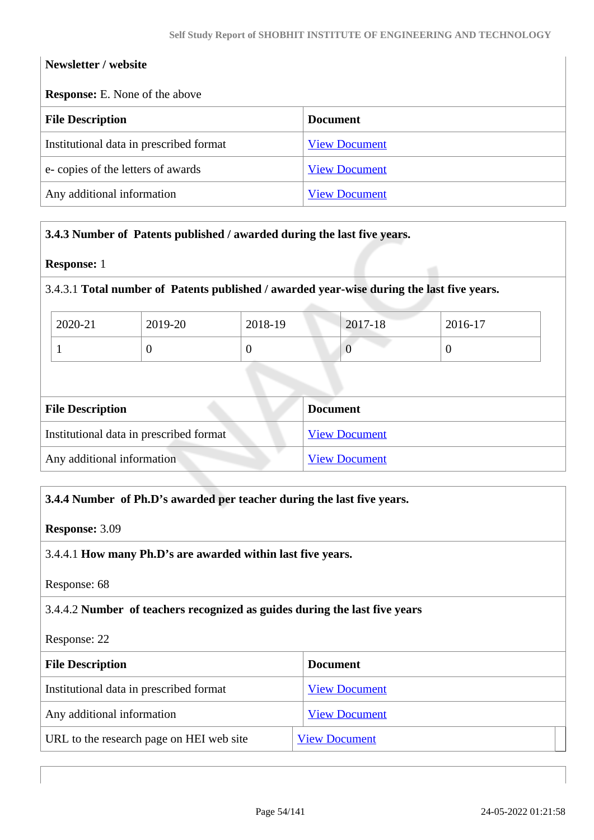| Newsletter / website                    |                      |  |  |
|-----------------------------------------|----------------------|--|--|
| <b>Response:</b> E. None of the above   |                      |  |  |
| <b>File Description</b>                 | <b>Document</b>      |  |  |
| Institutional data in prescribed format | <b>View Document</b> |  |  |
| e-copies of the letters of awards       | <b>View Document</b> |  |  |
| Any additional information              | <b>View Document</b> |  |  |

### **3.4.3 Number of Patents published / awarded during the last five years.**

#### **Response:** 1

### 3.4.3.1 **Total number of Patents published / awarded year-wise during the last five years.**

| 2020-21 | 2019-20 | 2018-19 | 2017-18 | 2016-17 |
|---------|---------|---------|---------|---------|
|         |         | ν       | v       |         |

| <b>File Description</b>                 | <b>Document</b>      |
|-----------------------------------------|----------------------|
| Institutional data in prescribed format | <b>View Document</b> |
| Any additional information              | <b>View Document</b> |

### **3.4.4 Number of Ph.D's awarded per teacher during the last five years.**

#### **Response:** 3.09

#### 3.4.4.1 **How many Ph.D's are awarded within last five years.**

Response: 68

### 3.4.4.2 **Number of teachers recognized as guides during the last five years**

#### Response: 22

| <b>File Description</b>                  | <b>Document</b>      |
|------------------------------------------|----------------------|
| Institutional data in prescribed format  | <b>View Document</b> |
| Any additional information               | <b>View Document</b> |
| URL to the research page on HEI web site | <b>View Document</b> |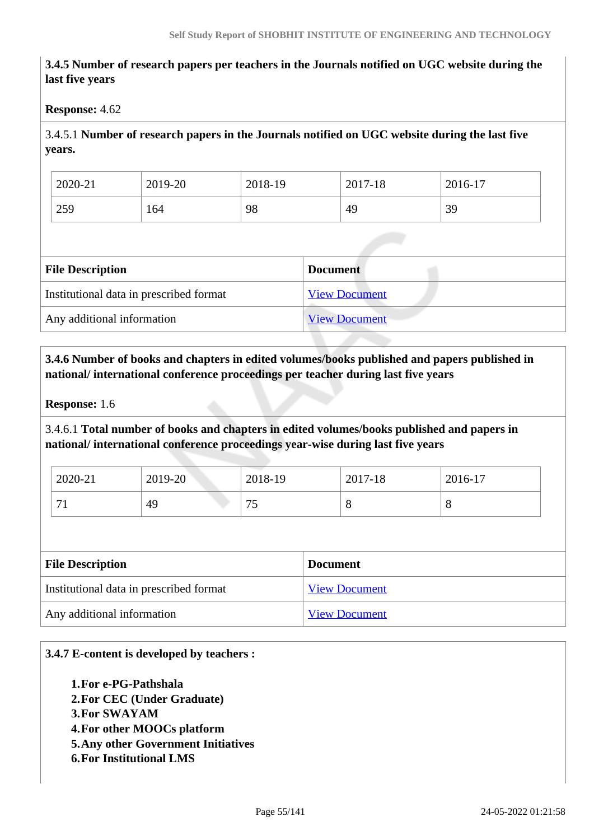## **3.4.5 Number of research papers per teachers in the Journals notified on UGC website during the last five years**

### **Response:** 4.62

3.4.5.1 **Number of research papers in the Journals notified on UGC website during the last five years.**

| 2020-21 | 2019-20 | 2018-19 | 2017-18 | 2016-17 |
|---------|---------|---------|---------|---------|
| 259     | 164     | 98      | 49      | 39      |

| <b>File Description</b>                 | <b>Document</b>      |
|-----------------------------------------|----------------------|
| Institutional data in prescribed format | <b>View Document</b> |
| Any additional information              | <b>View Document</b> |

 **3.4.6 Number of books and chapters in edited volumes/books published and papers published in national/ international conference proceedings per teacher during last five years**

#### **Response:** 1.6

3.4.6.1 **Total number of books and chapters in edited volumes/books published and papers in national/ international conference proceedings year-wise during last five years**

| 2020-21               | 2019-20 | 2018-19                       | 2017-18 | 2016-17 |
|-----------------------|---------|-------------------------------|---------|---------|
| $-11$<br>$\mathbf{1}$ | 49      | $\overline{\phantom{a}}$<br>ັ |         | v       |

| <b>File Description</b>                 | <b>Document</b>      |
|-----------------------------------------|----------------------|
| Institutional data in prescribed format | <b>View Document</b> |
| Any additional information              | <b>View Document</b> |

**3.4.7 E-content is developed by teachers :**

**1.For e-PG-Pathshala 2.For CEC (Under Graduate) 3.For SWAYAM 4.For other MOOCs platform 5.Any other Government Initiatives 6.For Institutional LMS**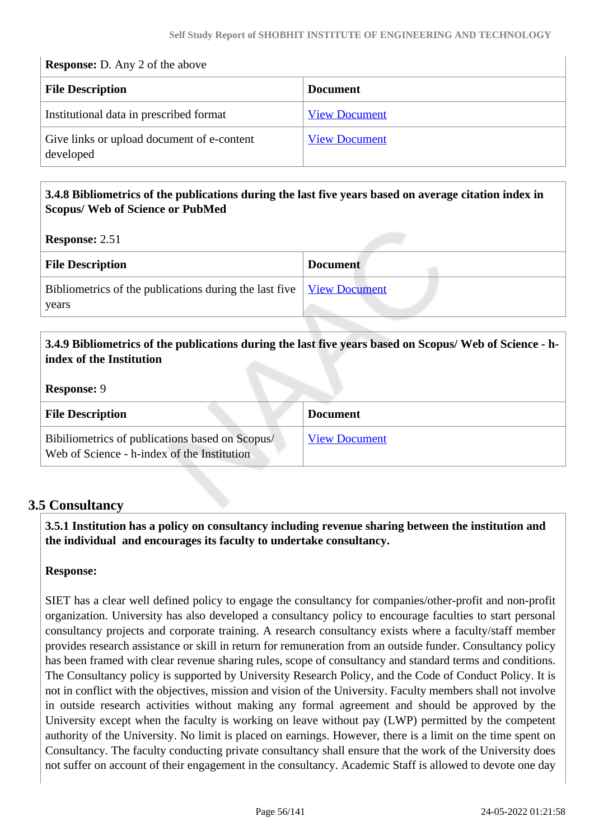#### **Response:** D. Any 2 of the above

| <b>File Description</b>                                 | <b>Document</b>      |
|---------------------------------------------------------|----------------------|
| Institutional data in prescribed format                 | <b>View Document</b> |
| Give links or upload document of e-content<br>developed | <b>View Document</b> |

## **3.4.8 Bibliometrics of the publications during the last five years based on average citation index in Scopus/ Web of Science or PubMed**

**Response:** 2.51

| <b>File Description</b>                                                                                        | <b>Document</b> |
|----------------------------------------------------------------------------------------------------------------|-----------------|
| Bibliometrics of the publications during the last five $\sqrt{\frac{V_{\text{icW}}}{V_{\text{icW}}}}$<br>years |                 |

## **3.4.9 Bibliometrics of the publications during the last five years based on Scopus/ Web of Science - hindex of the Institution**

#### **Response:** 9

| <b>File Description</b>                                                                        | <b>Document</b>      |
|------------------------------------------------------------------------------------------------|----------------------|
| Bibiliometrics of publications based on Scopus/<br>Web of Science - h-index of the Institution | <b>View Document</b> |

## **3.5 Consultancy**

 **3.5.1 Institution has a policy on consultancy including revenue sharing between the institution and the individual and encourages its faculty to undertake consultancy.**

#### **Response:**

SIET has a clear well defined policy to engage the consultancy for companies/other-profit and non-profit organization. University has also developed a consultancy policy to encourage faculties to start personal consultancy projects and corporate training. A research consultancy exists where a faculty/staff member provides research assistance or skill in return for remuneration from an outside funder. Consultancy policy has been framed with clear revenue sharing rules, scope of consultancy and standard terms and conditions. The Consultancy policy is supported by University Research Policy, and the Code of Conduct Policy. It is not in conflict with the objectives, mission and vision of the University. Faculty members shall not involve in outside research activities without making any formal agreement and should be approved by the University except when the faculty is working on leave without pay (LWP) permitted by the competent authority of the University. No limit is placed on earnings. However, there is a limit on the time spent on Consultancy. The faculty conducting private consultancy shall ensure that the work of the University does not suffer on account of their engagement in the consultancy. Academic Staff is allowed to devote one day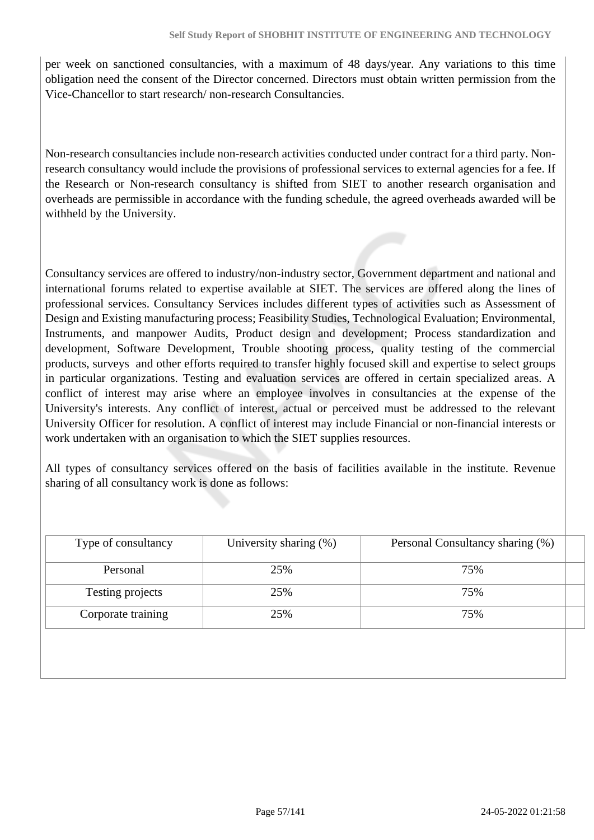per week on sanctioned consultancies, with a maximum of 48 days/year. Any variations to this time obligation need the consent of the Director concerned. Directors must obtain written permission from the Vice-Chancellor to start research/ non-research Consultancies.

Non-research consultancies include non-research activities conducted under contract for a third party. Nonresearch consultancy would include the provisions of professional services to external agencies for a fee. If the Research or Non-research consultancy is shifted from SIET to another research organisation and overheads are permissible in accordance with the funding schedule, the agreed overheads awarded will be withheld by the University.

Consultancy services are offered to industry/non-industry sector, Government department and national and international forums related to expertise available at SIET. The services are offered along the lines of professional services. Consultancy Services includes different types of activities such as Assessment of Design and Existing manufacturing process; Feasibility Studies, Technological Evaluation; Environmental, Instruments, and manpower Audits, Product design and development; Process standardization and development, Software Development, Trouble shooting process, quality testing of the commercial products, surveys and other efforts required to transfer highly focused skill and expertise to select groups in particular organizations. Testing and evaluation services are offered in certain specialized areas. A conflict of interest may arise where an employee involves in consultancies at the expense of the University's interests. Any conflict of interest, actual or perceived must be addressed to the relevant University Officer for resolution. A conflict of interest may include Financial or non-financial interests or work undertaken with an organisation to which the SIET supplies resources.

All types of consultancy services offered on the basis of facilities available in the institute. Revenue sharing of all consultancy work is done as follows:

| Type of consultancy | University sharing $(\%)$ | Personal Consultancy sharing (%) |  |
|---------------------|---------------------------|----------------------------------|--|
| Personal            | 25%                       | 75%                              |  |
| Testing projects    | 25%                       | 75%                              |  |
| Corporate training  | 25%                       | 75%                              |  |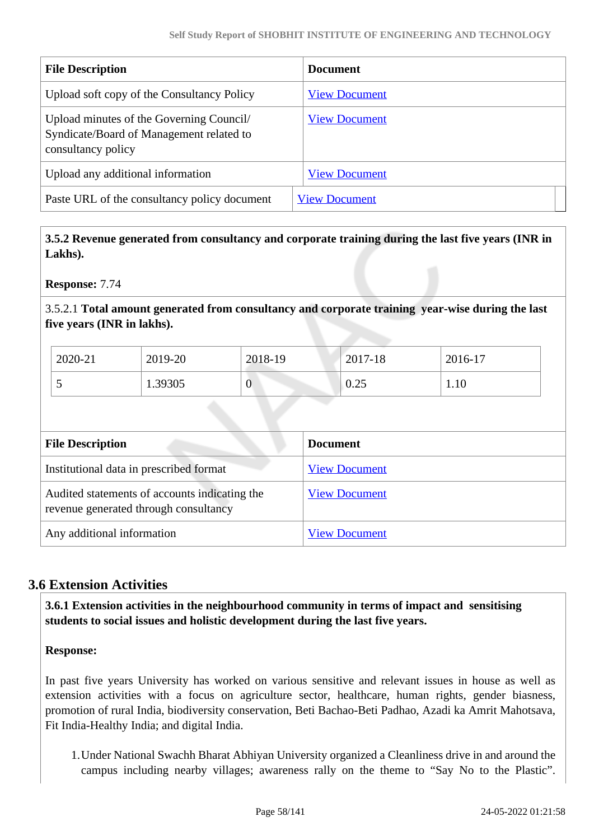| <b>File Description</b>                                                                                    | <b>Document</b>      |
|------------------------------------------------------------------------------------------------------------|----------------------|
| Upload soft copy of the Consultancy Policy                                                                 | <b>View Document</b> |
| Upload minutes of the Governing Council/<br>Syndicate/Board of Management related to<br>consultancy policy | <b>View Document</b> |
| Upload any additional information                                                                          | <b>View Document</b> |
| Paste URL of the consultancy policy document                                                               | <b>View Document</b> |

 **3.5.2 Revenue generated from consultancy and corporate training during the last five years (INR in Lakhs).**

**Response:** 7.74

3.5.2.1 **Total amount generated from consultancy and corporate training year-wise during the last five years (INR in lakhs).**

| 2020-21 | 2019-20 | 2018-19          | $2017 - 18$ | 2016-17 |
|---------|---------|------------------|-------------|---------|
| ~       | 1.39305 | $\boldsymbol{0}$ | 0.25        | 1.10    |

| <b>File Description</b>                                                                | <b>Document</b>      |
|----------------------------------------------------------------------------------------|----------------------|
| Institutional data in prescribed format                                                | <b>View Document</b> |
| Audited statements of accounts indicating the<br>revenue generated through consultancy | <b>View Document</b> |
| Any additional information                                                             | <b>View Document</b> |

## **3.6 Extension Activities**

 **3.6.1 Extension activities in the neighbourhood community in terms of impact and sensitising students to social issues and holistic development during the last five years.**

### **Response:**

In past five years University has worked on various sensitive and relevant issues in house as well as extension activities with a focus on agriculture sector, healthcare, human rights, gender biasness, promotion of rural India, biodiversity conservation, Beti Bachao-Beti Padhao, Azadi ka Amrit Mahotsava, Fit India-Healthy India; and digital India.

1.Under National Swachh Bharat Abhiyan University organized a Cleanliness drive in and around the campus including nearby villages; awareness rally on the theme to "Say No to the Plastic".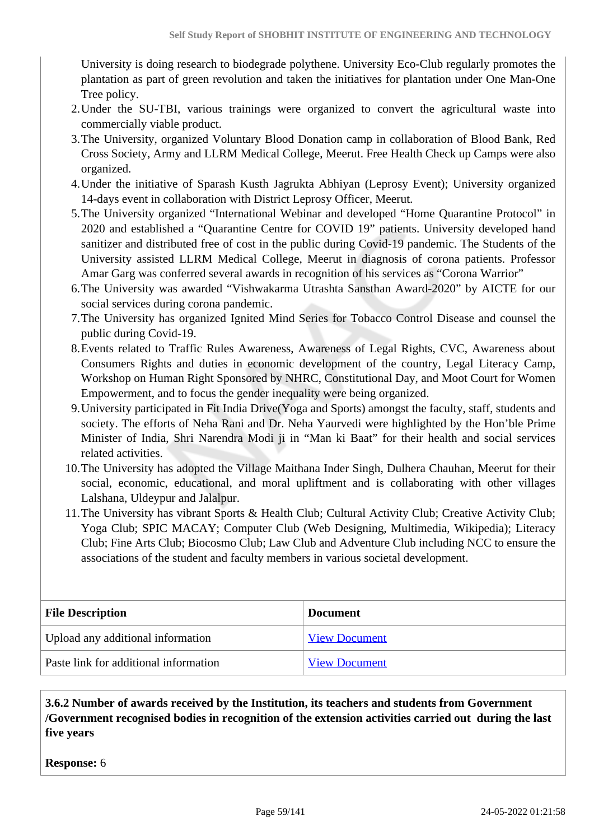University is doing research to biodegrade polythene. University Eco-Club regularly promotes the plantation as part of green revolution and taken the initiatives for plantation under One Man-One Tree policy.

- 2.Under the SU-TBI, various trainings were organized to convert the agricultural waste into commercially viable product.
- 3.The University, organized Voluntary Blood Donation camp in collaboration of Blood Bank, Red Cross Society, Army and LLRM Medical College, Meerut. Free Health Check up Camps were also organized.
- 4.Under the initiative of Sparash Kusth Jagrukta Abhiyan (Leprosy Event); University organized 14-days event in collaboration with District Leprosy Officer, Meerut.
- 5.The University organized "International Webinar and developed "Home Quarantine Protocol" in 2020 and established a "Quarantine Centre for COVID 19" patients. University developed hand sanitizer and distributed free of cost in the public during Covid-19 pandemic. The Students of the University assisted LLRM Medical College, Meerut in diagnosis of corona patients. Professor Amar Garg was conferred several awards in recognition of his services as "Corona Warrior"
- 6.The University was awarded "Vishwakarma Utrashta Sansthan Award-2020" by AICTE for our social services during corona pandemic.
- 7.The University has organized Ignited Mind Series for Tobacco Control Disease and counsel the public during Covid-19.
- 8.Events related to Traffic Rules Awareness, Awareness of Legal Rights, CVC, Awareness about Consumers Rights and duties in economic development of the country, Legal Literacy Camp, Workshop on Human Right Sponsored by NHRC, Constitutional Day, and Moot Court for Women Empowerment, and to focus the gender inequality were being organized.
- 9.University participated in Fit India Drive(Yoga and Sports) amongst the faculty, staff, students and society. The efforts of Neha Rani and Dr. Neha Yaurvedi were highlighted by the Hon'ble Prime Minister of India, Shri Narendra Modi ji in "Man ki Baat" for their health and social services related activities.
- 10.The University has adopted the Village Maithana Inder Singh, Dulhera Chauhan, Meerut for their social, economic, educational, and moral upliftment and is collaborating with other villages Lalshana, Uldeypur and Jalalpur.
- 11.The University has vibrant Sports & Health Club; Cultural Activity Club; Creative Activity Club; Yoga Club; SPIC MACAY; Computer Club (Web Designing, Multimedia, Wikipedia); Literacy Club; Fine Arts Club; Biocosmo Club; Law Club and Adventure Club including NCC to ensure the associations of the student and faculty members in various societal development.

| <b>File Description</b>               | <b>Document</b>      |
|---------------------------------------|----------------------|
| Upload any additional information     | <b>View Document</b> |
| Paste link for additional information | <b>View Document</b> |

## **3.6.2 Number of awards received by the Institution, its teachers and students from Government /Government recognised bodies in recognition of the extension activities carried out during the last five years**

**Response:** 6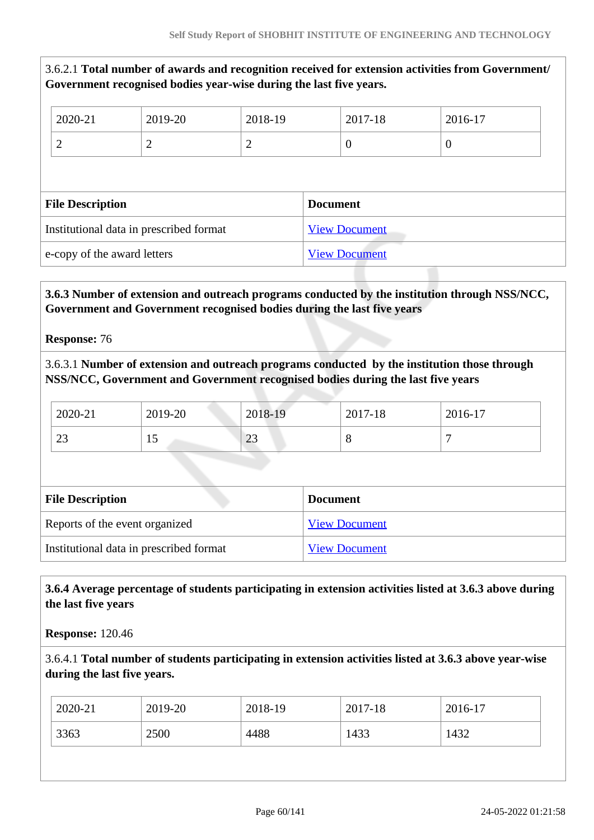|                             | Government recognised bodies year-wise during the last five years. |         |                      | 3.6.2.1 Total number of awards and recognition received for extension activities from Government/ |  |
|-----------------------------|--------------------------------------------------------------------|---------|----------------------|---------------------------------------------------------------------------------------------------|--|
| 2020-21                     | 2019-20                                                            | 2018-19 | 2017-18              | 2016-17                                                                                           |  |
| $\overline{2}$              | 2                                                                  | 2       | $\theta$             | $\theta$                                                                                          |  |
| <b>File Description</b>     |                                                                    |         | <b>Document</b>      |                                                                                                   |  |
|                             | Institutional data in prescribed format                            |         | <b>View Document</b> |                                                                                                   |  |
| e-copy of the award letters |                                                                    |         | <b>View Document</b> |                                                                                                   |  |
|                             | $\sim$ $\sim$ $\sim$ $\sim$ $\sim$ $\sim$ $\sim$                   |         |                      |                                                                                                   |  |

 **3.6.3 Number of extension and outreach programs conducted by the institution through NSS/NCC, Government and Government recognised bodies during the last five years**

**Response:** 76

3.6.3.1 **Number of extension and outreach programs conducted by the institution those through NSS/NCC, Government and Government recognised bodies during the last five years**

| 2020-21       | 2019-20 | 2018-19            | 2017-18 | 2016-17 |
|---------------|---------|--------------------|---------|---------|
| $\cap$<br>ر∠∠ | ⊥ັ      | $\cap$<br>$\Delta$ | $\circ$ |         |

| <b>File Description</b>                 | <b>Document</b>      |
|-----------------------------------------|----------------------|
| Reports of the event organized          | <b>View Document</b> |
| Institutional data in prescribed format | <b>View Document</b> |

## **3.6.4 Average percentage of students participating in extension activities listed at 3.6.3 above during the last five years**

**Response:** 120.46

3.6.4.1 **Total number of students participating in extension activities listed at 3.6.3 above year-wise during the last five years.**

| 2020-21 | 2019-20 | 2018-19 | 2017-18 | 2016-17 |
|---------|---------|---------|---------|---------|
| 3363    | 2500    | 4488    | 1433    | 1432    |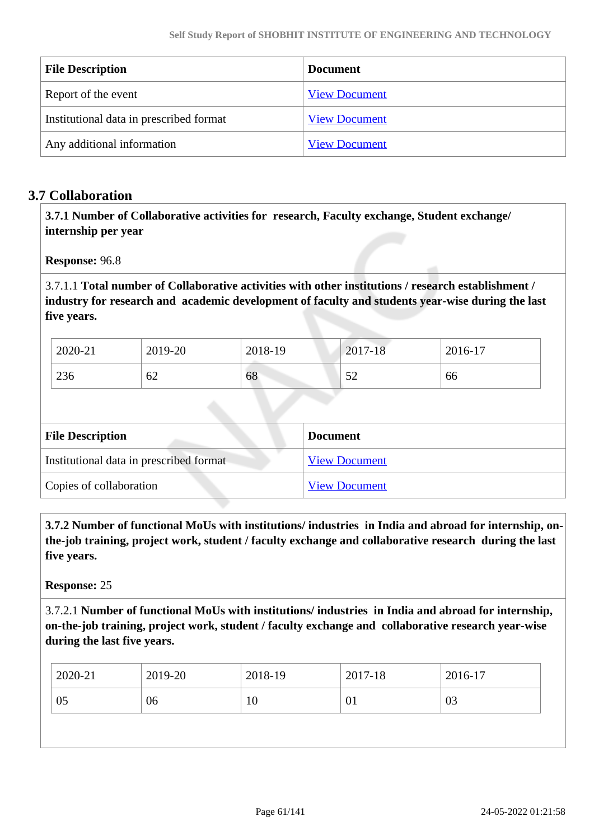| <b>File Description</b>                 | <b>Document</b>      |
|-----------------------------------------|----------------------|
| Report of the event                     | <b>View Document</b> |
| Institutional data in prescribed format | <b>View Document</b> |
| Any additional information              | <b>View Document</b> |

## **3.7 Collaboration**

 **3.7.1 Number of Collaborative activities for research, Faculty exchange, Student exchange/ internship per year**

**Response:** 96.8

3.7.1.1 **Total number of Collaborative activities with other institutions / research establishment / industry for research and academic development of faculty and students year-wise during the last five years.**

| 2020-21 | 2019-20 | 2018-19 | $2017 - 18$ | 2016-17 |
|---------|---------|---------|-------------|---------|
| 236     | 62      | 68      | ΓΛ<br>ے ر   | 66      |

| <b>File Description</b>                 | <b>Document</b>      |
|-----------------------------------------|----------------------|
| Institutional data in prescribed format | <b>View Document</b> |
| Copies of collaboration                 | <b>View Document</b> |

 **3.7.2 Number of functional MoUs with institutions/ industries in India and abroad for internship, onthe-job training, project work, student / faculty exchange and collaborative research during the last five years.**

#### **Response:** 25

3.7.2.1 **Number of functional MoUs with institutions/ industries in India and abroad for internship, on-the-job training, project work, student / faculty exchange and collaborative research year-wise during the last five years.**

| 03<br>05<br>06<br>10<br>$^{\circ}0_{1}$ | 2020-21 | 2019-20 | 2018-19 | 2017-18 | 2016-17 |
|-----------------------------------------|---------|---------|---------|---------|---------|
|                                         |         |         |         |         |         |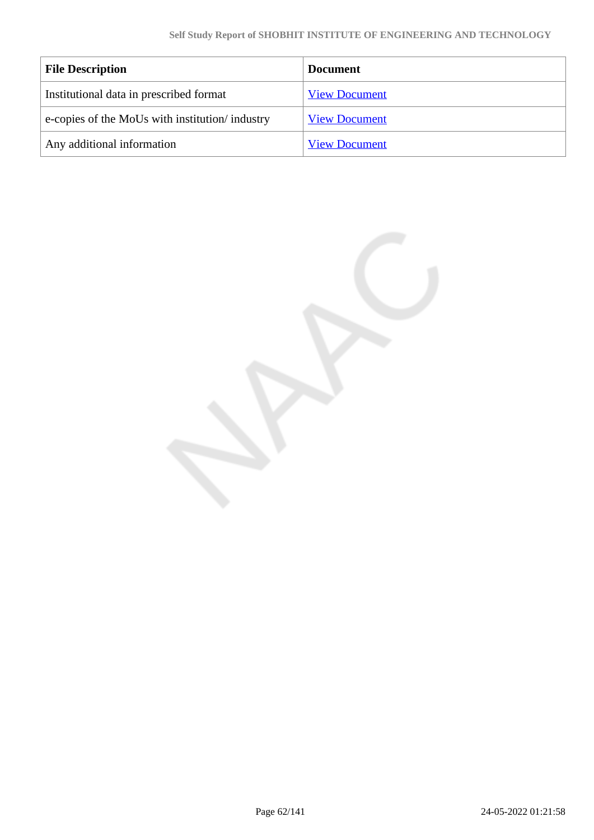| <b>File Description</b>                         | <b>Document</b>      |
|-------------------------------------------------|----------------------|
| Institutional data in prescribed format         | <b>View Document</b> |
| e-copies of the MoUs with institution/ industry | <b>View Document</b> |
| Any additional information                      | <b>View Document</b> |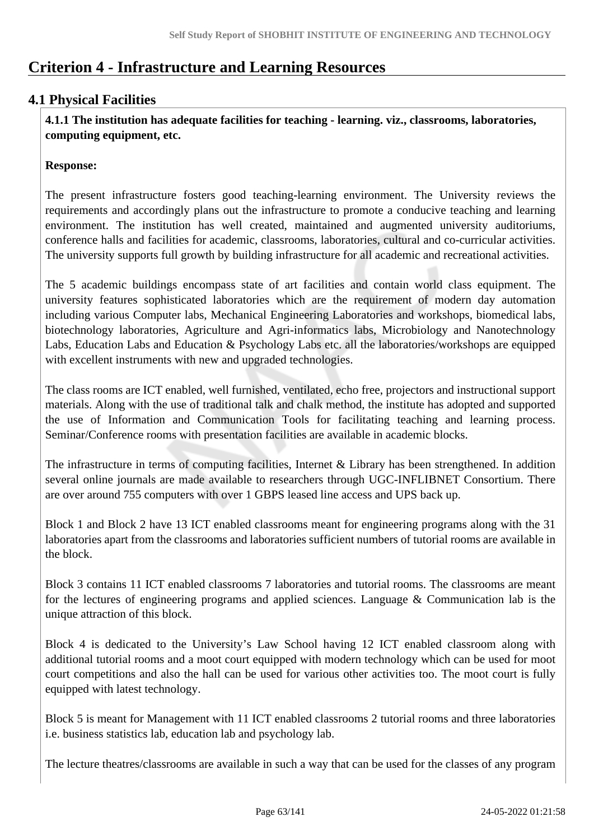# **Criterion 4 - Infrastructure and Learning Resources**

## **4.1 Physical Facilities**

 **4.1.1 The institution has adequate facilities for teaching - learning. viz., classrooms, laboratories, computing equipment, etc.**

### **Response:**

The present infrastructure fosters good teaching-learning environment. The University reviews the requirements and accordingly plans out the infrastructure to promote a conducive teaching and learning environment. The institution has well created, maintained and augmented university auditoriums, conference halls and facilities for academic, classrooms, laboratories, cultural and co-curricular activities. The university supports full growth by building infrastructure for all academic and recreational activities.

The 5 academic buildings encompass state of art facilities and contain world class equipment. The university features sophisticated laboratories which are the requirement of modern day automation including various Computer labs, Mechanical Engineering Laboratories and workshops, biomedical labs, biotechnology laboratories, Agriculture and Agri-informatics labs, Microbiology and Nanotechnology Labs, Education Labs and Education & Psychology Labs etc. all the laboratories/workshops are equipped with excellent instruments with new and upgraded technologies.

The class rooms are ICT enabled, well furnished, ventilated, echo free, projectors and instructional support materials. Along with the use of traditional talk and chalk method, the institute has adopted and supported the use of Information and Communication Tools for facilitating teaching and learning process. Seminar/Conference rooms with presentation facilities are available in academic blocks.

The infrastructure in terms of computing facilities, Internet & Library has been strengthened. In addition several online journals are made available to researchers through UGC-INFLIBNET Consortium. There are over around 755 computers with over 1 GBPS leased line access and UPS back up.

Block 1 and Block 2 have 13 ICT enabled classrooms meant for engineering programs along with the 31 laboratories apart from the classrooms and laboratories sufficient numbers of tutorial rooms are available in the block.

Block 3 contains 11 ICT enabled classrooms 7 laboratories and tutorial rooms. The classrooms are meant for the lectures of engineering programs and applied sciences. Language  $\&$  Communication lab is the unique attraction of this block.

Block 4 is dedicated to the University's Law School having 12 ICT enabled classroom along with additional tutorial rooms and a moot court equipped with modern technology which can be used for moot court competitions and also the hall can be used for various other activities too. The moot court is fully equipped with latest technology.

Block 5 is meant for Management with 11 ICT enabled classrooms 2 tutorial rooms and three laboratories i.e. business statistics lab, education lab and psychology lab.

The lecture theatres/classrooms are available in such a way that can be used for the classes of any program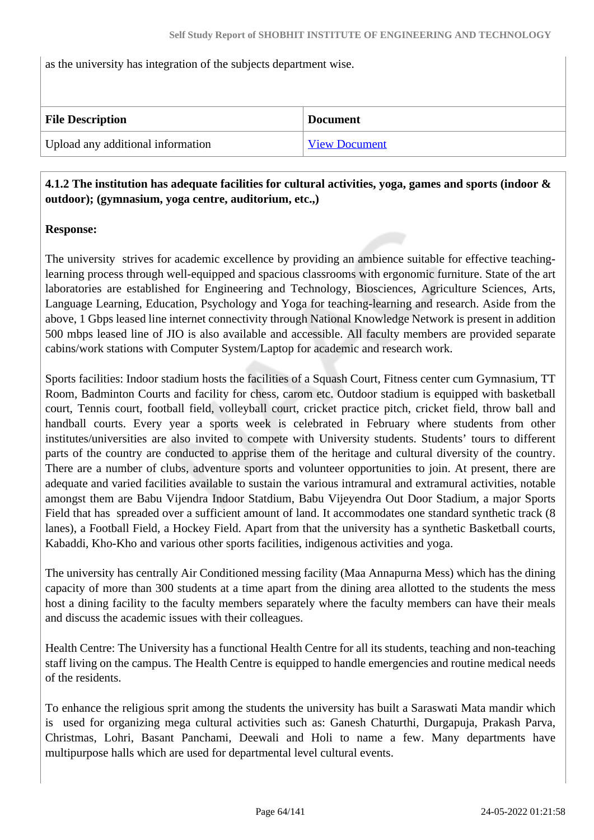as the university has integration of the subjects department wise.

| <b>File Description</b>           | <b>Document</b>      |
|-----------------------------------|----------------------|
| Upload any additional information | <b>View Document</b> |

## **4.1.2 The institution has adequate facilities for cultural activities, yoga, games and sports (indoor & outdoor); (gymnasium, yoga centre, auditorium, etc.,)**

### **Response:**

The university strives for academic excellence by providing an ambience suitable for effective teachinglearning process through well-equipped and spacious classrooms with ergonomic furniture. State of the art laboratories are established for Engineering and Technology, Biosciences, Agriculture Sciences, Arts, Language Learning, Education, Psychology and Yoga for teaching-learning and research. Aside from the above, 1 Gbps leased line internet connectivity through National Knowledge Network is present in addition 500 mbps leased line of JIO is also available and accessible. All faculty members are provided separate cabins/work stations with Computer System/Laptop for academic and research work.

Sports facilities: Indoor stadium hosts the facilities of a Squash Court, Fitness center cum Gymnasium, TT Room, Badminton Courts and facility for chess, carom etc. Outdoor stadium is equipped with basketball court, Tennis court, football field, volleyball court, cricket practice pitch, cricket field, throw ball and handball courts. Every year a sports week is celebrated in February where students from other institutes/universities are also invited to compete with University students. Students' tours to different parts of the country are conducted to apprise them of the heritage and cultural diversity of the country. There are a number of clubs, adventure sports and volunteer opportunities to join. At present, there are adequate and varied facilities available to sustain the various intramural and extramural activities, notable amongst them are Babu Vijendra Indoor Statdium, Babu Vijeyendra Out Door Stadium, a major Sports Field that has spreaded over a sufficient amount of land. It accommodates one standard synthetic track (8 lanes), a Football Field, a Hockey Field. Apart from that the university has a synthetic Basketball courts, Kabaddi, Kho-Kho and various other sports facilities, indigenous activities and yoga.

The university has centrally Air Conditioned messing facility (Maa Annapurna Mess) which has the dining capacity of more than 300 students at a time apart from the dining area allotted to the students the mess host a dining facility to the faculty members separately where the faculty members can have their meals and discuss the academic issues with their colleagues.

Health Centre: The University has a functional Health Centre for all its students, teaching and non-teaching staff living on the campus. The Health Centre is equipped to handle emergencies and routine medical needs of the residents.

To enhance the religious sprit among the students the university has built a Saraswati Mata mandir which is used for organizing mega cultural activities such as: Ganesh Chaturthi, Durgapuja, Prakash Parva, Christmas, Lohri, Basant Panchami, Deewali and Holi to name a few. Many departments have multipurpose halls which are used for departmental level cultural events.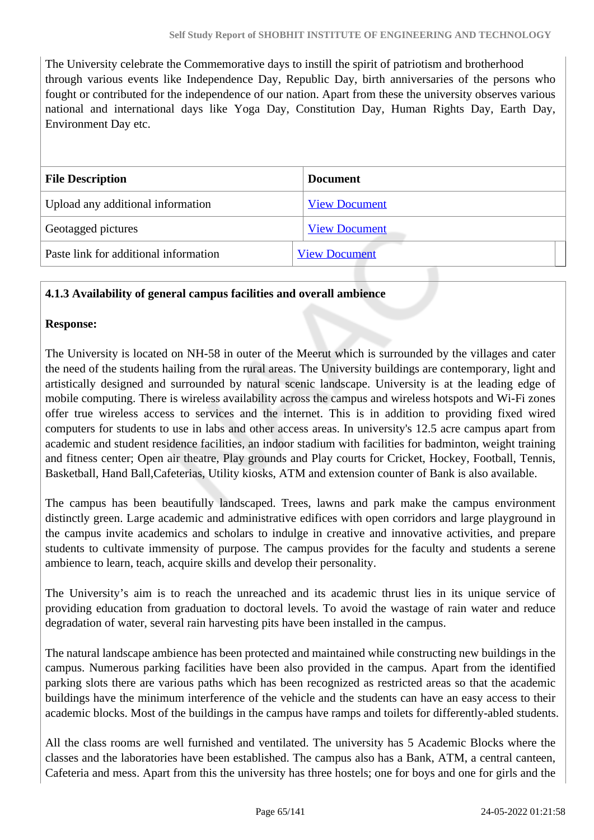The University celebrate the Commemorative days to instill the spirit of patriotism and brotherhood through various events like Independence Day, Republic Day, birth anniversaries of the persons who fought or contributed for the independence of our nation. Apart from these the university observes various national and international days like Yoga Day, Constitution Day, Human Rights Day, Earth Day, Environment Day etc.

| <b>File Description</b>               | <b>Document</b>      |
|---------------------------------------|----------------------|
| Upload any additional information     | <b>View Document</b> |
| Geotagged pictures                    | <b>View Document</b> |
| Paste link for additional information | <b>View Document</b> |

### **4.1.3 Availability of general campus facilities and overall ambience**

### **Response:**

The University is located on NH-58 in outer of the Meerut which is surrounded by the villages and cater the need of the students hailing from the rural areas. The University buildings are contemporary, light and artistically designed and surrounded by natural scenic landscape. University is at the leading edge of mobile computing. There is wireless availability across the campus and wireless hotspots and Wi-Fi zones offer true wireless access to services and the internet. This is in addition to providing fixed wired computers for students to use in labs and other access areas. In university's 12.5 acre campus apart from academic and student residence facilities, an indoor stadium with facilities for badminton, weight training and fitness center; Open air theatre, Play grounds and Play courts for Cricket, Hockey, Football, Tennis, Basketball, Hand Ball,Cafeterias, Utility kiosks, ATM and extension counter of Bank is also available.

The campus has been beautifully landscaped. Trees, lawns and park make the campus environment distinctly green. Large academic and administrative edifices with open corridors and large playground in the campus invite academics and scholars to indulge in creative and innovative activities, and prepare students to cultivate immensity of purpose. The campus provides for the faculty and students a serene ambience to learn, teach, acquire skills and develop their personality.

The University's aim is to reach the unreached and its academic thrust lies in its unique service of providing education from graduation to doctoral levels. To avoid the wastage of rain water and reduce degradation of water, several rain harvesting pits have been installed in the campus.

The natural landscape ambience has been protected and maintained while constructing new buildings in the campus. Numerous parking facilities have been also provided in the campus. Apart from the identified parking slots there are various paths which has been recognized as restricted areas so that the academic buildings have the minimum interference of the vehicle and the students can have an easy access to their academic blocks. Most of the buildings in the campus have ramps and toilets for differently-abled students.

All the class rooms are well furnished and ventilated. The university has 5 Academic Blocks where the classes and the laboratories have been established. The campus also has a Bank, ATM, a central canteen, Cafeteria and mess. Apart from this the university has three hostels; one for boys and one for girls and the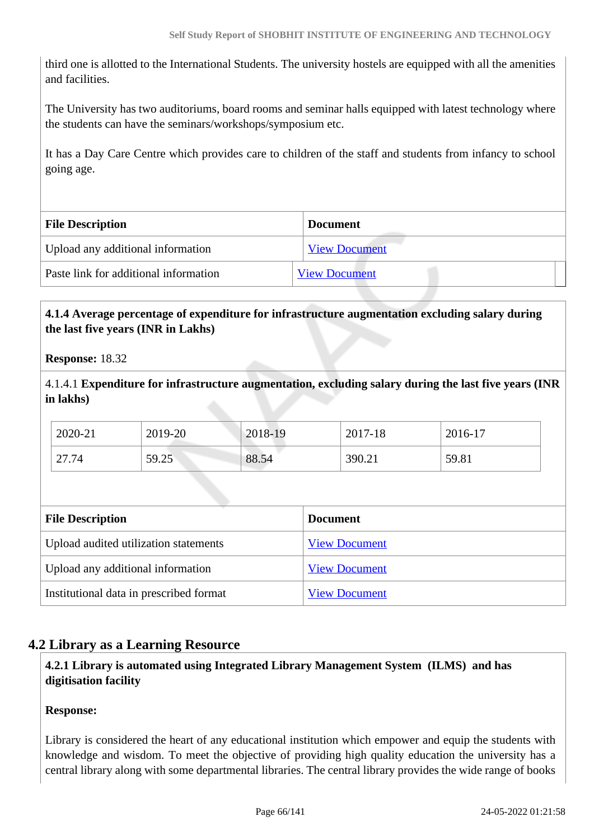third one is allotted to the International Students. The university hostels are equipped with all the amenities and facilities.

The University has two auditoriums, board rooms and seminar halls equipped with latest technology where the students can have the seminars/workshops/symposium etc.

It has a Day Care Centre which provides care to children of the staff and students from infancy to school going age.

| <b>File Description</b>               | <b>Document</b>      |
|---------------------------------------|----------------------|
| Upload any additional information     | <b>View Document</b> |
| Paste link for additional information | <b>View Document</b> |

## **4.1.4 Average percentage of expenditure for infrastructure augmentation excluding salary during the last five years (INR in Lakhs)**

**Response:** 18.32

4.1.4.1 **Expenditure for infrastructure augmentation, excluding salary during the last five years (INR in lakhs)** 

| 2020-21 | 2019-20 | 2018-19 | 2017-18 | 2016-17 |
|---------|---------|---------|---------|---------|
| 27.74   | 59.25   | 88.54   | 390.21  | 59.81   |

| <b>File Description</b>                 | <b>Document</b>      |
|-----------------------------------------|----------------------|
| Upload audited utilization statements   | <b>View Document</b> |
| Upload any additional information       | <b>View Document</b> |
| Institutional data in prescribed format | <b>View Document</b> |

## **4.2 Library as a Learning Resource**

 **4.2.1 Library is automated using Integrated Library Management System (ILMS) and has digitisation facility**

### **Response:**

Library is considered the heart of any educational institution which empower and equip the students with knowledge and wisdom. To meet the objective of providing high quality education the university has a central library along with some departmental libraries. The central library provides the wide range of books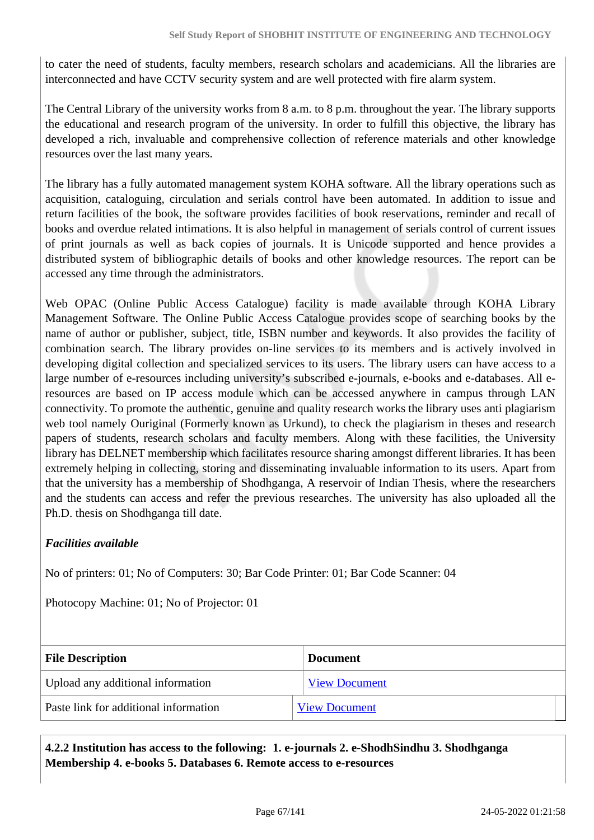to cater the need of students, faculty members, research scholars and academicians. All the libraries are interconnected and have CCTV security system and are well protected with fire alarm system.

The Central Library of the university works from 8 a.m. to 8 p.m. throughout the year. The library supports the educational and research program of the university. In order to fulfill this objective, the library has developed a rich, invaluable and comprehensive collection of reference materials and other knowledge resources over the last many years.

The library has a fully automated management system KOHA software. All the library operations such as acquisition, cataloguing, circulation and serials control have been automated. In addition to issue and return facilities of the book, the software provides facilities of book reservations, reminder and recall of books and overdue related intimations. It is also helpful in management of serials control of current issues of print journals as well as back copies of journals. It is Unicode supported and hence provides a distributed system of bibliographic details of books and other knowledge resources. The report can be accessed any time through the administrators.

Web OPAC (Online Public Access Catalogue) facility is made available through KOHA Library Management Software. The Online Public Access Catalogue provides scope of searching books by the name of author or publisher, subject, title, ISBN number and keywords. It also provides the facility of combination search. The library provides on-line services to its members and is actively involved in developing digital collection and specialized services to its users. The library users can have access to a large number of e-resources including university's subscribed e-journals, e-books and e-databases. All eresources are based on IP access module which can be accessed anywhere in campus through LAN connectivity. To promote the authentic, genuine and quality research works the library uses anti plagiarism web tool namely Ouriginal (Formerly known as Urkund), to check the plagiarism in theses and research papers of students, research scholars and faculty members. Along with these facilities, the University library has DELNET membership which facilitates resource sharing amongst different libraries. It has been extremely helping in collecting, storing and disseminating invaluable information to its users. Apart from that the university has a membership of Shodhganga, A reservoir of Indian Thesis, where the researchers and the students can access and refer the previous researches. The university has also uploaded all the Ph.D. thesis on Shodhganga till date.

## *Facilities available*

No of printers: 01; No of Computers: 30; Bar Code Printer: 01; Bar Code Scanner: 04

Photocopy Machine: 01; No of Projector: 01

| <b>File Description</b>               | <b>Document</b>      |
|---------------------------------------|----------------------|
| Upload any additional information     | <b>View Document</b> |
| Paste link for additional information | <b>View Document</b> |

 **4.2.2 Institution has access to the following: 1. e-journals 2. e-ShodhSindhu 3. Shodhganga Membership 4. e-books 5. Databases 6. Remote access to e-resources**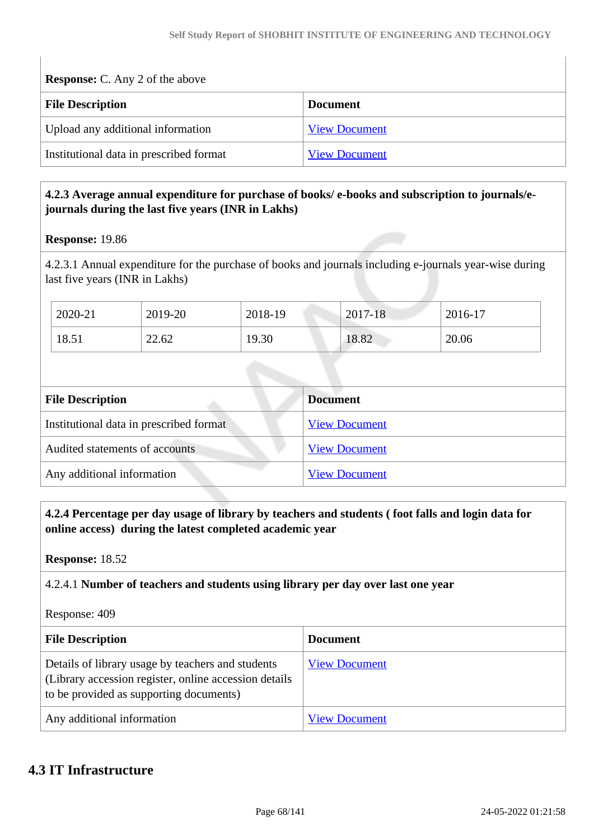**Response:** C. Any 2 of the above

| <b>File Description</b>                 | Document             |
|-----------------------------------------|----------------------|
| Upload any additional information       | <b>View Document</b> |
| Institutional data in prescribed format | <b>View Document</b> |

## **4.2.3 Average annual expenditure for purchase of books/ e-books and subscription to journals/ejournals during the last five years (INR in Lakhs)**

#### **Response:** 19.86

4.2.3.1 Annual expenditure for the purchase of books and journals including e-journals year-wise during last five years (INR in Lakhs)

| 2020-21 | 2019-20 | 2018-19 | 2017-18 | 2016-17 |
|---------|---------|---------|---------|---------|
| 18.51   | 22.62   | 19.30   | 18.82   | 20.06   |

| <b>File Description</b>                 | <b>Document</b>      |
|-----------------------------------------|----------------------|
| Institutional data in prescribed format | <b>View Document</b> |
| Audited statements of accounts          | <b>View Document</b> |
| Any additional information              | <b>View Document</b> |

 **4.2.4 Percentage per day usage of library by teachers and students ( foot falls and login data for online access) during the latest completed academic year**

**Response:** 18.52

4.2.4.1 **Number of teachers and students using library per day over last one year**

Response: 409

| <b>File Description</b>                                                                                                                               | <b>Document</b>      |
|-------------------------------------------------------------------------------------------------------------------------------------------------------|----------------------|
| Details of library usage by teachers and students<br>(Library accession register, online accession details<br>to be provided as supporting documents) | <b>View Document</b> |
| Any additional information                                                                                                                            | <b>View Document</b> |

## **4.3 IT Infrastructure**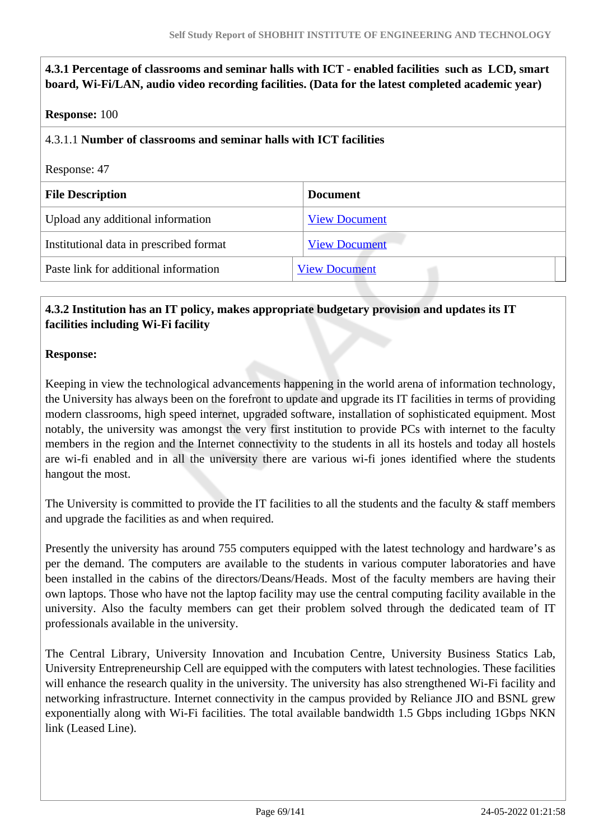## **4.3.1 Percentage of classrooms and seminar halls with ICT - enabled facilities such as LCD, smart board, Wi-Fi/LAN, audio video recording facilities. (Data for the latest completed academic year)**

### **Response:** 100

#### 4.3.1.1 **Number of classrooms and seminar halls with ICT facilities**

#### Response: 47

| <b>File Description</b>                 | <b>Document</b>      |
|-----------------------------------------|----------------------|
| Upload any additional information       | <b>View Document</b> |
| Institutional data in prescribed format | <b>View Document</b> |
| Paste link for additional information   | <b>View Document</b> |

## **4.3.2 Institution has an IT policy, makes appropriate budgetary provision and updates its IT facilities including Wi-Fi facility**

#### **Response:**

Keeping in view the technological advancements happening in the world arena of information technology, the University has always been on the forefront to update and upgrade its IT facilities in terms of providing modern classrooms, high speed internet, upgraded software, installation of sophisticated equipment. Most notably, the university was amongst the very first institution to provide PCs with internet to the faculty members in the region and the Internet connectivity to the students in all its hostels and today all hostels are wi-fi enabled and in all the university there are various wi-fi jones identified where the students hangout the most.

The University is committed to provide the IT facilities to all the students and the faculty & staff members and upgrade the facilities as and when required.

Presently the university has around 755 computers equipped with the latest technology and hardware's as per the demand. The computers are available to the students in various computer laboratories and have been installed in the cabins of the directors/Deans/Heads. Most of the faculty members are having their own laptops. Those who have not the laptop facility may use the central computing facility available in the university. Also the faculty members can get their problem solved through the dedicated team of IT professionals available in the university.

The Central Library, University Innovation and Incubation Centre, University Business Statics Lab, University Entrepreneurship Cell are equipped with the computers with latest technologies. These facilities will enhance the research quality in the university. The university has also strengthened Wi-Fi facility and networking infrastructure. Internet connectivity in the campus provided by Reliance JIO and BSNL grew exponentially along with Wi-Fi facilities. The total available bandwidth 1.5 Gbps including 1Gbps NKN link (Leased Line).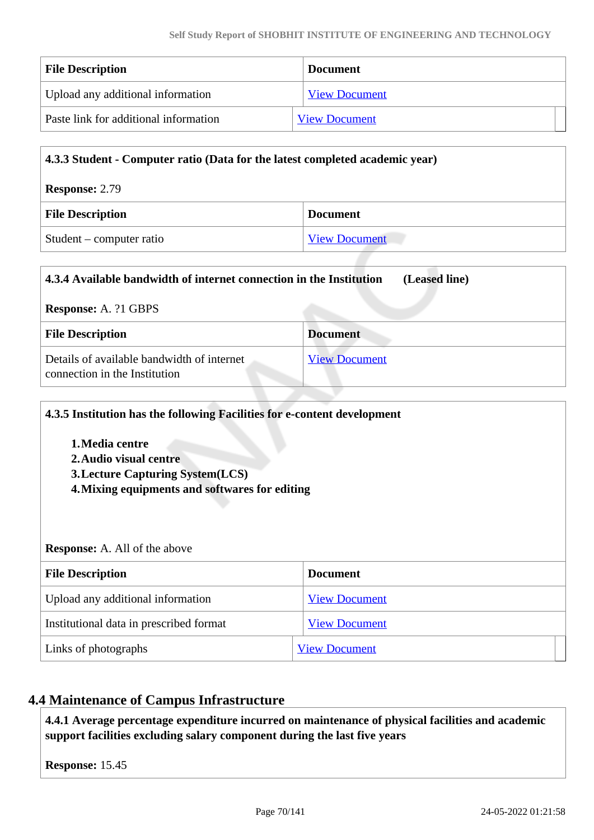| <b>File Description</b>               | <b>Document</b>      |
|---------------------------------------|----------------------|
| Upload any additional information     | <b>View Document</b> |
| Paste link for additional information | <b>View Document</b> |

| 4.3.3 Student - Computer ratio (Data for the latest completed academic year) |                      |  |
|------------------------------------------------------------------------------|----------------------|--|
| <b>Response: 2.79</b>                                                        |                      |  |
| <b>File Description</b>                                                      | <b>Document</b>      |  |
| Student – computer ratio                                                     | <b>View Document</b> |  |

| 4.3.4 Available bandwidth of internet connection in the Institution<br>(Leased line) |                      |
|--------------------------------------------------------------------------------------|----------------------|
| <b>Response: A. ?1 GBPS</b>                                                          |                      |
| <b>File Description</b>                                                              | <b>Document</b>      |
| Details of available bandwidth of internet<br>connection in the Institution          | <b>View Document</b> |

| 4.3.5 Institution has the following Facilities for e-content development<br>1. Media centre<br>2. Audio visual centre<br><b>3. Lecture Capturing System (LCS)</b><br>4. Mixing equipments and softwares for editing |                      |  |
|---------------------------------------------------------------------------------------------------------------------------------------------------------------------------------------------------------------------|----------------------|--|
| <b>Response:</b> A. All of the above                                                                                                                                                                                |                      |  |
| <b>File Description</b>                                                                                                                                                                                             | <b>Document</b>      |  |
| Upload any additional information                                                                                                                                                                                   | <b>View Document</b> |  |
| Institutional data in prescribed format                                                                                                                                                                             | <b>View Document</b> |  |
| Links of photographs                                                                                                                                                                                                | <b>View Document</b> |  |

## **4.4 Maintenance of Campus Infrastructure**

 **4.4.1 Average percentage expenditure incurred on maintenance of physical facilities and academic support facilities excluding salary component during the last five years**

**Response:** 15.45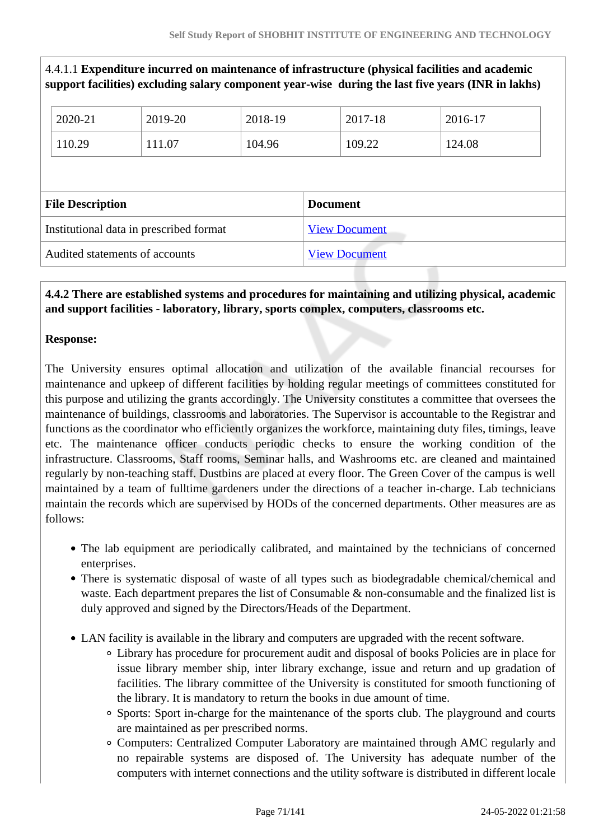**support facilities) excluding salary component year-wise during the last five years (INR in lakhs)** 2020-21 2019-20 2018-19 2017-18 2016-17 110.29 | 111.07 | 104.96 | 109.22 | 124.08 **File Description Document** Institutional data in prescribed format [View Document](https://assessmentonline.naac.gov.in/storage/app/hei/SSR/103648/4.4.1_1641319872_6016.xls) Audited statements of accounts [View Document](https://assessmentonline.naac.gov.in/storage/app/hei/SSR/103648/4.4.1_1641319880_6016.pdf)

4.4.1.1 **Expenditure incurred on maintenance of infrastructure (physical facilities and academic**

## **4.4.2 There are established systems and procedures for maintaining and utilizing physical, academic and support facilities - laboratory, library, sports complex, computers, classrooms etc.**

### **Response:**

The University ensures optimal allocation and utilization of the available financial recourses for maintenance and upkeep of different facilities by holding regular meetings of committees constituted for this purpose and utilizing the grants accordingly. The University constitutes a committee that oversees the maintenance of buildings, classrooms and laboratories. The Supervisor is accountable to the Registrar and functions as the coordinator who efficiently organizes the workforce, maintaining duty files, timings, leave etc. The maintenance officer conducts periodic checks to ensure the working condition of the infrastructure. Classrooms, Staff rooms, Seminar halls, and Washrooms etc. are cleaned and maintained regularly by non-teaching staff. Dustbins are placed at every floor. The Green Cover of the campus is well maintained by a team of fulltime gardeners under the directions of a teacher in-charge. Lab technicians maintain the records which are supervised by HODs of the concerned departments. Other measures are as follows:

- The lab equipment are periodically calibrated, and maintained by the technicians of concerned enterprises.
- There is systematic disposal of waste of all types such as biodegradable chemical/chemical and waste. Each department prepares the list of Consumable & non-consumable and the finalized list is duly approved and signed by the Directors/Heads of the Department.
- LAN facility is available in the library and computers are upgraded with the recent software.
	- Library has procedure for procurement audit and disposal of books Policies are in place for issue library member ship, inter library exchange, issue and return and up gradation of facilities. The library committee of the University is constituted for smooth functioning of the library. It is mandatory to return the books in due amount of time.
	- Sports: Sport in-charge for the maintenance of the sports club. The playground and courts are maintained as per prescribed norms.
	- Computers: Centralized Computer Laboratory are maintained through AMC regularly and no repairable systems are disposed of. The University has adequate number of the computers with internet connections and the utility software is distributed in different locale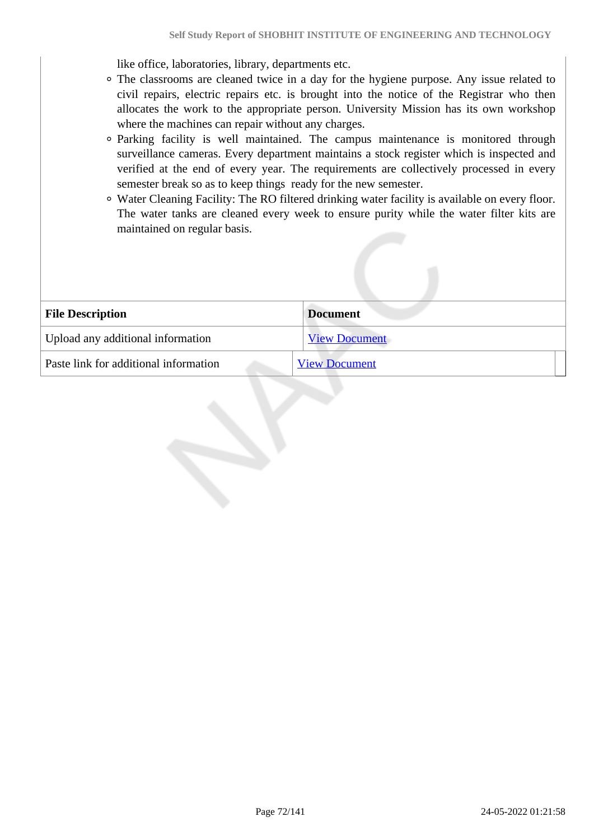like office, laboratories, library, departments etc.

- The classrooms are cleaned twice in a day for the hygiene purpose. Any issue related to civil repairs, electric repairs etc. is brought into the notice of the Registrar who then allocates the work to the appropriate person. University Mission has its own workshop where the machines can repair without any charges.
- Parking facility is well maintained. The campus maintenance is monitored through surveillance cameras. Every department maintains a stock register which is inspected and verified at the end of every year. The requirements are collectively processed in every semester break so as to keep things ready for the new semester.
- Water Cleaning Facility: The RO filtered drinking water facility is available on every floor. The water tanks are cleaned every week to ensure purity while the water filter kits are maintained on regular basis.

| <b>File Description</b>               | <b>Document</b>      |
|---------------------------------------|----------------------|
| Upload any additional information     | <b>View Document</b> |
| Paste link for additional information | <b>View Document</b> |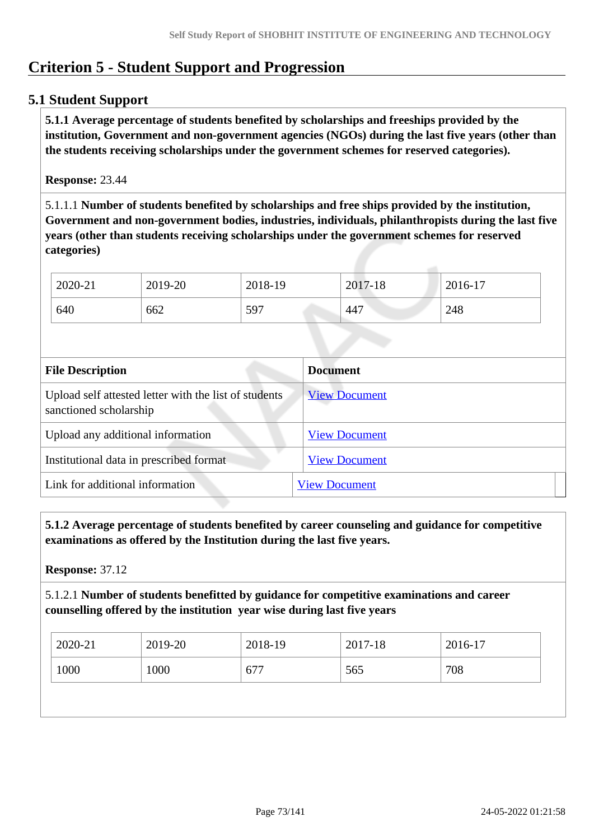# **Criterion 5 - Student Support and Progression**

# **5.1 Student Support**

 **5.1.1 Average percentage of students benefited by scholarships and freeships provided by the institution, Government and non-government agencies (NGOs) during the last five years (other than the students receiving scholarships under the government schemes for reserved categories).**

### **Response:** 23.44

5.1.1.1 **Number of students benefited by scholarships and free ships provided by the institution, Government and non-government bodies, industries, individuals, philanthropists during the last five years (other than students receiving scholarships under the government schemes for reserved categories)** 

| 2020-21 | 2019-20 | 2018-19 | 2017-18 | 2016-17 |
|---------|---------|---------|---------|---------|
| 640     | 662     | 597     | 447     | 248     |

| <b>File Description</b>                                                         | <b>Document</b>      |
|---------------------------------------------------------------------------------|----------------------|
| Upload self attested letter with the list of students<br>sanctioned scholarship | <b>View Document</b> |
| Upload any additional information                                               | <b>View Document</b> |
| Institutional data in prescribed format                                         | <b>View Document</b> |
| Link for additional information                                                 | <b>View Document</b> |

 **5.1.2 Average percentage of students benefited by career counseling and guidance for competitive examinations as offered by the Institution during the last five years.**

**Response:** 37.12

5.1.2.1 **Number of students benefitted by guidance for competitive examinations and career counselling offered by the institution year wise during last five years**

| 2020-21 | 2019-20 | 2018-19 | 2017-18 | 2016-17 |
|---------|---------|---------|---------|---------|
| 1000    | 1000    | 677     | 565     | 708     |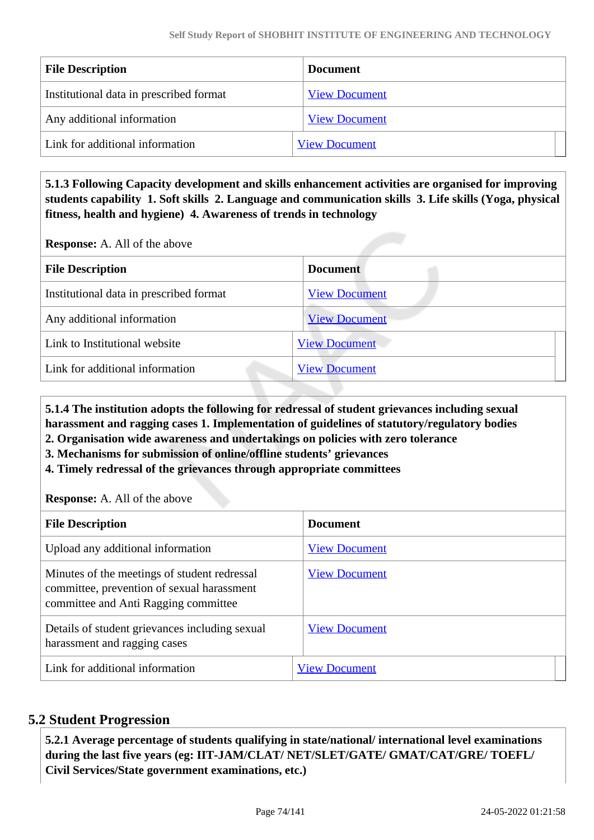| <b>File Description</b>                 | <b>Document</b>      |
|-----------------------------------------|----------------------|
| Institutional data in prescribed format | <b>View Document</b> |
| Any additional information              | <b>View Document</b> |
| Link for additional information         | <b>View Document</b> |

 **5.1.3 Following Capacity development and skills enhancement activities are organised for improving students capability 1. Soft skills 2. Language and communication skills 3. Life skills (Yoga, physical fitness, health and hygiene) 4. Awareness of trends in technology**

**Response:** A. All of the above

| <b>Document</b>      |
|----------------------|
| <b>View Document</b> |
| <b>View Document</b> |
| <b>View Document</b> |
| <b>View Document</b> |
|                      |

 **5.1.4 The institution adopts the following for redressal of student grievances including sexual harassment and ragging cases 1. Implementation of guidelines of statutory/regulatory bodies**

- **2. Organisation wide awareness and undertakings on policies with zero tolerance**
- **3. Mechanisms for submission of online/offline students' grievances**

**4. Timely redressal of the grievances through appropriate committees**

**Response:** A. All of the above

| <b>File Description</b>                                                                                                            | <b>Document</b>      |  |
|------------------------------------------------------------------------------------------------------------------------------------|----------------------|--|
| Upload any additional information                                                                                                  | <b>View Document</b> |  |
| Minutes of the meetings of student redressal<br>committee, prevention of sexual harassment<br>committee and Anti Ragging committee | <b>View Document</b> |  |
| Details of student grievances including sexual<br>harassment and ragging cases                                                     | <b>View Document</b> |  |
| Link for additional information                                                                                                    | <b>View Document</b> |  |

# **5.2 Student Progression**

 **5.2.1 Average percentage of students qualifying in state/national/ international level examinations during the last five years (eg: IIT-JAM/CLAT/ NET/SLET/GATE/ GMAT/CAT/GRE/ TOEFL/ Civil Services/State government examinations, etc.)**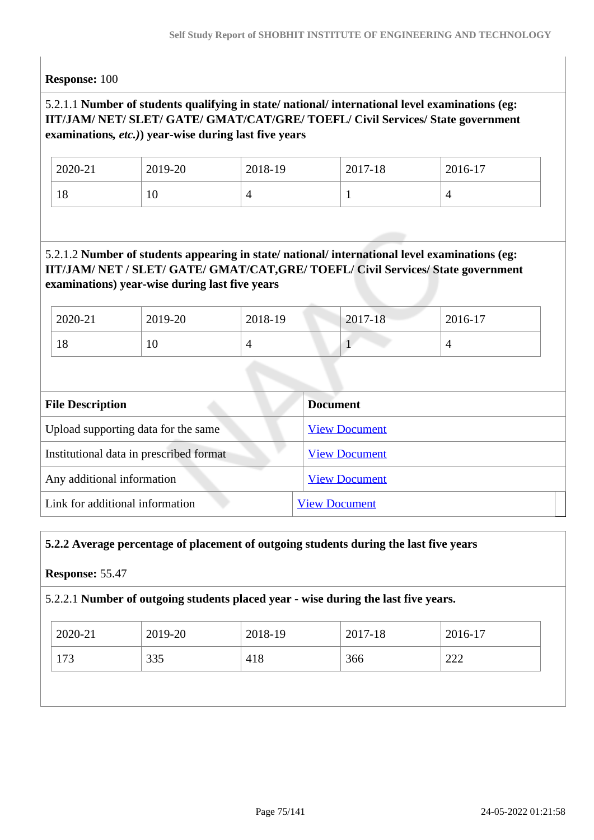**Response:** 100

# 5.2.1.1 **Number of students qualifying in state/ national/ international level examinations (eg: IIT/JAM/ NET/ SLET/ GATE/ GMAT/CAT/GRE/ TOEFL/ Civil Services/ State government examinations***, etc.)***) year-wise during last five years**

| 2020-21 | 2019-20 | 2018-19 | 2017-18 | 2016-17 |
|---------|---------|---------|---------|---------|
| 18      | 10      | 4       |         | 4       |

# 5.2.1.2 **Number of students appearing in state/ national/ international level examinations (eg: IIT/JAM/ NET / SLET/ GATE/ GMAT/CAT,GRE/ TOEFL/ Civil Services/ State government examinations) year-wise during last five years**

| 2020-21 | 2019-20 | 2018-19 | $2017 - 18$ | 2016-17 |
|---------|---------|---------|-------------|---------|
| 18      | 10      |         |             |         |

| <b>File Description</b>                 | <b>Document</b>      |
|-----------------------------------------|----------------------|
| Upload supporting data for the same     | <b>View Document</b> |
| Institutional data in prescribed format | <b>View Document</b> |
| Any additional information              | <b>View Document</b> |
| Link for additional information         | <b>View Document</b> |

# **5.2.2 Average percentage of placement of outgoing students during the last five years**

# **Response:** 55.47

### 5.2.2.1 **Number of outgoing students placed year - wise during the last five years.**

| 2020-21 | 2019-20 | 2018-19 | 2017-18 | 2016-17 |
|---------|---------|---------|---------|---------|
| 173     | 335     | 418     | 366     | 222     |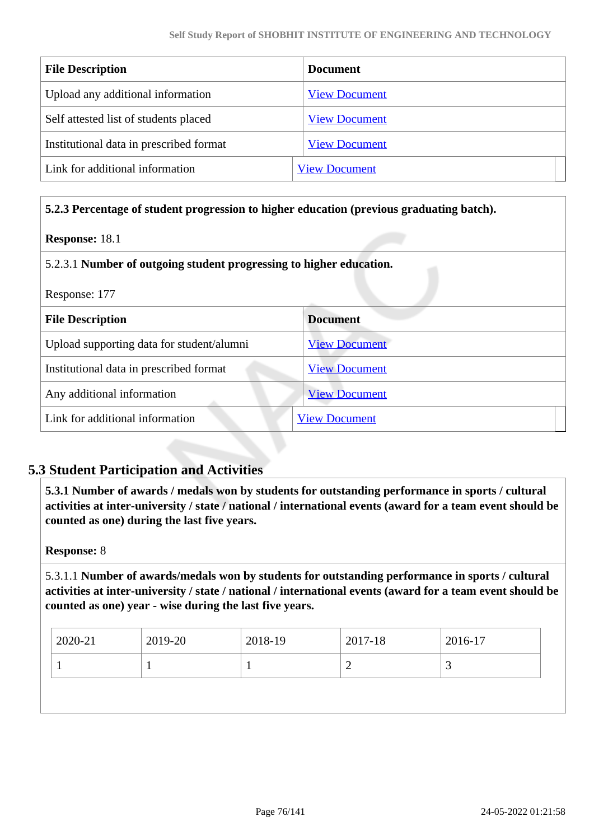| <b>File Description</b>                 | <b>Document</b>      |
|-----------------------------------------|----------------------|
| Upload any additional information       | <b>View Document</b> |
| Self attested list of students placed   | <b>View Document</b> |
| Institutional data in prescribed format | <b>View Document</b> |
| Link for additional information         | <b>View Document</b> |

**5.2.3 Percentage of student progression to higher education (previous graduating batch).**

#### **Response:** 18.1

### 5.2.3.1 **Number of outgoing student progressing to higher education.**

| Response: 177 |  |
|---------------|--|
|---------------|--|

| <b>File Description</b>                   | <b>Document</b>      |
|-------------------------------------------|----------------------|
| Upload supporting data for student/alumni | <b>View Document</b> |
| Institutional data in prescribed format   | <b>View Document</b> |
| Any additional information                | <b>View Document</b> |
| Link for additional information           | <b>View Document</b> |

# **5.3 Student Participation and Activities**

 **5.3.1 Number of awards / medals won by students for outstanding performance in sports / cultural activities at inter-university / state / national / international events (award for a team event should be counted as one) during the last five years.**

### **Response:** 8

5.3.1.1 **Number of awards/medals won by students for outstanding performance in sports / cultural activities at inter-university / state / national / international events (award for a team event should be counted as one) year - wise during the last five years.**

| 2020-21 | 2019-20 | 2018-19 | 2017-18 | 2016-17  |
|---------|---------|---------|---------|----------|
|         |         | л.      | -       | <u>ب</u> |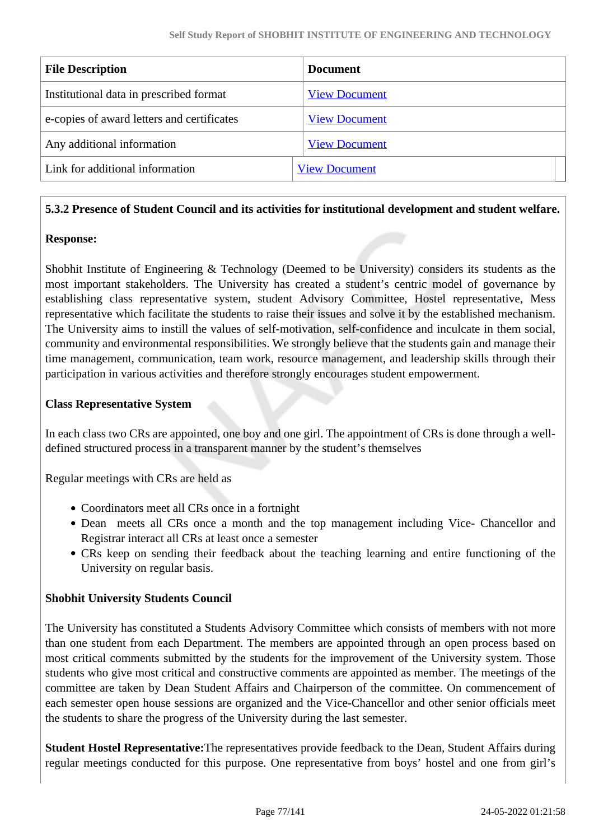| <b>File Description</b>                    | <b>Document</b>      |
|--------------------------------------------|----------------------|
| Institutional data in prescribed format    | <b>View Document</b> |
| e-copies of award letters and certificates | <b>View Document</b> |
| Any additional information                 | <b>View Document</b> |
| Link for additional information            | <b>View Document</b> |
|                                            |                      |

### **5.3.2 Presence of Student Council and its activities for institutional development and student welfare.**

### **Response:**

Shobhit Institute of Engineering & Technology (Deemed to be University) considers its students as the most important stakeholders. The University has created a student's centric model of governance by establishing class representative system, student Advisory Committee, Hostel representative, Mess representative which facilitate the students to raise their issues and solve it by the established mechanism. The University aims to instill the values of self-motivation, self-confidence and inculcate in them social, community and environmental responsibilities. We strongly believe that the students gain and manage their time management, communication, team work, resource management, and leadership skills through their participation in various activities and therefore strongly encourages student empowerment.

# **Class Representative System**

In each class two CRs are appointed, one boy and one girl. The appointment of CRs is done through a welldefined structured process in a transparent manner by the student's themselves

Regular meetings with CRs are held as

- Coordinators meet all CRs once in a fortnight
- Dean meets all CRs once a month and the top management including Vice- Chancellor and Registrar interact all CRs at least once a semester
- CRs keep on sending their feedback about the teaching learning and entire functioning of the University on regular basis.

### **Shobhit University Students Council**

The University has constituted a Students Advisory Committee which consists of members with not more than one student from each Department. The members are appointed through an open process based on most critical comments submitted by the students for the improvement of the University system. Those students who give most critical and constructive comments are appointed as member. The meetings of the committee are taken by Dean Student Affairs and Chairperson of the committee. On commencement of each semester open house sessions are organized and the Vice-Chancellor and other senior officials meet the students to share the progress of the University during the last semester.

**Student Hostel Representative:**The representatives provide feedback to the Dean, Student Affairs during regular meetings conducted for this purpose. One representative from boys' hostel and one from girl's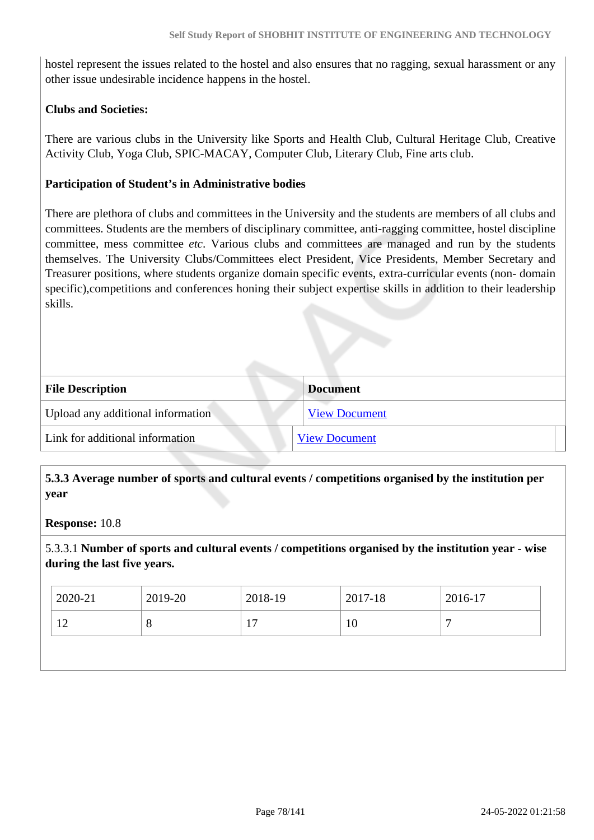hostel represent the issues related to the hostel and also ensures that no ragging, sexual harassment or any other issue undesirable incidence happens in the hostel.

### **Clubs and Societies:**

There are various clubs in the University like Sports and Health Club, Cultural Heritage Club, Creative Activity Club, Yoga Club, SPIC-MACAY, Computer Club, Literary Club, Fine arts club.

#### **Participation of Student's in Administrative bodies**

There are plethora of clubs and committees in the University and the students are members of all clubs and committees. Students are the members of disciplinary committee, anti-ragging committee, hostel discipline committee, mess committee *etc*. Various clubs and committees are managed and run by the students themselves. The University Clubs/Committees elect President, Vice Presidents, Member Secretary and Treasurer positions, where students organize domain specific events, extra-curricular events (non- domain specific),competitions and conferences honing their subject expertise skills in addition to their leadership skills.

| <b>File Description</b>           | <b>Document</b>      |
|-----------------------------------|----------------------|
| Upload any additional information | <b>View Document</b> |
| Link for additional information   | <b>View Document</b> |

# **5.3.3 Average number of sports and cultural events / competitions organised by the institution per year**

#### **Response:** 10.8

5.3.3.1 **Number of sports and cultural events / competitions organised by the institution year - wise during the last five years.**

| 2020-21   | 2019-20 | 2018-19  | 2017-18 | 2016-17 |
|-----------|---------|----------|---------|---------|
| 1 າ<br>14 | $\circ$ | די<br>ı. | 10      |         |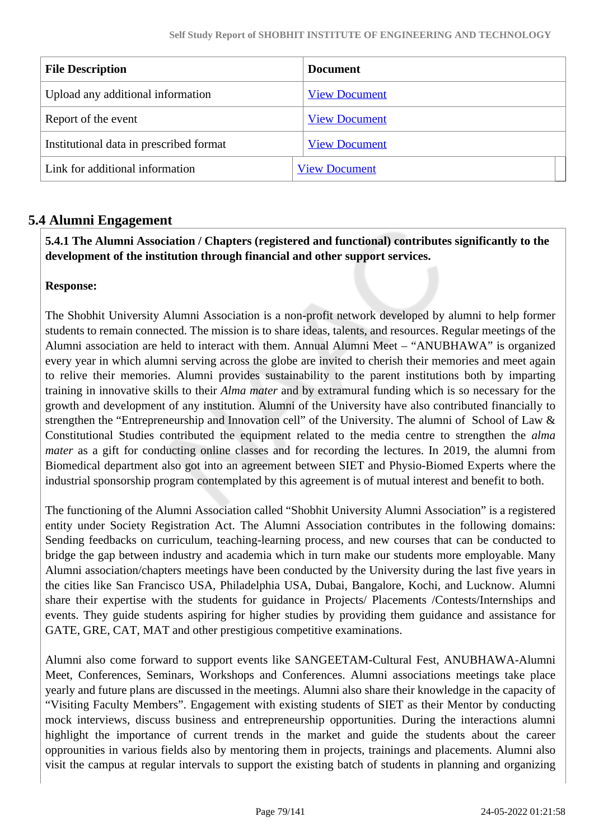| <b>File Description</b>                 | <b>Document</b>      |
|-----------------------------------------|----------------------|
| Upload any additional information       | <b>View Document</b> |
| Report of the event                     | <b>View Document</b> |
| Institutional data in prescribed format | <b>View Document</b> |
| Link for additional information         | <b>View Document</b> |

# **5.4 Alumni Engagement**

 **5.4.1 The Alumni Association / Chapters (registered and functional) contributes significantly to the development of the institution through financial and other support services.**

# **Response:**

The Shobhit University Alumni Association is a non-profit network developed by alumni to help former students to remain connected. The mission is to share ideas, talents, and resources. Regular meetings of the Alumni association are held to interact with them. Annual Alumni Meet – "ANUBHAWA" is organized every year in which alumni serving across the globe are invited to cherish their memories and meet again to relive their memories. Alumni provides sustainability to the parent institutions both by imparting training in innovative skills to their *Alma mater* and by extramural funding which is so necessary for the growth and development of any institution. Alumni of the University have also contributed financially to strengthen the "Entrepreneurship and Innovation cell" of the University. The alumni of School of Law & Constitutional Studies contributed the equipment related to the media centre to strengthen the *alma mater* as a gift for conducting online classes and for recording the lectures. In 2019, the alumni from Biomedical department also got into an agreement between SIET and Physio-Biomed Experts where the industrial sponsorship program contemplated by this agreement is of mutual interest and benefit to both.

The functioning of the Alumni Association called "Shobhit University Alumni Association" is a registered entity under Society Registration Act. The Alumni Association contributes in the following domains: Sending feedbacks on curriculum, teaching-learning process, and new courses that can be conducted to bridge the gap between industry and academia which in turn make our students more employable. Many Alumni association/chapters meetings have been conducted by the University during the last five years in the cities like San Francisco USA, Philadelphia USA, Dubai, Bangalore, Kochi, and Lucknow. Alumni share their expertise with the students for guidance in Projects/ Placements /Contests/Internships and events. They guide students aspiring for higher studies by providing them guidance and assistance for GATE, GRE, CAT, MAT and other prestigious competitive examinations.

Alumni also come forward to support events like SANGEETAM-Cultural Fest, ANUBHAWA-Alumni Meet, Conferences, Seminars, Workshops and Conferences. Alumni associations meetings take place yearly and future plans are discussed in the meetings. Alumni also share their knowledge in the capacity of "Visiting Faculty Members". Engagement with existing students of SIET as their Mentor by conducting mock interviews, discuss business and entrepreneurship opportunities. During the interactions alumni highlight the importance of current trends in the market and guide the students about the career opprounities in various fields also by mentoring them in projects, trainings and placements. Alumni also visit the campus at regular intervals to support the existing batch of students in planning and organizing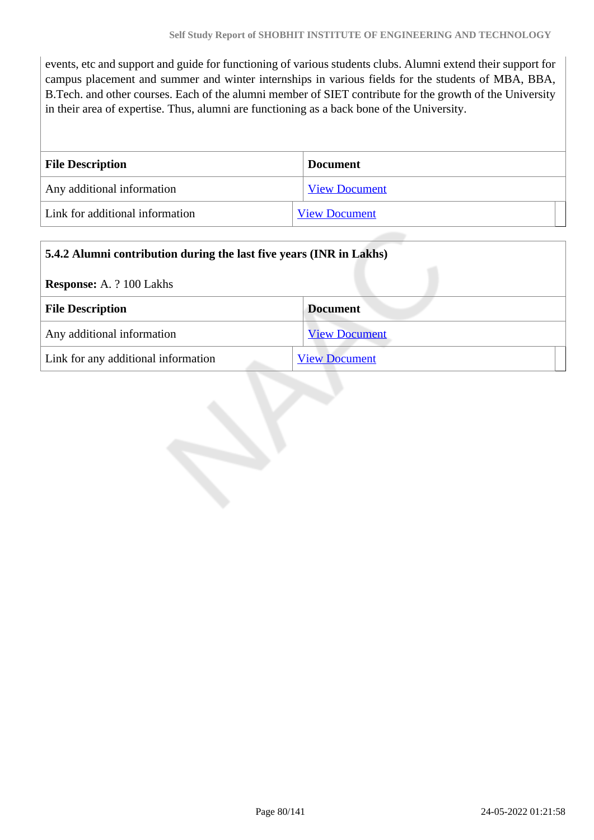events, etc and support and guide for functioning of various students clubs. Alumni extend their support for campus placement and summer and winter internships in various fields for the students of MBA, BBA, B.Tech. and other courses. Each of the alumni member of SIET contribute for the growth of the University in their area of expertise. Thus, alumni are functioning as a back bone of the University.

| <b>File Description</b>         | <b>Document</b>      |
|---------------------------------|----------------------|
| Any additional information      | <b>View Document</b> |
| Link for additional information | <b>View Document</b> |

| 5.4.2 Alumni contribution during the last five years (INR in Lakhs) |                      |
|---------------------------------------------------------------------|----------------------|
| <b>Response:</b> A. ? 100 Lakhs                                     |                      |
| <b>File Description</b><br><b>Document</b>                          |                      |
| Any additional information                                          | <b>View Document</b> |
| Link for any additional information                                 | <b>View Document</b> |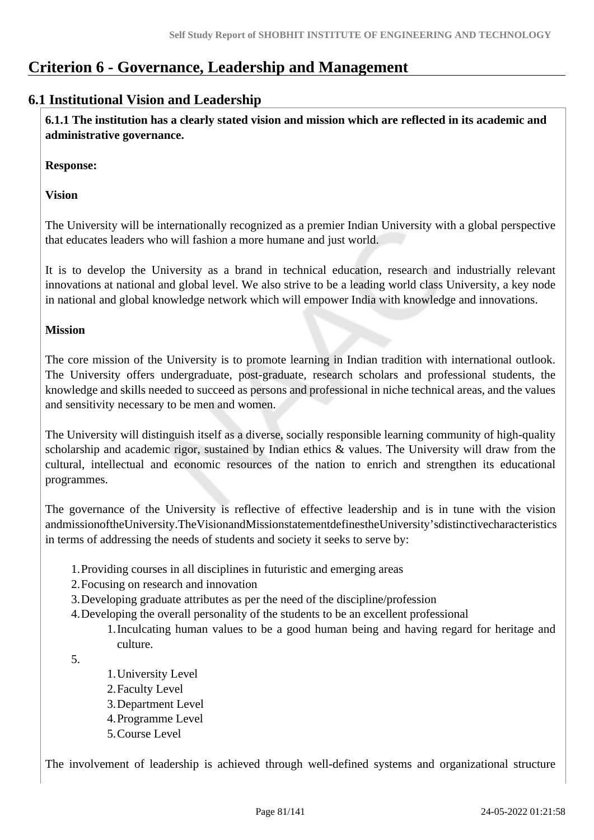# **Criterion 6 - Governance, Leadership and Management**

# **6.1 Institutional Vision and Leadership**

 **6.1.1 The institution has a clearly stated vision and mission which are reflected in its academic and administrative governance.**

**Response:** 

**Vision**

The University will be internationally recognized as a premier Indian University with a global perspective that educates leaders who will fashion a more humane and just world.

It is to develop the University as a brand in technical education, research and industrially relevant innovations at national and global level. We also strive to be a leading world class University, a key node in national and global knowledge network which will empower India with knowledge and innovations.

# **Mission**

The core mission of the University is to promote learning in Indian tradition with international outlook. The University offers undergraduate, post-graduate, research scholars and professional students, the knowledge and skills needed to succeed as persons and professional in niche technical areas, and the values and sensitivity necessary to be men and women.

The University will distinguish itself as a diverse, socially responsible learning community of high-quality scholarship and academic rigor, sustained by Indian ethics & values. The University will draw from the cultural, intellectual and economic resources of the nation to enrich and strengthen its educational programmes.

The governance of the University is reflective of effective leadership and is in tune with the vision andmissionoftheUniversity.TheVisionandMissionstatementdefinestheUniversity'sdistinctivecharacteristics in terms of addressing the needs of students and society it seeks to serve by:

- 1.Providing courses in all disciplines in futuristic and emerging areas
- 2.Focusing on research and innovation
- 3.Developing graduate attributes as per the need of the discipline/profession
- 4.Developing the overall personality of the students to be an excellent professional
	- 1.Inculcating human values to be a good human being and having regard for heritage and culture.

5.

- 1.University Level
- 2.Faculty Level
- 3.Department Level
- 4.Programme Level
- 5.Course Level

The involvement of leadership is achieved through well-defined systems and organizational structure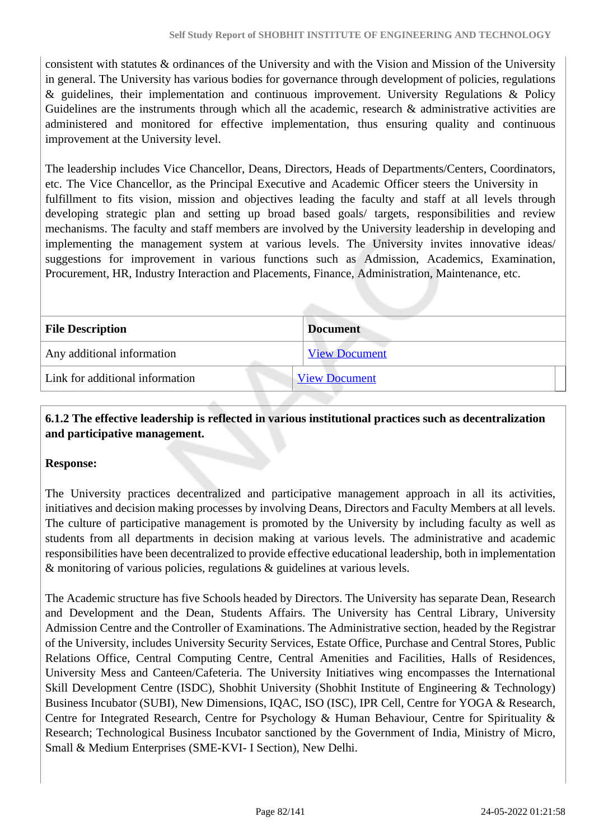consistent with statutes & ordinances of the University and with the Vision and Mission of the University in general. The University has various bodies for governance through development of policies, regulations & guidelines, their implementation and continuous improvement. University Regulations & Policy Guidelines are the instruments through which all the academic, research & administrative activities are administered and monitored for effective implementation, thus ensuring quality and continuous improvement at the University level.

The leadership includes Vice Chancellor, Deans, Directors, Heads of Departments/Centers, Coordinators, etc. The Vice Chancellor, as the Principal Executive and Academic Officer steers the University in fulfillment to fits vision, mission and objectives leading the faculty and staff at all levels through developing strategic plan and setting up broad based goals/ targets, responsibilities and review mechanisms. The faculty and staff members are involved by the University leadership in developing and implementing the management system at various levels. The University invites innovative ideas/ suggestions for improvement in various functions such as Admission, Academics, Examination, Procurement, HR, Industry Interaction and Placements, Finance, Administration, Maintenance, etc.

| <b>File Description</b>         | <b>Document</b>      |
|---------------------------------|----------------------|
| Any additional information      | <b>View Document</b> |
| Link for additional information | <b>View Document</b> |
|                                 |                      |

# **6.1.2 The effective leadership is reflected in various institutional practices such as decentralization and participative management.**

# **Response:**

The University practices decentralized and participative management approach in all its activities, initiatives and decision making processes by involving Deans, Directors and Faculty Members at all levels. The culture of participative management is promoted by the University by including faculty as well as students from all departments in decision making at various levels. The administrative and academic responsibilities have been decentralized to provide effective educational leadership, both in implementation & monitoring of various policies, regulations & guidelines at various levels.

The Academic structure has five Schools headed by Directors. The University has separate Dean, Research and Development and the Dean, Students Affairs. The University has Central Library, University Admission Centre and the Controller of Examinations. The Administrative section, headed by the Registrar of the University, includes University Security Services, Estate Office, Purchase and Central Stores, Public Relations Office, Central Computing Centre, Central Amenities and Facilities, Halls of Residences, University Mess and Canteen/Cafeteria. The University Initiatives wing encompasses the International Skill Development Centre (ISDC), Shobhit University (Shobhit Institute of Engineering & Technology) Business Incubator (SUBI), New Dimensions, IQAC, ISO (ISC), IPR Cell, Centre for YOGA & Research, Centre for Integrated Research, Centre for Psychology & Human Behaviour, Centre for Spirituality & Research; Technological Business Incubator sanctioned by the Government of India, Ministry of Micro, Small & Medium Enterprises (SME-KVI- I Section), New Delhi.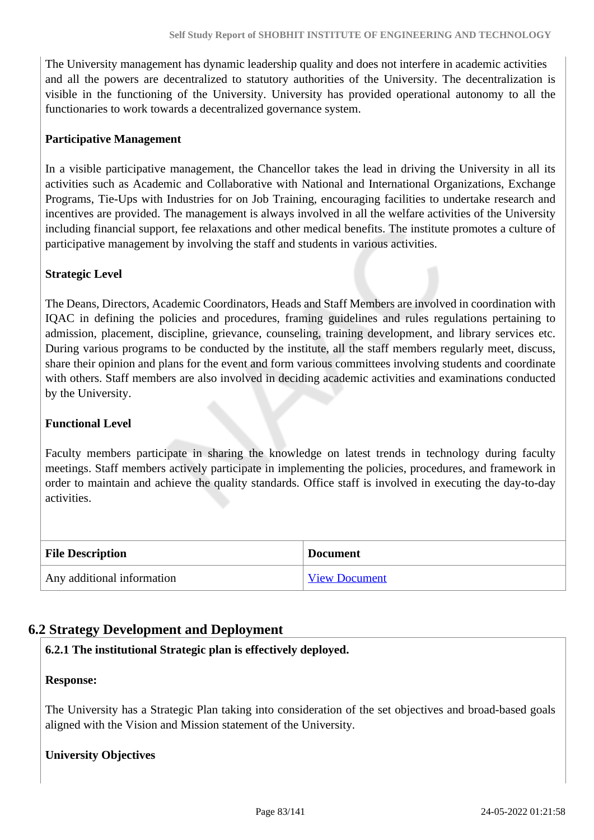The University management has dynamic leadership quality and does not interfere in academic activities and all the powers are decentralized to statutory authorities of the University. The decentralization is visible in the functioning of the University. University has provided operational autonomy to all the functionaries to work towards a decentralized governance system.

# **Participative Management**

In a visible participative management, the Chancellor takes the lead in driving the University in all its activities such as Academic and Collaborative with National and International Organizations, Exchange Programs, Tie-Ups with Industries for on Job Training, encouraging facilities to undertake research and incentives are provided. The management is always involved in all the welfare activities of the University including financial support, fee relaxations and other medical benefits. The institute promotes a culture of participative management by involving the staff and students in various activities.

# **Strategic Level**

The Deans, Directors, Academic Coordinators, Heads and Staff Members are involved in coordination with IQAC in defining the policies and procedures, framing guidelines and rules regulations pertaining to admission, placement, discipline, grievance, counseling, training development, and library services etc. During various programs to be conducted by the institute, all the staff members regularly meet, discuss, share their opinion and plans for the event and form various committees involving students and coordinate with others. Staff members are also involved in deciding academic activities and examinations conducted by the University.

### **Functional Level**

Faculty members participate in sharing the knowledge on latest trends in technology during faculty meetings. Staff members actively participate in implementing the policies, procedures, and framework in order to maintain and achieve the quality standards. Office staff is involved in executing the day-to-day activities.

| <b>File Description</b>    | <b>Document</b> |
|----------------------------|-----------------|
| Any additional information | View Document   |

# **6.2 Strategy Development and Deployment**

# **6.2.1 The institutional Strategic plan is effectively deployed.**

### **Response:**

The University has a Strategic Plan taking into consideration of the set objectives and broad-based goals aligned with the Vision and Mission statement of the University.

### **University Objectives**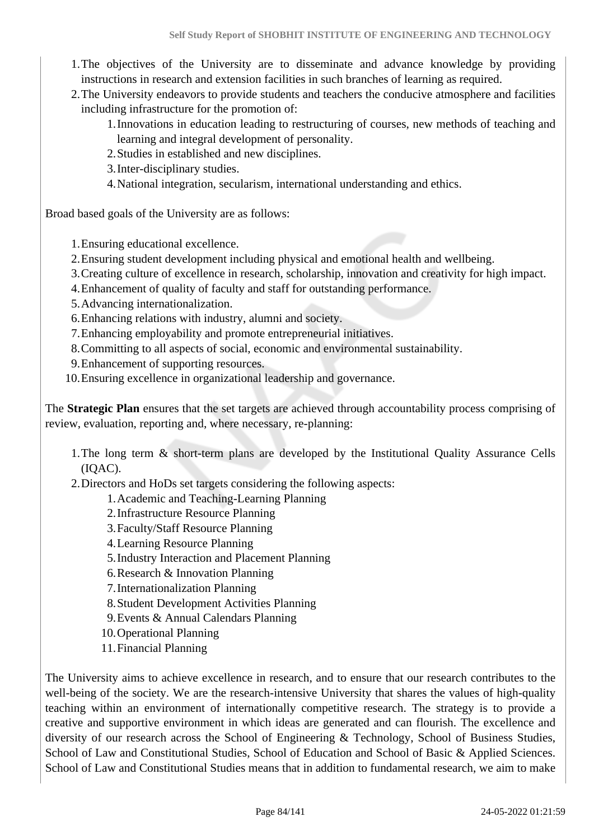- 1.The objectives of the University are to disseminate and advance knowledge by providing instructions in research and extension facilities in such branches of learning as required.
- 2.The University endeavors to provide students and teachers the conducive atmosphere and facilities including infrastructure for the promotion of:
	- 1.Innovations in education leading to restructuring of courses, new methods of teaching and learning and integral development of personality.
	- 2.Studies in established and new disciplines.
	- 3.Inter-disciplinary studies.
	- 4.National integration, secularism, international understanding and ethics.

Broad based goals of the University are as follows:

1.Ensuring educational excellence.

- 2.Ensuring student development including physical and emotional health and wellbeing.
- 3.Creating culture of excellence in research, scholarship, innovation and creativity for high impact.
- 4.Enhancement of quality of faculty and staff for outstanding performance.
- 5.Advancing internationalization.
- 6.Enhancing relations with industry, alumni and society.
- 7.Enhancing employability and promote entrepreneurial initiatives.
- 8.Committing to all aspects of social, economic and environmental sustainability.
- 9.Enhancement of supporting resources.
- 10.Ensuring excellence in organizational leadership and governance.

The **Strategic Plan** ensures that the set targets are achieved through accountability process comprising of review, evaluation, reporting and, where necessary, re-planning:

- 1.The long term & short-term plans are developed by the Institutional Quality Assurance Cells (IQAC).
- 2.Directors and HoDs set targets considering the following aspects:
	- 1.Academic and Teaching-Learning Planning
	- 2.Infrastructure Resource Planning
	- 3.Faculty/Staff Resource Planning
	- 4.Learning Resource Planning
	- 5.Industry Interaction and Placement Planning
	- 6.Research & Innovation Planning
	- 7.Internationalization Planning
	- 8.Student Development Activities Planning
	- 9.Events & Annual Calendars Planning
	- 10.Operational Planning
	- 11.Financial Planning

The University aims to achieve excellence in research, and to ensure that our research contributes to the well-being of the society. We are the research-intensive University that shares the values of high-quality teaching within an environment of internationally competitive research. The strategy is to provide a creative and supportive environment in which ideas are generated and can flourish. The excellence and diversity of our research across the School of Engineering & Technology, School of Business Studies, School of Law and Constitutional Studies, School of Education and School of Basic & Applied Sciences. School of Law and Constitutional Studies means that in addition to fundamental research, we aim to make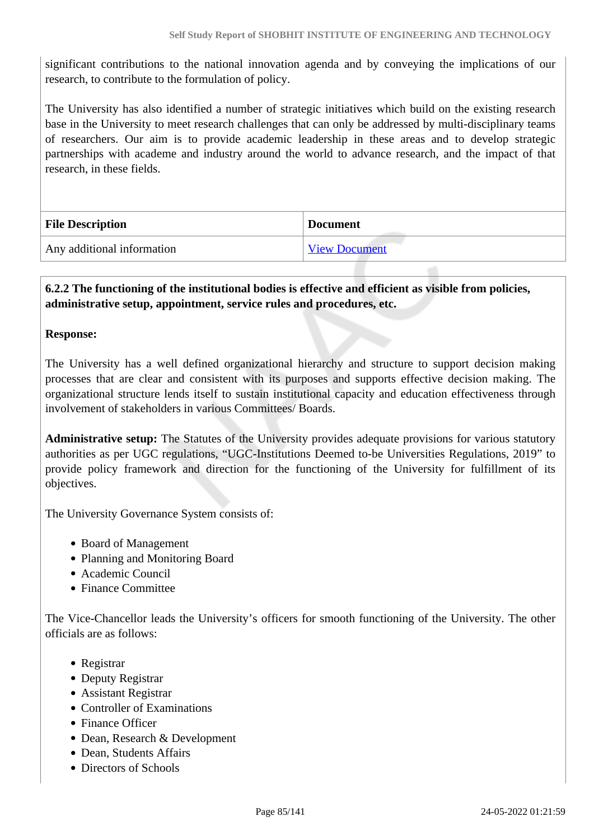significant contributions to the national innovation agenda and by conveying the implications of our research, to contribute to the formulation of policy.

The University has also identified a number of strategic initiatives which build on the existing research base in the University to meet research challenges that can only be addressed by multi-disciplinary teams of researchers. Our aim is to provide academic leadership in these areas and to develop strategic partnerships with academe and industry around the world to advance research, and the impact of that research, in these fields.

| <b>File Description</b>    | <b>Document</b>      |
|----------------------------|----------------------|
| Any additional information | <b>View Document</b> |

# **6.2.2 The functioning of the institutional bodies is effective and efficient as visible from policies, administrative setup, appointment, service rules and procedures, etc.**

#### **Response:**

The University has a well defined organizational hierarchy and structure to support decision making processes that are clear and consistent with its purposes and supports effective decision making. The organizational structure lends itself to sustain institutional capacity and education effectiveness through involvement of stakeholders in various Committees/ Boards.

**Administrative setup:** The Statutes of the University provides adequate provisions for various statutory authorities as per UGC regulations, "UGC-Institutions Deemed to-be Universities Regulations, 2019" to provide policy framework and direction for the functioning of the University for fulfillment of its objectives.

The University Governance System consists of:

- Board of Management
- Planning and Monitoring Board
- Academic Council
- Finance Committee

The Vice-Chancellor leads the University's officers for smooth functioning of the University. The other officials are as follows:

- Registrar
- Deputy Registrar
- Assistant Registrar
- Controller of Examinations
- Finance Officer
- Dean, Research & Development
- Dean, Students Affairs
- Directors of Schools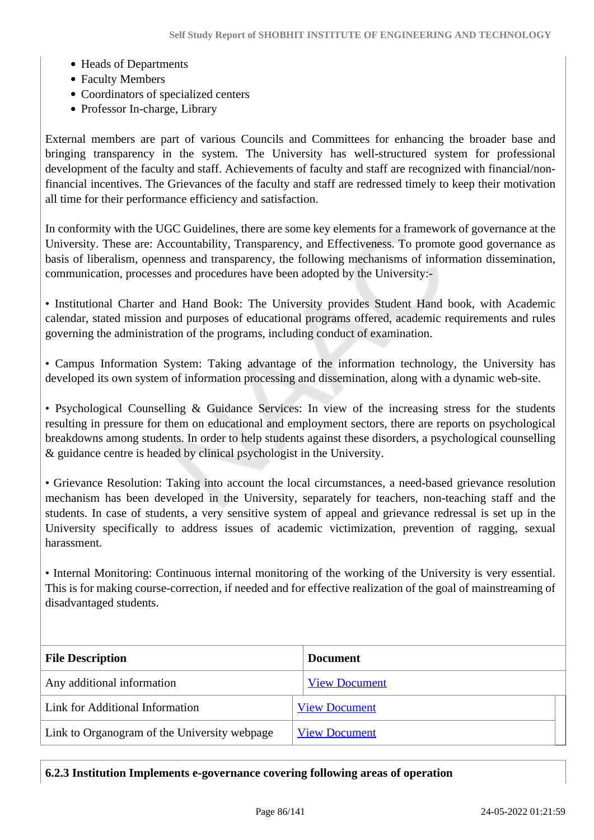- Heads of Departments
- Faculty Members
- Coordinators of specialized centers
- Professor In-charge, Library

External members are part of various Councils and Committees for enhancing the broader base and bringing transparency in the system. The University has well-structured system for professional development of the faculty and staff. Achievements of faculty and staff are recognized with financial/nonfinancial incentives. The Grievances of the faculty and staff are redressed timely to keep their motivation all time for their performance efficiency and satisfaction.

In conformity with the UGC Guidelines, there are some key elements for a framework of governance at the University. These are: Accountability, Transparency, and Effectiveness. To promote good governance as basis of liberalism, openness and transparency, the following mechanisms of information dissemination, communication, processes and procedures have been adopted by the University:-

• Institutional Charter and Hand Book: The University provides Student Hand book, with Academic calendar, stated mission and purposes of educational programs offered, academic requirements and rules governing the administration of the programs, including conduct of examination.

• Campus Information System: Taking advantage of the information technology, the University has developed its own system of information processing and dissemination, along with a dynamic web-site.

• Psychological Counselling & Guidance Services: In view of the increasing stress for the students resulting in pressure for them on educational and employment sectors, there are reports on psychological breakdowns among students. In order to help students against these disorders, a psychological counselling & guidance centre is headed by clinical psychologist in the University.

• Grievance Resolution: Taking into account the local circumstances, a need-based grievance resolution mechanism has been developed in the University, separately for teachers, non-teaching staff and the students. In case of students, a very sensitive system of appeal and grievance redressal is set up in the University specifically to address issues of academic victimization, prevention of ragging, sexual harassment.

• Internal Monitoring: Continuous internal monitoring of the working of the University is very essential. This is for making course-correction, if needed and for effective realization of the goal of mainstreaming of disadvantaged students.

| <b>File Description</b>                      | <b>Document</b>      |
|----------------------------------------------|----------------------|
| Any additional information                   | <b>View Document</b> |
| Link for Additional Information              | <b>View Document</b> |
| Link to Organogram of the University webpage | <b>View Document</b> |

#### **6.2.3 Institution Implements e-governance covering following areas of operation**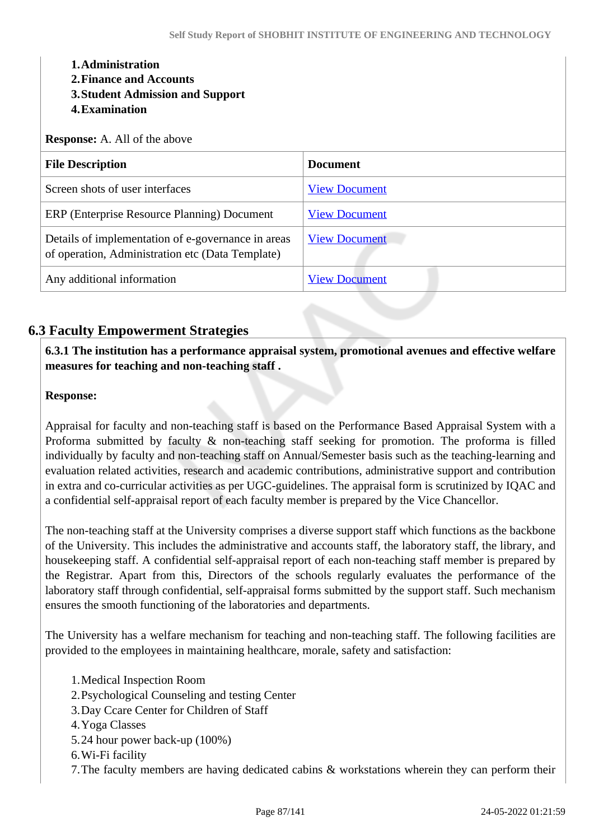### **1.Administration**

- **2.Finance and Accounts**
- **3.Student Admission and Support**
- **4.Examination**

**Response:** A. All of the above

| <b>File Description</b>                                                                                | <b>Document</b>      |
|--------------------------------------------------------------------------------------------------------|----------------------|
| Screen shots of user interfaces                                                                        | <b>View Document</b> |
| ERP (Enterprise Resource Planning) Document                                                            | <b>View Document</b> |
| Details of implementation of e-governance in areas<br>of operation, Administration etc (Data Template) | <b>View Document</b> |
| Any additional information                                                                             | <b>View Document</b> |

# **6.3 Faculty Empowerment Strategies**

# **6.3.1 The institution has a performance appraisal system, promotional avenues and effective welfare measures for teaching and non-teaching staff .**

### **Response:**

Appraisal for faculty and non-teaching staff is based on the Performance Based Appraisal System with a Proforma submitted by faculty & non-teaching staff seeking for promotion. The proforma is filled individually by faculty and non-teaching staff on Annual/Semester basis such as the teaching-learning and evaluation related activities, research and academic contributions, administrative support and contribution in extra and co-curricular activities as per UGC-guidelines. The appraisal form is scrutinized by IQAC and a confidential self-appraisal report of each faculty member is prepared by the Vice Chancellor.

The non-teaching staff at the University comprises a diverse support staff which functions as the backbone of the University. This includes the administrative and accounts staff, the laboratory staff, the library, and housekeeping staff. A confidential self-appraisal report of each non-teaching staff member is prepared by the Registrar. Apart from this, Directors of the schools regularly evaluates the performance of the laboratory staff through confidential, self-appraisal forms submitted by the support staff. Such mechanism ensures the smooth functioning of the laboratories and departments.

The University has a welfare mechanism for teaching and non-teaching staff. The following facilities are provided to the employees in maintaining healthcare, morale, safety and satisfaction:

1.Medical Inspection Room 2.Psychological Counseling and testing Center 3.Day Ccare Center for Children of Staff 4.Yoga Classes 5.24 hour power back-up (100%)

- 6.Wi-Fi facility
- 7.The faculty members are having dedicated cabins & workstations wherein they can perform their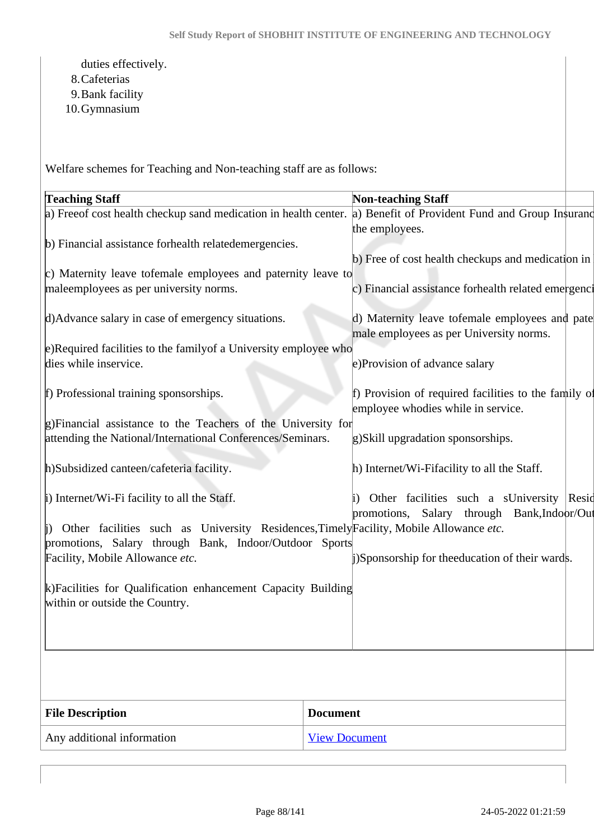duties effectively.

- 8.Cafeterias
- 9.Bank facility
- 10.Gymnasium

Welfare schemes for Teaching and Non-teaching staff are as follows:

| <b>Teaching Staff</b>                                                                                                                                                                                                                  | <b>Non-teaching Staff</b>                                                                                                                      |
|----------------------------------------------------------------------------------------------------------------------------------------------------------------------------------------------------------------------------------------|------------------------------------------------------------------------------------------------------------------------------------------------|
| a) Free of cost health checkup sand medication in health center.                                                                                                                                                                       | a) Benefit of Provident Fund and Group Insuranc<br>the employees.                                                                              |
| b) Financial assistance forhealth related emergencies.                                                                                                                                                                                 | b) Free of cost health checkups and medication in                                                                                              |
| c) Maternity leave to female employees and paternity leave to<br>male employees as per university norms.                                                                                                                               | c) Financial assistance forhealth related emergenci                                                                                            |
| d) Advance salary in case of emergency situations.                                                                                                                                                                                     | d) Maternity leave tofemale employees and pate<br>male employees as per University norms.                                                      |
| e)Required facilities to the family of a University employee who<br>dies while inservice.                                                                                                                                              | e)Provision of advance salary                                                                                                                  |
| (f) Professional training sponsorships.                                                                                                                                                                                                | f) Provision of required facilities to the family of<br>employee whodies while in service.                                                     |
| g)Financial assistance to the Teachers of the University for<br>attending the National/International Conferences/Seminars.                                                                                                             | g)Skill upgradation sponsorships.                                                                                                              |
| h)Subsidized canteen/cafeteria facility.                                                                                                                                                                                               | h) Internet/Wi-Fifacility to all the Staff.                                                                                                    |
| i) Internet/Wi-Fi facility to all the Staff.<br>j) Other facilities such as University Residences, Timely Facility, Mobile Allowance etc.<br>promotions, Salary through Bank, Indoor/Outdoor Sports<br>Facility, Mobile Allowance etc. | i) Other facilities such a sUniversity Resid<br>promotions, Salary through Bank, Indoor/Out<br>j)Sponsorship for the education of their wards. |
| k) Facilities for Qualification enhancement Capacity Building<br>within or outside the Country.                                                                                                                                        |                                                                                                                                                |
|                                                                                                                                                                                                                                        |                                                                                                                                                |
| <b>File Description</b>                                                                                                                                                                                                                | <b>Document</b>                                                                                                                                |
| Any additional information                                                                                                                                                                                                             | <b>View Document</b>                                                                                                                           |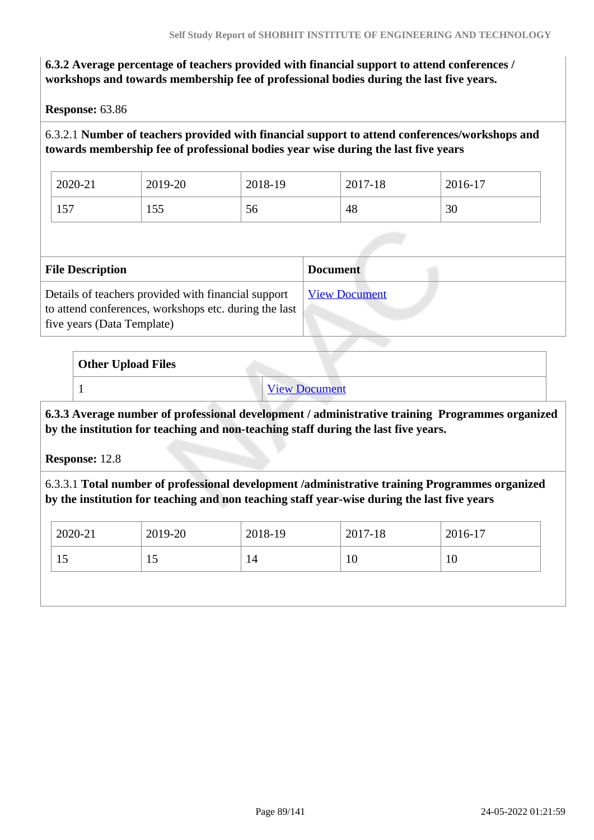# **6.3.2 Average percentage of teachers provided with financial support to attend conferences / workshops and towards membership fee of professional bodies during the last five years.**

**Response:** 63.86

# 6.3.2.1 **Number of teachers provided with financial support to attend conferences/workshops and towards membership fee of professional bodies year wise during the last five years**

| 2020-21 | 2019-20       | 2018-19 | 2017-18 | 2016-17 |
|---------|---------------|---------|---------|---------|
| 157     | $ -$<br>1 J J | 56      | 48      | 30      |

| <b>File Description</b>                               | <b>Document</b>      |
|-------------------------------------------------------|----------------------|
| Details of teachers provided with financial support   | <b>View Document</b> |
| to attend conferences, workshops etc. during the last |                      |
| five years (Data Template)                            |                      |

| <b>Other Upload Files</b> |                      |  |
|---------------------------|----------------------|--|
|                           | <b>View Document</b> |  |

 **6.3.3 Average number of professional development / administrative training Programmes organized by the institution for teaching and non-teaching staff during the last five years.**

**Response:** 12.8

6.3.3.1 **Total number of professional development /administrative training Programmes organized by the institution for teaching and non teaching staff year-wise during the last five years**

| 2020-21 | 2019-20 | 2018-19 | 2017-18 | 2016-17 |
|---------|---------|---------|---------|---------|
| 15      | 10      | 14      | 10      | 10      |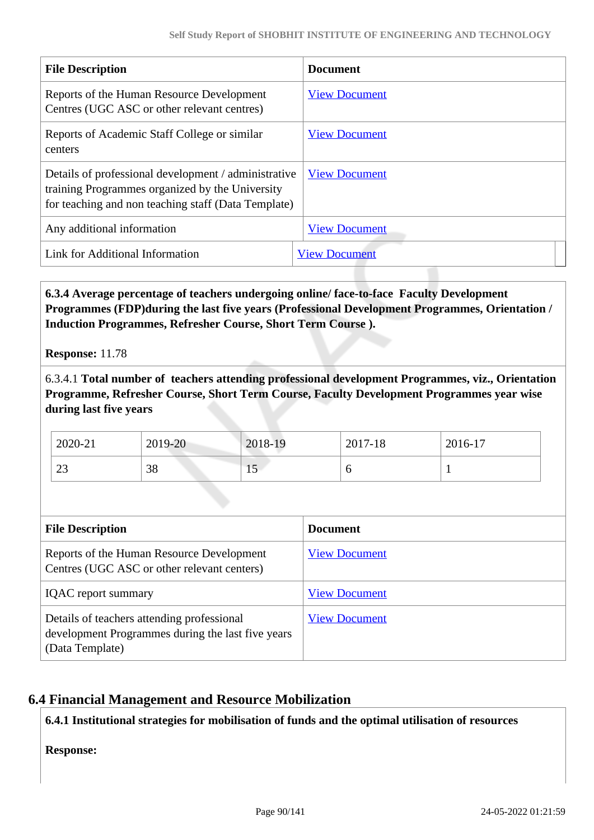| <b>File Description</b>                                                                                                                                        | <b>Document</b>      |
|----------------------------------------------------------------------------------------------------------------------------------------------------------------|----------------------|
| Reports of the Human Resource Development<br>Centres (UGC ASC or other relevant centres)                                                                       | <b>View Document</b> |
| Reports of Academic Staff College or similar<br>centers                                                                                                        | <b>View Document</b> |
| Details of professional development / administrative<br>training Programmes organized by the University<br>for teaching and non teaching staff (Data Template) | <b>View Document</b> |
| Any additional information                                                                                                                                     | <b>View Document</b> |
| Link for Additional Information                                                                                                                                | <b>View Document</b> |

# **6.3.4 Average percentage of teachers undergoing online/ face-to-face Faculty Development Programmes (FDP)during the last five years (Professional Development Programmes, Orientation / Induction Programmes, Refresher Course, Short Term Course ).**

**Response:** 11.78

6.3.4.1 **Total number of teachers attending professional development Programmes, viz., Orientation Programme, Refresher Course, Short Term Course, Faculty Development Programmes year wise during last five years**

| 2020-21        | 2019-20 | 2018-19 | 2017-18 | 2016-17 |
|----------------|---------|---------|---------|---------|
| $\Omega$<br>23 | 38      |         |         |         |

| <b>File Description</b>                                                                                            | <b>Document</b>      |
|--------------------------------------------------------------------------------------------------------------------|----------------------|
| Reports of the Human Resource Development<br>Centres (UGC ASC or other relevant centers)                           | <b>View Document</b> |
| <b>IQAC</b> report summary                                                                                         | <b>View Document</b> |
| Details of teachers attending professional<br>development Programmes during the last five years<br>(Data Template) | <b>View Document</b> |

# **6.4 Financial Management and Resource Mobilization**

**6.4.1 Institutional strategies for mobilisation of funds and the optimal utilisation of resources**

**Response:**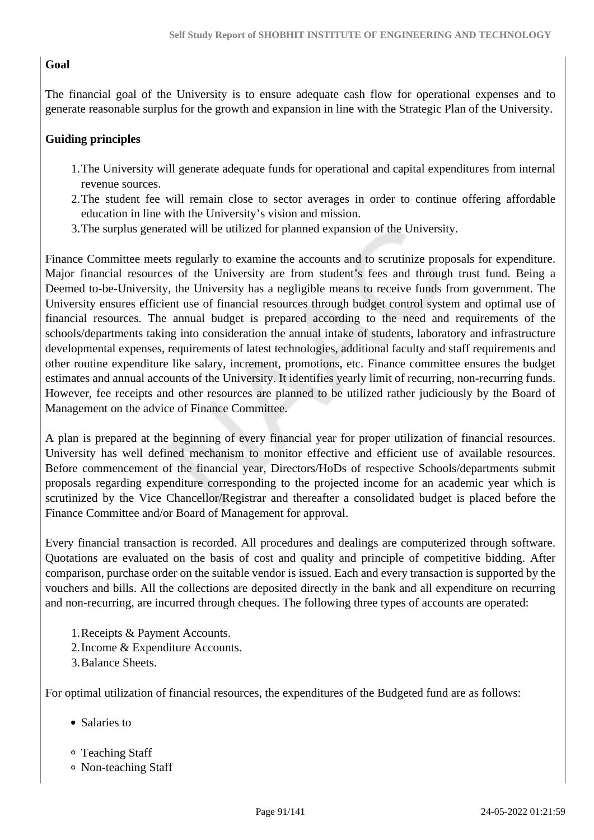# **Goal**

The financial goal of the University is to ensure adequate cash flow for operational expenses and to generate reasonable surplus for the growth and expansion in line with the Strategic Plan of the University.

# **Guiding principles**

- 1.The University will generate adequate funds for operational and capital expenditures from internal revenue sources.
- 2.The student fee will remain close to sector averages in order to continue offering affordable education in line with the University's vision and mission.
- 3.The surplus generated will be utilized for planned expansion of the University.

Finance Committee meets regularly to examine the accounts and to scrutinize proposals for expenditure. Major financial resources of the University are from student's fees and through trust fund. Being a Deemed to-be-University, the University has a negligible means to receive funds from government. The University ensures efficient use of financial resources through budget control system and optimal use of financial resources. The annual budget is prepared according to the need and requirements of the schools/departments taking into consideration the annual intake of students, laboratory and infrastructure developmental expenses, requirements of latest technologies, additional faculty and staff requirements and other routine expenditure like salary, increment, promotions, etc. Finance committee ensures the budget estimates and annual accounts of the University. It identifies yearly limit of recurring, non-recurring funds. However, fee receipts and other resources are planned to be utilized rather judiciously by the Board of Management on the advice of Finance Committee.

A plan is prepared at the beginning of every financial year for proper utilization of financial resources. University has well defined mechanism to monitor effective and efficient use of available resources. Before commencement of the financial year, Directors/HoDs of respective Schools/departments submit proposals regarding expenditure corresponding to the projected income for an academic year which is scrutinized by the Vice Chancellor/Registrar and thereafter a consolidated budget is placed before the Finance Committee and/or Board of Management for approval.

Every financial transaction is recorded. All procedures and dealings are computerized through software. Quotations are evaluated on the basis of cost and quality and principle of competitive bidding. After comparison, purchase order on the suitable vendor is issued. Each and every transaction is supported by the vouchers and bills. All the collections are deposited directly in the bank and all expenditure on recurring and non-recurring, are incurred through cheques. The following three types of accounts are operated:

- 1.Receipts & Payment Accounts.
- 2.Income & Expenditure Accounts.
- 3.Balance Sheets.

For optimal utilization of financial resources, the expenditures of the Budgeted fund are as follows:

- Salaries to
- Teaching Staff
- Non-teaching Staff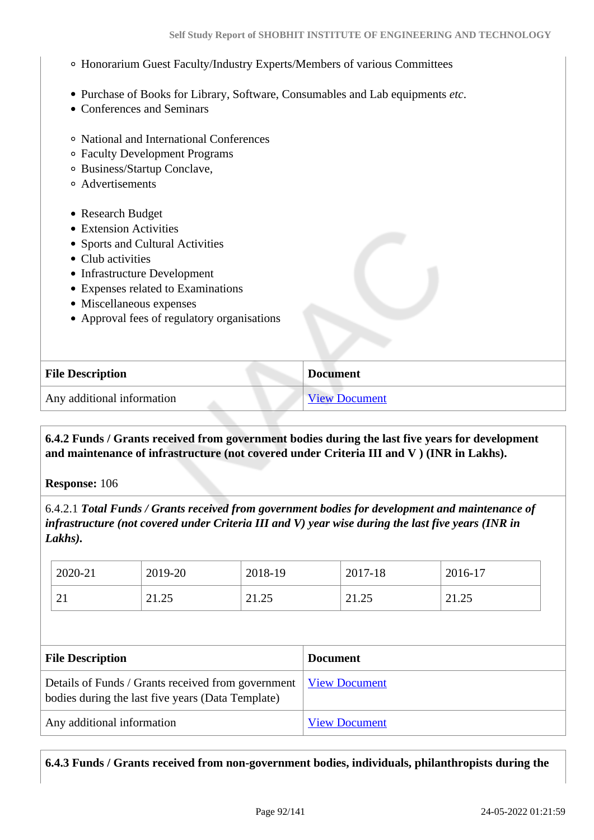- Honorarium Guest Faculty/Industry Experts/Members of various Committees
- Purchase of Books for Library, Software, Consumables and Lab equipments *etc*.
- Conferences and Seminars
- National and International Conferences
- Faculty Development Programs
- Business/Startup Conclave,
- Advertisements
- Research Budget
- Extension Activities
- Sports and Cultural Activities
- Club activities
- Infrastructure Development
- Expenses related to Examinations
- Miscellaneous expenses
- Approval fees of regulatory organisations

| <b>File Description</b>    | <b>Document</b>      |
|----------------------------|----------------------|
| Any additional information | <b>View Document</b> |

 **6.4.2 Funds / Grants received from government bodies during the last five years for development and maintenance of infrastructure (not covered under Criteria III and V ) (INR in Lakhs).**

**Response:** 106

6.4.2.1 *Total Funds / Grants received from government bodies for development and maintenance of infrastructure (not covered under Criteria III and V) year wise during the last five years (INR in Lakhs).*

| 2020-21  | 2019-20 | 2018-19  | 2017-18   | 2016-17 |
|----------|---------|----------|-----------|---------|
| $\sim$ 1 | 21.25   | つ1 つく    | $\bigcap$ | 21.25   |
|          | 21.2J   | ل که د ک | 2.1.2J    | رے . دے |

| <b>File Description</b>                                                                                                        | <b>Document</b>      |
|--------------------------------------------------------------------------------------------------------------------------------|----------------------|
| Details of Funds / Grants received from government   <u>View Document</u><br>bodies during the last five years (Data Template) |                      |
| Any additional information                                                                                                     | <b>View Document</b> |

**6.4.3 Funds / Grants received from non-government bodies, individuals, philanthropists during the**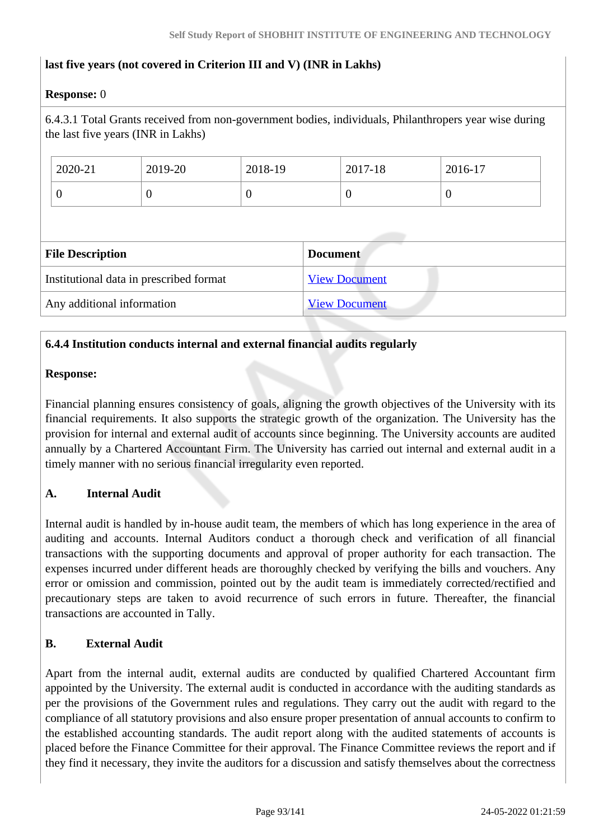# **last five years (not covered in Criterion III and V) (INR in Lakhs)**

# **Response:** 0

6.4.3.1 Total Grants received from non-government bodies, individuals, Philanthropers year wise during the last five years (INR in Lakhs)

| 0       | U       | 0       |         | U       |
|---------|---------|---------|---------|---------|
| 2020-21 | 2019-20 | 2018-19 | 2017-18 | 2016-17 |

| <b>FIIE DESCLIPTION</b>                 | росишені             |
|-----------------------------------------|----------------------|
| Institutional data in prescribed format | <b>View Document</b> |
| Any additional information              | <b>View Document</b> |
|                                         |                      |

# **6.4.4 Institution conducts internal and external financial audits regularly**

### **Response:**

Financial planning ensures consistency of goals, aligning the growth objectives of the University with its financial requirements. It also supports the strategic growth of the organization. The University has the provision for internal and external audit of accounts since beginning. The University accounts are audited annually by a Chartered Accountant Firm. The University has carried out internal and external audit in a timely manner with no serious financial irregularity even reported.

# **A. Internal Audit**

Internal audit is handled by in-house audit team, the members of which has long experience in the area of auditing and accounts. Internal Auditors conduct a thorough check and verification of all financial transactions with the supporting documents and approval of proper authority for each transaction. The expenses incurred under different heads are thoroughly checked by verifying the bills and vouchers. Any error or omission and commission, pointed out by the audit team is immediately corrected/rectified and precautionary steps are taken to avoid recurrence of such errors in future. Thereafter, the financial transactions are accounted in Tally.

# **B. External Audit**

Apart from the internal audit, external audits are conducted by qualified Chartered Accountant firm appointed by the University. The external audit is conducted in accordance with the auditing standards as per the provisions of the Government rules and regulations. They carry out the audit with regard to the compliance of all statutory provisions and also ensure proper presentation of annual accounts to confirm to the established accounting standards. The audit report along with the audited statements of accounts is placed before the Finance Committee for their approval. The Finance Committee reviews the report and if they find it necessary, they invite the auditors for a discussion and satisfy themselves about the correctness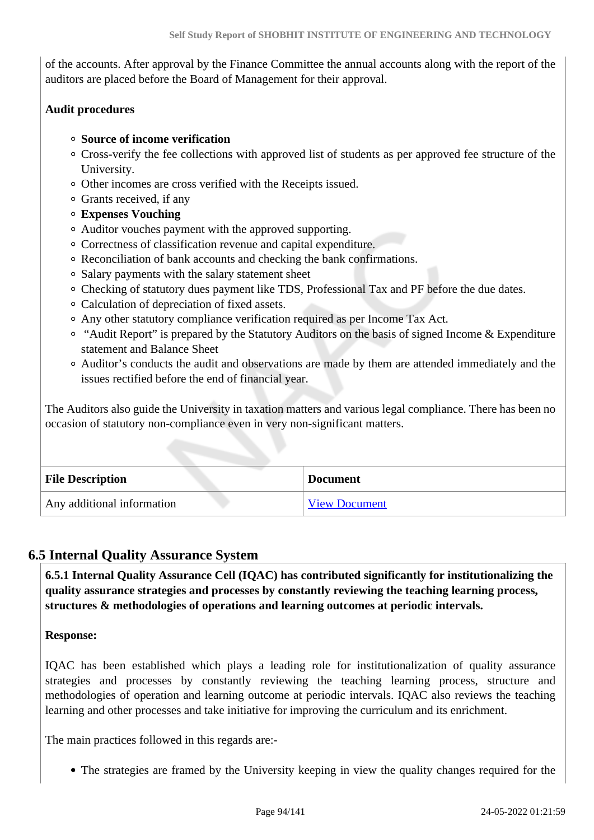of the accounts. After approval by the Finance Committee the annual accounts along with the report of the auditors are placed before the Board of Management for their approval.

### **Audit procedures**

### **Source of income verification**

- Cross-verify the fee collections with approved list of students as per approved fee structure of the University.
- Other incomes are cross verified with the Receipts issued.
- Grants received, if any
- **Expenses Vouching**
- Auditor vouches payment with the approved supporting.
- Correctness of classification revenue and capital expenditure.
- Reconciliation of bank accounts and checking the bank confirmations.
- Salary payments with the salary statement sheet
- Checking of statutory dues payment like TDS, Professional Tax and PF before the due dates.
- Calculation of depreciation of fixed assets.
- Any other statutory compliance verification required as per Income Tax Act.
- <sup>o</sup> "Audit Report" is prepared by the Statutory Auditors on the basis of signed Income & Expenditure statement and Balance Sheet
- Auditor's conducts the audit and observations are made by them are attended immediately and the issues rectified before the end of financial year.

The Auditors also guide the University in taxation matters and various legal compliance. There has been no occasion of statutory non-compliance even in very non-significant matters.

| <b>File Description</b>    | <b>Document</b>      |
|----------------------------|----------------------|
| Any additional information | <b>View Document</b> |

# **6.5 Internal Quality Assurance System**

 **6.5.1 Internal Quality Assurance Cell (IQAC) has contributed significantly for institutionalizing the quality assurance strategies and processes by constantly reviewing the teaching learning process, structures & methodologies of operations and learning outcomes at periodic intervals.**

# **Response:**

IQAC has been established which plays a leading role for institutionalization of quality assurance strategies and processes by constantly reviewing the teaching learning process, structure and methodologies of operation and learning outcome at periodic intervals. IQAC also reviews the teaching learning and other processes and take initiative for improving the curriculum and its enrichment.

The main practices followed in this regards are:-

The strategies are framed by the University keeping in view the quality changes required for the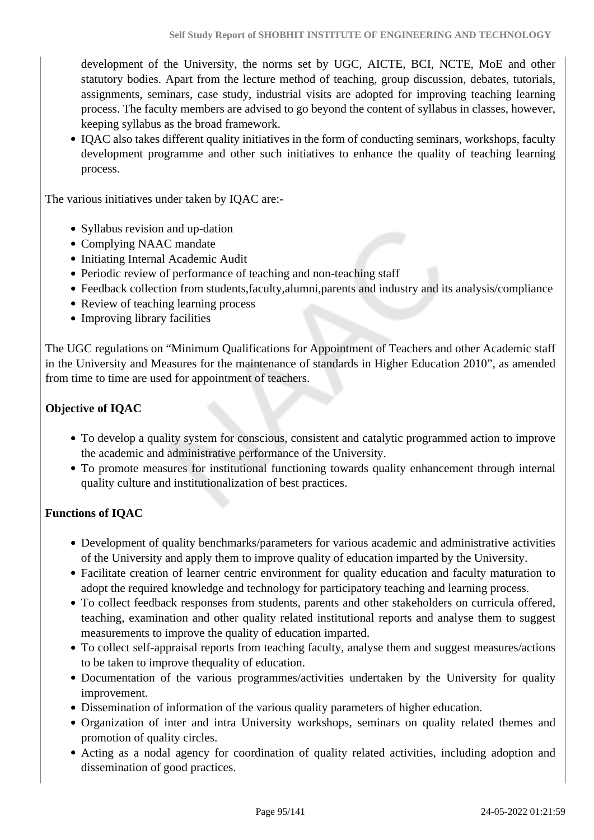development of the University, the norms set by UGC, AICTE, BCI, NCTE, MoE and other statutory bodies. Apart from the lecture method of teaching, group discussion, debates, tutorials, assignments, seminars, case study, industrial visits are adopted for improving teaching learning process. The faculty members are advised to go beyond the content of syllabus in classes, however, keeping syllabus as the broad framework.

IQAC also takes different quality initiatives in the form of conducting seminars, workshops, faculty development programme and other such initiatives to enhance the quality of teaching learning process.

The various initiatives under taken by IQAC are:-

- Syllabus revision and up-dation
- Complying NAAC mandate
- Initiating Internal Academic Audit
- Periodic review of performance of teaching and non-teaching staff
- Feedback collection from students,faculty,alumni,parents and industry and its analysis/compliance
- Review of teaching learning process
- Improving library facilities

The UGC regulations on "Minimum Qualifications for Appointment of Teachers and other Academic staff in the University and Measures for the maintenance of standards in Higher Education 2010", as amended from time to time are used for appointment of teachers.

# **Objective of IQAC**

- To develop a quality system for conscious, consistent and catalytic programmed action to improve the academic and administrative performance of the University.
- To promote measures for institutional functioning towards quality enhancement through internal quality culture and institutionalization of best practices.

# **Functions of IQAC**

- Development of quality benchmarks/parameters for various academic and administrative activities of the University and apply them to improve quality of education imparted by the University.
- Facilitate creation of learner centric environment for quality education and faculty maturation to adopt the required knowledge and technology for participatory teaching and learning process.
- To collect feedback responses from students, parents and other stakeholders on curricula offered, teaching, examination and other quality related institutional reports and analyse them to suggest measurements to improve the quality of education imparted.
- To collect self-appraisal reports from teaching faculty, analyse them and suggest measures/actions to be taken to improve thequality of education.
- Documentation of the various programmes/activities undertaken by the University for quality improvement.
- Dissemination of information of the various quality parameters of higher education.
- Organization of inter and intra University workshops, seminars on quality related themes and promotion of quality circles.
- Acting as a nodal agency for coordination of quality related activities, including adoption and dissemination of good practices.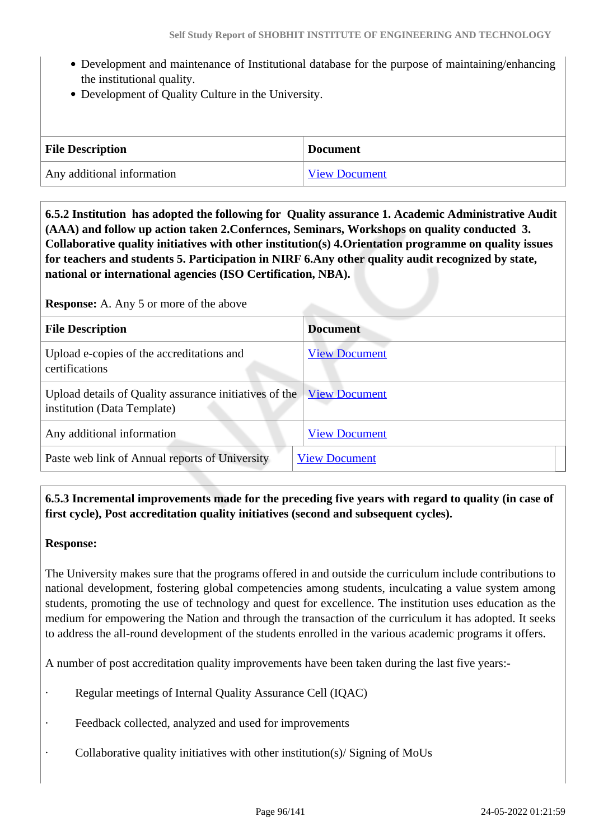- Development and maintenance of Institutional database for the purpose of maintaining/enhancing the institutional quality.
- Development of Quality Culture in the University.

| <b>File Description</b>    | <b>Document</b>      |
|----------------------------|----------------------|
| Any additional information | <b>View Document</b> |

 **6.5.2 Institution has adopted the following for Quality assurance 1. Academic Administrative Audit (AAA) and follow up action taken 2.Confernces, Seminars, Workshops on quality conducted 3. Collaborative quality initiatives with other institution(s) 4.Orientation programme on quality issues for teachers and students 5. Participation in NIRF 6.Any other quality audit recognized by state, national or international agencies (ISO Certification, NBA).**

#### **Response:** A. Any 5 or more of the above

| <b>File Description</b>                                                               | <b>Document</b>      |
|---------------------------------------------------------------------------------------|----------------------|
| Upload e-copies of the accreditations and<br>certifications                           | <b>View Document</b> |
| Upload details of Quality assurance initiatives of the<br>institution (Data Template) | <b>View Document</b> |
| Any additional information                                                            | <b>View Document</b> |
| Paste web link of Annual reports of University                                        | <b>View Document</b> |

 **6.5.3 Incremental improvements made for the preceding five years with regard to quality (in case of first cycle), Post accreditation quality initiatives (second and subsequent cycles).**

#### **Response:**

The University makes sure that the programs offered in and outside the curriculum include contributions to national development, fostering global competencies among students, inculcating a value system among students, promoting the use of technology and quest for excellence. The institution uses education as the medium for empowering the Nation and through the transaction of the curriculum it has adopted. It seeks to address the all-round development of the students enrolled in the various academic programs it offers.

A number of post accreditation quality improvements have been taken during the last five years:-

- · Regular meetings of Internal Quality Assurance Cell (IQAC)
- · Feedback collected, analyzed and used for improvements
- · Collaborative quality initiatives with other institution(s)/ Signing of MoUs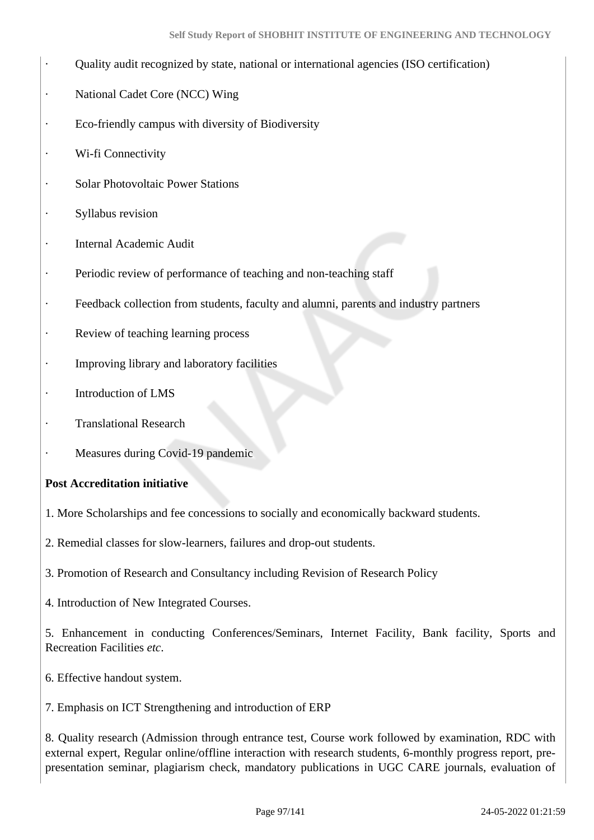- · Quality audit recognized by state, national or international agencies (ISO certification)
- · National Cadet Core (NCC) Wing
- · Eco-friendly campus with diversity of Biodiversity
- Wi-fi Connectivity
- · Solar Photovoltaic Power Stations
- · Syllabus revision
- · Internal Academic Audit
- · Periodic review of performance of teaching and non-teaching staff
- · Feedback collection from students, faculty and alumni, parents and industry partners
- · Review of teaching learning process
- · Improving library and laboratory facilities
- · Introduction of LMS
- · Translational Research
- · Measures during Covid-19 pandemic

# **Post Accreditation initiative**

- 1. More Scholarships and fee concessions to socially and economically backward students.
- 2. Remedial classes for slow-learners, failures and drop-out students.
- 3. Promotion of Research and Consultancy including Revision of Research Policy
- 4. Introduction of New Integrated Courses.

5. Enhancement in conducting Conferences/Seminars, Internet Facility, Bank facility, Sports and Recreation Facilities *etc*.

- 6. Effective handout system.
- 7. Emphasis on ICT Strengthening and introduction of ERP

8. Quality research (Admission through entrance test, Course work followed by examination, RDC with external expert, Regular online/offline interaction with research students, 6-monthly progress report, prepresentation seminar, plagiarism check, mandatory publications in UGC CARE journals, evaluation of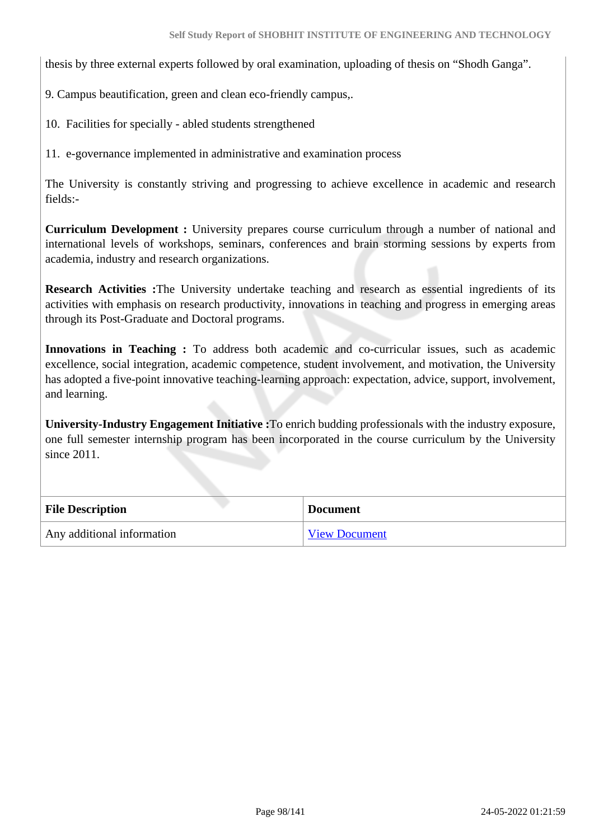thesis by three external experts followed by oral examination, uploading of thesis on "Shodh Ganga".

9. Campus beautification, green and clean eco-friendly campus,.

10. Facilities for specially - abled students strengthened

11. e-governance implemented in administrative and examination process

The University is constantly striving and progressing to achieve excellence in academic and research fields:-

**Curriculum Development :** University prepares course curriculum through a number of national and international levels of workshops, seminars, conferences and brain storming sessions by experts from academia, industry and research organizations.

**Research Activities :**The University undertake teaching and research as essential ingredients of its activities with emphasis on research productivity, innovations in teaching and progress in emerging areas through its Post-Graduate and Doctoral programs.

**Innovations in Teaching :** To address both academic and co-curricular issues, such as academic excellence, social integration, academic competence, student involvement, and motivation, the University has adopted a five-point innovative teaching-learning approach: expectation, advice, support, involvement, and learning.

**University-Industry Engagement Initiative :**To enrich budding professionals with the industry exposure, one full semester internship program has been incorporated in the course curriculum by the University since 2011.

| <b>File Description</b>    | <b>Document</b>      |
|----------------------------|----------------------|
| Any additional information | <b>View Document</b> |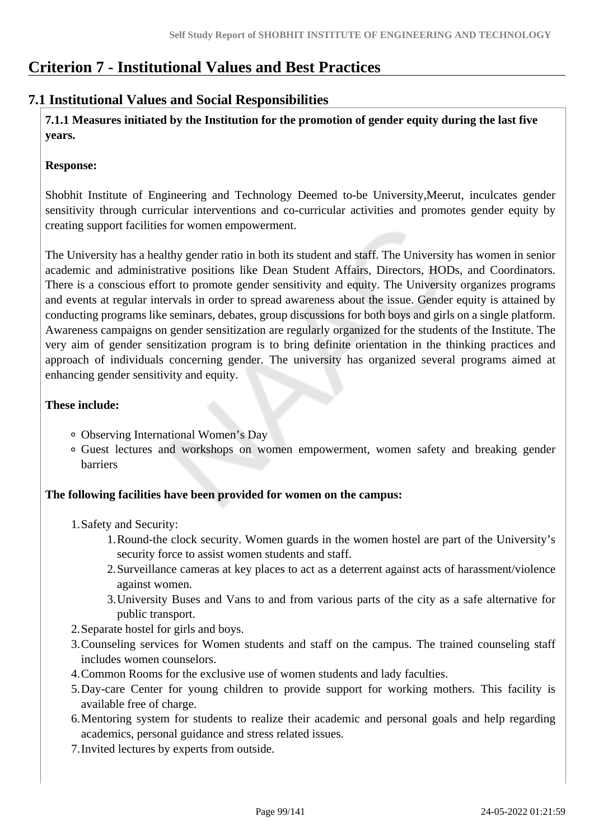# **Criterion 7 - Institutional Values and Best Practices**

# **7.1 Institutional Values and Social Responsibilities**

 **7.1.1 Measures initiated by the Institution for the promotion of gender equity during the last five years.**

### **Response:**

Shobhit Institute of Engineering and Technology Deemed to-be University,Meerut, inculcates gender sensitivity through curricular interventions and co-curricular activities and promotes gender equity by creating support facilities for women empowerment.

The University has a healthy gender ratio in both its student and staff. The University has women in senior academic and administrative positions like Dean Student Affairs, Directors, HODs, and Coordinators. There is a conscious effort to promote gender sensitivity and equity. The University organizes programs and events at regular intervals in order to spread awareness about the issue. Gender equity is attained by conducting programs like seminars, debates, group discussions for both boys and girls on a single platform. Awareness campaigns on gender sensitization are regularly organized for the students of the Institute. The very aim of gender sensitization program is to bring definite orientation in the thinking practices and approach of individuals concerning gender. The university has organized several programs aimed at enhancing gender sensitivity and equity.

# **These include:**

- Observing International Women's Day
- Guest lectures and workshops on women empowerment, women safety and breaking gender barriers

### **The following facilities have been provided for women on the campus:**

- 1.Safety and Security:
	- 1.Round-the clock security. Women guards in the women hostel are part of the University's security force to assist women students and staff.
	- 2.Surveillance cameras at key places to act as a deterrent against acts of harassment/violence against women.
	- 3.University Buses and Vans to and from various parts of the city as a safe alternative for public transport.
- 2.Separate hostel for girls and boys.
- 3.Counseling services for Women students and staff on the campus. The trained counseling staff includes women counselors.
- 4.Common Rooms for the exclusive use of women students and lady faculties.
- 5.Day-care Center for young children to provide support for working mothers. This facility is available free of charge.
- 6.Mentoring system for students to realize their academic and personal goals and help regarding academics, personal guidance and stress related issues.
- 7.Invited lectures by experts from outside.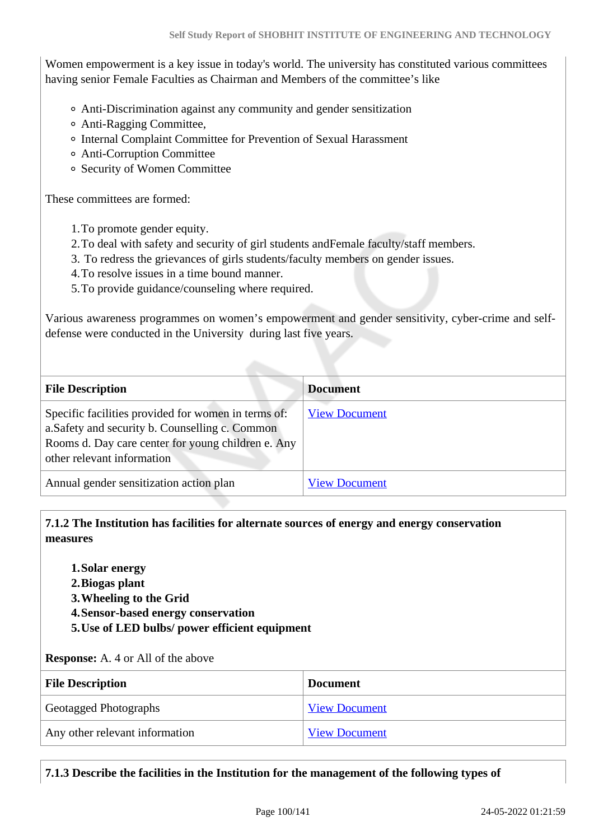Women empowerment is a key issue in today's world. The university has constituted various committees having senior Female Faculties as Chairman and Members of the committee's like

- Anti-Discrimination against any community and gender sensitization
- Anti-Ragging Committee,
- Internal Complaint Committee for Prevention of Sexual Harassment
- Anti-Corruption Committee
- Security of Women Committee

These committees are formed:

- 1.To promote gender equity.
- 2.To deal with safety and security of girl students andFemale faculty/staff members.
- 3. To redress the grievances of girls students/faculty members on gender issues.
- 4.To resolve issues in a time bound manner.
- 5.To provide guidance/counseling where required.

Various awareness programmes on women's empowerment and gender sensitivity, cyber-crime and selfdefense were conducted in the University during last five years.

| <b>File Description</b>                                                                                                                                                                    | <b>Document</b>      |
|--------------------------------------------------------------------------------------------------------------------------------------------------------------------------------------------|----------------------|
| Specific facilities provided for women in terms of:<br>a. Safety and security b. Counselling c. Common<br>Rooms d. Day care center for young children e. Any<br>other relevant information | <b>View Document</b> |
| Annual gender sensitization action plan                                                                                                                                                    | <b>View Document</b> |

 **7.1.2 The Institution has facilities for alternate sources of energy and energy conservation measures** 

- **1.Solar energy**
- **2.Biogas plant**
- **3.Wheeling to the Grid**
- **4.Sensor-based energy conservation**
- **5.Use of LED bulbs/ power efficient equipment**

**Response:** A. 4 or All of the above

| <b>File Description</b>        | <b>Document</b>      |
|--------------------------------|----------------------|
| <b>Geotagged Photographs</b>   | <b>View Document</b> |
| Any other relevant information | <b>View Document</b> |

### **7.1.3 Describe the facilities in the Institution for the management of the following types of**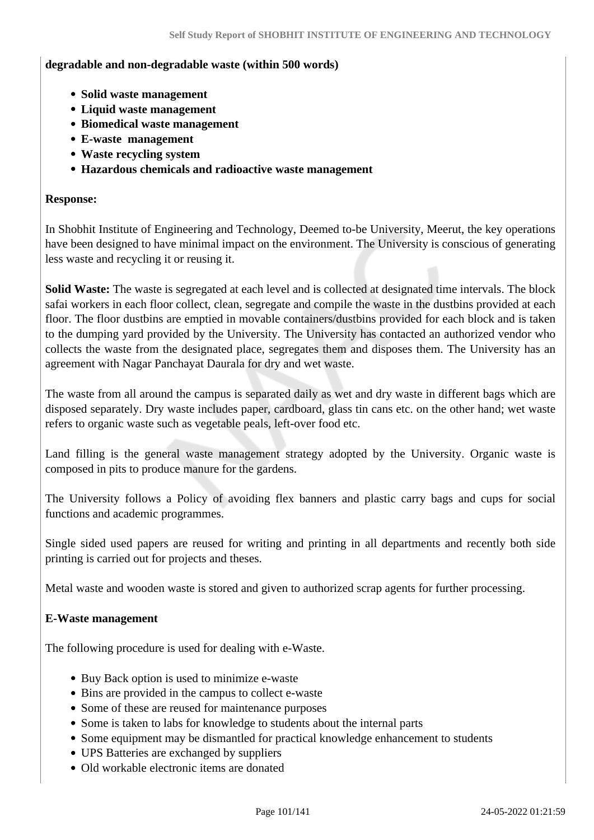#### **degradable and non-degradable waste (within 500 words)**

- **Solid waste management**
- **Liquid waste management**
- **Biomedical waste management**
- **E-waste management**
- **Waste recycling system**
- **Hazardous chemicals and radioactive waste management**

#### **Response:**

In Shobhit Institute of Engineering and Technology, Deemed to-be University, Meerut, the key operations have been designed to have minimal impact on the environment. The University is conscious of generating less waste and recycling it or reusing it.

**Solid Waste:** The waste is segregated at each level and is collected at designated time intervals. The block safai workers in each floor collect, clean, segregate and compile the waste in the dustbins provided at each floor. The floor dustbins are emptied in movable containers/dustbins provided for each block and is taken to the dumping yard provided by the University. The University has contacted an authorized vendor who collects the waste from the designated place, segregates them and disposes them. The University has an agreement with Nagar Panchayat Daurala for dry and wet waste.

The waste from all around the campus is separated daily as wet and dry waste in different bags which are disposed separately. Dry waste includes paper, cardboard, glass tin cans etc. on the other hand; wet waste refers to organic waste such as vegetable peals, left-over food etc.

Land filling is the general waste management strategy adopted by the University. Organic waste is composed in pits to produce manure for the gardens.

The University follows a Policy of avoiding flex banners and plastic carry bags and cups for social functions and academic programmes.

Single sided used papers are reused for writing and printing in all departments and recently both side printing is carried out for projects and theses.

Metal waste and wooden waste is stored and given to authorized scrap agents for further processing.

#### **E-Waste management**

The following procedure is used for dealing with e-Waste.

- Buy Back option is used to minimize e-waste
- Bins are provided in the campus to collect e-waste
- Some of these are reused for maintenance purposes
- Some is taken to labs for knowledge to students about the internal parts
- Some equipment may be dismantled for practical knowledge enhancement to students
- UPS Batteries are exchanged by suppliers
- Old workable electronic items are donated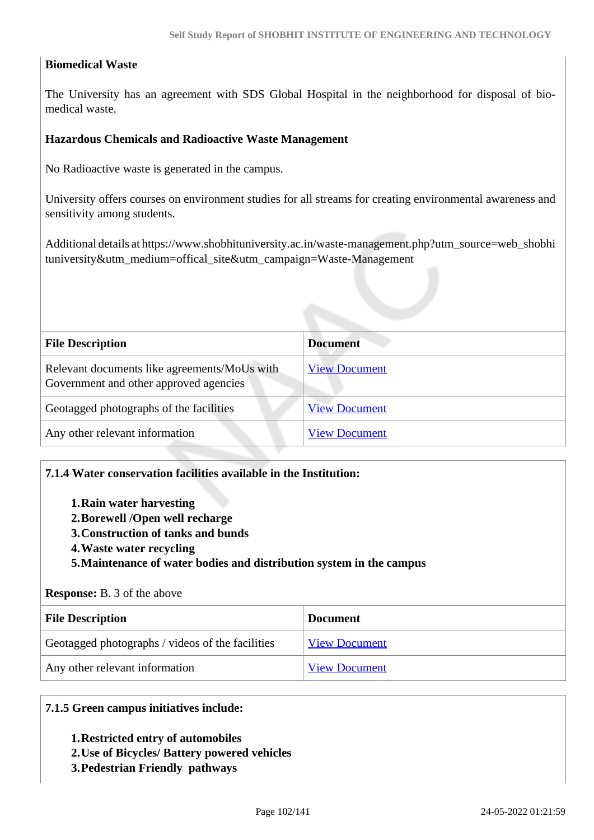### **Biomedical Waste**

The University has an agreement with SDS Global Hospital in the neighborhood for disposal of biomedical waste.

### **Hazardous Chemicals and Radioactive Waste Management**

No Radioactive waste is generated in the campus.

University offers courses on environment studies for all streams for creating environmental awareness and sensitivity among students.

Additional details at https://www.shobhituniversity.ac.in/waste-management.php?utm\_source=web\_shobhi tuniversity&utm\_medium=offical\_site&utm\_campaign=Waste-Management

| <b>File Description</b>                                                                | <b>Document</b>      |  |
|----------------------------------------------------------------------------------------|----------------------|--|
| Relevant documents like agreements/MoUs with<br>Government and other approved agencies | <b>View Document</b> |  |
| Geotagged photographs of the facilities                                                | <b>View Document</b> |  |
| Any other relevant information                                                         | <b>View Document</b> |  |
|                                                                                        |                      |  |

#### **7.1.4 Water conservation facilities available in the Institution:**

- **1.Rain water harvesting**
- **2.Borewell /Open well recharge**
- **3.Construction of tanks and bunds**
- **4.Waste water recycling**
- **5.Maintenance of water bodies and distribution system in the campus**

#### **Response:** B. 3 of the above

| <b>File Description</b>                          | <b>Document</b>      |
|--------------------------------------------------|----------------------|
| Geotagged photographs / videos of the facilities | <b>View Document</b> |
| Any other relevant information                   | <b>View Document</b> |

#### **7.1.5 Green campus initiatives include:**

#### **1.Restricted entry of automobiles**

- **2.Use of Bicycles/ Battery powered vehicles**
- **3.Pedestrian Friendly pathways**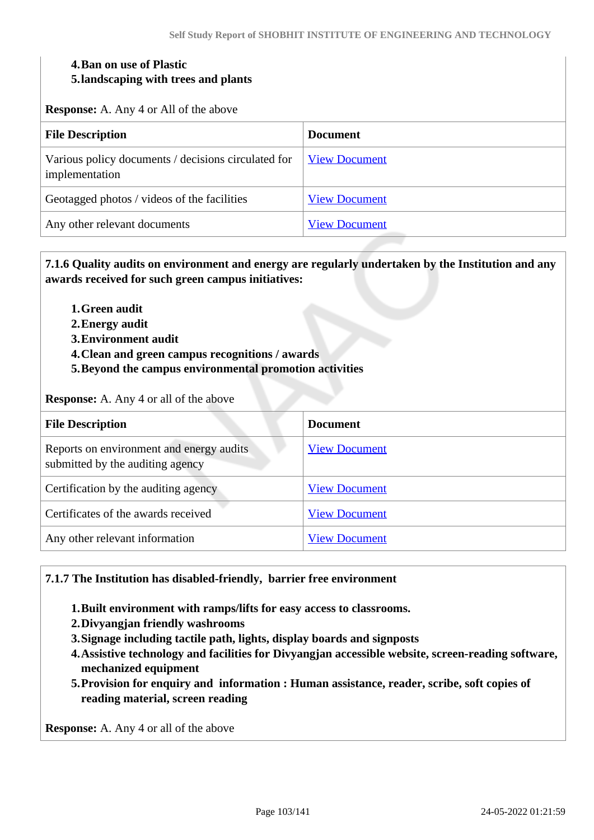### **4.Ban on use of Plastic**

# **5.landscaping with trees and plants**

**Response:** A. Any 4 or All of the above

| <b>File Description</b>                                               | <b>Document</b>      |
|-----------------------------------------------------------------------|----------------------|
| Various policy documents / decisions circulated for<br>implementation | <b>View Document</b> |
| Geotagged photos / videos of the facilities                           | <b>View Document</b> |
| Any other relevant documents                                          | <b>View Document</b> |

 **7.1.6 Quality audits on environment and energy are regularly undertaken by the Institution and any awards received for such green campus initiatives:**

- **1.Green audit**
- **2.Energy audit**
- **3.Environment audit**
- **4.Clean and green campus recognitions / awards**
- **5.Beyond the campus environmental promotion activities**

**Response:** A. Any 4 or all of the above

| <b>File Description</b>                                                      | <b>Document</b>      |
|------------------------------------------------------------------------------|----------------------|
| Reports on environment and energy audits<br>submitted by the auditing agency | <b>View Document</b> |
| Certification by the auditing agency                                         | <b>View Document</b> |
| Certificates of the awards received                                          | <b>View Document</b> |
| Any other relevant information                                               | <b>View Document</b> |

### **7.1.7 The Institution has disabled-friendly, barrier free environment**

- **1.Built environment with ramps/lifts for easy access to classrooms.**
- **2.Divyangjan friendly washrooms**
- **3.Signage including tactile path, lights, display boards and signposts**
- **4.Assistive technology and facilities for Divyangjan accessible website, screen-reading software, mechanized equipment**
- **5.Provision for enquiry and information : Human assistance, reader, scribe, soft copies of reading material, screen reading**

**Response:** A. Any 4 or all of the above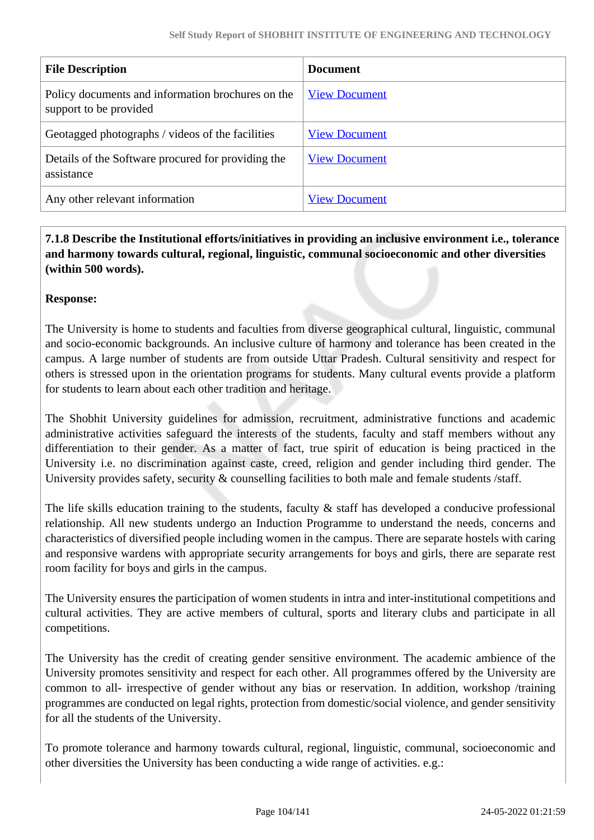| <b>File Description</b>                                                     | <b>Document</b>      |
|-----------------------------------------------------------------------------|----------------------|
| Policy documents and information brochures on the<br>support to be provided | <b>View Document</b> |
| Geotagged photographs / videos of the facilities                            | <b>View Document</b> |
| Details of the Software procured for providing the<br>assistance            | <b>View Document</b> |
| Any other relevant information                                              | <b>View Document</b> |

 **7.1.8 Describe the Institutional efforts/initiatives in providing an inclusive environment i.e., tolerance and harmony towards cultural, regional, linguistic, communal socioeconomic and other diversities (within 500 words).**

### **Response:**

The University is home to students and faculties from diverse geographical cultural, linguistic, communal and socio-economic backgrounds. An inclusive culture of harmony and tolerance has been created in the campus. A large number of students are from outside Uttar Pradesh. Cultural sensitivity and respect for others is stressed upon in the orientation programs for students. Many cultural events provide a platform for students to learn about each other tradition and heritage.

The Shobhit University guidelines for admission, recruitment, administrative functions and academic administrative activities safeguard the interests of the students, faculty and staff members without any differentiation to their gender. As a matter of fact, true spirit of education is being practiced in the University i.e. no discrimination against caste, creed, religion and gender including third gender. The University provides safety, security & counselling facilities to both male and female students /staff.

The life skills education training to the students, faculty & staff has developed a conducive professional relationship. All new students undergo an Induction Programme to understand the needs, concerns and characteristics of diversified people including women in the campus. There are separate hostels with caring and responsive wardens with appropriate security arrangements for boys and girls, there are separate rest room facility for boys and girls in the campus.

The University ensures the participation of women students in intra and inter-institutional competitions and cultural activities. They are active members of cultural, sports and literary clubs and participate in all competitions.

The University has the credit of creating gender sensitive environment. The academic ambience of the University promotes sensitivity and respect for each other. All programmes offered by the University are common to all- irrespective of gender without any bias or reservation. In addition, workshop /training programmes are conducted on legal rights, protection from domestic/social violence, and gender sensitivity for all the students of the University.

To promote tolerance and harmony towards cultural, regional, linguistic, communal, socioeconomic and other diversities the University has been conducting a wide range of activities. e.g.: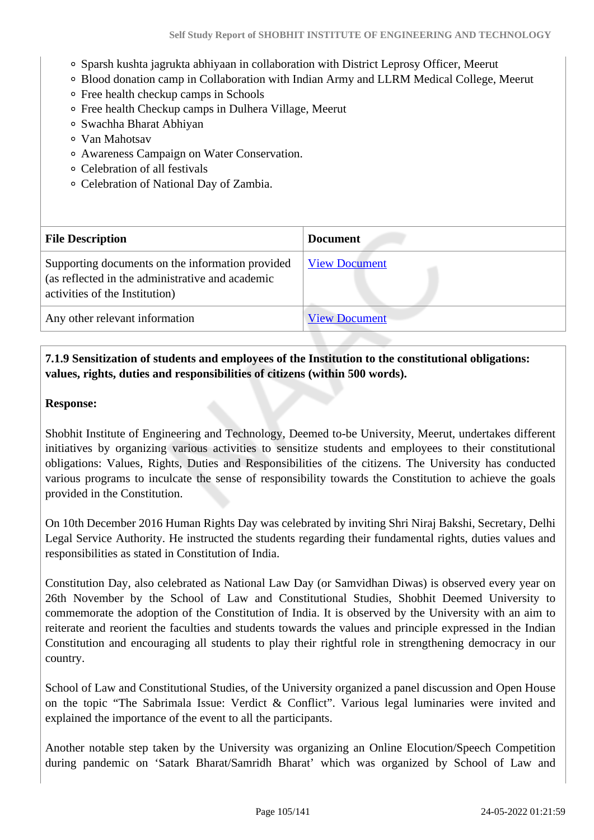- Sparsh kushta jagrukta abhiyaan in collaboration with District Leprosy Officer, Meerut
- Blood donation camp in Collaboration with Indian Army and LLRM Medical College, Meerut
- Free health checkup camps in Schools
- Free health Checkup camps in Dulhera Village, Meerut
- Swachha Bharat Abhiyan
- Van Mahotsav
- Awareness Campaign on Water Conservation.
- Celebration of all festivals
- Celebration of National Day of Zambia.

| <b>File Description</b>                                                                                                                | <b>Document</b>      |  |
|----------------------------------------------------------------------------------------------------------------------------------------|----------------------|--|
| Supporting documents on the information provided<br>(as reflected in the administrative and academic<br>activities of the Institution) | <b>View Document</b> |  |
| Any other relevant information                                                                                                         | <b>View Document</b> |  |

# **7.1.9 Sensitization of students and employees of the Institution to the constitutional obligations: values, rights, duties and responsibilities of citizens (within 500 words).**

#### **Response:**

Shobhit Institute of Engineering and Technology, Deemed to-be University, Meerut, undertakes different initiatives by organizing various activities to sensitize students and employees to their constitutional obligations: Values, Rights, Duties and Responsibilities of the citizens. The University has conducted various programs to inculcate the sense of responsibility towards the Constitution to achieve the goals provided in the Constitution.

On 10th December 2016 Human Rights Day was celebrated by inviting Shri Niraj Bakshi, Secretary, Delhi Legal Service Authority. He instructed the students regarding their fundamental rights, duties values and responsibilities as stated in Constitution of India.

Constitution Day, also celebrated as National Law Day (or Samvidhan Diwas) is observed every year on 26th November by the School of Law and Constitutional Studies, Shobhit Deemed University to commemorate the adoption of the Constitution of India. It is observed by the University with an aim to reiterate and reorient the faculties and students towards the values and principle expressed in the Indian Constitution and encouraging all students to play their rightful role in strengthening democracy in our country.

School of Law and Constitutional Studies, of the University organized a panel discussion and Open House on the topic "The Sabrimala Issue: Verdict & Conflict". Various legal luminaries were invited and explained the importance of the event to all the participants.

Another notable step taken by the University was organizing an Online Elocution/Speech Competition during pandemic on 'Satark Bharat/Samridh Bharat' which was organized by School of Law and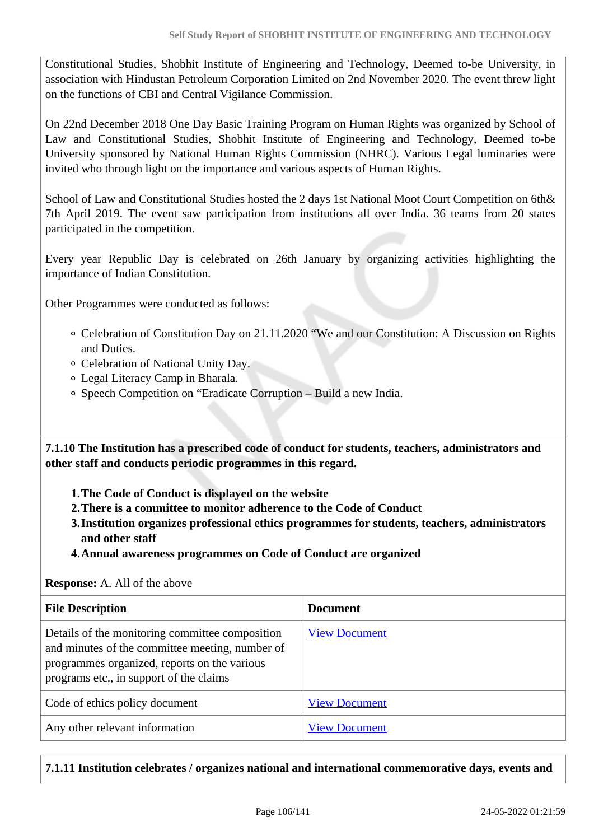Constitutional Studies, Shobhit Institute of Engineering and Technology, Deemed to-be University, in association with Hindustan Petroleum Corporation Limited on 2nd November 2020. The event threw light on the functions of CBI and Central Vigilance Commission.

On 22nd December 2018 One Day Basic Training Program on Human Rights was organized by School of Law and Constitutional Studies, Shobhit Institute of Engineering and Technology, Deemed to-be University sponsored by National Human Rights Commission (NHRC). Various Legal luminaries were invited who through light on the importance and various aspects of Human Rights.

School of Law and Constitutional Studies hosted the 2 days 1st National Moot Court Competition on 6th& 7th April 2019. The event saw participation from institutions all over India. 36 teams from 20 states participated in the competition.

Every year Republic Day is celebrated on 26th January by organizing activities highlighting the importance of Indian Constitution.

Other Programmes were conducted as follows:

- Celebration of Constitution Day on 21.11.2020 "We and our Constitution: A Discussion on Rights and Duties.
- Celebration of National Unity Day.
- Legal Literacy Camp in Bharala.
- Speech Competition on "Eradicate Corruption Build a new India.

 **7.1.10 The Institution has a prescribed code of conduct for students, teachers, administrators and other staff and conducts periodic programmes in this regard.** 

- **1.The Code of Conduct is displayed on the website**
- **2.There is a committee to monitor adherence to the Code of Conduct**
- **3.Institution organizes professional ethics programmes for students, teachers, administrators and other staff**
- **4.Annual awareness programmes on Code of Conduct are organized**

**Response:** A. All of the above

| <b>File Description</b>                                                                                                                                                                       | <b>Document</b>      |
|-----------------------------------------------------------------------------------------------------------------------------------------------------------------------------------------------|----------------------|
| Details of the monitoring committee composition<br>and minutes of the committee meeting, number of<br>programmes organized, reports on the various<br>programs etc., in support of the claims | <b>View Document</b> |
| Code of ethics policy document                                                                                                                                                                | <b>View Document</b> |
| Any other relevant information                                                                                                                                                                | <b>View Document</b> |

**7.1.11 Institution celebrates / organizes national and international commemorative days, events and**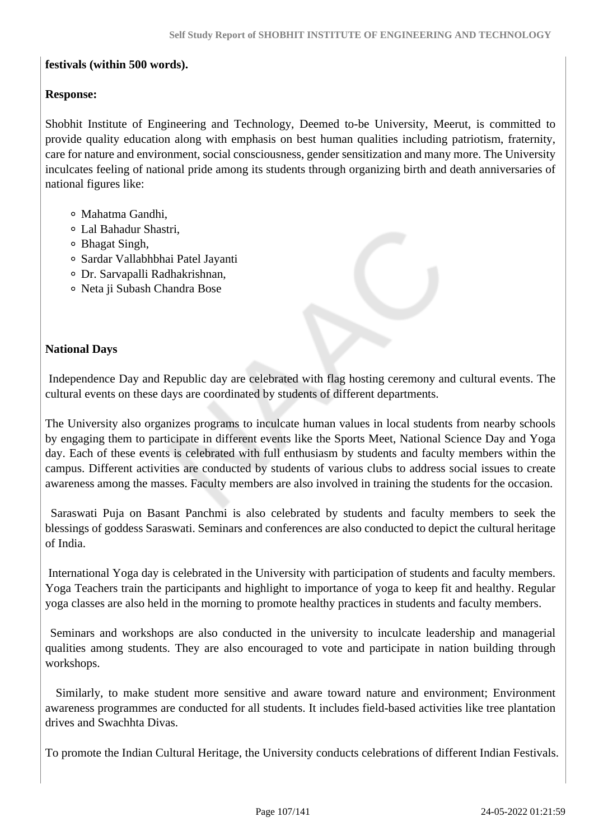### **festivals (within 500 words).**

# **Response:**

Shobhit Institute of Engineering and Technology, Deemed to-be University, Meerut, is committed to provide quality education along with emphasis on best human qualities including patriotism, fraternity, care for nature and environment, social consciousness, gender sensitization and many more. The University inculcates feeling of national pride among its students through organizing birth and death anniversaries of national figures like:

- Mahatma Gandhi,
- Lal Bahadur Shastri,
- Bhagat Singh,
- Sardar Vallabhbhai Patel Jayanti
- Dr. Sarvapalli Radhakrishnan,
- Neta ji Subash Chandra Bose

# **National Days**

 Independence Day and Republic day are celebrated with flag hosting ceremony and cultural events. The cultural events on these days are coordinated by students of different departments.

The University also organizes programs to inculcate human values in local students from nearby schools by engaging them to participate in different events like the Sports Meet, National Science Day and Yoga day. Each of these events is celebrated with full enthusiasm by students and faculty members within the campus. Different activities are conducted by students of various clubs to address social issues to create awareness among the masses. Faculty members are also involved in training the students for the occasion.

 Saraswati Puja on Basant Panchmi is also celebrated by students and faculty members to seek the blessings of goddess Saraswati. Seminars and conferences are also conducted to depict the cultural heritage of India.

 International Yoga day is celebrated in the University with participation of students and faculty members. Yoga Teachers train the participants and highlight to importance of yoga to keep fit and healthy. Regular yoga classes are also held in the morning to promote healthy practices in students and faculty members.

 Seminars and workshops are also conducted in the university to inculcate leadership and managerial qualities among students. They are also encouraged to vote and participate in nation building through workshops.

 Similarly, to make student more sensitive and aware toward nature and environment; Environment awareness programmes are conducted for all students. It includes field-based activities like tree plantation drives and Swachhta Divas.

To promote the Indian Cultural Heritage, the University conducts celebrations of different Indian Festivals.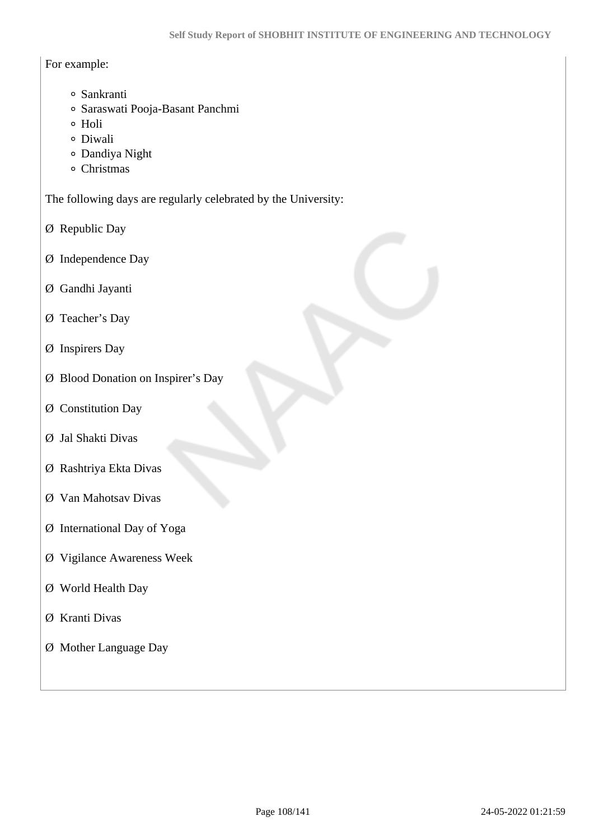For example:

- Sankranti
- Saraswati Pooja-Basant Panchmi
- Holi
- Diwali
- Dandiya Night
- Christmas

The following days are regularly celebrated by the University:

- Ø Republic Day
- Ø Independence Day
- Ø Gandhi Jayanti
- Ø Teacher's Day
- Ø Inspirers Day
- Ø Blood Donation on Inspirer's Day
- Ø Constitution Day
- Ø Jal Shakti Divas
- Ø Rashtriya Ekta Divas
- Ø Van Mahotsav Divas
- Ø International Day of Yoga
- Ø Vigilance Awareness Week
- Ø World Health Day
- Ø Kranti Divas
- Ø Mother Language Day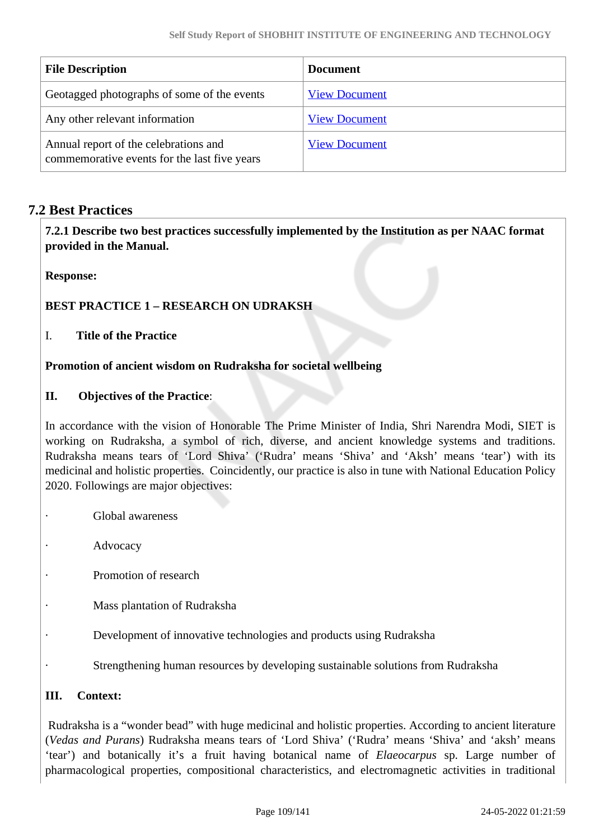| <b>File Description</b>                                                               | Document             |
|---------------------------------------------------------------------------------------|----------------------|
| Geotagged photographs of some of the events                                           | <b>View Document</b> |
| Any other relevant information                                                        | <b>View Document</b> |
| Annual report of the celebrations and<br>commemorative events for the last five years | <b>View Document</b> |

## **7.2 Best Practices**

 **7.2.1 Describe two best practices successfully implemented by the Institution as per NAAC format provided in the Manual.**

**Response:** 

## **BEST PRACTICE 1 – RESEARCH ON UDRAKSH**

I. **Title of the Practice**

**Promotion of ancient wisdom on Rudraksha for societal wellbeing**

#### **II. Objectives of the Practice**:

In accordance with the vision of Honorable The Prime Minister of India, Shri Narendra Modi, SIET is working on Rudraksha, a symbol of rich, diverse, and ancient knowledge systems and traditions. Rudraksha means tears of 'Lord Shiva' ('Rudra' means 'Shiva' and 'Aksh' means 'tear') with its medicinal and holistic properties. Coincidently, our practice is also in tune with National Education Policy 2020. Followings are major objectives:

- · Global awareness
- **Advocacy**
- Promotion of research
- Mass plantation of Rudraksha
- Development of innovative technologies and products using Rudraksha
	- Strengthening human resources by developing sustainable solutions from Rudraksha

#### **III. Context:**

 Rudraksha is a "wonder bead" with huge medicinal and holistic properties. According to ancient literature (*Vedas and Purans*) Rudraksha means tears of 'Lord Shiva' ('Rudra' means 'Shiva' and 'aksh' means 'tear') and botanically it's a fruit having botanical name of *Elaeocarpus* sp. Large number of pharmacological properties, compositional characteristics, and electromagnetic activities in traditional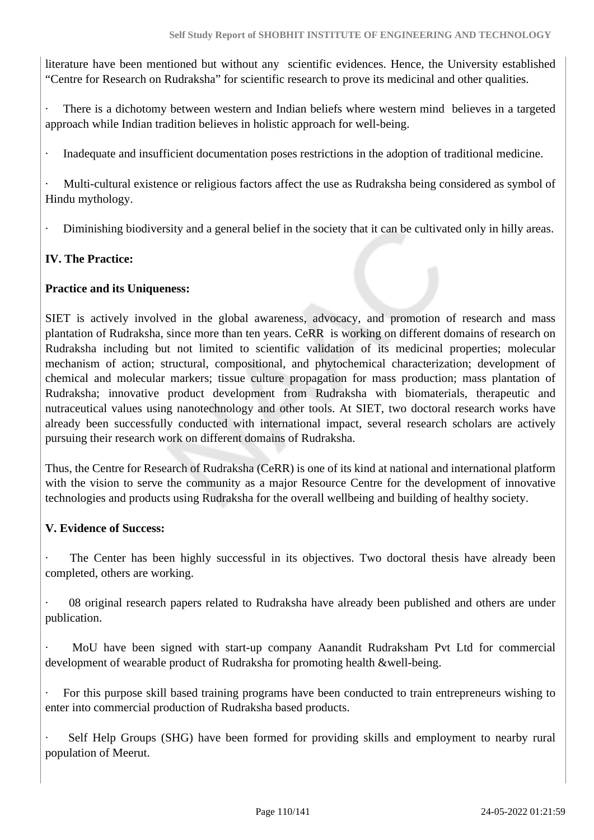literature have been mentioned but without any scientific evidences. Hence, the University established "Centre for Research on Rudraksha" for scientific research to prove its medicinal and other qualities.

There is a dichotomy between western and Indian beliefs where western mind believes in a targeted approach while Indian tradition believes in holistic approach for well-being.

Inadequate and insufficient documentation poses restrictions in the adoption of traditional medicine.

Multi-cultural existence or religious factors affect the use as Rudraksha being considered as symbol of Hindu mythology.

Diminishing biodiversity and a general belief in the society that it can be cultivated only in hilly areas.

## **IV. The Practice:**

#### **Practice and its Uniqueness:**

SIET is actively involved in the global awareness, advocacy, and promotion of research and mass plantation of Rudraksha, since more than ten years. CeRR is working on different domains of research on Rudraksha including but not limited to scientific validation of its medicinal properties; molecular mechanism of action; structural, compositional, and phytochemical characterization; development of chemical and molecular markers; tissue culture propagation for mass production; mass plantation of Rudraksha; innovative product development from Rudraksha with biomaterials, therapeutic and nutraceutical values using nanotechnology and other tools. At SIET, two doctoral research works have already been successfully conducted with international impact, several research scholars are actively pursuing their research work on different domains of Rudraksha.

Thus, the Centre for Research of Rudraksha (CeRR) is one of its kind at national and international platform with the vision to serve the community as a major Resource Centre for the development of innovative technologies and products using Rudraksha for the overall wellbeing and building of healthy society.

#### **V. Evidence of Success:**

The Center has been highly successful in its objectives. Two doctoral thesis have already been completed, others are working.

08 original research papers related to Rudraksha have already been published and others are under publication.

MoU have been signed with start-up company Aanandit Rudraksham Pvt Ltd for commercial development of wearable product of Rudraksha for promoting health &well-being.

For this purpose skill based training programs have been conducted to train entrepreneurs wishing to enter into commercial production of Rudraksha based products.

Self Help Groups (SHG) have been formed for providing skills and employment to nearby rural population of Meerut.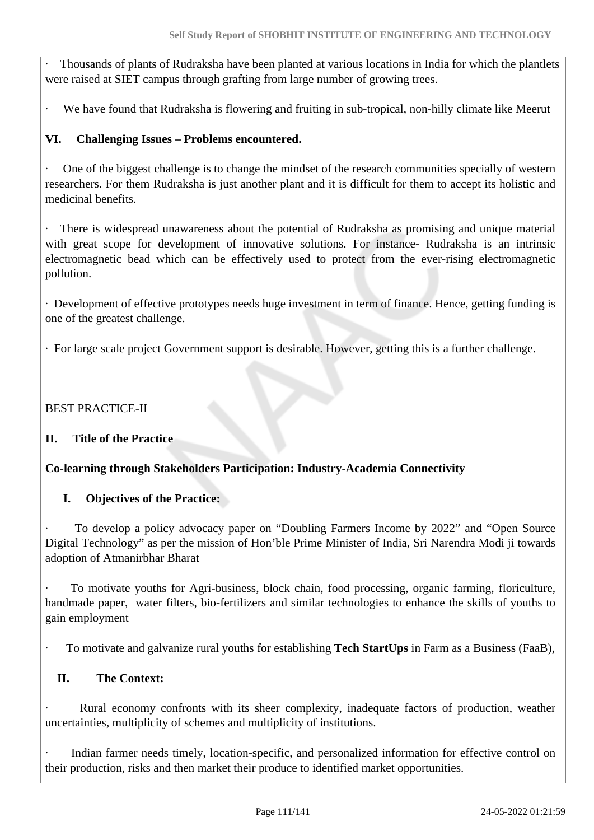· Thousands of plants of Rudraksha have been planted at various locations in India for which the plantlets were raised at SIET campus through grafting from large number of growing trees.

We have found that Rudraksha is flowering and fruiting in sub-tropical, non-hilly climate like Meerut

#### **VI. Challenging Issues – Problems encountered.**

One of the biggest challenge is to change the mindset of the research communities specially of western researchers. For them Rudraksha is just another plant and it is difficult for them to accept its holistic and medicinal benefits.

There is widespread unawareness about the potential of Rudraksha as promising and unique material with great scope for development of innovative solutions. For instance- Rudraksha is an intrinsic electromagnetic bead which can be effectively used to protect from the ever-rising electromagnetic pollution.

· Development of effective prototypes needs huge investment in term of finance. Hence, getting funding is one of the greatest challenge.

· For large scale project Government support is desirable. However, getting this is a further challenge.

#### BEST PRACTICE-II

#### **II. Title of the Practice**

**Co-learning through Stakeholders Participation: Industry-Academia Connectivity**

#### **I. Objectives of the Practice:**

· To develop a policy advocacy paper on "Doubling Farmers Income by 2022" and "Open Source Digital Technology" as per the mission of Hon'ble Prime Minister of India, Sri Narendra Modi ji towards adoption of Atmanirbhar Bharat

To motivate youths for Agri-business, block chain, food processing, organic farming, floriculture, handmade paper, water filters, bio-fertilizers and similar technologies to enhance the skills of youths to gain employment

· To motivate and galvanize rural youths for establishing **Tech StartUps** in Farm as a Business (FaaB),

#### **II. The Context:**

Rural economy confronts with its sheer complexity, inadequate factors of production, weather uncertainties, multiplicity of schemes and multiplicity of institutions.

Indian farmer needs timely, location-specific, and personalized information for effective control on their production, risks and then market their produce to identified market opportunities.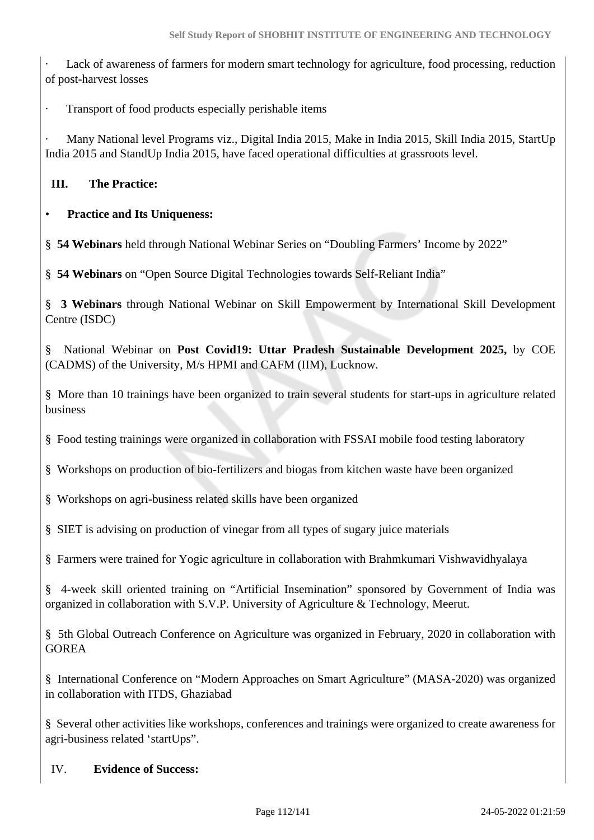Lack of awareness of farmers for modern smart technology for agriculture, food processing, reduction of post-harvest losses

Transport of food products especially perishable items

· Many National level Programs viz., Digital India 2015, Make in India 2015, Skill India 2015, StartUp India 2015 and StandUp India 2015, have faced operational difficulties at grassroots level.

 **III. The Practice:**

#### • **Practice and Its Uniqueness:**

§ **54 Webinars** held through National Webinar Series on "Doubling Farmers' Income by 2022"

§ **54 Webinars** on "Open Source Digital Technologies towards Self-Reliant India"

§ **3 Webinars** through National Webinar on Skill Empowerment by International Skill Development Centre (ISDC)

§ National Webinar on **Post Covid19: Uttar Pradesh Sustainable Development 2025,** by COE (CADMS) of the University, M/s HPMI and CAFM (IIM), Lucknow.

§ More than 10 trainings have been organized to train several students for start-ups in agriculture related business

§ Food testing trainings were organized in collaboration with FSSAI mobile food testing laboratory

§ Workshops on production of bio-fertilizers and biogas from kitchen waste have been organized

§ Workshops on agri-business related skills have been organized

§ SIET is advising on production of vinegar from all types of sugary juice materials

§ Farmers were trained for Yogic agriculture in collaboration with Brahmkumari Vishwavidhyalaya

§ 4-week skill oriented training on "Artificial Insemination" sponsored by Government of India was organized in collaboration with S.V.P. University of Agriculture & Technology, Meerut.

§ 5th Global Outreach Conference on Agriculture was organized in February, 2020 in collaboration with GOREA

§ International Conference on "Modern Approaches on Smart Agriculture" (MASA-2020) was organized in collaboration with ITDS, Ghaziabad

§ Several other activities like workshops, conferences and trainings were organized to create awareness for agri-business related 'startUps".

#### IV. **Evidence of Success:**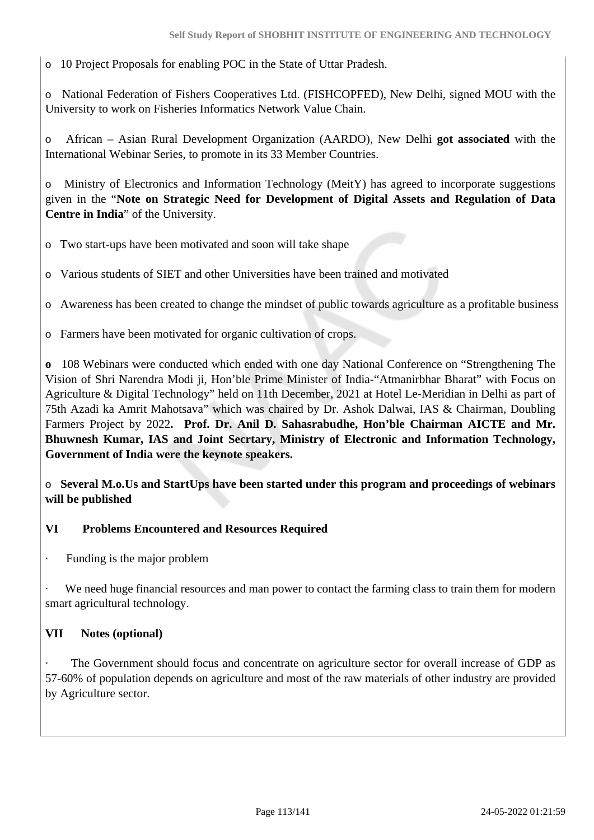o 10 Project Proposals for enabling POC in the State of Uttar Pradesh.

o National Federation of Fishers Cooperatives Ltd. (FISHCOPFED), New Delhi, signed MOU with the University to work on Fisheries Informatics Network Value Chain.

o African – Asian Rural Development Organization (AARDO), New Delhi **got associated** with the International Webinar Series, to promote in its 33 Member Countries.

o Ministry of Electronics and Information Technology (MeitY) has agreed to incorporate suggestions given in the "**Note on Strategic Need for Development of Digital Assets and Regulation of Data Centre in India**" of the University.

o Two start-ups have been motivated and soon will take shape

o Various students of SIET and other Universities have been trained and motivated

o Awareness has been created to change the mindset of public towards agriculture as a profitable business

o Farmers have been motivated for organic cultivation of crops.

**o** 108 Webinars were conducted which ended with one day National Conference on "Strengthening The Vision of Shri Narendra Modi ji, Hon'ble Prime Minister of India-"Atmanirbhar Bharat" with Focus on Agriculture & Digital Technology" held on 11th December, 2021 at Hotel Le-Meridian in Delhi as part of 75th Azadi ka Amrit Mahotsava" which was chaired by Dr. Ashok Dalwai, IAS & Chairman, Doubling Farmers Project by 2022**. Prof. Dr. Anil D. Sahasrabudhe, Hon'ble Chairman AICTE and Mr. Bhuwnesh Kumar, IAS and Joint Secrtary, Ministry of Electronic and Information Technology, Government of India were the keynote speakers.** 

o **Several M.o.Us and StartUps have been started under this program and proceedings of webinars will be published**

#### **VI Problems Encountered and Resources Required**

Funding is the major problem

We need huge financial resources and man power to contact the farming class to train them for modern smart agricultural technology.

#### **VII Notes (optional)**

The Government should focus and concentrate on agriculture sector for overall increase of GDP as 57-60% of population depends on agriculture and most of the raw materials of other industry are provided by Agriculture sector.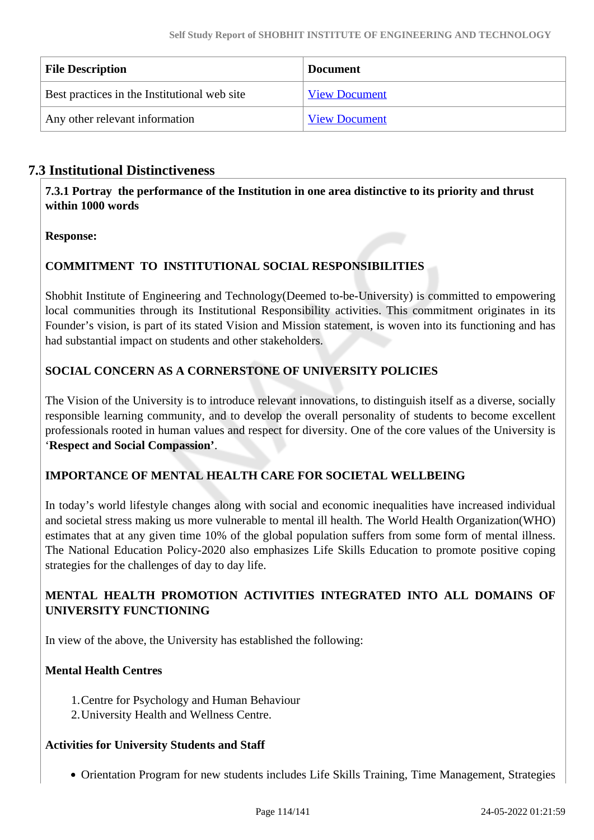| <b>File Description</b>                      | <b>Document</b>      |
|----------------------------------------------|----------------------|
| Best practices in the Institutional web site | <b>View Document</b> |
| Any other relevant information               | <b>View Document</b> |

## **7.3 Institutional Distinctiveness**

 **7.3.1 Portray the performance of the Institution in one area distinctive to its priority and thrust within 1000 words**

## **Response:**

## **COMMITMENT TO INSTITUTIONAL SOCIAL RESPONSIBILITIES**

Shobhit Institute of Engineering and Technology(Deemed to-be-University) is committed to empowering local communities through its Institutional Responsibility activities. This commitment originates in its Founder's vision, is part of its stated Vision and Mission statement, is woven into its functioning and has had substantial impact on students and other stakeholders.

## **SOCIAL CONCERN AS A CORNERSTONE OF UNIVERSITY POLICIES**

The Vision of the University is to introduce relevant innovations, to distinguish itself as a diverse, socially responsible learning community, and to develop the overall personality of students to become excellent professionals rooted in human values and respect for diversity. One of the core values of the University is '**Respect and Social Compassion'**.

## **IMPORTANCE OF MENTAL HEALTH CARE FOR SOCIETAL WELLBEING**

In today's world lifestyle changes along with social and economic inequalities have increased individual and societal stress making us more vulnerable to mental ill health. The World Health Organization(WHO) estimates that at any given time 10% of the global population suffers from some form of mental illness. The National Education Policy-2020 also emphasizes Life Skills Education to promote positive coping strategies for the challenges of day to day life.

## **MENTAL HEALTH PROMOTION ACTIVITIES INTEGRATED INTO ALL DOMAINS OF UNIVERSITY FUNCTIONING**

In view of the above, the University has established the following:

## **Mental Health Centres**

- 1.Centre for Psychology and Human Behaviour
- 2.University Health and Wellness Centre.

#### **Activities for University Students and Staff**

Orientation Program for new students includes Life Skills Training, Time Management, Strategies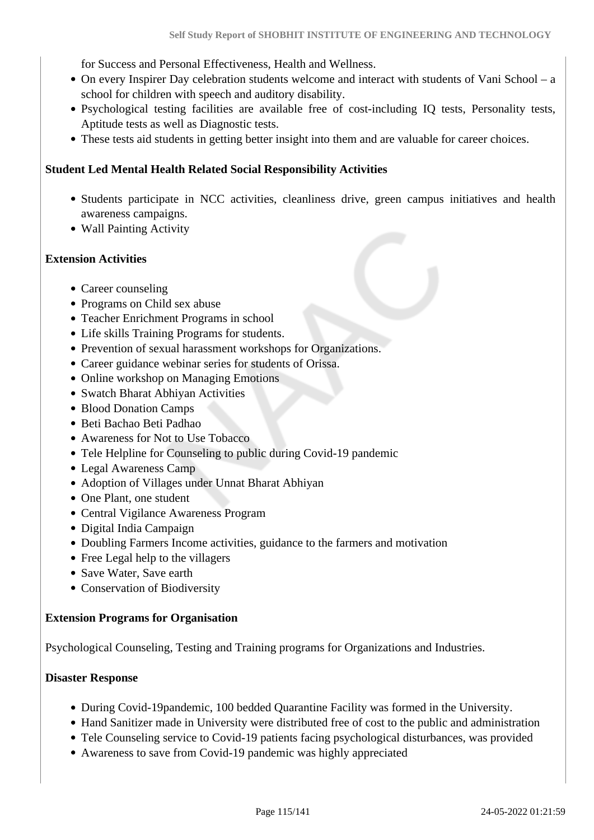for Success and Personal Effectiveness, Health and Wellness.

- On every Inspirer Day celebration students welcome and interact with students of Vani School a school for children with speech and auditory disability.
- Psychological testing facilities are available free of cost-including IQ tests, Personality tests, Aptitude tests as well as Diagnostic tests.
- These tests aid students in getting better insight into them and are valuable for career choices.

#### **Student Led Mental Health Related Social Responsibility Activities**

- Students participate in NCC activities, cleanliness drive, green campus initiatives and health awareness campaigns.
- Wall Painting Activity

#### **Extension Activities**

- Career counseling
- Programs on Child sex abuse
- Teacher Enrichment Programs in school
- Life skills Training Programs for students.
- Prevention of sexual harassment workshops for Organizations.
- Career guidance webinar series for students of Orissa.
- Online workshop on Managing Emotions
- Swatch Bharat Abhiyan Activities
- Blood Donation Camps
- Beti Bachao Beti Padhao
- Awareness for Not to Use Tobacco
- Tele Helpline for Counseling to public during Covid-19 pandemic
- Legal Awareness Camp
- Adoption of Villages under Unnat Bharat Abhiyan
- One Plant, one student
- Central Vigilance Awareness Program
- Digital India Campaign
- Doubling Farmers Income activities, guidance to the farmers and motivation
- Free Legal help to the villagers
- Save Water, Save earth
- Conservation of Biodiversity

#### **Extension Programs for Organisation**

Psychological Counseling, Testing and Training programs for Organizations and Industries.

#### **Disaster Response**

- During Covid-19pandemic, 100 bedded Quarantine Facility was formed in the University.
- Hand Sanitizer made in University were distributed free of cost to the public and administration
- Tele Counseling service to Covid-19 patients facing psychological disturbances, was provided
- Awareness to save from Covid-19 pandemic was highly appreciated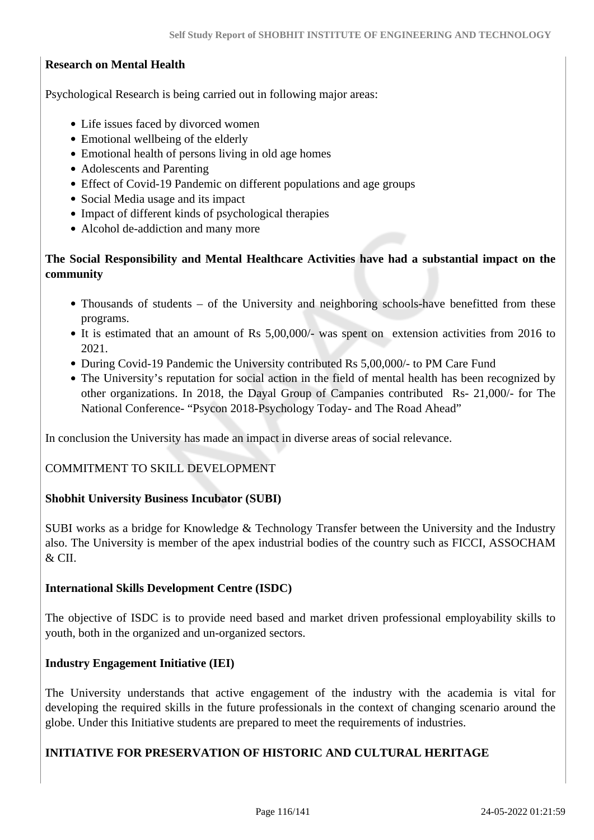## **Research on Mental Health**

Psychological Research is being carried out in following major areas:

- Life issues faced by divorced women
- Emotional wellbeing of the elderly
- Emotional health of persons living in old age homes
- Adolescents and Parenting
- Effect of Covid-19 Pandemic on different populations and age groups
- Social Media usage and its impact
- Impact of different kinds of psychological therapies
- Alcohol de-addiction and many more

## **The Social Responsibility and Mental Healthcare Activities have had a substantial impact on the community**

- Thousands of students of the University and neighboring schools-have benefitted from these programs.
- It is estimated that an amount of Rs 5,00,000/- was spent on extension activities from 2016 to 2021.
- During Covid-19 Pandemic the University contributed Rs 5,00,000/- to PM Care Fund
- The University's reputation for social action in the field of mental health has been recognized by other organizations. In 2018, the Dayal Group of Campanies contributed Rs- 21,000/- for The National Conference- "Psycon 2018-Psychology Today- and The Road Ahead"

In conclusion the University has made an impact in diverse areas of social relevance.

## COMMITMENT TO SKILL DEVELOPMENT

## **Shobhit University Business Incubator (SUBI)**

SUBI works as a bridge for Knowledge & Technology Transfer between the University and the Industry also. The University is member of the apex industrial bodies of the country such as FICCI, ASSOCHAM  $&$  CII.

## **International Skills Development Centre (ISDC)**

The objective of ISDC is to provide need based and market driven professional employability skills to youth, both in the organized and un-organized sectors.

## **Industry Engagement Initiative (IEI)**

The University understands that active engagement of the industry with the academia is vital for developing the required skills in the future professionals in the context of changing scenario around the globe. Under this Initiative students are prepared to meet the requirements of industries.

## **INITIATIVE FOR PRESERVATION OF HISTORIC AND CULTURAL HERITAGE**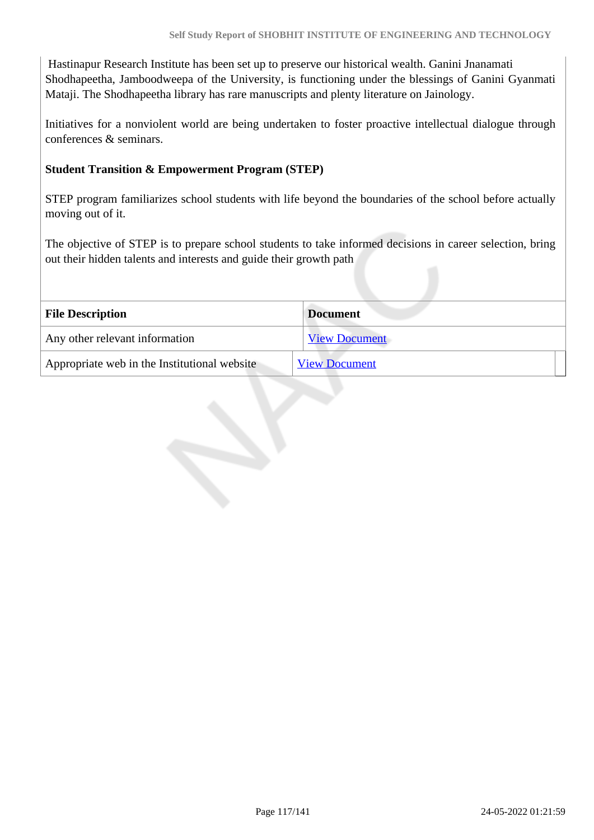Hastinapur Research Institute has been set up to preserve our historical wealth. Ganini Jnanamati Shodhapeetha, Jamboodweepa of the University, is functioning under the blessings of Ganini Gyanmati Mataji. The Shodhapeetha library has rare manuscripts and plenty literature on Jainology.

Initiatives for a nonviolent world are being undertaken to foster proactive intellectual dialogue through conferences & seminars.

#### **Student Transition & Empowerment Program (STEP)**

STEP program familiarizes school students with life beyond the boundaries of the school before actually moving out of it.

The objective of STEP is to prepare school students to take informed decisions in career selection, bring out their hidden talents and interests and guide their growth path

| <b>File Description</b>                      | <b>Document</b>      |
|----------------------------------------------|----------------------|
| Any other relevant information               | <b>View Document</b> |
| Appropriate web in the Institutional website | <b>View Document</b> |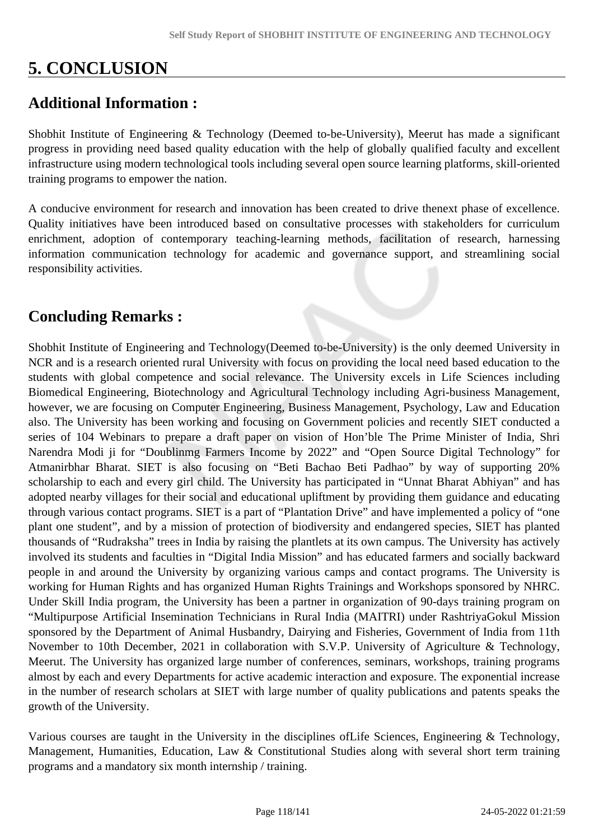# **5. CONCLUSION**

## **Additional Information :**

Shobhit Institute of Engineering & Technology (Deemed to-be-University), Meerut has made a significant progress in providing need based quality education with the help of globally qualified faculty and excellent infrastructure using modern technological tools including several open source learning platforms, skill-oriented training programs to empower the nation.

A conducive environment for research and innovation has been created to drive thenext phase of excellence. Quality initiatives have been introduced based on consultative processes with stakeholders for curriculum enrichment, adoption of contemporary teaching-learning methods, facilitation of research, harnessing information communication technology for academic and governance support, and streamlining social responsibility activities.

## **Concluding Remarks :**

Shobhit Institute of Engineering and Technology(Deemed to-be-University) is the only deemed University in NCR and is a research oriented rural University with focus on providing the local need based education to the students with global competence and social relevance. The University excels in Life Sciences including Biomedical Engineering, Biotechnology and Agricultural Technology including Agri-business Management, however, we are focusing on Computer Engineering, Business Management, Psychology, Law and Education also. The University has been working and focusing on Government policies and recently SIET conducted a series of 104 Webinars to prepare a draft paper on vision of Hon'ble The Prime Minister of India, Shri Narendra Modi ji for "Doublinmg Farmers Income by 2022" and "Open Source Digital Technology" for Atmanirbhar Bharat. SIET is also focusing on "Beti Bachao Beti Padhao" by way of supporting 20% scholarship to each and every girl child. The University has participated in "Unnat Bharat Abhiyan" and has adopted nearby villages for their social and educational upliftment by providing them guidance and educating through various contact programs. SIET is a part of "Plantation Drive" and have implemented a policy of "one plant one student", and by a mission of protection of biodiversity and endangered species, SIET has planted thousands of "Rudraksha" trees in India by raising the plantlets at its own campus. The University has actively involved its students and faculties in "Digital India Mission" and has educated farmers and socially backward people in and around the University by organizing various camps and contact programs. The University is working for Human Rights and has organized Human Rights Trainings and Workshops sponsored by NHRC. Under Skill India program, the University has been a partner in organization of 90-days training program on "Multipurpose Artificial Insemination Technicians in Rural India (MAITRI) under RashtriyaGokul Mission sponsored by the Department of Animal Husbandry, Dairying and Fisheries, Government of India from 11th November to 10th December, 2021 in collaboration with S.V.P. University of Agriculture & Technology, Meerut. The University has organized large number of conferences, seminars, workshops, training programs almost by each and every Departments for active academic interaction and exposure. The exponential increase in the number of research scholars at SIET with large number of quality publications and patents speaks the growth of the University.

Various courses are taught in the University in the disciplines ofLife Sciences, Engineering & Technology, Management, Humanities, Education, Law & Constitutional Studies along with several short term training programs and a mandatory six month internship / training.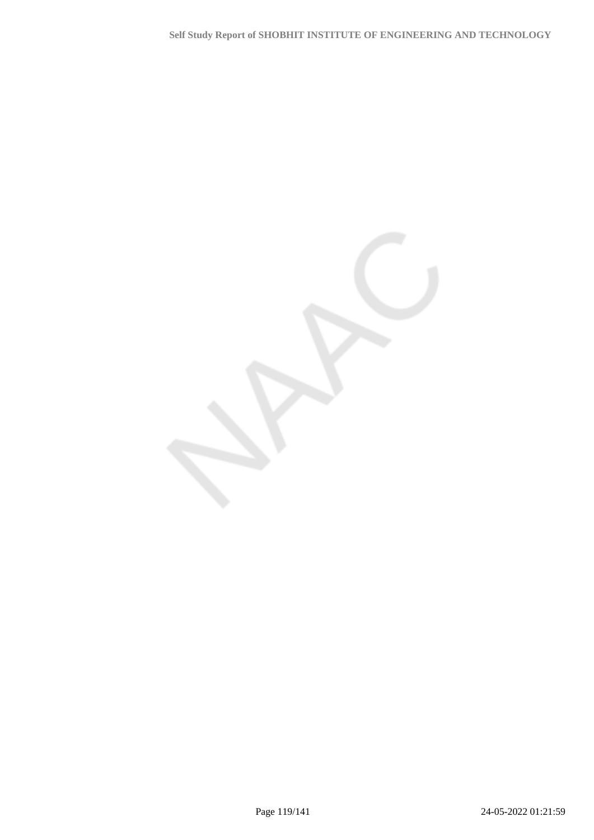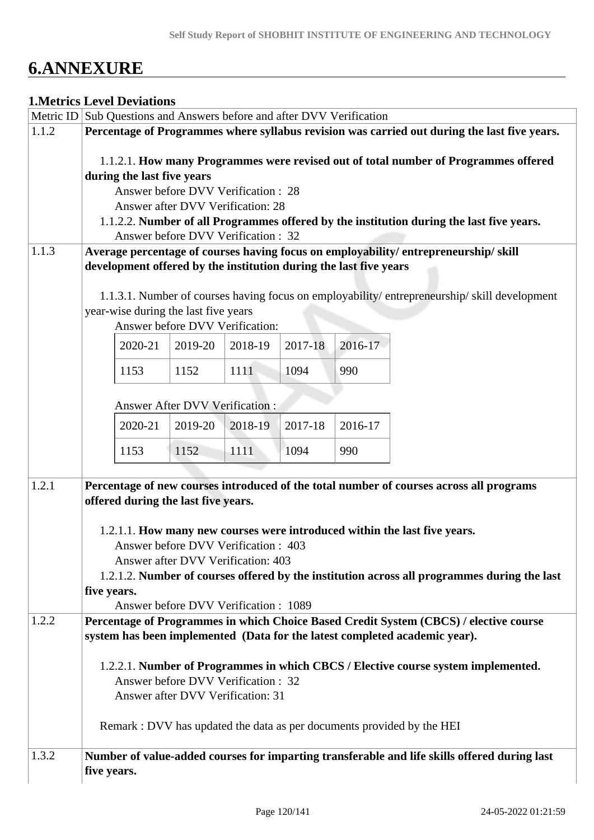# **6.ANNEXURE**

## **1.Metrics Level Deviations**

| Metric ID |             |                            | Sub Questions and Answers before and after DVV Verification              |         |         |         |                                                                                              |
|-----------|-------------|----------------------------|--------------------------------------------------------------------------|---------|---------|---------|----------------------------------------------------------------------------------------------|
| 1.1.2     |             |                            |                                                                          |         |         |         | Percentage of Programmes where syllabus revision was carried out during the last five years. |
|           |             |                            |                                                                          |         |         |         |                                                                                              |
|           |             |                            |                                                                          |         |         |         | 1.1.2.1. How many Programmes were revised out of total number of Programmes offered          |
|           |             | during the last five years | Answer before DVV Verification: 28                                       |         |         |         |                                                                                              |
|           |             |                            | Answer after DVV Verification: 28                                        |         |         |         |                                                                                              |
|           |             |                            |                                                                          |         |         |         | 1.1.2.2. Number of all Programmes offered by the institution during the last five years.     |
|           |             |                            | Answer before DVV Verification : 32                                      |         |         |         |                                                                                              |
| 1.1.3     |             |                            |                                                                          |         |         |         | Average percentage of courses having focus on employability/entrepreneurship/skill           |
|           |             |                            | development offered by the institution during the last five years        |         |         |         |                                                                                              |
|           |             |                            |                                                                          |         |         |         |                                                                                              |
|           |             |                            |                                                                          |         |         |         | 1.1.3.1. Number of courses having focus on employability/entrepreneurship/skill development  |
|           |             |                            | year-wise during the last five years                                     |         |         |         |                                                                                              |
|           |             |                            | Answer before DVV Verification:                                          |         |         |         |                                                                                              |
|           |             | 2020-21                    | 2019-20                                                                  | 2018-19 | 2017-18 | 2016-17 |                                                                                              |
|           |             | 1153                       | 1152                                                                     | 1111    | 1094    | 990     |                                                                                              |
|           |             |                            |                                                                          |         |         |         |                                                                                              |
|           |             |                            | <b>Answer After DVV Verification:</b>                                    |         |         |         |                                                                                              |
|           |             | 2020-21                    | 2019-20                                                                  | 2018-19 | 2017-18 | 2016-17 |                                                                                              |
|           |             |                            |                                                                          |         |         |         |                                                                                              |
|           |             | 1153                       | 1152                                                                     | 1111    | 1094    | 990     |                                                                                              |
|           |             |                            |                                                                          |         |         |         |                                                                                              |
| 1.2.1     |             |                            |                                                                          |         |         |         | Percentage of new courses introduced of the total number of courses across all programs      |
|           |             |                            | offered during the last five years.                                      |         |         |         |                                                                                              |
|           |             |                            |                                                                          |         |         |         |                                                                                              |
|           |             |                            | Answer before DVV Verification : 403                                     |         |         |         | 1.2.1.1. How many new courses were introduced within the last five years.                    |
|           |             |                            | Answer after DVV Verification: 403                                       |         |         |         |                                                                                              |
|           |             |                            |                                                                          |         |         |         | 1.2.1.2. Number of courses offered by the institution across all programmes during the last  |
|           | five years. |                            |                                                                          |         |         |         |                                                                                              |
|           |             |                            | Answer before DVV Verification: 1089                                     |         |         |         |                                                                                              |
| 1.2.2     |             |                            |                                                                          |         |         |         | Percentage of Programmes in which Choice Based Credit System (CBCS) / elective course        |
|           |             |                            |                                                                          |         |         |         | system has been implemented (Data for the latest completed academic year).                   |
|           |             |                            |                                                                          |         |         |         |                                                                                              |
|           |             |                            |                                                                          |         |         |         | 1.2.2.1. Number of Programmes in which CBCS / Elective course system implemented.            |
|           |             |                            | Answer before DVV Verification : 32<br>Answer after DVV Verification: 31 |         |         |         |                                                                                              |
|           |             |                            |                                                                          |         |         |         |                                                                                              |
|           |             |                            |                                                                          |         |         |         | Remark : DVV has updated the data as per documents provided by the HEI                       |
|           |             |                            |                                                                          |         |         |         |                                                                                              |
| 1.3.2     |             |                            |                                                                          |         |         |         | Number of value-added courses for imparting transferable and life skills offered during last |
|           | five years. |                            |                                                                          |         |         |         |                                                                                              |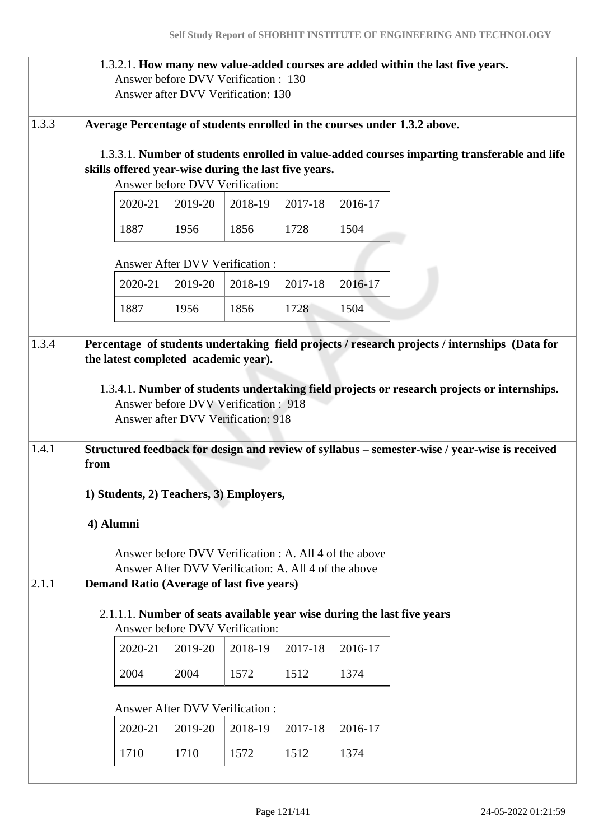|       |                                                                           |                                                                         |         |         |         | 1.3.2.1. How many new value-added courses are added within the last five years.               |
|-------|---------------------------------------------------------------------------|-------------------------------------------------------------------------|---------|---------|---------|-----------------------------------------------------------------------------------------------|
|       |                                                                           | Answer before DVV Verification : 130                                    |         |         |         |                                                                                               |
|       |                                                                           | Answer after DVV Verification: 130                                      |         |         |         |                                                                                               |
| 1.3.3 | Average Percentage of students enrolled in the courses under 1.3.2 above. |                                                                         |         |         |         |                                                                                               |
|       |                                                                           |                                                                         |         |         |         | 1.3.3.1. Number of students enrolled in value-added courses imparting transferable and life   |
|       | skills offered year-wise during the last five years.                      |                                                                         |         |         |         |                                                                                               |
|       |                                                                           | Answer before DVV Verification:                                         |         |         |         |                                                                                               |
|       | 2020-21                                                                   | 2019-20                                                                 | 2018-19 | 2017-18 | 2016-17 |                                                                                               |
|       | 1887                                                                      | 1956                                                                    | 1856    | 1728    | 1504    |                                                                                               |
|       |                                                                           | Answer After DVV Verification :                                         |         |         |         |                                                                                               |
|       | 2020-21                                                                   | 2019-20                                                                 | 2018-19 | 2017-18 | 2016-17 |                                                                                               |
|       | 1887                                                                      | 1956                                                                    | 1856    | 1728    | 1504    |                                                                                               |
| 1.3.4 |                                                                           |                                                                         |         |         |         | Percentage of students undertaking field projects / research projects / internships (Data for |
|       | the latest completed academic year).                                      |                                                                         |         |         |         |                                                                                               |
|       |                                                                           |                                                                         |         |         |         |                                                                                               |
|       |                                                                           | <b>Answer before DVV Verification: 918</b>                              |         |         |         | 1.3.4.1. Number of students undertaking field projects or research projects or internships.   |
|       |                                                                           | Answer after DVV Verification: 918                                      |         |         |         |                                                                                               |
|       |                                                                           |                                                                         |         |         |         |                                                                                               |
| 1.4.1 | from                                                                      |                                                                         |         |         |         | Structured feedback for design and review of syllabus – semester-wise / year-wise is received |
|       | 1) Students, 2) Teachers, 3) Employers,                                   |                                                                         |         |         |         |                                                                                               |
|       |                                                                           |                                                                         |         |         |         |                                                                                               |
|       | 4) Alumni                                                                 |                                                                         |         |         |         |                                                                                               |
|       |                                                                           | Answer before DVV Verification : A. All 4 of the above                  |         |         |         |                                                                                               |
|       |                                                                           | Answer After DVV Verification: A. All 4 of the above                    |         |         |         |                                                                                               |
| 2.1.1 | <b>Demand Ratio (Average of last five years)</b>                          |                                                                         |         |         |         |                                                                                               |
|       |                                                                           | 2.1.1.1. Number of seats available year wise during the last five years |         |         |         |                                                                                               |
|       |                                                                           | Answer before DVV Verification:                                         |         |         |         |                                                                                               |
|       | 2020-21                                                                   | 2019-20                                                                 | 2018-19 | 2017-18 | 2016-17 |                                                                                               |
|       | 2004                                                                      | 2004                                                                    | 1572    | 1512    | 1374    |                                                                                               |
|       |                                                                           | <b>Answer After DVV Verification:</b>                                   |         |         |         |                                                                                               |
|       | 2020-21                                                                   | 2019-20                                                                 | 2018-19 | 2017-18 | 2016-17 |                                                                                               |
|       | 1710                                                                      | 1710                                                                    | 1572    | 1512    | 1374    |                                                                                               |
|       |                                                                           |                                                                         |         |         |         |                                                                                               |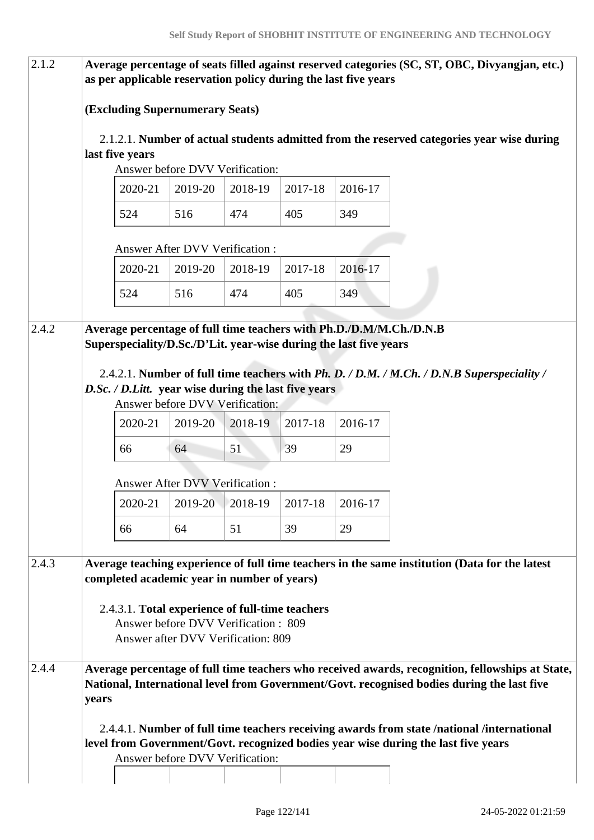| 2.1.2 |       |                 |                                                 |         |                                                      | as per applicable reservation policy during the last five years   | Average percentage of seats filled against reserved categories (SC, ST, OBC, Divyangian, etc.)                                                                                                 |
|-------|-------|-----------------|-------------------------------------------------|---------|------------------------------------------------------|-------------------------------------------------------------------|------------------------------------------------------------------------------------------------------------------------------------------------------------------------------------------------|
|       |       |                 | (Excluding Supernumerary Seats)                 |         |                                                      |                                                                   |                                                                                                                                                                                                |
|       |       | last five years |                                                 |         |                                                      |                                                                   | 2.1.2.1. Number of actual students admitted from the reserved categories year wise during                                                                                                      |
|       |       |                 | Answer before DVV Verification:                 |         |                                                      |                                                                   |                                                                                                                                                                                                |
|       |       | 2020-21         | 2019-20                                         | 2018-19 | 2017-18                                              | 2016-17                                                           |                                                                                                                                                                                                |
|       |       | 524             | 516                                             | 474     | 405                                                  | 349                                                               |                                                                                                                                                                                                |
|       |       |                 | <b>Answer After DVV Verification:</b>           |         |                                                      |                                                                   |                                                                                                                                                                                                |
|       |       | 2020-21         | 2019-20                                         | 2018-19 | 2017-18                                              | 2016-17                                                           |                                                                                                                                                                                                |
|       |       | 524             | 516                                             | 474     | 405                                                  | 349                                                               |                                                                                                                                                                                                |
|       |       |                 |                                                 |         |                                                      |                                                                   |                                                                                                                                                                                                |
| 2.4.2 |       |                 |                                                 |         |                                                      | Superspeciality/D.Sc./D'Lit. year-wise during the last five years | Average percentage of full time teachers with Ph.D./D.M/M.Ch./D.N.B                                                                                                                            |
|       |       |                 |                                                 |         |                                                      |                                                                   |                                                                                                                                                                                                |
|       |       |                 |                                                 |         |                                                      |                                                                   | 2.4.2.1. Number of full time teachers with Ph. D. / D.M. / M.Ch. / D.N.B Superspeciality /                                                                                                     |
|       |       |                 | Answer before DVV Verification:                 |         | D.Sc. / D.Litt. year wise during the last five years |                                                                   |                                                                                                                                                                                                |
|       |       |                 |                                                 |         |                                                      |                                                                   |                                                                                                                                                                                                |
|       |       | 2020-21         | 2019-20                                         | 2018-19 | 2017-18                                              | 2016-17                                                           |                                                                                                                                                                                                |
|       |       | 66              | 64                                              | 51      | 39                                                   | 29                                                                |                                                                                                                                                                                                |
|       |       |                 | Answer After DVV Verification :                 |         |                                                      |                                                                   |                                                                                                                                                                                                |
|       |       |                 | 2020-21   2019-20   2018-19                     |         | 2017-18                                              | 2016-17                                                           |                                                                                                                                                                                                |
|       |       | 66              | 64                                              | 51      | 39                                                   | 29                                                                |                                                                                                                                                                                                |
| 2.4.3 |       |                 | completed academic year in number of years)     |         |                                                      |                                                                   | Average teaching experience of full time teachers in the same institution (Data for the latest                                                                                                 |
|       |       |                 | 2.4.3.1. Total experience of full-time teachers |         |                                                      |                                                                   |                                                                                                                                                                                                |
|       |       |                 | Answer before DVV Verification: 809             |         |                                                      |                                                                   |                                                                                                                                                                                                |
|       |       |                 | Answer after DVV Verification: 809              |         |                                                      |                                                                   |                                                                                                                                                                                                |
| 2.4.4 | years |                 |                                                 |         |                                                      |                                                                   | Average percentage of full time teachers who received awards, recognition, fellowships at State,<br>National, International level from Government/Govt. recognised bodies during the last five |
|       |       |                 |                                                 |         |                                                      |                                                                   |                                                                                                                                                                                                |
|       |       |                 |                                                 |         |                                                      |                                                                   | 2.4.4.1. Number of full time teachers receiving awards from state /national /international                                                                                                     |
|       |       |                 | Answer before DVV Verification:                 |         |                                                      |                                                                   | level from Government/Govt. recognized bodies year wise during the last five years                                                                                                             |
|       |       |                 |                                                 |         |                                                      |                                                                   |                                                                                                                                                                                                |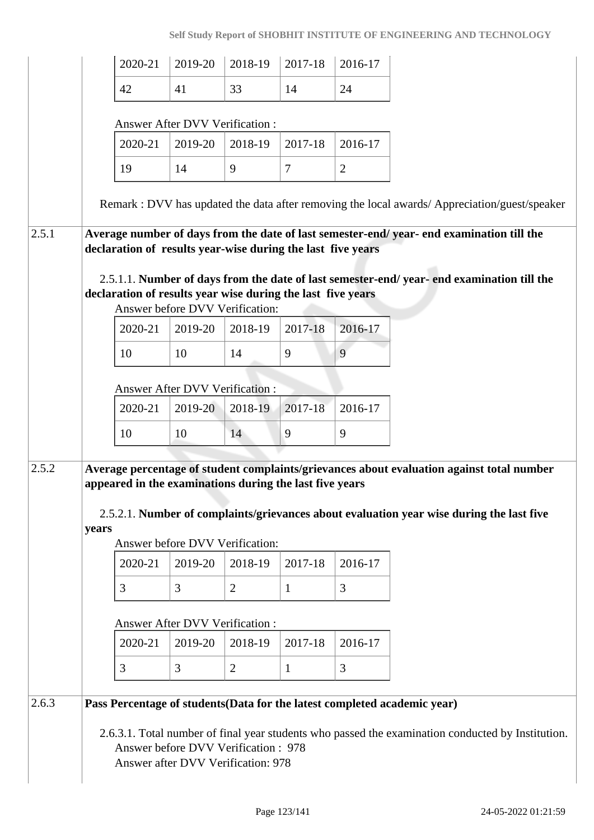**Self Study Report of SHOBHIT INSTITUTE OF ENGINEERING AND TECHNOLOGY**

|       |       | 2020-21                                                     | 2019-20                                                                   | 2018-19        | 2017-18      | 2016-17        |                                                                                                                                                                                |
|-------|-------|-------------------------------------------------------------|---------------------------------------------------------------------------|----------------|--------------|----------------|--------------------------------------------------------------------------------------------------------------------------------------------------------------------------------|
|       |       | 42                                                          | 41                                                                        | 33             | 14           | 24             |                                                                                                                                                                                |
|       |       |                                                             | Answer After DVV Verification:                                            |                |              |                |                                                                                                                                                                                |
|       |       | 2020-21                                                     | 2019-20                                                                   | 2018-19        | 2017-18      | 2016-17        |                                                                                                                                                                                |
|       |       | 19                                                          | 14                                                                        | 9              | 7            | $\overline{2}$ |                                                                                                                                                                                |
|       |       |                                                             |                                                                           |                |              |                |                                                                                                                                                                                |
|       |       |                                                             |                                                                           |                |              |                | Remark : DVV has updated the data after removing the local awards/Appreciation/guest/speaker                                                                                   |
| 2.5.1 |       | declaration of results year-wise during the last five years |                                                                           |                |              |                | Average number of days from the date of last semester-end/year- end examination till the                                                                                       |
|       |       | declaration of results year wise during the last five years | Answer before DVV Verification:                                           |                |              |                | 2.5.1.1. Number of days from the date of last semester-end/year-end examination till the                                                                                       |
|       |       | 2020-21                                                     | 2019-20                                                                   | 2018-19        | 2017-18      | 2016-17        |                                                                                                                                                                                |
|       |       | 10                                                          | 10                                                                        | 14             | 9            | 9              |                                                                                                                                                                                |
|       |       |                                                             | <b>Answer After DVV Verification:</b>                                     |                |              |                |                                                                                                                                                                                |
|       |       | 2020-21                                                     | 2019-20                                                                   | 2018-19        | 2017-18      | 2016-17        |                                                                                                                                                                                |
|       |       | 10                                                          | 10                                                                        | 14             | 9            | 9              |                                                                                                                                                                                |
| 2.5.2 |       | appeared in the examinations during the last five years     |                                                                           |                |              |                | Average percentage of student complaints/grievances about evaluation against total number                                                                                      |
|       | years |                                                             |                                                                           |                |              |                | 2.5.2.1. Number of complaints/grievances about evaluation year wise during the last five                                                                                       |
|       |       |                                                             | Answer before DVV Verification:                                           |                |              |                |                                                                                                                                                                                |
|       |       | 2020-21                                                     | 2019-20                                                                   | 2018-19        | 2017-18      | 2016-17        |                                                                                                                                                                                |
|       |       | 3                                                           | 3                                                                         | $\overline{2}$ | $\mathbf{1}$ | 3              |                                                                                                                                                                                |
|       |       |                                                             | Answer After DVV Verification:                                            |                |              |                |                                                                                                                                                                                |
|       |       | 2020-21                                                     | 2019-20                                                                   | 2018-19        | 2017-18      | 2016-17        |                                                                                                                                                                                |
|       |       | 3                                                           | 3                                                                         | 2              | $\mathbf{1}$ | 3              |                                                                                                                                                                                |
| 2.6.3 |       |                                                             |                                                                           |                |              |                |                                                                                                                                                                                |
|       |       |                                                             | Answer before DVV Verification: 978<br>Answer after DVV Verification: 978 |                |              |                | Pass Percentage of students (Data for the latest completed academic year)<br>2.6.3.1. Total number of final year students who passed the examination conducted by Institution. |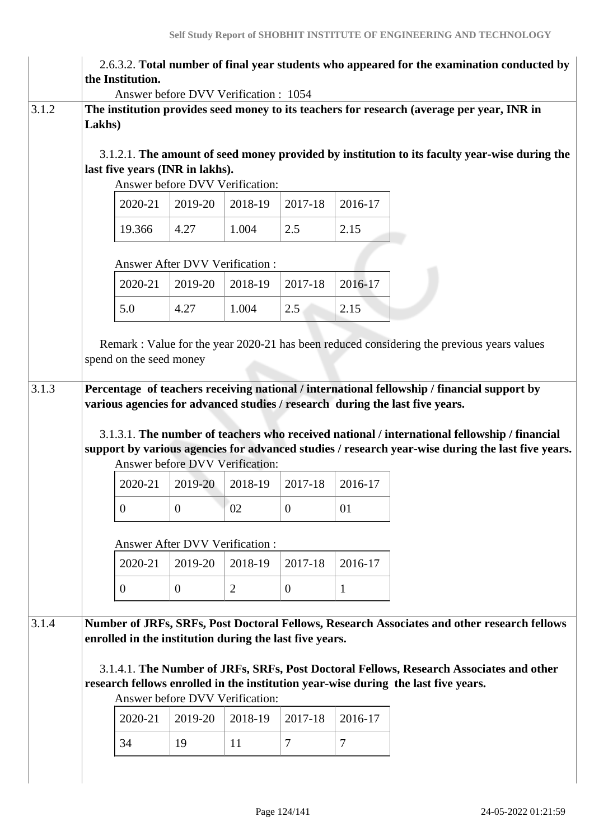|       |                                                                              |                                       |                                       |                |              | 2.6.3.2. Total number of final year students who appeared for the examination conducted by                                                                                                        |
|-------|------------------------------------------------------------------------------|---------------------------------------|---------------------------------------|----------------|--------------|---------------------------------------------------------------------------------------------------------------------------------------------------------------------------------------------------|
|       | the Institution.                                                             |                                       |                                       |                |              |                                                                                                                                                                                                   |
| 3.1.2 |                                                                              |                                       | Answer before DVV Verification : 1054 |                |              | The institution provides seed money to its teachers for research (average per year, INR in                                                                                                        |
|       | Lakhs)                                                                       |                                       |                                       |                |              |                                                                                                                                                                                                   |
|       | last five years (INR in lakhs).                                              |                                       |                                       |                |              | 3.1.2.1. The amount of seed money provided by institution to its faculty year-wise during the                                                                                                     |
|       |                                                                              |                                       | Answer before DVV Verification:       |                |              |                                                                                                                                                                                                   |
|       | 2020-21                                                                      | 2019-20                               | 2018-19                               | 2017-18        | 2016-17      |                                                                                                                                                                                                   |
|       | 19.366                                                                       | 4.27                                  | 1.004                                 | 2.5            | 2.15         |                                                                                                                                                                                                   |
|       |                                                                              | Answer After DVV Verification:        |                                       |                |              |                                                                                                                                                                                                   |
|       | 2020-21                                                                      | 2019-20                               | 2018-19                               | 2017-18        | 2016-17      |                                                                                                                                                                                                   |
|       | 5.0                                                                          | 4.27                                  | 1.004                                 | 2.5            | 2.15         |                                                                                                                                                                                                   |
|       | spend on the seed money                                                      |                                       |                                       |                |              | Remark : Value for the year 2020-21 has been reduced considering the previous years values                                                                                                        |
|       | various agencies for advanced studies / research during the last five years. |                                       | Answer before DVV Verification:       |                |              | 3.1.3.1. The number of teachers who received national / international fellowship / financial<br>support by various agencies for advanced studies / research year-wise during the last five years. |
|       |                                                                              |                                       |                                       |                |              |                                                                                                                                                                                                   |
|       | 2020-21                                                                      | 2019-20                               | 2018-19                               | 2017-18        | 2016-17      |                                                                                                                                                                                                   |
|       | $\boldsymbol{0}$                                                             | $\overline{0}$                        | 02                                    | $\overline{0}$ | 01           |                                                                                                                                                                                                   |
|       |                                                                              | <b>Answer After DVV Verification:</b> |                                       |                |              |                                                                                                                                                                                                   |
|       | 2020-21                                                                      | 2019-20                               | 2018-19                               | 2017-18        | 2016-17      |                                                                                                                                                                                                   |
|       | $\overline{0}$                                                               | $\overline{0}$                        | 2                                     | $\theta$       | $\mathbf{1}$ |                                                                                                                                                                                                   |
| 3.1.4 |                                                                              |                                       |                                       |                |              | Number of JRFs, SRFs, Post Doctoral Fellows, Research Associates and other research fellows                                                                                                       |
|       | enrolled in the institution during the last five years.                      |                                       |                                       |                |              |                                                                                                                                                                                                   |
|       |                                                                              |                                       |                                       |                |              | 3.1.4.1. The Number of JRFs, SRFs, Post Doctoral Fellows, Research Associates and other<br>research fellows enrolled in the institution year-wise during the last five years.                     |
|       |                                                                              |                                       | Answer before DVV Verification:       |                |              |                                                                                                                                                                                                   |
|       | 2020-21                                                                      | 2019-20                               | 2018-19                               | 2017-18        | 2016-17      |                                                                                                                                                                                                   |
|       | 34                                                                           | 19                                    | 11                                    | 7              | 7            |                                                                                                                                                                                                   |
|       |                                                                              |                                       |                                       |                |              |                                                                                                                                                                                                   |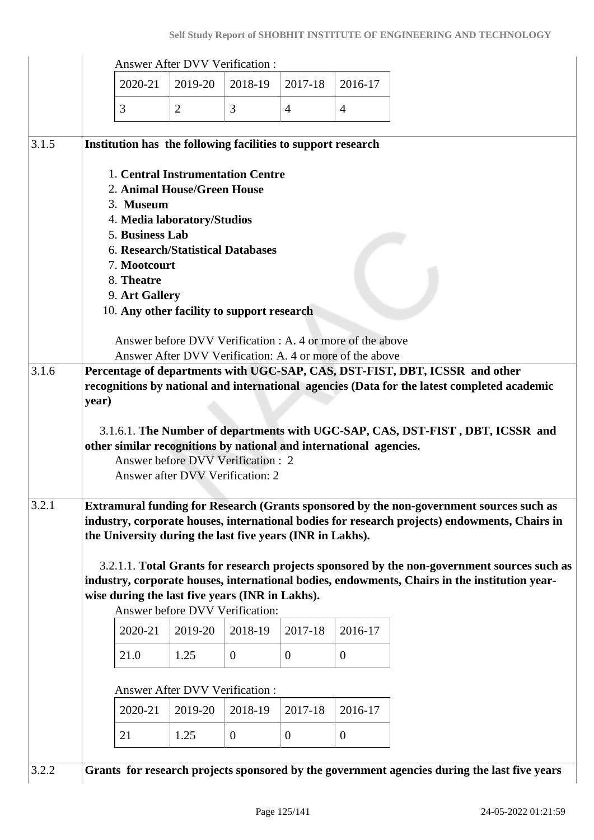|                |       |                                                                                                                                                                                                                                                                                                                                                                                                          | <b>Answer After DVV Verification:</b>                                 |                  |                  |                                                                                                                        |                                                                                                                                                                                                                                                                                                                                                                                          |
|----------------|-------|----------------------------------------------------------------------------------------------------------------------------------------------------------------------------------------------------------------------------------------------------------------------------------------------------------------------------------------------------------------------------------------------------------|-----------------------------------------------------------------------|------------------|------------------|------------------------------------------------------------------------------------------------------------------------|------------------------------------------------------------------------------------------------------------------------------------------------------------------------------------------------------------------------------------------------------------------------------------------------------------------------------------------------------------------------------------------|
|                |       | 2020-21                                                                                                                                                                                                                                                                                                                                                                                                  | 2019-20                                                               | 2018-19          | 2017-18          | 2016-17                                                                                                                |                                                                                                                                                                                                                                                                                                                                                                                          |
|                |       | 3                                                                                                                                                                                                                                                                                                                                                                                                        | $\overline{2}$                                                        | 3                | $\overline{4}$   | $\overline{4}$                                                                                                         |                                                                                                                                                                                                                                                                                                                                                                                          |
| 3.1.5<br>3.1.6 | year) | Institution has the following facilities to support research<br>1. Central Instrumentation Centre<br>2. Animal House/Green House<br>3. Museum<br>4. Media laboratory/Studios<br>5. Business Lab<br>6. Research/Statistical Databases<br>7. Mootcourt<br>8. Theatre<br>9. Art Gallery<br>10. Any other facility to support research<br>other similar recognitions by national and international agencies. | Answer before DVV Verification: 2<br>Answer after DVV Verification: 2 |                  |                  | Answer before DVV Verification : A. 4 or more of the above<br>Answer After DVV Verification: A. 4 or more of the above | Percentage of departments with UGC-SAP, CAS, DST-FIST, DBT, ICSSR and other<br>recognitions by national and international agencies (Data for the latest completed academic<br>3.1.6.1. The Number of departments with UGC-SAP, CAS, DST-FIST, DBT, ICSSR and                                                                                                                             |
| 3.2.1          |       | the University during the last five years (INR in Lakhs).<br>wise during the last five years (INR in Lakhs).                                                                                                                                                                                                                                                                                             | Answer before DVV Verification:                                       |                  |                  |                                                                                                                        | Extramural funding for Research (Grants sponsored by the non-government sources such as<br>industry, corporate houses, international bodies for research projects) endowments, Chairs in<br>3.2.1.1. Total Grants for research projects sponsored by the non-government sources such as<br>industry, corporate houses, international bodies, endowments, Chairs in the institution year- |
|                |       | 2020-21                                                                                                                                                                                                                                                                                                                                                                                                  | 2019-20                                                               | 2018-19          | 2017-18          | 2016-17                                                                                                                |                                                                                                                                                                                                                                                                                                                                                                                          |
|                |       | 21.0                                                                                                                                                                                                                                                                                                                                                                                                     | 1.25                                                                  | $\boldsymbol{0}$ | $\boldsymbol{0}$ | $\overline{0}$                                                                                                         |                                                                                                                                                                                                                                                                                                                                                                                          |
|                |       |                                                                                                                                                                                                                                                                                                                                                                                                          | Answer After DVV Verification :                                       |                  |                  |                                                                                                                        |                                                                                                                                                                                                                                                                                                                                                                                          |
|                |       | 2020-21                                                                                                                                                                                                                                                                                                                                                                                                  | 2019-20                                                               | 2018-19          | 2017-18          | 2016-17                                                                                                                |                                                                                                                                                                                                                                                                                                                                                                                          |
|                |       | 21                                                                                                                                                                                                                                                                                                                                                                                                       | 1.25                                                                  | $\boldsymbol{0}$ | $\overline{0}$   | $\mathbf{0}$                                                                                                           |                                                                                                                                                                                                                                                                                                                                                                                          |
| 3.2.2          |       |                                                                                                                                                                                                                                                                                                                                                                                                          |                                                                       |                  |                  |                                                                                                                        | Grants for research projects sponsored by the government agencies during the last five years                                                                                                                                                                                                                                                                                             |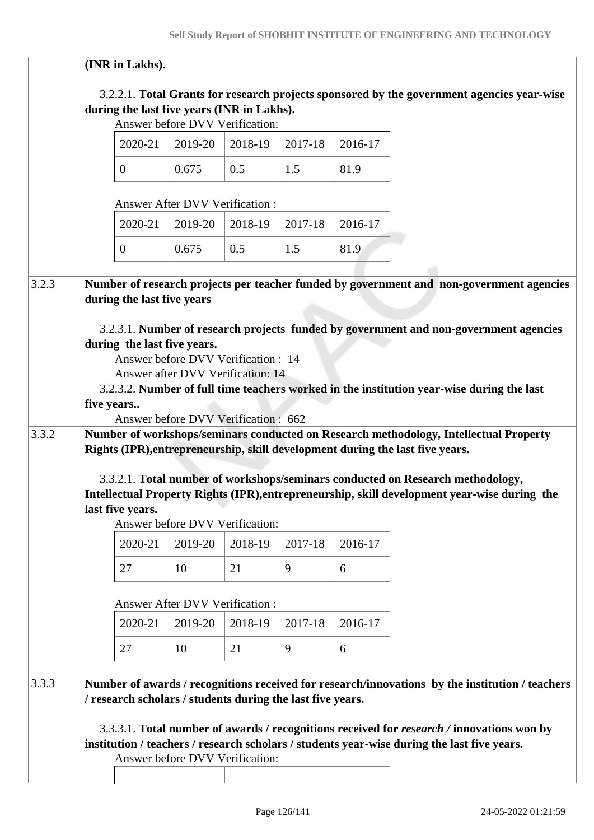## **(INR in Lakhs).**

## 3.2.2.1. **Total Grants for research projects sponsored by the government agencies year-wise during the last five years (INR in Lakhs).**

|       |            |                             |                                       | Answer before DVV Verification:                                                                                  |                                                            |         |                                                                                                                                                                                                                                                                 |                                                                                                 |
|-------|------------|-----------------------------|---------------------------------------|------------------------------------------------------------------------------------------------------------------|------------------------------------------------------------|---------|-----------------------------------------------------------------------------------------------------------------------------------------------------------------------------------------------------------------------------------------------------------------|-------------------------------------------------------------------------------------------------|
|       |            | 2020-21                     | 2019-20                               | 2018-19                                                                                                          | 2017-18                                                    | 2016-17 |                                                                                                                                                                                                                                                                 |                                                                                                 |
|       |            | $\overline{0}$              | 0.675                                 | 0.5                                                                                                              | 1.5                                                        | 81.9    |                                                                                                                                                                                                                                                                 |                                                                                                 |
|       |            |                             | <b>Answer After DVV Verification:</b> |                                                                                                                  |                                                            |         |                                                                                                                                                                                                                                                                 |                                                                                                 |
|       |            | 2020-21                     | 2019-20                               | 2018-19                                                                                                          | 2017-18                                                    | 2016-17 |                                                                                                                                                                                                                                                                 |                                                                                                 |
|       |            | $\overline{0}$              | 0.675                                 | 0.5                                                                                                              | 1.5                                                        | 81.9    |                                                                                                                                                                                                                                                                 |                                                                                                 |
| 3.2.3 |            | during the last five years  |                                       |                                                                                                                  |                                                            |         |                                                                                                                                                                                                                                                                 | Number of research projects per teacher funded by government and non-government agencies        |
|       | five years | during the last five years. |                                       | Answer before DVV Verification : 14<br>Answer after DVV Verification: 14<br>Answer before DVV Verification : 662 |                                                            |         | 3.2.3.2. Number of full time teachers worked in the institution year-wise during the last                                                                                                                                                                       | 3.2.3.1. Number of research projects funded by government and non-government agencies           |
| 3.3.2 |            |                             |                                       |                                                                                                                  |                                                            |         | Number of workshops/seminars conducted on Research methodology, Intellectual Property                                                                                                                                                                           |                                                                                                 |
|       |            | last five years.            |                                       | Answer before DVV Verification:                                                                                  |                                                            |         | Rights (IPR), entrepreneurship, skill development during the last five years.<br>3.3.2.1. Total number of workshops/seminars conducted on Research methodology,<br>Intellectual Property Rights (IPR), entrepreneurship, skill development year-wise during the |                                                                                                 |
|       |            | 2020-21                     | 2019-20                               | 2018-19                                                                                                          | 2017-18                                                    | 2016-17 |                                                                                                                                                                                                                                                                 |                                                                                                 |
|       |            | 27                          | 10                                    | 21                                                                                                               | 9                                                          | 6       |                                                                                                                                                                                                                                                                 |                                                                                                 |
|       |            |                             | <b>Answer After DVV Verification:</b> |                                                                                                                  |                                                            |         |                                                                                                                                                                                                                                                                 |                                                                                                 |
|       |            | 2020-21                     | 2019-20                               | 2018-19                                                                                                          | 2017-18                                                    | 2016-17 |                                                                                                                                                                                                                                                                 |                                                                                                 |
|       |            | 27                          | 10                                    | 21                                                                                                               | 9                                                          | 6       |                                                                                                                                                                                                                                                                 |                                                                                                 |
| 3.3.3 |            |                             |                                       |                                                                                                                  | / research scholars / students during the last five years. |         |                                                                                                                                                                                                                                                                 | Number of awards / recognitions received for research/innovations by the institution / teachers |
|       |            |                             |                                       |                                                                                                                  |                                                            |         | 3.3.3.1. Total number of awards / recognitions received for <i>research</i> / innovations won by<br>institution / teachers / research scholars / students year-wise during the last five years.                                                                 |                                                                                                 |
|       |            |                             |                                       | Answer before DVV Verification:                                                                                  |                                                            |         |                                                                                                                                                                                                                                                                 |                                                                                                 |
|       |            |                             |                                       |                                                                                                                  |                                                            |         |                                                                                                                                                                                                                                                                 |                                                                                                 |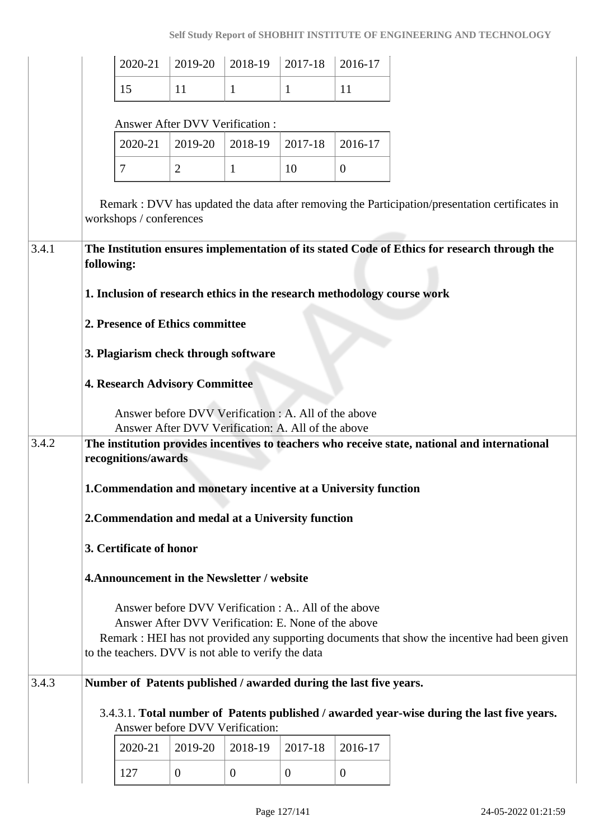#### **Self Study Report of SHOBHIT INSTITUTE OF ENGINEERING AND TECHNOLOGY**

|       |            | 2020-21                                                           | 2019-20                                    | 2018-19          | 2017-18                                                                                                    | 2016-17        |                                                                                                 |
|-------|------------|-------------------------------------------------------------------|--------------------------------------------|------------------|------------------------------------------------------------------------------------------------------------|----------------|-------------------------------------------------------------------------------------------------|
|       |            | 15                                                                | 11                                         | $\mathbf{1}$     | $\mathbf{1}$                                                                                               | 11             |                                                                                                 |
|       |            |                                                                   | Answer After DVV Verification:             |                  |                                                                                                            |                |                                                                                                 |
|       |            | 2020-21                                                           | 2019-20                                    | 2018-19          | 2017-18                                                                                                    | 2016-17        |                                                                                                 |
|       |            | 7                                                                 | $\overline{2}$                             | $\mathbf{1}$     | 10                                                                                                         | $\overline{0}$ |                                                                                                 |
|       |            |                                                                   |                                            |                  |                                                                                                            |                |                                                                                                 |
|       |            | workshops / conferences                                           |                                            |                  |                                                                                                            |                | Remark : DVV has updated the data after removing the Participation/presentation certificates in |
| 3.4.1 | following: |                                                                   |                                            |                  |                                                                                                            |                | The Institution ensures implementation of its stated Code of Ethics for research through the    |
|       |            |                                                                   |                                            |                  |                                                                                                            |                | 1. Inclusion of research ethics in the research methodology course work                         |
|       |            | 2. Presence of Ethics committee                                   |                                            |                  |                                                                                                            |                |                                                                                                 |
|       |            | 3. Plagiarism check through software                              |                                            |                  |                                                                                                            |                |                                                                                                 |
|       |            | <b>4. Research Advisory Committee</b>                             |                                            |                  |                                                                                                            |                |                                                                                                 |
|       |            |                                                                   |                                            |                  | Answer before DVV Verification : A. All of the above<br>Answer After DVV Verification: A. All of the above |                |                                                                                                 |
| 3.4.2 |            |                                                                   |                                            |                  |                                                                                                            |                | The institution provides incentives to teachers who receive state, national and international   |
|       |            | recognitions/awards                                               |                                            |                  |                                                                                                            |                |                                                                                                 |
|       |            | 1. Commendation and monetary incentive at a University function   |                                            |                  |                                                                                                            |                |                                                                                                 |
|       |            | 2. Commendation and medal at a University function                |                                            |                  |                                                                                                            |                |                                                                                                 |
|       |            | 3. Certificate of honor                                           |                                            |                  |                                                                                                            |                |                                                                                                 |
|       |            | <b>4. Announcement in the Newsletter / website</b>                |                                            |                  |                                                                                                            |                |                                                                                                 |
|       |            |                                                                   |                                            |                  | Answer before DVV Verification : A., All of the above                                                      |                |                                                                                                 |
|       |            |                                                                   |                                            |                  | Answer After DVV Verification: E. None of the above                                                        |                | Remark : HEI has not provided any supporting documents that show the incentive had been given   |
|       |            | to the teachers. DVV is not able to verify the data               |                                            |                  |                                                                                                            |                |                                                                                                 |
| 3.4.3 |            | Number of Patents published / awarded during the last five years. |                                            |                  |                                                                                                            |                |                                                                                                 |
|       |            |                                                                   |                                            |                  |                                                                                                            |                | 3.4.3.1. Total number of Patents published / awarded year-wise during the last five years.      |
|       |            | 2020-21                                                           | Answer before DVV Verification:<br>2019-20 | 2018-19          | 2017-18                                                                                                    | 2016-17        |                                                                                                 |
|       |            | 127                                                               | $\overline{0}$                             | $\boldsymbol{0}$ | $\overline{0}$                                                                                             | $\mathbf{0}$   |                                                                                                 |
|       |            |                                                                   |                                            |                  |                                                                                                            |                |                                                                                                 |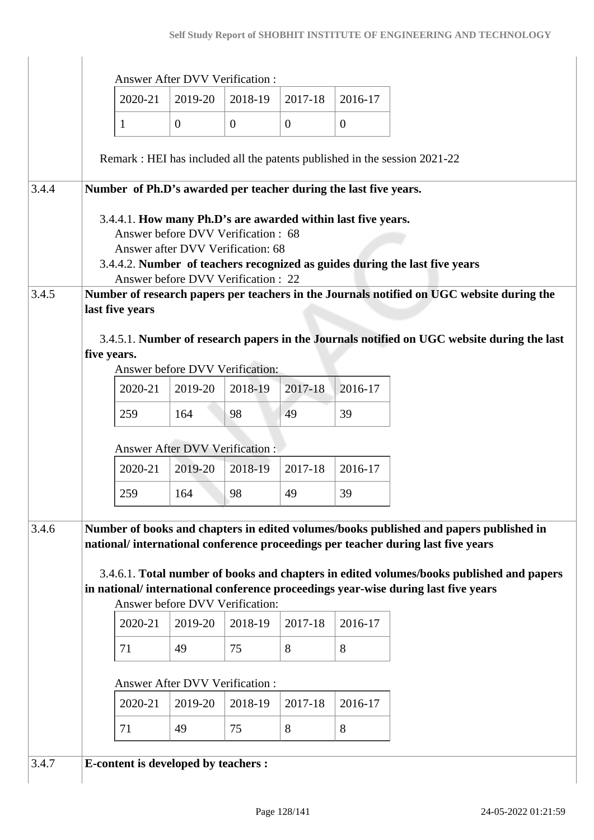|       |             | 2020-21         | <b>Answer After DVV Verification:</b><br>2019-20                                                                                                                                                                                                                       | 2018-19        | 2017-18      | 2016-17        |
|-------|-------------|-----------------|------------------------------------------------------------------------------------------------------------------------------------------------------------------------------------------------------------------------------------------------------------------------|----------------|--------------|----------------|
|       |             | $\mathbf{1}$    | $\overline{0}$                                                                                                                                                                                                                                                         | $\overline{0}$ | $\mathbf{0}$ | $\overline{0}$ |
|       |             |                 |                                                                                                                                                                                                                                                                        |                |              |                |
|       |             |                 | Remark : HEI has included all the patents published in the session 2021-22                                                                                                                                                                                             |                |              |                |
| 3.4.4 |             |                 | Number of Ph.D's awarded per teacher during the last five years.                                                                                                                                                                                                       |                |              |                |
|       |             |                 | 3.4.4.1. How many Ph.D's are awarded within last five years.                                                                                                                                                                                                           |                |              |                |
|       |             |                 | Answer before DVV Verification : 68<br>Answer after DVV Verification: 68                                                                                                                                                                                               |                |              |                |
|       |             |                 | 3.4.4.2. Number of teachers recognized as guides during the last five years                                                                                                                                                                                            |                |              |                |
|       |             |                 | Answer before DVV Verification : 22                                                                                                                                                                                                                                    |                |              |                |
| 3.4.5 |             | last five years | Number of research papers per teachers in the Journals notified on UGC website during the                                                                                                                                                                              |                |              |                |
|       |             |                 |                                                                                                                                                                                                                                                                        |                |              |                |
|       |             |                 | 3.4.5.1. Number of research papers in the Journals notified on UGC website during the last                                                                                                                                                                             |                |              |                |
|       | five years. |                 |                                                                                                                                                                                                                                                                        |                |              |                |
|       |             |                 | Answer before DVV Verification:                                                                                                                                                                                                                                        |                |              |                |
|       |             | 2020-21         | 2019-20                                                                                                                                                                                                                                                                | 2018-19        | 2017-18      | 2016-17        |
|       |             | 259             | 164                                                                                                                                                                                                                                                                    | 98             | 49           | 39             |
|       |             |                 | Answer After DVV Verification:                                                                                                                                                                                                                                         |                |              |                |
|       |             | 2020-21         | 2019-20                                                                                                                                                                                                                                                                | 2018-19        | 2017-18      | 2016-17        |
|       |             | 259             | 164                                                                                                                                                                                                                                                                    | 98             | 49           | 39             |
| 3.4.6 |             |                 | Number of books and chapters in edited volumes/books published and papers published in<br>national/international conference proceedings per teacher during last five years<br>3.4.6.1. Total number of books and chapters in edited volumes/books published and papers |                |              |                |
|       |             |                 | in national/international conference proceedings year-wise during last five years<br>Answer before DVV Verification:                                                                                                                                                   |                |              |                |
|       |             | 2020-21         | 2019-20                                                                                                                                                                                                                                                                | 2018-19        | 2017-18      | 2016-17        |
|       |             | 71              | 49                                                                                                                                                                                                                                                                     | 75             | 8            | 8              |
|       |             |                 | <b>Answer After DVV Verification:</b>                                                                                                                                                                                                                                  |                |              |                |
|       |             | 2020-21         | 2019-20                                                                                                                                                                                                                                                                | 2018-19        | 2017-18      | 2016-17        |
|       |             | 71              | 49                                                                                                                                                                                                                                                                     | 75             | 8            | 8              |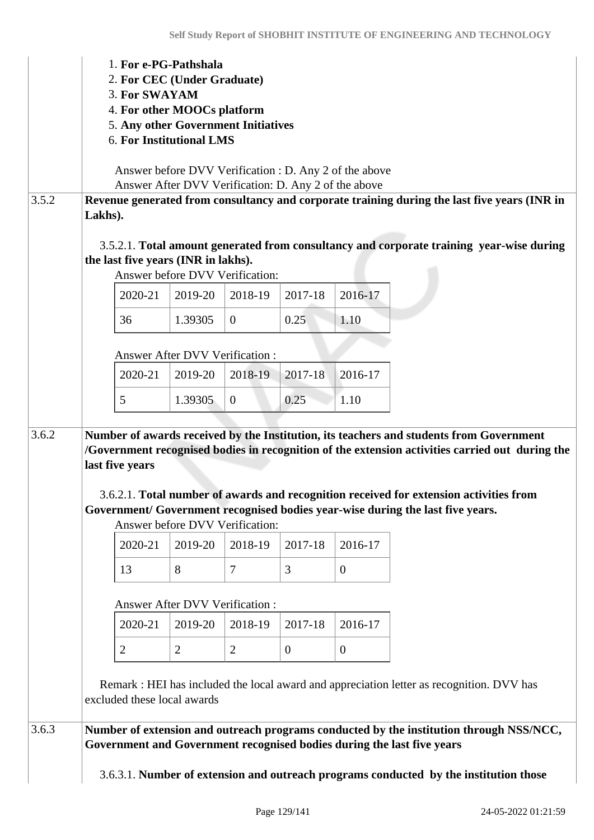| 3.5.2          | Lakhs). | 1. For e-PG-Pathshala<br>2. For CEC (Under Graduate)<br>3. For SWAYAM<br>4. For other MOOCs platform<br>5. Any other Government Initiatives<br><b>6. For Institutional LMS</b> |                                                  |                | Answer before DVV Verification : D. Any 2 of the above<br>Answer After DVV Verification: D. Any 2 of the above |                | Revenue generated from consultancy and corporate training during the last five years (INR in                                                                                                                                                                                                                                                                           |
|----------------|---------|--------------------------------------------------------------------------------------------------------------------------------------------------------------------------------|--------------------------------------------------|----------------|----------------------------------------------------------------------------------------------------------------|----------------|------------------------------------------------------------------------------------------------------------------------------------------------------------------------------------------------------------------------------------------------------------------------------------------------------------------------------------------------------------------------|
|                |         | the last five years (INR in lakhs).                                                                                                                                            |                                                  |                |                                                                                                                |                | 3.5.2.1. Total amount generated from consultancy and corporate training year-wise during                                                                                                                                                                                                                                                                               |
|                |         | 2020-21                                                                                                                                                                        | Answer before DVV Verification:<br>2019-20       | 2018-19        | 2017-18                                                                                                        | 2016-17        |                                                                                                                                                                                                                                                                                                                                                                        |
|                |         | 36                                                                                                                                                                             | 1.39305                                          | $\overline{0}$ | 0.25                                                                                                           | 1.10           |                                                                                                                                                                                                                                                                                                                                                                        |
|                |         |                                                                                                                                                                                |                                                  |                |                                                                                                                |                |                                                                                                                                                                                                                                                                                                                                                                        |
|                |         | 2020-21                                                                                                                                                                        | <b>Answer After DVV Verification:</b><br>2019-20 | 2018-19        | 2017-18                                                                                                        | 2016-17        |                                                                                                                                                                                                                                                                                                                                                                        |
|                |         | 5                                                                                                                                                                              | 1.39305                                          | $\overline{0}$ | 0.25                                                                                                           | 1.10           |                                                                                                                                                                                                                                                                                                                                                                        |
|                |         |                                                                                                                                                                                |                                                  |                |                                                                                                                |                |                                                                                                                                                                                                                                                                                                                                                                        |
| 3.6.2<br>3.6.3 |         | last five years                                                                                                                                                                | Answer before DVV Verification:                  |                |                                                                                                                |                | Number of awards received by the Institution, its teachers and students from Government<br>/Government recognised bodies in recognition of the extension activities carried out during the<br>3.6.2.1. Total number of awards and recognition received for extension activities from<br>Government/ Government recognised bodies year-wise during the last five years. |
|                |         | 2020-21                                                                                                                                                                        | 2019-20                                          | 2018-19        | 2017-18                                                                                                        | 2016-17        |                                                                                                                                                                                                                                                                                                                                                                        |
|                |         | 13                                                                                                                                                                             | 8                                                | $\overline{7}$ | 3                                                                                                              | $\overline{0}$ |                                                                                                                                                                                                                                                                                                                                                                        |
|                |         |                                                                                                                                                                                | <b>Answer After DVV Verification:</b>            |                |                                                                                                                |                |                                                                                                                                                                                                                                                                                                                                                                        |
|                |         | 2020-21                                                                                                                                                                        | 2019-20                                          | 2018-19        | 2017-18                                                                                                        | 2016-17        |                                                                                                                                                                                                                                                                                                                                                                        |
|                |         | $\overline{2}$                                                                                                                                                                 | $\overline{2}$                                   | $\overline{2}$ | $\overline{0}$                                                                                                 | $\theta$       |                                                                                                                                                                                                                                                                                                                                                                        |
|                |         | excluded these local awards                                                                                                                                                    |                                                  |                |                                                                                                                |                | Remark : HEI has included the local award and appreciation letter as recognition. DVV has                                                                                                                                                                                                                                                                              |
|                |         |                                                                                                                                                                                |                                                  |                |                                                                                                                |                | Number of extension and outreach programs conducted by the institution through NSS/NCC,<br>Government and Government recognised bodies during the last five years<br>3.6.3.1. Number of extension and outreach programs conducted by the institution those                                                                                                             |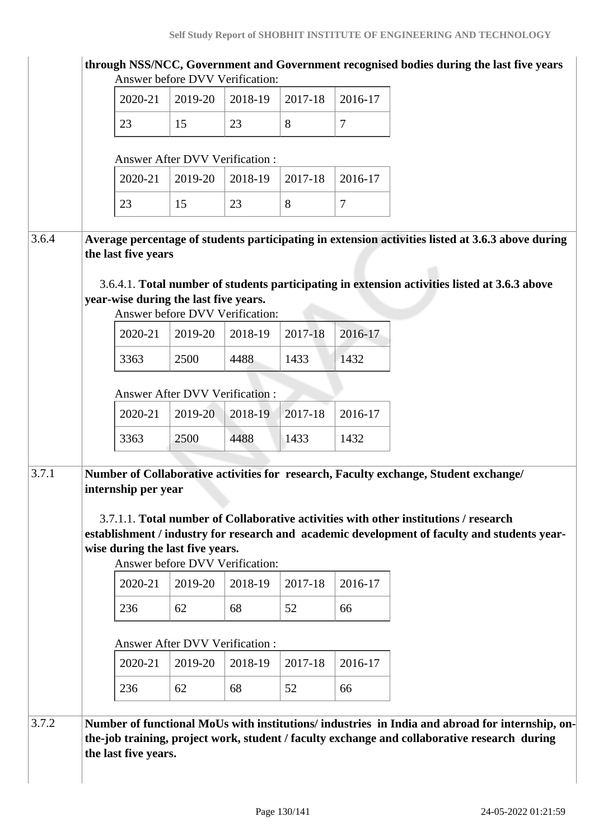|       |                                                                                                                                                                                                                                                                                                                                         |                                       | Answer before DVV Verification:       |         |                |  | through NSS/NCC, Government and Government recognised bodies during the last five years                                                                                                            |  |  |  |
|-------|-----------------------------------------------------------------------------------------------------------------------------------------------------------------------------------------------------------------------------------------------------------------------------------------------------------------------------------------|---------------------------------------|---------------------------------------|---------|----------------|--|----------------------------------------------------------------------------------------------------------------------------------------------------------------------------------------------------|--|--|--|
|       | 2020-21                                                                                                                                                                                                                                                                                                                                 | 2019-20                               | 2018-19                               | 2017-18 | 2016-17        |  |                                                                                                                                                                                                    |  |  |  |
|       | 23                                                                                                                                                                                                                                                                                                                                      | 15                                    | 23                                    | 8       | $\overline{7}$ |  |                                                                                                                                                                                                    |  |  |  |
|       |                                                                                                                                                                                                                                                                                                                                         |                                       | <b>Answer After DVV Verification:</b> |         |                |  |                                                                                                                                                                                                    |  |  |  |
|       | 2020-21                                                                                                                                                                                                                                                                                                                                 | 2019-20                               | 2018-19                               | 2017-18 | 2016-17        |  |                                                                                                                                                                                                    |  |  |  |
|       | 23                                                                                                                                                                                                                                                                                                                                      | 15                                    | 23                                    | 8       | $\overline{7}$ |  |                                                                                                                                                                                                    |  |  |  |
| 3.6.4 | the last five years                                                                                                                                                                                                                                                                                                                     | year-wise during the last five years. |                                       |         |                |  | Average percentage of students participating in extension activities listed at 3.6.3 above during<br>3.6.4.1. Total number of students participating in extension activities listed at 3.6.3 above |  |  |  |
|       |                                                                                                                                                                                                                                                                                                                                         |                                       | Answer before DVV Verification:       |         |                |  |                                                                                                                                                                                                    |  |  |  |
|       | 2020-21                                                                                                                                                                                                                                                                                                                                 | 2019-20                               | 2018-19                               | 2017-18 | 2016-17        |  |                                                                                                                                                                                                    |  |  |  |
|       | 3363                                                                                                                                                                                                                                                                                                                                    | 2500                                  | 4488                                  | 1433    | 1432           |  |                                                                                                                                                                                                    |  |  |  |
|       | <b>Answer After DVV Verification:</b>                                                                                                                                                                                                                                                                                                   |                                       |                                       |         |                |  |                                                                                                                                                                                                    |  |  |  |
|       | 2020-21                                                                                                                                                                                                                                                                                                                                 | 2019-20                               | 2018-19                               | 2017-18 | 2016-17        |  |                                                                                                                                                                                                    |  |  |  |
|       | 3363                                                                                                                                                                                                                                                                                                                                    | 2500                                  | 4488                                  | 1433    | 1432           |  |                                                                                                                                                                                                    |  |  |  |
| 3.7.1 | Number of Collaborative activities for research, Faculty exchange, Student exchange/<br>internship per year<br>3.7.1.1. Total number of Collaborative activities with other institutions / research<br>establishment / industry for research and academic development of faculty and students year-<br>wise during the last five years. |                                       |                                       |         |                |  |                                                                                                                                                                                                    |  |  |  |
|       |                                                                                                                                                                                                                                                                                                                                         |                                       | Answer before DVV Verification:       |         |                |  |                                                                                                                                                                                                    |  |  |  |
|       | 2020-21                                                                                                                                                                                                                                                                                                                                 | 2019-20                               | 2018-19                               | 2017-18 | 2016-17        |  |                                                                                                                                                                                                    |  |  |  |
|       | 236                                                                                                                                                                                                                                                                                                                                     | 62                                    | 68                                    | 52      | 66             |  |                                                                                                                                                                                                    |  |  |  |
|       |                                                                                                                                                                                                                                                                                                                                         |                                       | <b>Answer After DVV Verification:</b> |         |                |  |                                                                                                                                                                                                    |  |  |  |
|       | 2020-21                                                                                                                                                                                                                                                                                                                                 | 2019-20                               | 2018-19                               | 2017-18 | 2016-17        |  |                                                                                                                                                                                                    |  |  |  |
|       | 236                                                                                                                                                                                                                                                                                                                                     | 62                                    | 68                                    | 52      | 66             |  |                                                                                                                                                                                                    |  |  |  |
| 3.7.2 | the last five years.                                                                                                                                                                                                                                                                                                                    |                                       |                                       |         |                |  | Number of functional MoUs with institutions/industries in India and abroad for internship, on-<br>the-job training, project work, student / faculty exchange and collaborative research during     |  |  |  |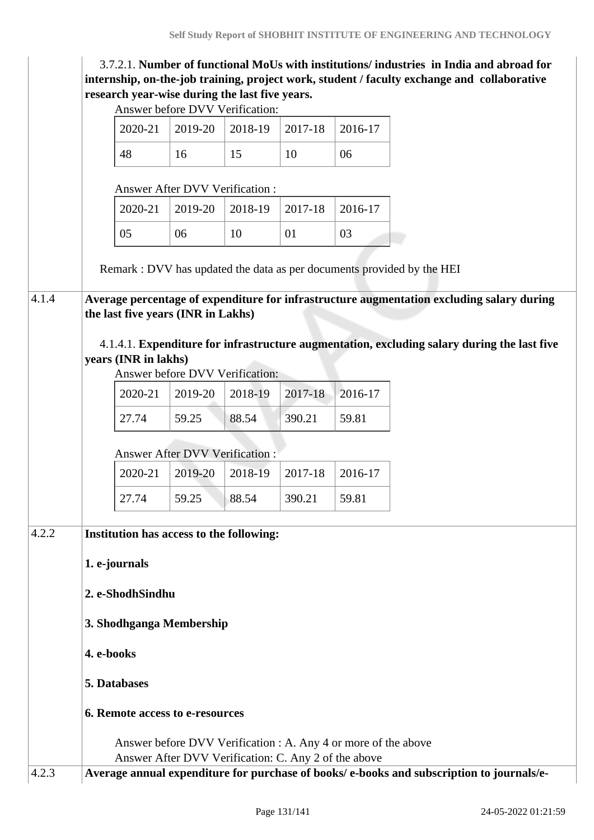|                  | research year-wise during the last five years.<br>Answer before DVV Verification:                                                                                                                                                                      |                                          |         |         |         |  |  |  |  |  |
|------------------|--------------------------------------------------------------------------------------------------------------------------------------------------------------------------------------------------------------------------------------------------------|------------------------------------------|---------|---------|---------|--|--|--|--|--|
|                  | 2020-21                                                                                                                                                                                                                                                | 2019-20                                  | 2018-19 | 2017-18 | 2016-17 |  |  |  |  |  |
| 48               |                                                                                                                                                                                                                                                        | 16                                       | 15      | 10      | 06      |  |  |  |  |  |
|                  |                                                                                                                                                                                                                                                        | <b>Answer After DVV Verification:</b>    |         |         |         |  |  |  |  |  |
|                  | 2020-21                                                                                                                                                                                                                                                | 2019-20                                  | 2018-19 | 2017-18 | 2016-17 |  |  |  |  |  |
| 05               |                                                                                                                                                                                                                                                        | 06                                       | 10      | 01      | 03      |  |  |  |  |  |
|                  | Average percentage of expenditure for infrastructure augmentation excluding salary during<br>the last five years (INR in Lakhs)<br>4.1.4.1. Expenditure for infrastructure augmentation, excluding salary during the last five<br>years (INR in lakhs) |                                          |         |         |         |  |  |  |  |  |
|                  |                                                                                                                                                                                                                                                        | Answer before DVV Verification:          |         |         |         |  |  |  |  |  |
|                  | 2020-21                                                                                                                                                                                                                                                | 2019-20                                  | 2018-19 | 2017-18 | 2016-17 |  |  |  |  |  |
|                  | 27.74                                                                                                                                                                                                                                                  | 59.25                                    | 88.54   | 390.21  | 59.81   |  |  |  |  |  |
|                  |                                                                                                                                                                                                                                                        |                                          |         |         |         |  |  |  |  |  |
|                  |                                                                                                                                                                                                                                                        | <b>Answer After DVV Verification:</b>    |         |         |         |  |  |  |  |  |
|                  | 2020-21                                                                                                                                                                                                                                                | 2019-20                                  | 2018-19 | 2017-18 | 2016-17 |  |  |  |  |  |
|                  | 27.74                                                                                                                                                                                                                                                  | 59.25                                    | 88.54   | 390.21  | 59.81   |  |  |  |  |  |
|                  |                                                                                                                                                                                                                                                        | Institution has access to the following: |         |         |         |  |  |  |  |  |
| 1. e-journals    |                                                                                                                                                                                                                                                        |                                          |         |         |         |  |  |  |  |  |
| 2. e-ShodhSindhu |                                                                                                                                                                                                                                                        |                                          |         |         |         |  |  |  |  |  |
|                  |                                                                                                                                                                                                                                                        | 3. Shodhganga Membership                 |         |         |         |  |  |  |  |  |
| 4. e-books       |                                                                                                                                                                                                                                                        |                                          |         |         |         |  |  |  |  |  |
| 5. Databases     |                                                                                                                                                                                                                                                        |                                          |         |         |         |  |  |  |  |  |
|                  |                                                                                                                                                                                                                                                        | 6. Remote access to e-resources          |         |         |         |  |  |  |  |  |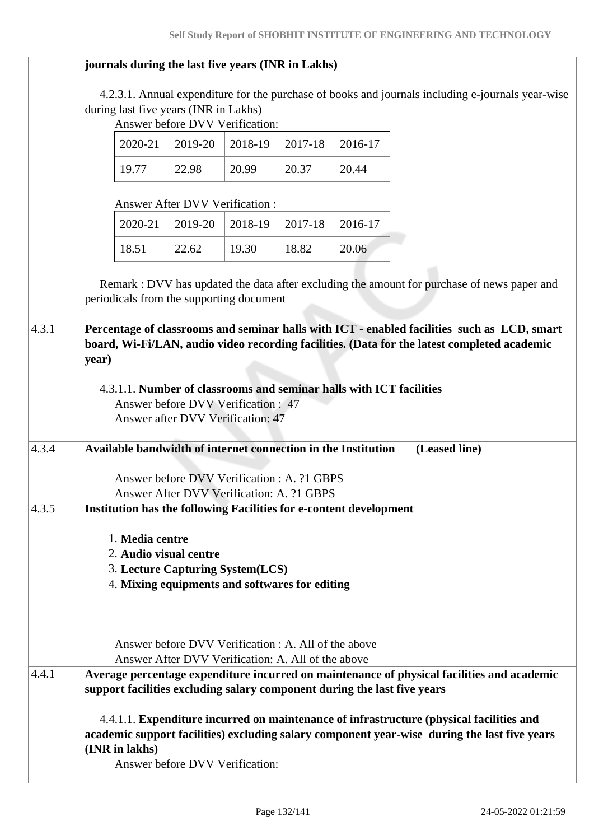## **journals during the last five years (INR in Lakhs)**

 4.2.3.1. Annual expenditure for the purchase of books and journals including e-journals year-wise during last five years (INR in Lakhs)

Answer before DVV Verification:

|       |       | 2020-21                                                                                                                         | 2019-20                        | 2018-19                                                                                                    | 2017-18 | 2016-17                                                                   |                                                                                                                                                                                            |
|-------|-------|---------------------------------------------------------------------------------------------------------------------------------|--------------------------------|------------------------------------------------------------------------------------------------------------|---------|---------------------------------------------------------------------------|--------------------------------------------------------------------------------------------------------------------------------------------------------------------------------------------|
|       |       | 19.77                                                                                                                           | 22.98                          | 20.99                                                                                                      | 20.37   | 20.44                                                                     |                                                                                                                                                                                            |
|       |       |                                                                                                                                 | Answer After DVV Verification: |                                                                                                            |         |                                                                           |                                                                                                                                                                                            |
|       |       | 2020-21                                                                                                                         | 2019-20                        | 2018-19                                                                                                    | 2017-18 | 2016-17                                                                   |                                                                                                                                                                                            |
|       |       | 18.51                                                                                                                           | 22.62                          | 19.30                                                                                                      | 18.82   | 20.06                                                                     |                                                                                                                                                                                            |
|       |       | periodicals from the supporting document                                                                                        |                                |                                                                                                            |         |                                                                           | Remark : DVV has updated the data after excluding the amount for purchase of news paper and                                                                                                |
| 4.3.1 | year) |                                                                                                                                 |                                | Answer before DVV Verification: 47<br>Answer after DVV Verification: 47                                    |         | 4.3.1.1. Number of classrooms and seminar halls with ICT facilities       | Percentage of classrooms and seminar halls with ICT - enabled facilities such as LCD, smart<br>board, Wi-Fi/LAN, audio video recording facilities. (Data for the latest completed academic |
| 4.3.4 |       |                                                                                                                                 |                                | Answer before DVV Verification : A. ?1 GBPS<br>Answer After DVV Verification: A. ?1 GBPS                   |         | Available bandwidth of internet connection in the Institution             | (Leased line)                                                                                                                                                                              |
| 4.3.5 |       |                                                                                                                                 |                                |                                                                                                            |         | <b>Institution has the following Facilities for e-content development</b> |                                                                                                                                                                                            |
|       |       | 1. Media centre<br>2. Audio visual centre<br>3. Lecture Capturing System(LCS)<br>4. Mixing equipments and softwares for editing |                                |                                                                                                            |         |                                                                           |                                                                                                                                                                                            |
|       |       |                                                                                                                                 |                                | Answer before DVV Verification : A. All of the above<br>Answer After DVV Verification: A. All of the above |         |                                                                           |                                                                                                                                                                                            |
| 4.4.1 |       |                                                                                                                                 |                                |                                                                                                            |         | support facilities excluding salary component during the last five years  | Average percentage expenditure incurred on maintenance of physical facilities and academic                                                                                                 |
|       |       | (INR in lakhs)                                                                                                                  |                                | Answer before DVV Verification:                                                                            |         |                                                                           | 4.4.1.1. Expenditure incurred on maintenance of infrastructure (physical facilities and<br>academic support facilities) excluding salary component year-wise during the last five years    |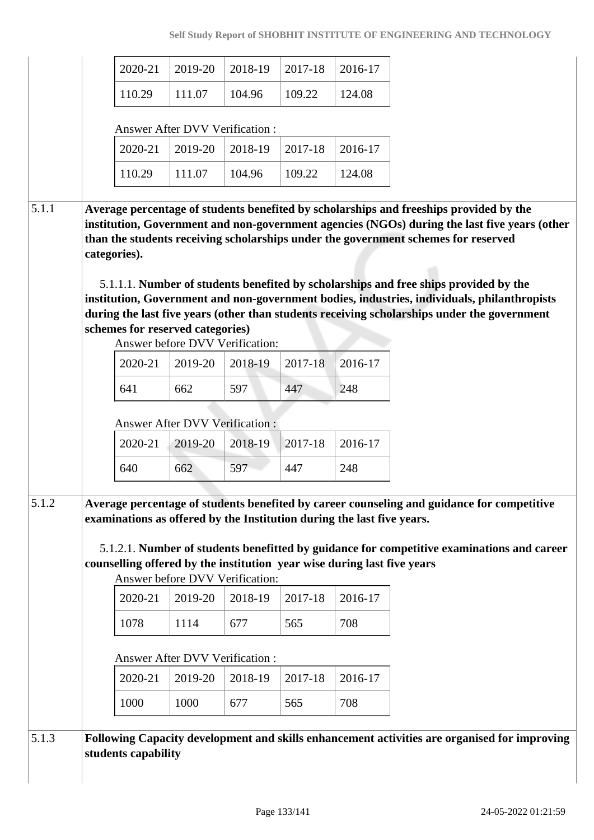|          | $2020-21$   2019-20   2018-19   2017-18   2016-17 |        |        |        |
|----------|---------------------------------------------------|--------|--------|--------|
| ' 110.29 | $\pm 111.07$                                      | 104.96 | 109.22 | 124.08 |

Answer After DVV Verification :

|        | $2020-21$   2019-20   2018-19   2017-18   2016-17 |        |        |        |
|--------|---------------------------------------------------|--------|--------|--------|
| 110.29 | 111.07                                            | 104.96 | 109.22 | 124.08 |

5.1.1 **Average percentage of students benefited by scholarships and freeships provided by the institution, Government and non-government agencies (NGOs) during the last five years (other than the students receiving scholarships under the government schemes for reserved categories).**

 5.1.1.1. **Number of students benefited by scholarships and free ships provided by the institution, Government and non-government bodies, industries, individuals, philanthropists during the last five years (other than students receiving scholarships under the government schemes for reserved categories)** 

Answer before DVV Verification:

|     |     | $2020-21$   2019-20   2018-19   2017-18 |     | $12016 - 17$ |
|-----|-----|-----------------------------------------|-----|--------------|
| 641 | 662 | 597                                     | 447 | 248          |

#### Answer After DVV Verification :

|     | 2020-21   2019-20   2018-19   2017-18   2016-17 |     |     |     |
|-----|-------------------------------------------------|-----|-----|-----|
| 640 | 662                                             | 597 | 447 | 248 |

5.1.2 **Average percentage of students benefited by career counseling and guidance for competitive examinations as offered by the Institution during the last five years.**

> 5.1.2.1. **Number of students benefitted by guidance for competitive examinations and career counselling offered by the institution year wise during last five years**

Answer before DVV Verification:

|      |      | $2020-21$   2019-20   2018-19   2017-18   2016-17 |     |     |
|------|------|---------------------------------------------------|-----|-----|
| 1078 | 1114 | 677                                               | 565 | 708 |

#### Answer After DVV Verification :

|      |      | $2020-21$   2019-20   2018-19   2017-18   2016-17 |     |     |
|------|------|---------------------------------------------------|-----|-----|
| 1000 | 1000 | 677                                               | 565 | 708 |

5.1.3 **Following Capacity development and skills enhancement activities are organised for improving students capability**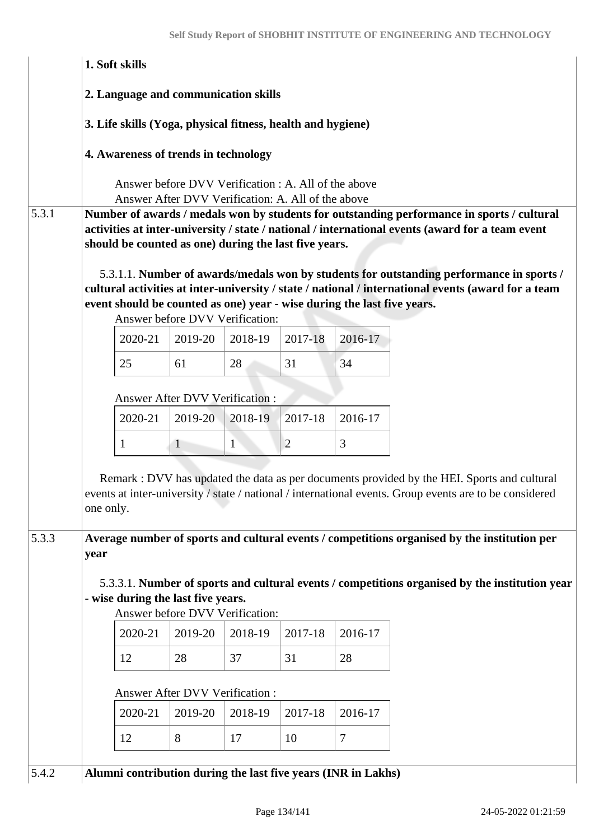|       |                   | 1. Soft skills                                                          |                                                                                                            |              |                |                |                                                                                                                                                                                                                                                                                                        |  |  |  |
|-------|-------------------|-------------------------------------------------------------------------|------------------------------------------------------------------------------------------------------------|--------------|----------------|----------------|--------------------------------------------------------------------------------------------------------------------------------------------------------------------------------------------------------------------------------------------------------------------------------------------------------|--|--|--|
|       |                   | 2. Language and communication skills                                    |                                                                                                            |              |                |                |                                                                                                                                                                                                                                                                                                        |  |  |  |
|       |                   | 3. Life skills (Yoga, physical fitness, health and hygiene)             |                                                                                                            |              |                |                |                                                                                                                                                                                                                                                                                                        |  |  |  |
|       |                   | 4. Awareness of trends in technology                                    |                                                                                                            |              |                |                |                                                                                                                                                                                                                                                                                                        |  |  |  |
|       |                   |                                                                         | Answer before DVV Verification : A. All of the above<br>Answer After DVV Verification: A. All of the above |              |                |                |                                                                                                                                                                                                                                                                                                        |  |  |  |
| 5.3.1 |                   | should be counted as one) during the last five years.                   |                                                                                                            |              |                |                | Number of awards / medals won by students for outstanding performance in sports / cultural<br>activities at inter-university / state / national / international events (award for a team event                                                                                                         |  |  |  |
|       |                   | event should be counted as one) year - wise during the last five years. | Answer before DVV Verification:                                                                            |              |                |                | 5.3.1.1. Number of awards/medals won by students for outstanding performance in sports /<br>cultural activities at inter-university / state / national / international events (award for a team                                                                                                        |  |  |  |
|       |                   | 2020-21                                                                 | 2019-20                                                                                                    | 2018-19      | 2017-18        | 2016-17        |                                                                                                                                                                                                                                                                                                        |  |  |  |
|       |                   | 25                                                                      | 61                                                                                                         | 28           | 31             | 34             |                                                                                                                                                                                                                                                                                                        |  |  |  |
|       |                   |                                                                         | <b>Answer After DVV Verification:</b>                                                                      |              |                |                |                                                                                                                                                                                                                                                                                                        |  |  |  |
|       |                   | 2020-21                                                                 | 2019-20                                                                                                    | 2018-19      | 2017-18        | 2016-17        |                                                                                                                                                                                                                                                                                                        |  |  |  |
|       |                   | 1                                                                       | $\mathbf{1}$                                                                                               | $\mathbf{1}$ | $\overline{2}$ | 3              |                                                                                                                                                                                                                                                                                                        |  |  |  |
| 5.3.3 | one only.<br>year |                                                                         |                                                                                                            |              |                |                | Remark : DVV has updated the data as per documents provided by the HEI. Sports and cultural<br>events at inter-university / state / national / international events. Group events are to be considered<br>Average number of sports and cultural events / competitions organised by the institution per |  |  |  |
|       |                   | - wise during the last five years.                                      | Answer before DVV Verification:                                                                            |              |                |                | 5.3.3.1. Number of sports and cultural events / competitions organised by the institution year                                                                                                                                                                                                         |  |  |  |
|       |                   | 2020-21                                                                 | 2019-20                                                                                                    | 2018-19      | 2017-18        | 2016-17        |                                                                                                                                                                                                                                                                                                        |  |  |  |
|       |                   | 12                                                                      | 28                                                                                                         | 37           | 31             | 28             |                                                                                                                                                                                                                                                                                                        |  |  |  |
|       |                   |                                                                         | <b>Answer After DVV Verification:</b>                                                                      |              |                |                |                                                                                                                                                                                                                                                                                                        |  |  |  |
|       |                   | 2020-21                                                                 | 2019-20                                                                                                    | 2018-19      | 2017-18        | 2016-17        |                                                                                                                                                                                                                                                                                                        |  |  |  |
|       |                   | 12                                                                      | 8                                                                                                          | 17           | 10             | $\overline{7}$ |                                                                                                                                                                                                                                                                                                        |  |  |  |
| 5.4.2 |                   | Alumni contribution during the last five years (INR in Lakhs)           |                                                                                                            |              |                |                |                                                                                                                                                                                                                                                                                                        |  |  |  |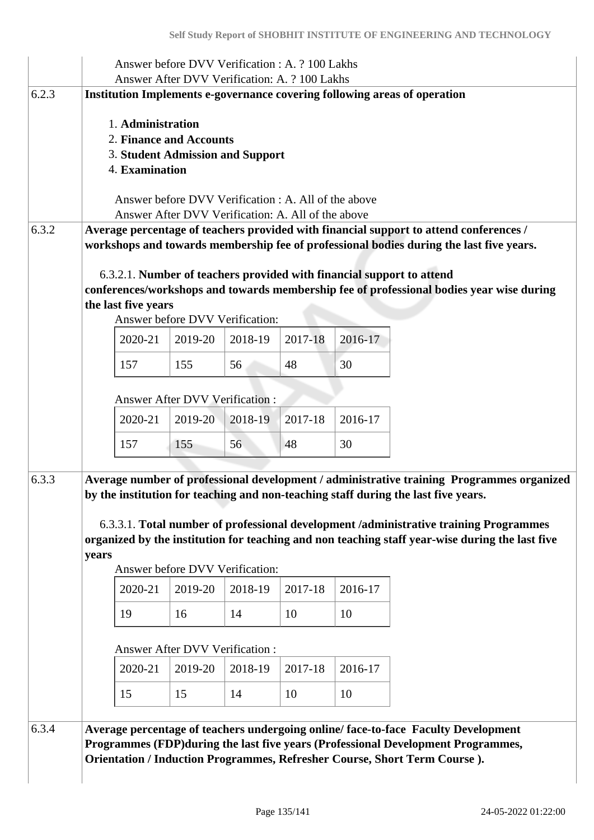|       |                                       | Answer before DVV Verification : A. ? 100 Lakhs<br>Answer After DVV Verification: A. ? 100 Lakhs                                             |         |         |         |                                                                                                                                                                                                                                                                          |  |  |  |  |  |
|-------|---------------------------------------|----------------------------------------------------------------------------------------------------------------------------------------------|---------|---------|---------|--------------------------------------------------------------------------------------------------------------------------------------------------------------------------------------------------------------------------------------------------------------------------|--|--|--|--|--|
| 6.2.3 |                                       |                                                                                                                                              |         |         |         | Institution Implements e-governance covering following areas of operation                                                                                                                                                                                                |  |  |  |  |  |
|       | 1. Administration<br>4. Examination   | 2. Finance and Accounts<br><b>3. Student Admission and Support</b><br>Answer before DVV Verification : A. All of the above                   |         |         |         |                                                                                                                                                                                                                                                                          |  |  |  |  |  |
| 6.3.2 |                                       | Answer After DVV Verification: A. All of the above<br>Average percentage of teachers provided with financial support to attend conferences / |         |         |         |                                                                                                                                                                                                                                                                          |  |  |  |  |  |
|       |                                       |                                                                                                                                              |         |         |         | workshops and towards membership fee of professional bodies during the last five years.                                                                                                                                                                                  |  |  |  |  |  |
|       | the last five years                   | 6.3.2.1. Number of teachers provided with financial support to attend<br>Answer before DVV Verification:                                     |         |         |         | conferences/workshops and towards membership fee of professional bodies year wise during                                                                                                                                                                                 |  |  |  |  |  |
|       | 2020-21                               | 2019-20                                                                                                                                      | 2018-19 | 2017-18 | 2016-17 |                                                                                                                                                                                                                                                                          |  |  |  |  |  |
|       | 157                                   | 155                                                                                                                                          | 56      | 48      | 30      |                                                                                                                                                                                                                                                                          |  |  |  |  |  |
|       | <b>Answer After DVV Verification:</b> |                                                                                                                                              |         |         |         |                                                                                                                                                                                                                                                                          |  |  |  |  |  |
|       | 2020-21                               | 2019-20                                                                                                                                      | 2018-19 | 2017-18 | 2016-17 |                                                                                                                                                                                                                                                                          |  |  |  |  |  |
|       | 157                                   | 155                                                                                                                                          | 56      | 48      | 30      |                                                                                                                                                                                                                                                                          |  |  |  |  |  |
| 6.3.3 |                                       |                                                                                                                                              |         |         |         | Average number of professional development / administrative training Programmes organized<br>by the institution for teaching and non-teaching staff during the last five years.<br>6.3.3.1. Total number of professional development /administrative training Programmes |  |  |  |  |  |
|       | years                                 | Answer before DVV Verification:                                                                                                              |         |         |         | organized by the institution for teaching and non teaching staff year-wise during the last five                                                                                                                                                                          |  |  |  |  |  |
|       | 2020-21                               | 2019-20                                                                                                                                      | 2018-19 | 2017-18 | 2016-17 |                                                                                                                                                                                                                                                                          |  |  |  |  |  |
|       | 19                                    | 16                                                                                                                                           | 14      | 10      | 10      |                                                                                                                                                                                                                                                                          |  |  |  |  |  |
|       |                                       | <b>Answer After DVV Verification:</b>                                                                                                        |         |         |         |                                                                                                                                                                                                                                                                          |  |  |  |  |  |
|       | 2020-21                               | 2019-20                                                                                                                                      | 2018-19 | 2017-18 | 2016-17 |                                                                                                                                                                                                                                                                          |  |  |  |  |  |
|       | 15                                    | 15                                                                                                                                           | 14      | 10      | 10      |                                                                                                                                                                                                                                                                          |  |  |  |  |  |
|       |                                       |                                                                                                                                              |         |         |         |                                                                                                                                                                                                                                                                          |  |  |  |  |  |
| 6.3.4 |                                       |                                                                                                                                              |         |         |         | Average percentage of teachers undergoing online/face-to-face Faculty Development<br>Programmes (FDP) during the last five years (Professional Development Programmes,<br>Orientation / Induction Programmes, Refresher Course, Short Term Course).                      |  |  |  |  |  |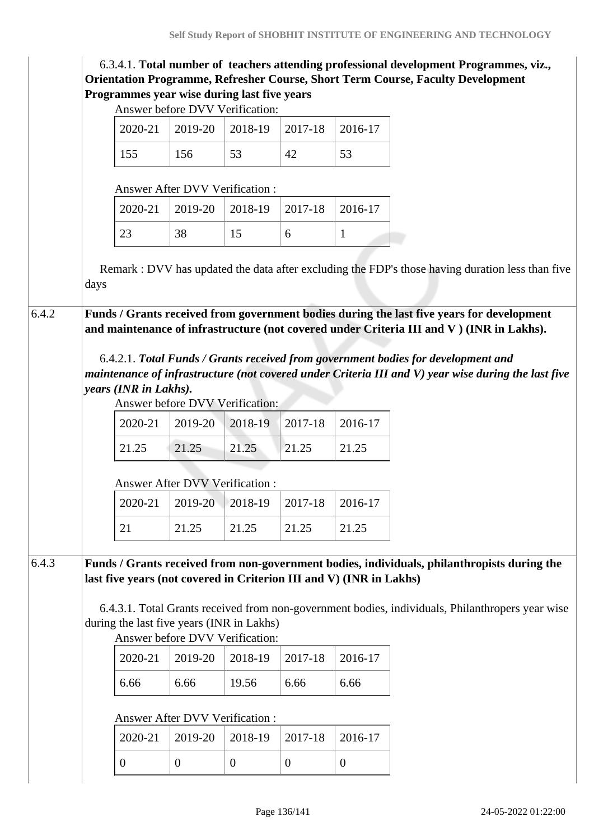|       | 6.3.4.1. Total number of teachers attending professional development Programmes, viz., |                                                                                                                                                                    |                                       |         |         |                                                                                                     |  |  |  |
|-------|----------------------------------------------------------------------------------------|--------------------------------------------------------------------------------------------------------------------------------------------------------------------|---------------------------------------|---------|---------|-----------------------------------------------------------------------------------------------------|--|--|--|
|       |                                                                                        | <b>Orientation Programme, Refresher Course, Short Term Course, Faculty Development</b><br>Programmes year wise during last five years                              |                                       |         |         |                                                                                                     |  |  |  |
|       |                                                                                        |                                                                                                                                                                    | Answer before DVV Verification:       |         |         |                                                                                                     |  |  |  |
|       |                                                                                        | 2020-21                                                                                                                                                            | 2019-20                               | 2018-19 | 2017-18 | 2016-17                                                                                             |  |  |  |
|       |                                                                                        | 155                                                                                                                                                                | 156                                   | 53      | 42      | 53                                                                                                  |  |  |  |
|       |                                                                                        |                                                                                                                                                                    | Answer After DVV Verification :       |         |         |                                                                                                     |  |  |  |
|       |                                                                                        | 2020-21                                                                                                                                                            | 2019-20                               | 2018-19 | 2017-18 | 2016-17                                                                                             |  |  |  |
|       |                                                                                        | 23                                                                                                                                                                 | 38                                    | 15      | 6       | $\mathbf{1}$                                                                                        |  |  |  |
|       | days                                                                                   | Remark: DVV has updated the data after excluding the FDP's those having duration less than five                                                                    |                                       |         |         |                                                                                                     |  |  |  |
| 6.4.2 |                                                                                        | Funds / Grants received from government bodies during the last five years for development                                                                          |                                       |         |         |                                                                                                     |  |  |  |
|       |                                                                                        | and maintenance of infrastructure (not covered under Criteria III and V) (INR in Lakhs).                                                                           |                                       |         |         |                                                                                                     |  |  |  |
|       |                                                                                        | 6.4.2.1. Total Funds / Grants received from government bodies for development and                                                                                  |                                       |         |         | maintenance of infrastructure (not covered under Criteria III and V) year wise during the last five |  |  |  |
|       |                                                                                        | years (INR in Lakhs).                                                                                                                                              | Answer before DVV Verification:       |         |         |                                                                                                     |  |  |  |
|       |                                                                                        | 2020-21                                                                                                                                                            | 2019-20                               | 2018-19 | 2017-18 | 2016-17                                                                                             |  |  |  |
|       |                                                                                        | 21.25                                                                                                                                                              | 21.25                                 | 21.25   | 21.25   | 21.25                                                                                               |  |  |  |
|       |                                                                                        |                                                                                                                                                                    | Answer After DVV Verification:        |         |         |                                                                                                     |  |  |  |
|       |                                                                                        | 2020-21                                                                                                                                                            | 2019-20                               | 2018-19 | 2017-18 | 2016-17                                                                                             |  |  |  |
|       |                                                                                        | 21                                                                                                                                                                 | 21.25                                 | 21.25   | 21.25   | 21.25                                                                                               |  |  |  |
|       |                                                                                        |                                                                                                                                                                    |                                       |         |         |                                                                                                     |  |  |  |
|       |                                                                                        | Funds / Grants received from non-government bodies, individuals, philanthropists during the<br>last five years (not covered in Criterion III and V) (INR in Lakhs) |                                       |         |         |                                                                                                     |  |  |  |
|       |                                                                                        | 6.4.3.1. Total Grants received from non-government bodies, individuals, Philanthropers year wise<br>during the last five years (INR in Lakhs)                      |                                       |         |         |                                                                                                     |  |  |  |
|       |                                                                                        |                                                                                                                                                                    | Answer before DVV Verification:       |         |         |                                                                                                     |  |  |  |
|       |                                                                                        | 2020-21                                                                                                                                                            | 2019-20                               | 2018-19 | 2017-18 | 2016-17                                                                                             |  |  |  |
|       |                                                                                        | 6.66                                                                                                                                                               | 6.66                                  | 19.56   | 6.66    | 6.66                                                                                                |  |  |  |
|       |                                                                                        |                                                                                                                                                                    | <b>Answer After DVV Verification:</b> |         |         |                                                                                                     |  |  |  |
| 6.4.3 |                                                                                        | 2020-21                                                                                                                                                            | 2019-20                               | 2018-19 | 2017-18 | 2016-17                                                                                             |  |  |  |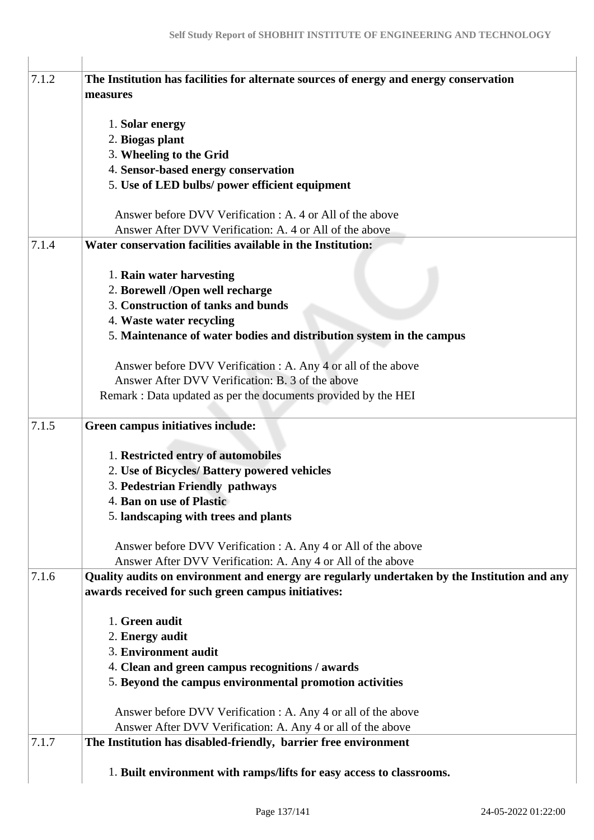| 7.1.2 | The Institution has facilities for alternate sources of energy and energy conservation       |
|-------|----------------------------------------------------------------------------------------------|
|       | measures                                                                                     |
|       |                                                                                              |
|       | 1. Solar energy                                                                              |
|       | 2. Biogas plant                                                                              |
|       | 3. Wheeling to the Grid                                                                      |
|       | 4. Sensor-based energy conservation                                                          |
|       | 5. Use of LED bulbs/ power efficient equipment                                               |
|       | Answer before DVV Verification : A. 4 or All of the above                                    |
|       | Answer After DVV Verification: A. 4 or All of the above                                      |
| 7.1.4 | Water conservation facilities available in the Institution:                                  |
|       |                                                                                              |
|       | 1. Rain water harvesting                                                                     |
|       | 2. Borewell /Open well recharge                                                              |
|       | 3. Construction of tanks and bunds                                                           |
|       | 4. Waste water recycling                                                                     |
|       | 5. Maintenance of water bodies and distribution system in the campus                         |
|       | Answer before DVV Verification : A. Any 4 or all of the above                                |
|       | Answer After DVV Verification: B. 3 of the above                                             |
|       | Remark: Data updated as per the documents provided by the HEI                                |
| 7.1.5 | Green campus initiatives include:                                                            |
|       | 1. Restricted entry of automobiles                                                           |
|       | 2. Use of Bicycles/ Battery powered vehicles                                                 |
|       | 3. Pedestrian Friendly pathways                                                              |
|       | 4. Ban on use of Plastic                                                                     |
|       | 5. landscaping with trees and plants                                                         |
|       |                                                                                              |
|       | Answer before DVV Verification : A. Any 4 or All of the above                                |
|       | Answer After DVV Verification: A. Any 4 or All of the above                                  |
| 7.1.6 | Quality audits on environment and energy are regularly undertaken by the Institution and any |
|       | awards received for such green campus initiatives:                                           |
|       | 1. Green audit                                                                               |
|       | 2. Energy audit                                                                              |
|       | 3. Environment audit                                                                         |
|       | 4. Clean and green campus recognitions / awards                                              |
|       | 5. Beyond the campus environmental promotion activities                                      |
|       | Answer before DVV Verification : A. Any 4 or all of the above                                |
|       | Answer After DVV Verification: A. Any 4 or all of the above                                  |
| 7.1.7 | The Institution has disabled-friendly, barrier free environment                              |
|       |                                                                                              |
|       | 1. Built environment with ramps/lifts for easy access to classrooms.                         |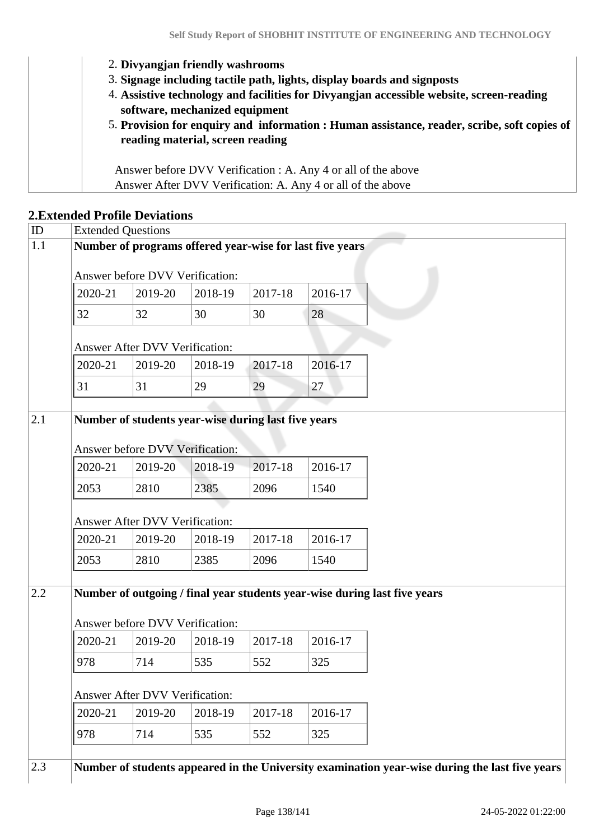- 2. **Divyangjan friendly washrooms**
- 3. **Signage including tactile path, lights, display boards and signposts**
- 4. **Assistive technology and facilities for Divyangjan accessible website, screen-reading software, mechanized equipment**
- 5. **Provision for enquiry and information : Human assistance, reader, scribe, soft copies of reading material, screen reading**

 Answer before DVV Verification : A. Any 4 or all of the above Answer After DVV Verification: A. Any 4 or all of the above

## **2.Extended Profile Deviations**

| <b>Extended Questions</b> |                                 |         |                                                                           |         |
|---------------------------|---------------------------------|---------|---------------------------------------------------------------------------|---------|
|                           |                                 |         | Number of programs offered year-wise for last five years                  |         |
|                           | Answer before DVV Verification: |         |                                                                           |         |
| 2020-21                   | 2019-20                         | 2018-19 | 2017-18                                                                   | 2016-17 |
| 32                        | 32                              | 30      | 30                                                                        | 28      |
|                           |                                 |         |                                                                           |         |
|                           | Answer After DVV Verification:  |         |                                                                           |         |
| 2020-21                   | 2019-20                         | 2018-19 | 2017-18                                                                   | 2016-17 |
| 31                        | 31                              | 29      | 29                                                                        | 27      |
|                           |                                 |         |                                                                           |         |
|                           |                                 |         | Number of students year-wise during last five years                       |         |
|                           | Answer before DVV Verification: |         |                                                                           |         |
| 2020-21                   | 2019-20                         | 2018-19 | 2017-18                                                                   | 2016-17 |
| 2053                      | 2810                            | 2385    | 2096                                                                      | 1540    |
|                           |                                 |         |                                                                           |         |
|                           | Answer After DVV Verification:  |         |                                                                           |         |
| 2020-21                   | 2019-20                         | 2018-19 | 2017-18                                                                   | 2016-17 |
| 2053                      | 2810                            | 2385    | 2096                                                                      | 1540    |
|                           |                                 |         |                                                                           |         |
|                           |                                 |         | Number of outgoing / final year students year-wise during last five years |         |
|                           |                                 |         |                                                                           |         |
|                           | Answer before DVV Verification: |         |                                                                           |         |
| 2020-21                   | 2019-20                         | 2018-19 | 2017-18                                                                   | 2016-17 |
| 978                       | 714                             | 535     | 552                                                                       | 325     |
|                           |                                 |         |                                                                           |         |
|                           | Answer After DVV Verification:  |         |                                                                           |         |
| 2020-21                   | 2019-20                         | 2018-19 | 2017-18                                                                   | 2016-17 |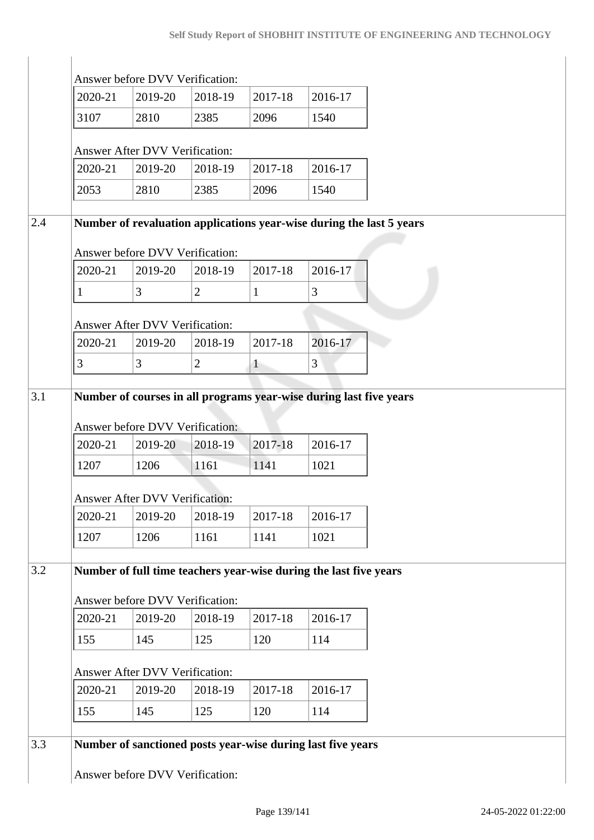| 2020-21 | 2019-20                                                              | 2018-19        | 2017-18      | 2016-17 |
|---------|----------------------------------------------------------------------|----------------|--------------|---------|
| 3107    | 2810                                                                 | 2385           | 2096         | 1540    |
|         | <b>Answer After DVV Verification:</b>                                |                |              |         |
| 2020-21 | 2019-20                                                              | 2018-19        | 2017-18      | 2016-17 |
| 2053    | 2810                                                                 | 2385           | 2096         | 1540    |
|         |                                                                      |                |              |         |
|         | Number of revaluation applications year-wise during the last 5 years |                |              |         |
|         | Answer before DVV Verification:                                      |                |              |         |
| 2020-21 | 2019-20                                                              | 2018-19        | 2017-18      | 2016-17 |
|         | 3                                                                    | $\overline{2}$ | $\mathbf{1}$ | 3       |
|         | <b>Answer After DVV Verification:</b>                                |                |              |         |
| 2020-21 | 2019-20                                                              | 2018-19        | 2017-18      | 2016-17 |
| 3       | 3                                                                    | $\overline{2}$ | $\mathbf{1}$ | 3       |
|         |                                                                      |                |              |         |
|         | Number of courses in all programs year-wise during last five years   |                |              |         |
|         |                                                                      |                |              |         |
|         | Answer before DVV Verification:                                      |                |              |         |
| 2020-21 | 2019-20                                                              | 2018-19        | 2017-18      | 2016-17 |
| 1207    | 1206                                                                 | 1161           | 1141         | 1021    |
|         |                                                                      |                |              |         |
|         | <b>Answer After DVV Verification:</b>                                |                |              |         |
| 2020-21 | 2019-20                                                              | 2018-19        | 2017-18      | 2016-17 |
| 1207    | 1206                                                                 | 1161           | 1141         | 1021    |
|         | Number of full time teachers year-wise during the last five years    |                |              |         |
|         |                                                                      |                |              |         |
|         | Answer before DVV Verification:                                      |                |              |         |
| 2020-21 | 2019-20                                                              | 2018-19        | 2017-18      | 2016-17 |
| 155     | 145                                                                  | 125            | 120          | 114     |
|         | <b>Answer After DVV Verification:</b>                                |                |              |         |
| 2020-21 | 2019-20                                                              | 2018-19        | 2017-18      | 2016-17 |
| 155     | 145                                                                  | 125            | 120          | 114     |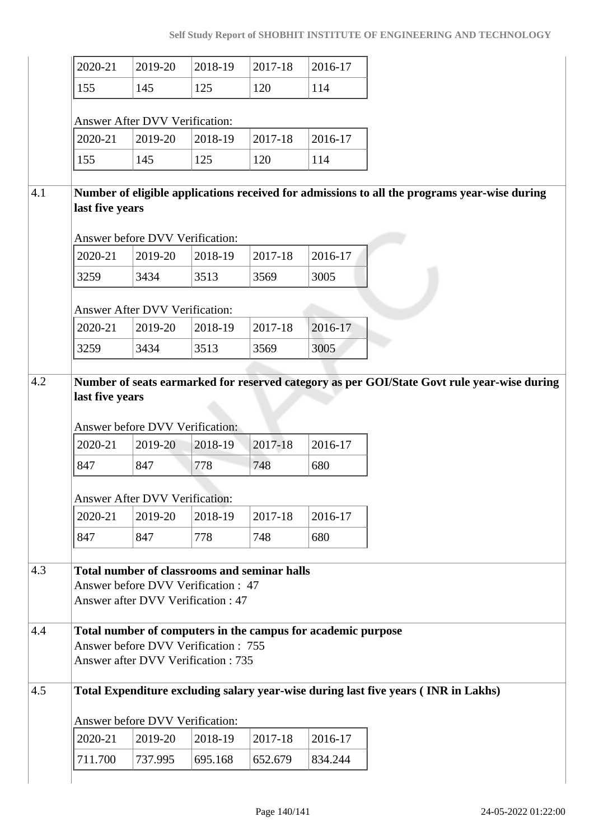| 2020-21                    | 2019-20                                                                                                                                               | 2018-19            | 2017-18                                             | 2016-17                                                                                                |  |  |
|----------------------------|-------------------------------------------------------------------------------------------------------------------------------------------------------|--------------------|-----------------------------------------------------|--------------------------------------------------------------------------------------------------------|--|--|
| 155                        | 145                                                                                                                                                   | 125                | 120                                                 | 114                                                                                                    |  |  |
|                            |                                                                                                                                                       |                    |                                                     |                                                                                                        |  |  |
|                            | <b>Answer After DVV Verification:</b>                                                                                                                 |                    |                                                     |                                                                                                        |  |  |
| 2020-21                    | 2019-20                                                                                                                                               | 2018-19            | 2017-18                                             | 2016-17                                                                                                |  |  |
| 155                        | 145                                                                                                                                                   | 125                | 120                                                 | 114                                                                                                    |  |  |
| last five years            | Answer before DVV Verification:                                                                                                                       |                    |                                                     | Number of eligible applications received for admissions to all the programs year-wise during           |  |  |
| 2020-21                    | 2019-20                                                                                                                                               | 2018-19            | 2017-18                                             | 2016-17                                                                                                |  |  |
| 3259                       | 3434                                                                                                                                                  | 3513               | 3569                                                | 3005                                                                                                   |  |  |
|                            |                                                                                                                                                       |                    |                                                     |                                                                                                        |  |  |
|                            | <b>Answer After DVV Verification:</b>                                                                                                                 |                    |                                                     |                                                                                                        |  |  |
| 2020-21                    | 2019-20                                                                                                                                               | 2018-19            | 2017-18                                             | 2016-17                                                                                                |  |  |
| 3259                       | 3434                                                                                                                                                  | 3513               | 3569                                                | 3005                                                                                                   |  |  |
| last five years<br>2020-21 | Answer before DVV Verification:<br>2019-20                                                                                                            | 2018-19            | 2017-18                                             | Number of seats earmarked for reserved category as per GOI/State Govt rule year-wise during<br>2016-17 |  |  |
| 847                        | 847<br>Answer After DVV Verification:                                                                                                                 | 778                | 748                                                 | 680                                                                                                    |  |  |
| 2020-21                    | 2019-20                                                                                                                                               | 2018-19            | 2017-18                                             | 2016-17                                                                                                |  |  |
| 847                        | 847                                                                                                                                                   | 778                | 748                                                 | 680                                                                                                    |  |  |
|                            | Answer before DVV Verification: 47<br>Answer after DVV Verification: 47<br>Answer before DVV Verification : 755<br>Answer after DVV Verification: 735 |                    | <b>Total number of classrooms and seminar halls</b> | Total number of computers in the campus for academic purpose                                           |  |  |
|                            |                                                                                                                                                       |                    |                                                     |                                                                                                        |  |  |
|                            |                                                                                                                                                       |                    |                                                     | Total Expenditure excluding salary year-wise during last five years (INR in Lakhs)                     |  |  |
|                            | Answer before DVV Verification:                                                                                                                       |                    |                                                     |                                                                                                        |  |  |
| 2020-21<br>711.700         | 2019-20<br>737.995                                                                                                                                    | 2018-19<br>695.168 | 2017-18<br>652.679                                  | 2016-17<br>834.244                                                                                     |  |  |